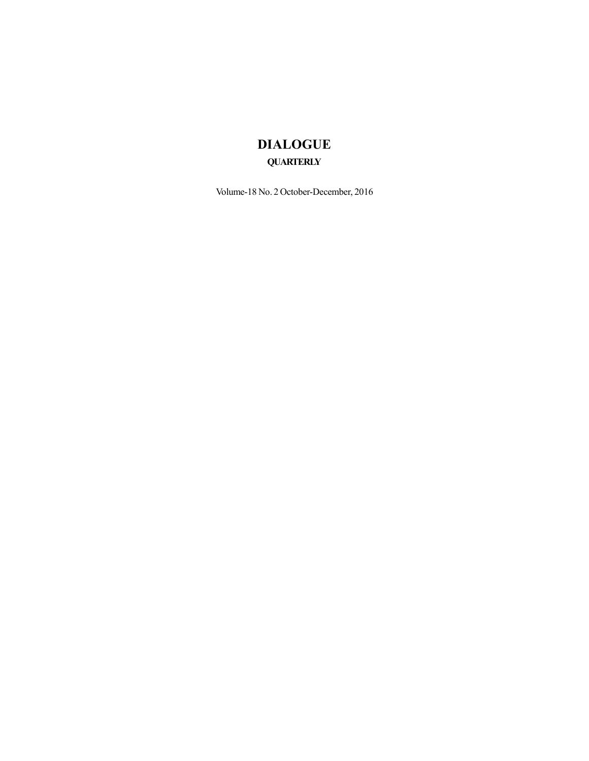## **DIALOGUE QUARTERLY**

Volume-18 No. 2 October-December, 2016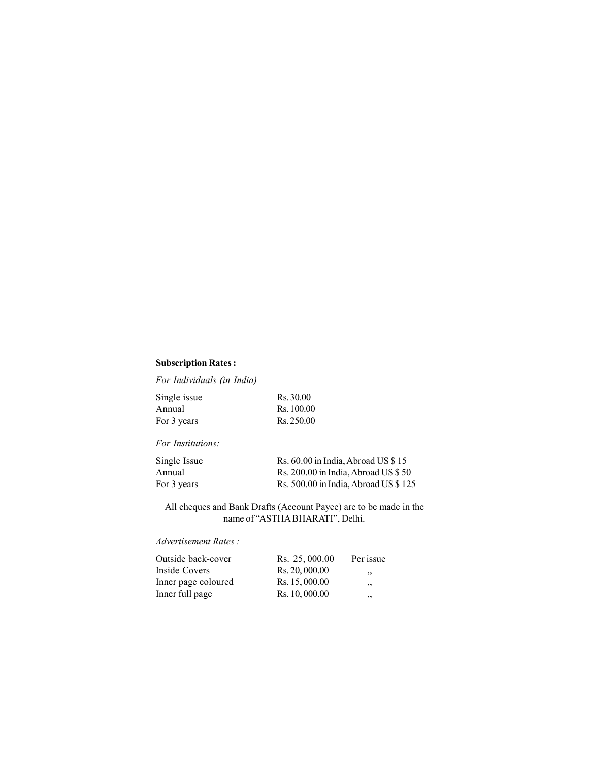### **Subscription Rates :**

*For Individuals (in India)*

| Single issue | Rs. 30.00  |
|--------------|------------|
| Annual       | Rs. 100.00 |
| For 3 years  | Rs. 250.00 |

### *For Institutions:*

| Single Issue | Rs. 60.00 in India, Abroad US \$15   |
|--------------|--------------------------------------|
| Annual       | Rs. 200.00 in India, Abroad US \$50  |
| For 3 years  | Rs. 500.00 in India, Abroad US \$125 |

All cheques and Bank Drafts (Account Payee) are to be made in the name of "ASTHA BHARATI", Delhi.

### *Advertisement Rates :*

| Outside back-cover  | Rs. 25,000.00  | Per issue |  |
|---------------------|----------------|-----------|--|
| Inside Covers       | Rs. 20, 000.00 | , ,       |  |
| Inner page coloured | Rs. 15, 000.00 | ,,        |  |
| Inner full page     | Rs. 10, 000.00 | ,,        |  |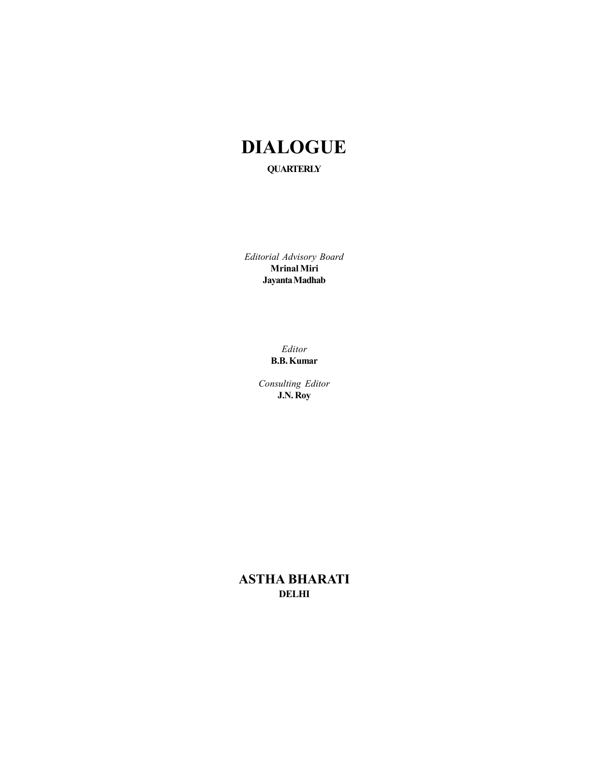# **DIALOGUE QUARTERLY**

*Editorial Advisory Board* **Mrinal Miri Jayanta Madhab**

> *Editor* **B.B. Kumar**

*Consulting Editor* **J.N. Roy**

**ASTHA BHARATI DELHI**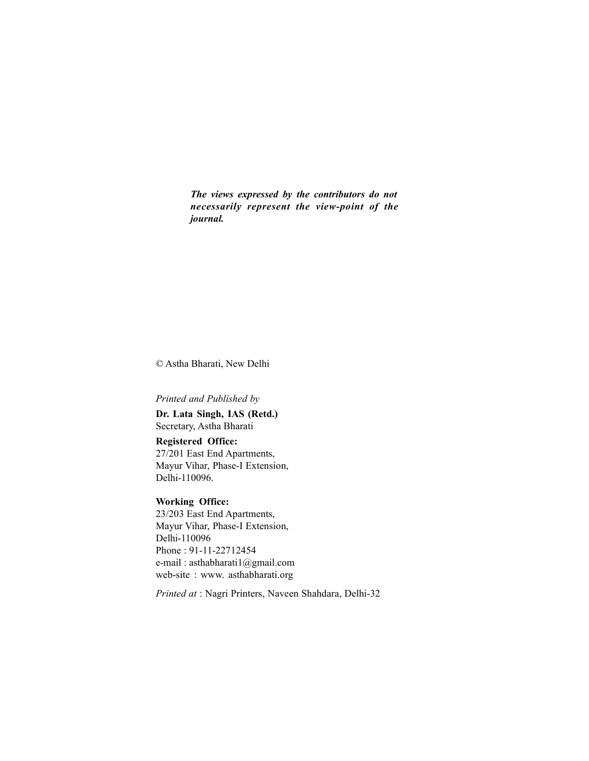*The views expressed by the contributors do not necessarily represent the view-point of the journal.*

© Astha Bharati, New Delhi

### *Printed and Published by*

**Dr. Lata Singh, IAS (Retd.)** Secretary, Astha Bharati

**Registered Office:** 27/201 East End Apartments, Mayur Vihar, Phase-I Extension, Delhi-110096.

### **Working Office:**

23/203 East End Apartments, Mayur Vihar, Phase-I Extension, Delhi-110096 Phone : 91-11-22712454 e-mail : asthabharati1@gmail.com web-site : www. asthabharati.org

*Printed at* : Nagri Printers, Naveen Shahdara, Delhi-32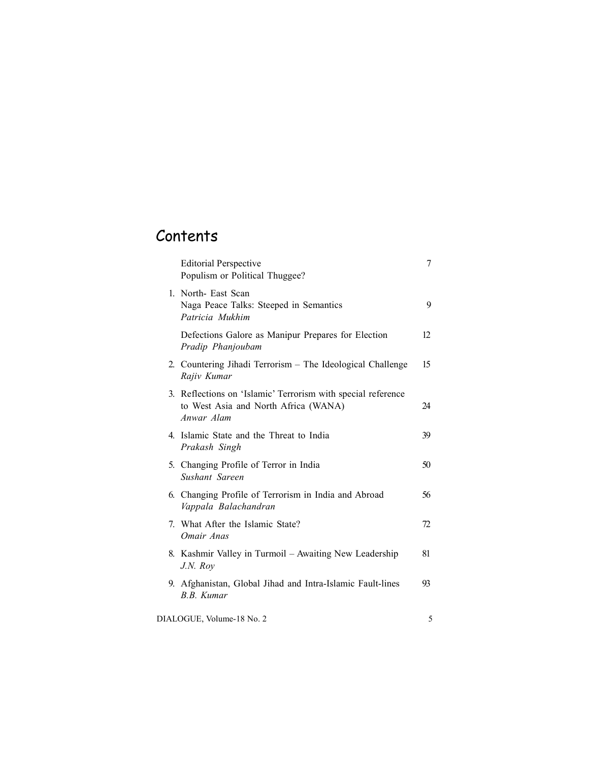# **Contents**

| <b>Editorial Perspective</b><br>Populism or Political Thuggee?                                                     | 7  |  |
|--------------------------------------------------------------------------------------------------------------------|----|--|
| 1. North- East Scan<br>Naga Peace Talks: Steeped in Semantics<br>Patricia Mukhim                                   | 9  |  |
| Defections Galore as Manipur Prepares for Election<br>Pradip Phanjoubam                                            | 12 |  |
| 2. Countering Jihadi Terrorism – The Ideological Challenge<br>Rajiv Kumar                                          | 15 |  |
| 3. Reflections on 'Islamic' Terrorism with special reference<br>to West Asia and North Africa (WANA)<br>Anwar Alam | 24 |  |
| 4. Islamic State and the Threat to India<br>Prakash Singh                                                          | 39 |  |
| 5. Changing Profile of Terror in India<br>Sushant Sareen                                                           | 50 |  |
| 6. Changing Profile of Terrorism in India and Abroad<br>Vappala Balachandran                                       | 56 |  |
| 7. What After the Islamic State?<br>Omair Anas                                                                     | 72 |  |
| 8. Kashmir Valley in Turmoil – Awaiting New Leadership<br>J.N. Roy                                                 | 81 |  |
| 9. Afghanistan, Global Jihad and Intra-Islamic Fault-lines<br>B.B. Kumar                                           | 93 |  |
| DIALOGUE, Volume-18 No. 2                                                                                          | 5  |  |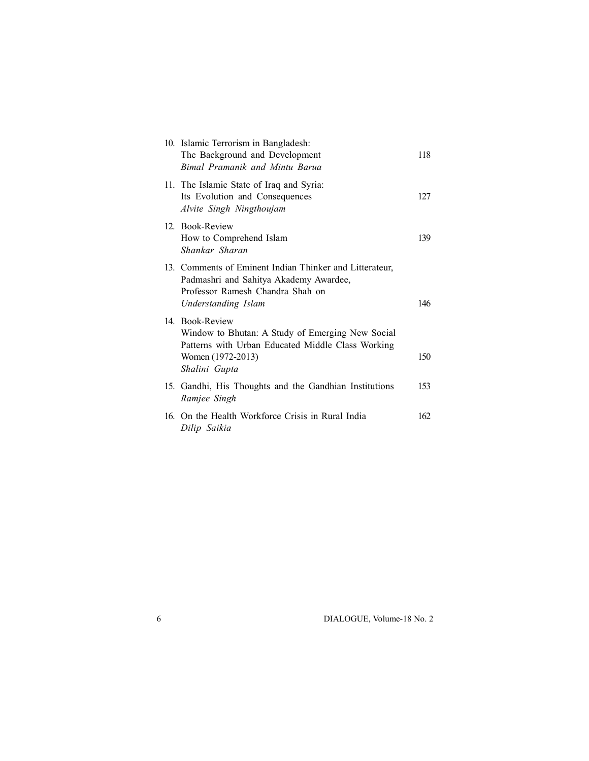| 10. Islamic Terrorism in Bangladesh:<br>The Background and Development<br>Bimal Pramanik and Mintu Barua                                                       | 118 |
|----------------------------------------------------------------------------------------------------------------------------------------------------------------|-----|
| 11. The Islamic State of Iraq and Syria:<br>Its Evolution and Consequences<br>Alvite Singh Ningthoujam                                                         | 127 |
| 12. Book-Review<br>How to Comprehend Islam<br>Shankar Sharan                                                                                                   | 139 |
| 13. Comments of Eminent Indian Thinker and Litterateur,<br>Padmashri and Sahitya Akademy Awardee,<br>Professor Ramesh Chandra Shah on<br>Understanding Islam   | 146 |
| 14. Book-Review<br>Window to Bhutan: A Study of Emerging New Social<br>Patterns with Urban Educated Middle Class Working<br>Women (1972-2013)<br>Shalini Gupta | 150 |
| 15. Gandhi, His Thoughts and the Gandhian Institutions<br>Ramjee Singh                                                                                         | 153 |
| 16. On the Health Workforce Crisis in Rural India<br>Dilip Saikia                                                                                              | 162 |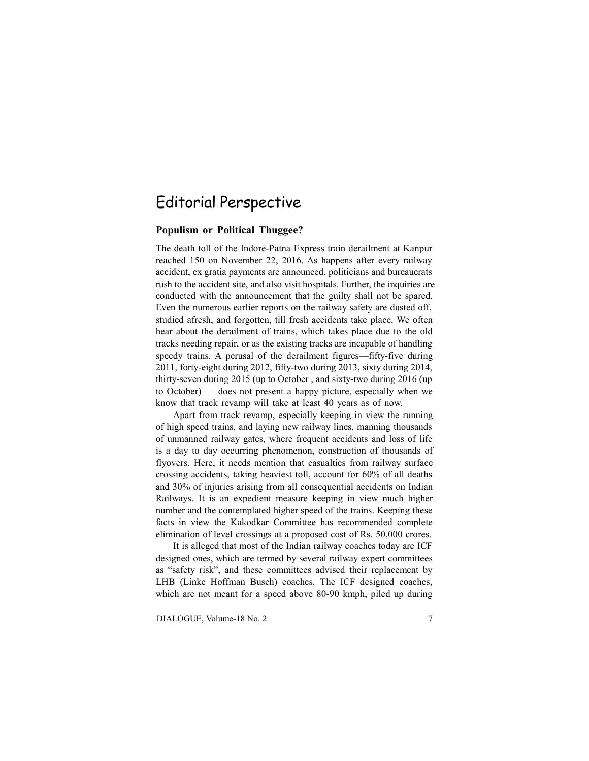## Editorial Perspective

#### **Populism or Political Thuggee?**

The death toll of the Indore-Patna Express train derailment at Kanpur reached 150 on November 22, 2016. As happens after every railway accident, ex gratia payments are announced, politicians and bureaucrats rush to the accident site, and also visit hospitals. Further, the inquiries are conducted with the announcement that the guilty shall not be spared. Even the numerous earlier reports on the railway safety are dusted off, studied afresh, and forgotten, till fresh accidents take place. We often hear about the derailment of trains, which takes place due to the old tracks needing repair, or as the existing tracks are incapable of handling speedy trains. A perusal of the derailment figures—fifty-five during 2011, forty-eight during 2012, fifty-two during 2013, sixty during 2014, thirty-seven during 2015 (up to October , and sixty-two during 2016 (up to October) — does not present a happy picture, especially when we know that track revamp will take at least 40 years as of now.

Apart from track revamp, especially keeping in view the running of high speed trains, and laying new railway lines, manning thousands of unmanned railway gates, where frequent accidents and loss of life is a day to day occurring phenomenon, construction of thousands of flyovers. Here, it needs mention that casualties from railway surface crossing accidents, taking heaviest toll, account for 60% of all deaths and 30% of injuries arising from all consequential accidents on Indian Railways. It is an expedient measure keeping in view much higher number and the contemplated higher speed of the trains. Keeping these facts in view the Kakodkar Committee has recommended complete elimination of level crossings at a proposed cost of Rs. 50,000 crores.

It is alleged that most of the Indian railway coaches today are ICF designed ones, which are termed by several railway expert committees as "safety risk", and these committees advised their replacement by LHB (Linke Hoffman Busch) coaches. The ICF designed coaches, which are not meant for a speed above 80-90 kmph, piled up during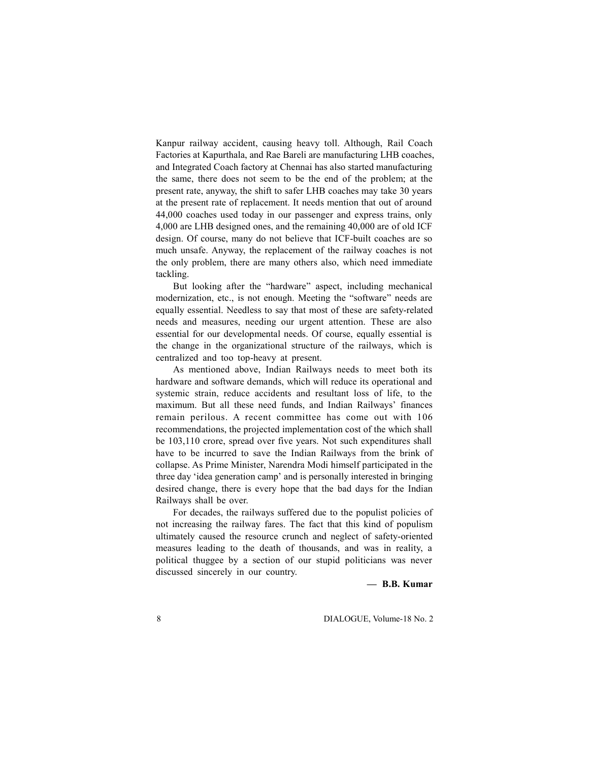Kanpur railway accident, causing heavy toll. Although, Rail Coach Factories at Kapurthala, and Rae Bareli are manufacturing LHB coaches, and Integrated Coach factory at Chennai has also started manufacturing the same, there does not seem to be the end of the problem; at the present rate, anyway, the shift to safer LHB coaches may take 30 years at the present rate of replacement. It needs mention that out of around 44,000 coaches used today in our passenger and express trains, only 4,000 are LHB designed ones, and the remaining 40,000 are of old ICF design. Of course, many do not believe that ICF-built coaches are so much unsafe. Anyway, the replacement of the railway coaches is not the only problem, there are many others also, which need immediate tackling.

But looking after the "hardware" aspect, including mechanical modernization, etc., is not enough. Meeting the "software" needs are equally essential. Needless to say that most of these are safety-related needs and measures, needing our urgent attention. These are also essential for our developmental needs. Of course, equally essential is the change in the organizational structure of the railways, which is centralized and too top-heavy at present.

As mentioned above, Indian Railways needs to meet both its hardware and software demands, which will reduce its operational and systemic strain, reduce accidents and resultant loss of life, to the maximum. But all these need funds, and Indian Railways' finances remain perilous. A recent committee has come out with 106 recommendations, the projected implementation cost of the which shall be 103,110 crore, spread over five years. Not such expenditures shall have to be incurred to save the Indian Railways from the brink of collapse. As Prime Minister, Narendra Modi himself participated in the three day 'idea generation camp' and is personally interested in bringing desired change, there is every hope that the bad days for the Indian Railways shall be over.

For decades, the railways suffered due to the populist policies of not increasing the railway fares. The fact that this kind of populism ultimately caused the resource crunch and neglect of safety-oriented measures leading to the death of thousands, and was in reality, a political thuggee by a section of our stupid politicians was never discussed sincerely in our country.

**— B.B. Kumar**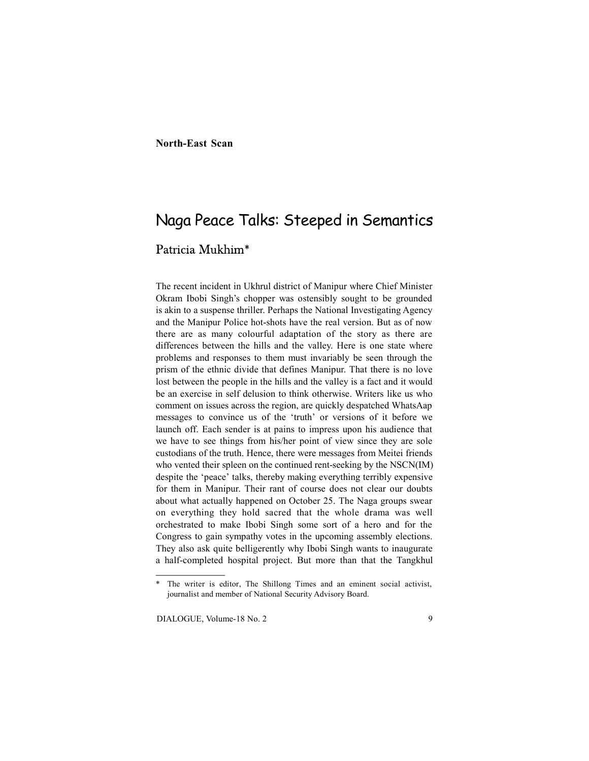#### **North-East Scan**

## Naga Peace Talks: Steeped in Semantics

### Patricia Mukhim\*

The recent incident in Ukhrul district of Manipur where Chief Minister Okram Ibobi Singh's chopper was ostensibly sought to be grounded is akin to a suspense thriller. Perhaps the National Investigating Agency and the Manipur Police hot-shots have the real version. But as of now there are as many colourful adaptation of the story as there are differences between the hills and the valley. Here is one state where problems and responses to them must invariably be seen through the prism of the ethnic divide that defines Manipur. That there is no love lost between the people in the hills and the valley is a fact and it would be an exercise in self delusion to think otherwise. Writers like us who comment on issues across the region, are quickly despatched WhatsAap messages to convince us of the 'truth' or versions of it before we launch off. Each sender is at pains to impress upon his audience that we have to see things from his/her point of view since they are sole custodians of the truth. Hence, there were messages from Meitei friends who vented their spleen on the continued rent-seeking by the NSCN(IM) despite the 'peace' talks, thereby making everything terribly expensive for them in Manipur. Their rant of course does not clear our doubts about what actually happened on October 25. The Naga groups swear on everything they hold sacred that the whole drama was well orchestrated to make Ibobi Singh some sort of a hero and for the Congress to gain sympathy votes in the upcoming assembly elections. They also ask quite belligerently why Ibobi Singh wants to inaugurate a half-completed hospital project. But more than that the Tangkhul

The writer is editor, The Shillong Times and an eminent social activist, journalist and member of National Security Advisory Board.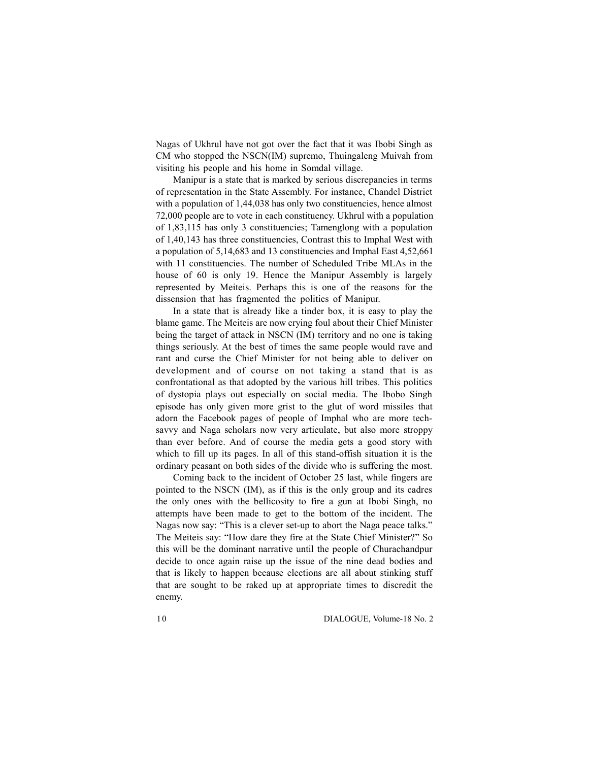Nagas of Ukhrul have not got over the fact that it was Ibobi Singh as CM who stopped the NSCN(IM) supremo, Thuingaleng Muivah from visiting his people and his home in Somdal village.

Manipur is a state that is marked by serious discrepancies in terms of representation in the State Assembly. For instance, Chandel District with a population of 1,44,038 has only two constituencies, hence almost 72,000 people are to vote in each constituency. Ukhrul with a population of 1,83,115 has only 3 constituencies; Tamenglong with a population of 1,40,143 has three constituencies, Contrast this to Imphal West with a population of 5,14,683 and 13 constituencies and Imphal East 4,52,661 with 11 constituencies. The number of Scheduled Tribe MLAs in the house of 60 is only 19. Hence the Manipur Assembly is largely represented by Meiteis. Perhaps this is one of the reasons for the dissension that has fragmented the politics of Manipur.

In a state that is already like a tinder box, it is easy to play the blame game. The Meiteis are now crying foul about their Chief Minister being the target of attack in NSCN (IM) territory and no one is taking things seriously. At the best of times the same people would rave and rant and curse the Chief Minister for not being able to deliver on development and of course on not taking a stand that is as confrontational as that adopted by the various hill tribes. This politics of dystopia plays out especially on social media. The Ibobo Singh episode has only given more grist to the glut of word missiles that adorn the Facebook pages of people of Imphal who are more techsavvy and Naga scholars now very articulate, but also more stroppy than ever before. And of course the media gets a good story with which to fill up its pages. In all of this stand-offish situation it is the ordinary peasant on both sides of the divide who is suffering the most.

Coming back to the incident of October 25 last, while fingers are pointed to the NSCN (IM), as if this is the only group and its cadres the only ones with the bellicosity to fire a gun at Ibobi Singh, no attempts have been made to get to the bottom of the incident. The Nagas now say: "This is a clever set-up to abort the Naga peace talks." The Meiteis say: "How dare they fire at the State Chief Minister?" So this will be the dominant narrative until the people of Churachandpur decide to once again raise up the issue of the nine dead bodies and that is likely to happen because elections are all about stinking stuff that are sought to be raked up at appropriate times to discredit the enemy.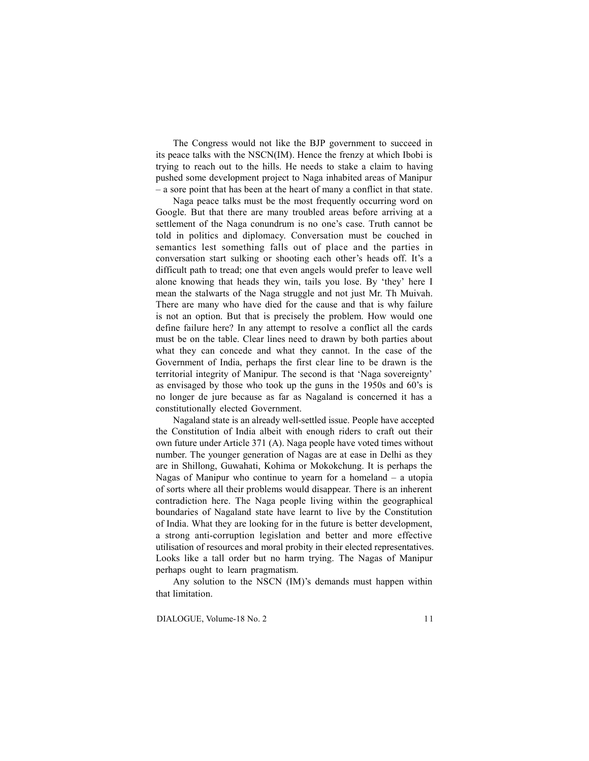The Congress would not like the BJP government to succeed in its peace talks with the NSCN(IM). Hence the frenzy at which Ibobi is trying to reach out to the hills. He needs to stake a claim to having pushed some development project to Naga inhabited areas of Manipur – a sore point that has been at the heart of many a conflict in that state.

Naga peace talks must be the most frequently occurring word on Google. But that there are many troubled areas before arriving at a settlement of the Naga conundrum is no one's case. Truth cannot be told in politics and diplomacy. Conversation must be couched in semantics lest something falls out of place and the parties in conversation start sulking or shooting each other's heads off. It's a difficult path to tread; one that even angels would prefer to leave well alone knowing that heads they win, tails you lose. By 'they' here I mean the stalwarts of the Naga struggle and not just Mr. Th Muivah. There are many who have died for the cause and that is why failure is not an option. But that is precisely the problem. How would one define failure here? In any attempt to resolve a conflict all the cards must be on the table. Clear lines need to drawn by both parties about what they can concede and what they cannot. In the case of the Government of India, perhaps the first clear line to be drawn is the territorial integrity of Manipur. The second is that 'Naga sovereignty' as envisaged by those who took up the guns in the 1950s and 60's is no longer de jure because as far as Nagaland is concerned it has a constitutionally elected Government.

Nagaland state is an already well-settled issue. People have accepted the Constitution of India albeit with enough riders to craft out their own future under Article 371 (A). Naga people have voted times without number. The younger generation of Nagas are at ease in Delhi as they are in Shillong, Guwahati, Kohima or Mokokchung. It is perhaps the Nagas of Manipur who continue to yearn for a homeland – a utopia of sorts where all their problems would disappear. There is an inherent contradiction here. The Naga people living within the geographical boundaries of Nagaland state have learnt to live by the Constitution of India. What they are looking for in the future is better development, a strong anti-corruption legislation and better and more effective utilisation of resources and moral probity in their elected representatives. Looks like a tall order but no harm trying. The Nagas of Manipur perhaps ought to learn pragmatism.

Any solution to the NSCN (IM)'s demands must happen within that limitation.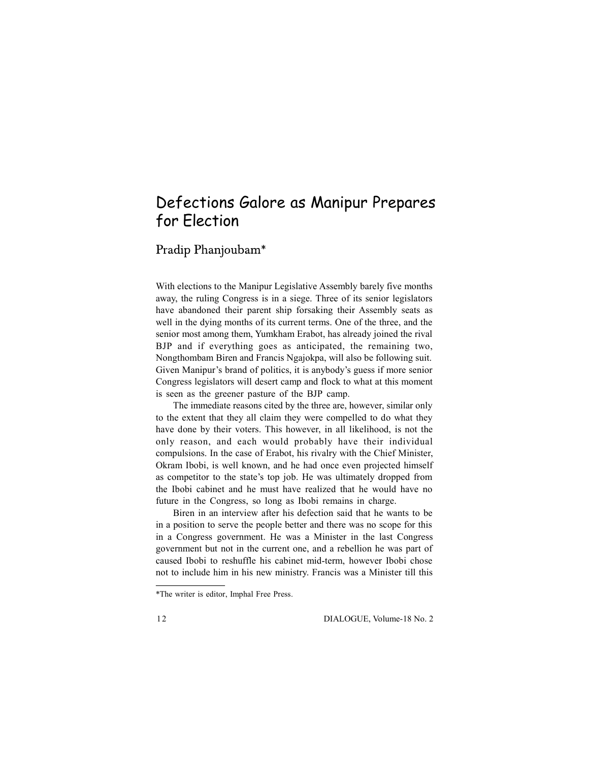# Defections Galore as Manipur Prepares for Election

Pradip Phanjoubam\*

With elections to the Manipur Legislative Assembly barely five months away, the ruling Congress is in a siege. Three of its senior legislators have abandoned their parent ship forsaking their Assembly seats as well in the dying months of its current terms. One of the three, and the senior most among them, Yumkham Erabot, has already joined the rival BJP and if everything goes as anticipated, the remaining two, Nongthombam Biren and Francis Ngajokpa, will also be following suit. Given Manipur's brand of politics, it is anybody's guess if more senior Congress legislators will desert camp and flock to what at this moment is seen as the greener pasture of the BJP camp.

The immediate reasons cited by the three are, however, similar only to the extent that they all claim they were compelled to do what they have done by their voters. This however, in all likelihood, is not the only reason, and each would probably have their individual compulsions. In the case of Erabot, his rivalry with the Chief Minister, Okram Ibobi, is well known, and he had once even projected himself as competitor to the state's top job. He was ultimately dropped from the Ibobi cabinet and he must have realized that he would have no future in the Congress, so long as Ibobi remains in charge.

Biren in an interview after his defection said that he wants to be in a position to serve the people better and there was no scope for this in a Congress government. He was a Minister in the last Congress government but not in the current one, and a rebellion he was part of caused Ibobi to reshuffle his cabinet mid-term, however Ibobi chose not to include him in his new ministry. Francis was a Minister till this

<sup>\*</sup>The writer is editor, Imphal Free Press.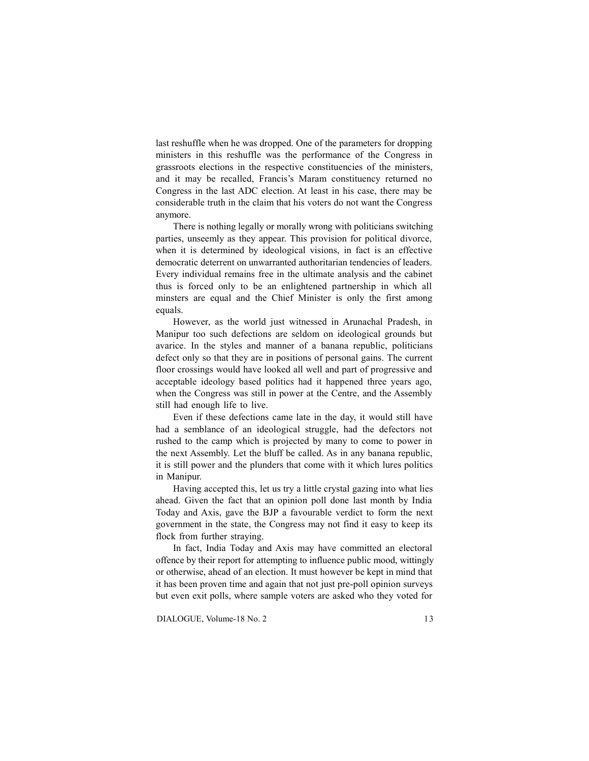last reshuffle when he was dropped. One of the parameters for dropping ministers in this reshuffle was the performance of the Congress in grassroots elections in the respective constituencies of the ministers, and it may be recalled, Francis's Maram constituency returned no Congress in the last ADC election. At least in his case, there may be considerable truth in the claim that his voters do not want the Congress anymore.

There is nothing legally or morally wrong with politicians switching parties, unseemly as they appear. This provision for political divorce, when it is determined by ideological visions, in fact is an effective democratic deterrent on unwarranted authoritarian tendencies of leaders. Every individual remains free in the ultimate analysis and the cabinet thus is forced only to be an enlightened partnership in which all minsters are equal and the Chief Minister is only the first among equals.

However, as the world just witnessed in Arunachal Pradesh, in Manipur too such defections are seldom on ideological grounds but avarice. In the styles and manner of a banana republic, politicians defect only so that they are in positions of personal gains. The current floor crossings would have looked all well and part of progressive and acceptable ideology based politics had it happened three years ago, when the Congress was still in power at the Centre, and the Assembly still had enough life to live.

Even if these defections came late in the day, it would still have had a semblance of an ideological struggle, had the defectors not rushed to the camp which is projected by many to come to power in the next Assembly. Let the bluff be called. As in any banana republic, it is still power and the plunders that come with it which lures politics in Manipur.

Having accepted this, let us try a little crystal gazing into what lies ahead. Given the fact that an opinion poll done last month by India Today and Axis, gave the BJP a favourable verdict to form the next government in the state, the Congress may not find it easy to keep its flock from further straying.

In fact, India Today and Axis may have committed an electoral offence by their report for attempting to influence public mood, wittingly or otherwise, ahead of an election. It must however be kept in mind that it has been proven time and again that not just pre-poll opinion surveys but even exit polls, where sample voters are asked who they voted for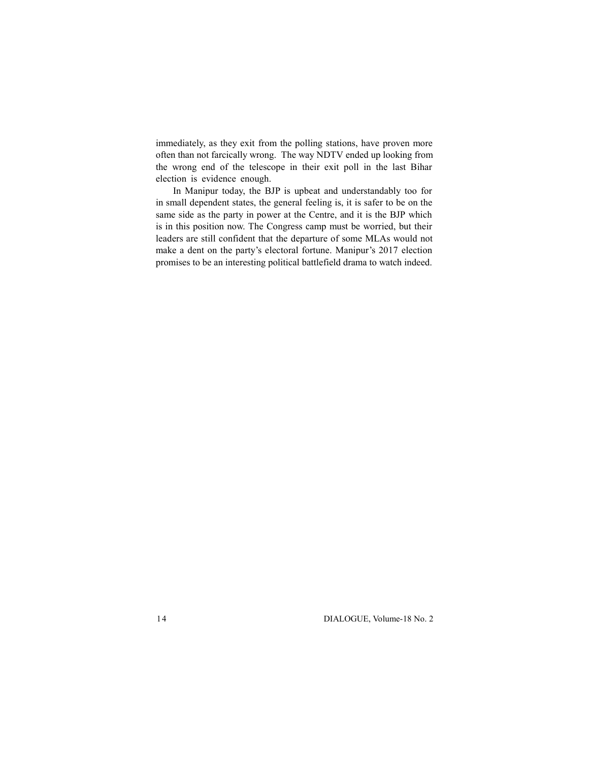immediately, as they exit from the polling stations, have proven more often than not farcically wrong. The way NDTV ended up looking from the wrong end of the telescope in their exit poll in the last Bihar election is evidence enough.

In Manipur today, the BJP is upbeat and understandably too for in small dependent states, the general feeling is, it is safer to be on the same side as the party in power at the Centre, and it is the BJP which is in this position now. The Congress camp must be worried, but their leaders are still confident that the departure of some MLAs would not make a dent on the party's electoral fortune. Manipur's 2017 election promises to be an interesting political battlefield drama to watch indeed.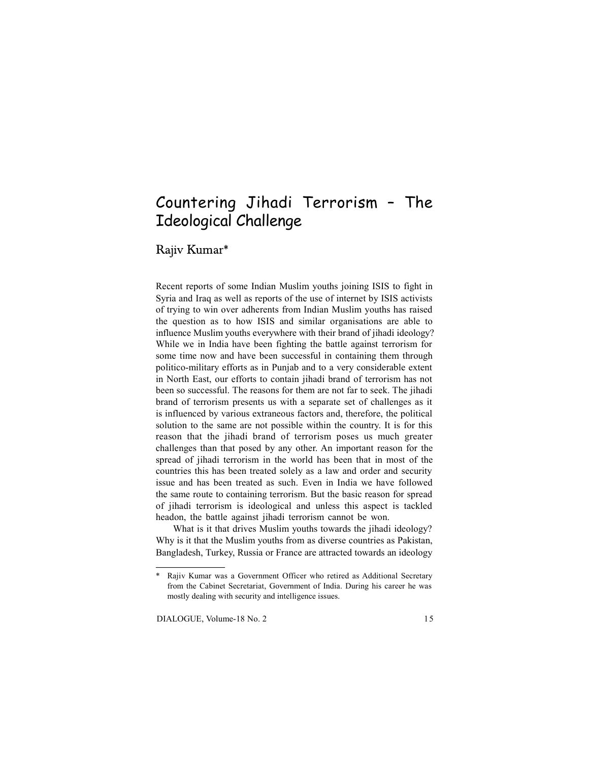# Countering Jihadi Terrorism – The Ideological Challenge

Rajiv Kumar\*

Recent reports of some Indian Muslim youths joining ISIS to fight in Syria and Iraq as well as reports of the use of internet by ISIS activists of trying to win over adherents from Indian Muslim youths has raised the question as to how ISIS and similar organisations are able to influence Muslim youths everywhere with their brand of jihadi ideology? While we in India have been fighting the battle against terrorism for some time now and have been successful in containing them through politico-military efforts as in Punjab and to a very considerable extent in North East, our efforts to contain jihadi brand of terrorism has not been so successful. The reasons for them are not far to seek. The jihadi brand of terrorism presents us with a separate set of challenges as it is influenced by various extraneous factors and, therefore, the political solution to the same are not possible within the country. It is for this reason that the jihadi brand of terrorism poses us much greater challenges than that posed by any other. An important reason for the spread of jihadi terrorism in the world has been that in most of the countries this has been treated solely as a law and order and security issue and has been treated as such. Even in India we have followed the same route to containing terrorism. But the basic reason for spread of jihadi terrorism is ideological and unless this aspect is tackled headon, the battle against jihadi terrorism cannot be won.

What is it that drives Muslim youths towards the jihadi ideology? Why is it that the Muslim youths from as diverse countries as Pakistan, Bangladesh, Turkey, Russia or France are attracted towards an ideology

<sup>\*</sup> Rajiv Kumar was a Government Officer who retired as Additional Secretary from the Cabinet Secretariat, Government of India. During his career he was mostly dealing with security and intelligence issues.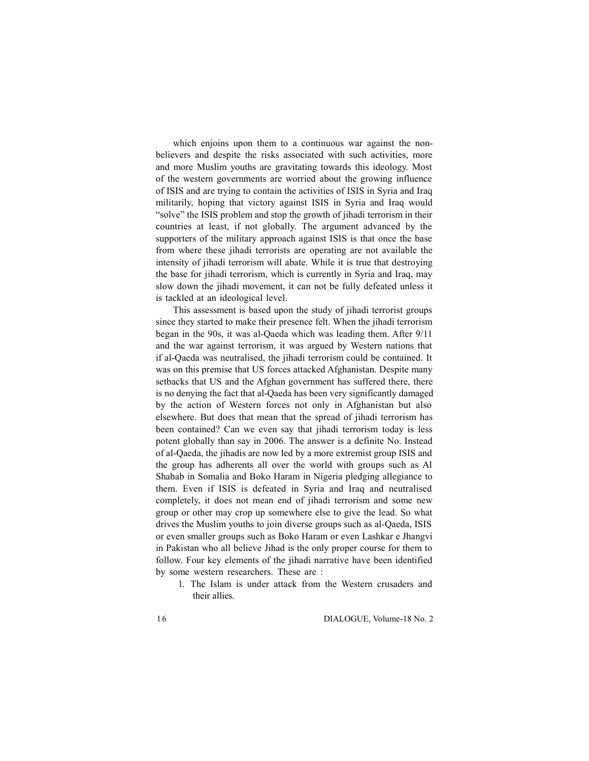which enjoins upon them to a continuous war against the nonbelievers and despite the risks associated with such activities, more and more Muslim youths are gravitating towards this ideology. Most of the western governments are worried about the growing influence of ISIS and are trying to contain the activities of ISIS in Syria and Iraq militarily, hoping that victory against ISIS in Syria and Iraq would "solve" the ISIS problem and stop the growth of jihadi terrorism in their countries at least, if not globally. The argument advanced by the supporters of the military approach against ISIS is that once the base from where these jihadi terrorists are operating are not available the intensity of jihadi terrorism will abate. While it is true that destroying the base for jihadi terrorism, which is currently in Syria and Iraq, may slow down the jihadi movement, it can not be fully defeated unless it is tackled at an ideological level.

This assessment is based upon the study of jihadi terrorist groups since they started to make their presence felt. When the jihadi terrorism began in the 90s, it was al-Qaeda which was leading them. After 9/11 and the war against terrorism, it was argued by Western nations that if al-Qaeda was neutralised, the jihadi terrorism could be contained. It was on this premise that US forces attacked Afghanistan. Despite many setbacks that US and the Afghan government has suffered there, there is no denying the fact that al-Qaeda has been very significantly damaged by the action of Western forces not only in Afghanistan but also elsewhere. But does that mean that the spread of jihadi terrorism has been contained? Can we even say that jihadi terrorism today is less potent globally than say in 2006. The answer is a definite No. Instead of al-Qaeda, the jihadis are now led by a more extremist group ISIS and the group has adherents all over the world with groups such as Al Shabab in Somalia and Boko Haram in Nigeria pledging allegiance to them. Even if ISIS is defeated in Syria and Iraq and neutralised completely, it does not mean end of jihadi terrorism and some new group or other may crop up somewhere else to give the lead. So what drives the Muslim youths to join diverse groups such as al-Qaeda, ISIS or even smaller groups such as Boko Haram or even Lashkar e Jhangvi in Pakistan who all believe Jihad is the only proper course for them to follow. Four key elements of the jihadi narrative have been identified by some western researchers. These are :

1. The Islam is under attack from the Western crusaders and their allies.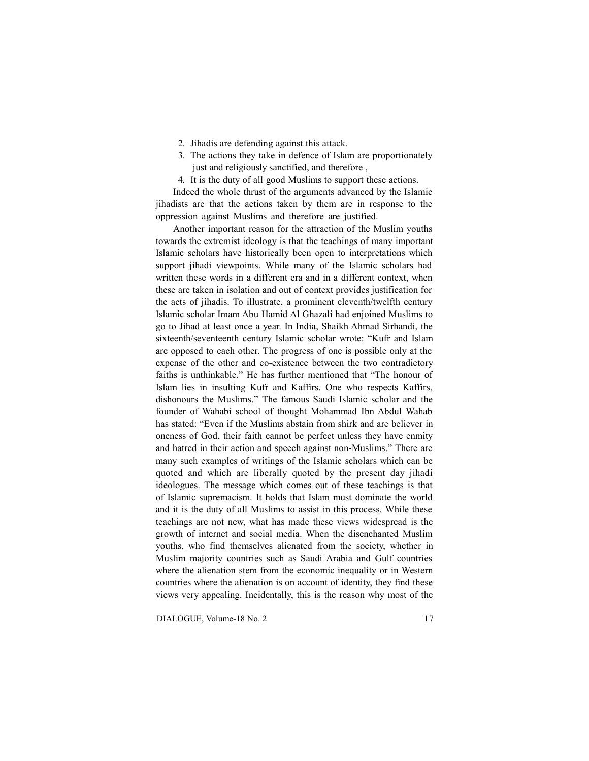- 2. Jihadis are defending against this attack.
- 3. The actions they take in defence of Islam are proportionately just and religiously sanctified, and therefore ,
- 4. It is the duty of all good Muslims to support these actions.

Indeed the whole thrust of the arguments advanced by the Islamic jihadists are that the actions taken by them are in response to the oppression against Muslims and therefore are justified.

Another important reason for the attraction of the Muslim youths towards the extremist ideology is that the teachings of many important Islamic scholars have historically been open to interpretations which support jihadi viewpoints. While many of the Islamic scholars had written these words in a different era and in a different context, when these are taken in isolation and out of context provides justification for the acts of jihadis. To illustrate, a prominent eleventh/twelfth century Islamic scholar Imam Abu Hamid Al Ghazali had enjoined Muslims to go to Jihad at least once a year. In India, Shaikh Ahmad Sirhandi, the sixteenth/seventeenth century Islamic scholar wrote: "Kufr and Islam are opposed to each other. The progress of one is possible only at the expense of the other and co-existence between the two contradictory faiths is unthinkable." He has further mentioned that "The honour of Islam lies in insulting Kufr and Kaffirs. One who respects Kaffirs, dishonours the Muslims." The famous Saudi Islamic scholar and the founder of Wahabi school of thought Mohammad Ibn Abdul Wahab has stated: "Even if the Muslims abstain from shirk and are believer in oneness of God, their faith cannot be perfect unless they have enmity and hatred in their action and speech against non-Muslims." There are many such examples of writings of the Islamic scholars which can be quoted and which are liberally quoted by the present day jihadi ideologues. The message which comes out of these teachings is that of Islamic supremacism. It holds that Islam must dominate the world and it is the duty of all Muslims to assist in this process. While these teachings are not new, what has made these views widespread is the growth of internet and social media. When the disenchanted Muslim youths, who find themselves alienated from the society, whether in Muslim majority countries such as Saudi Arabia and Gulf countries where the alienation stem from the economic inequality or in Western countries where the alienation is on account of identity, they find these views very appealing. Incidentally, this is the reason why most of the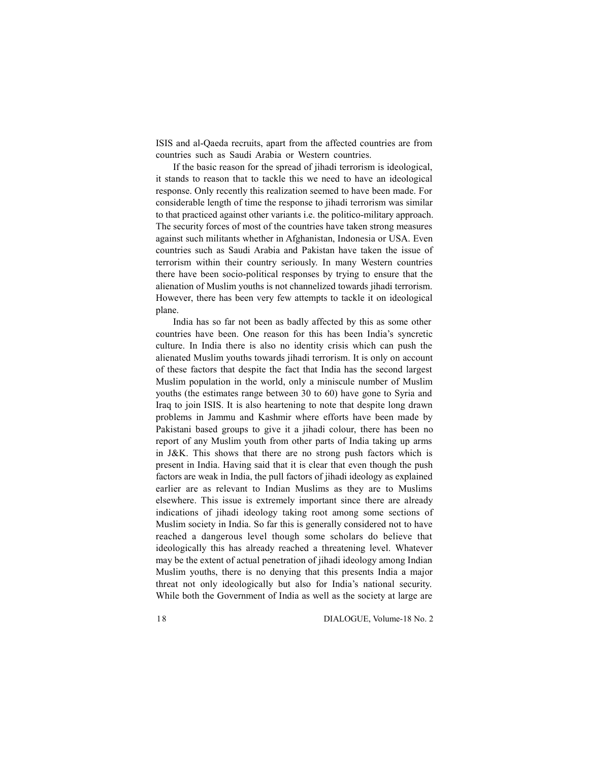ISIS and al-Qaeda recruits, apart from the affected countries are from countries such as Saudi Arabia or Western countries.

If the basic reason for the spread of jihadi terrorism is ideological, it stands to reason that to tackle this we need to have an ideological response. Only recently this realization seemed to have been made. For considerable length of time the response to jihadi terrorism was similar to that practiced against other variants i.e. the politico-military approach. The security forces of most of the countries have taken strong measures against such militants whether in Afghanistan, Indonesia or USA. Even countries such as Saudi Arabia and Pakistan have taken the issue of terrorism within their country seriously. In many Western countries there have been socio-political responses by trying to ensure that the alienation of Muslim youths is not channelized towards jihadi terrorism. However, there has been very few attempts to tackle it on ideological plane.

India has so far not been as badly affected by this as some other countries have been. One reason for this has been India's syncretic culture. In India there is also no identity crisis which can push the alienated Muslim youths towards jihadi terrorism. It is only on account of these factors that despite the fact that India has the second largest Muslim population in the world, only a miniscule number of Muslim youths (the estimates range between 30 to 60) have gone to Syria and Iraq to join ISIS. It is also heartening to note that despite long drawn problems in Jammu and Kashmir where efforts have been made by Pakistani based groups to give it a jihadi colour, there has been no report of any Muslim youth from other parts of India taking up arms in J&K. This shows that there are no strong push factors which is present in India. Having said that it is clear that even though the push factors are weak in India, the pull factors of jihadi ideology as explained earlier are as relevant to Indian Muslims as they are to Muslims elsewhere. This issue is extremely important since there are already indications of jihadi ideology taking root among some sections of Muslim society in India. So far this is generally considered not to have reached a dangerous level though some scholars do believe that ideologically this has already reached a threatening level. Whatever may be the extent of actual penetration of jihadi ideology among Indian Muslim youths, there is no denying that this presents India a major threat not only ideologically but also for India's national security. While both the Government of India as well as the society at large are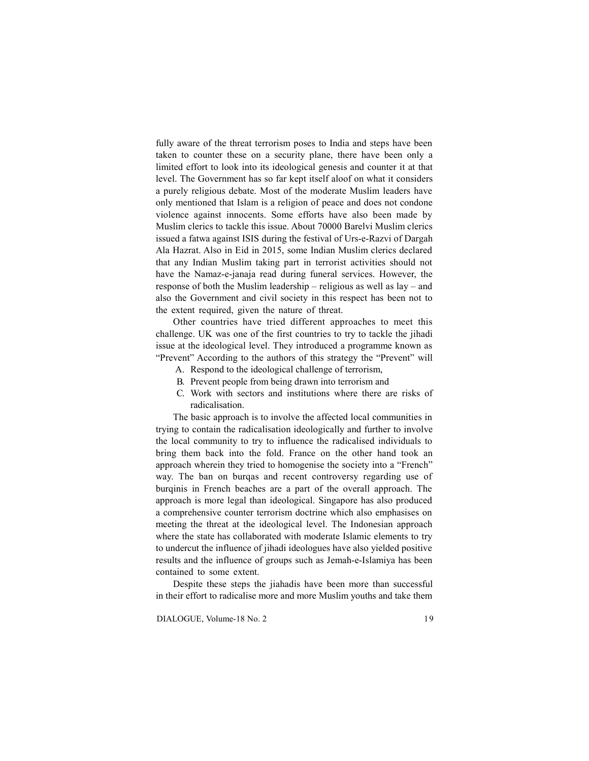fully aware of the threat terrorism poses to India and steps have been taken to counter these on a security plane, there have been only a limited effort to look into its ideological genesis and counter it at that level. The Government has so far kept itself aloof on what it considers a purely religious debate. Most of the moderate Muslim leaders have only mentioned that Islam is a religion of peace and does not condone violence against innocents. Some efforts have also been made by Muslim clerics to tackle this issue. About 70000 Barelvi Muslim clerics issued a fatwa against ISIS during the festival of Urs-e-Razvi of Dargah Ala Hazrat. Also in Eid in 2015, some Indian Muslim clerics declared that any Indian Muslim taking part in terrorist activities should not have the Namaz-e-janaja read during funeral services. However, the response of both the Muslim leadership – religious as well as lay – and also the Government and civil society in this respect has been not to the extent required, given the nature of threat.

Other countries have tried different approaches to meet this challenge. UK was one of the first countries to try to tackle the jihadi issue at the ideological level. They introduced a programme known as "Prevent" According to the authors of this strategy the "Prevent" will

- A. Respond to the ideological challenge of terrorism,
- B. Prevent people from being drawn into terrorism and
- C. Work with sectors and institutions where there are risks of radicalisation.

The basic approach is to involve the affected local communities in trying to contain the radicalisation ideologically and further to involve the local community to try to influence the radicalised individuals to bring them back into the fold. France on the other hand took an approach wherein they tried to homogenise the society into a "French" way. The ban on burqas and recent controversy regarding use of burqinis in French beaches are a part of the overall approach. The approach is more legal than ideological. Singapore has also produced a comprehensive counter terrorism doctrine which also emphasises on meeting the threat at the ideological level. The Indonesian approach where the state has collaborated with moderate Islamic elements to try to undercut the influence of jihadi ideologues have also yielded positive results and the influence of groups such as Jemah-e-Islamiya has been contained to some extent.

Despite these steps the jiahadis have been more than successful in their effort to radicalise more and more Muslim youths and take them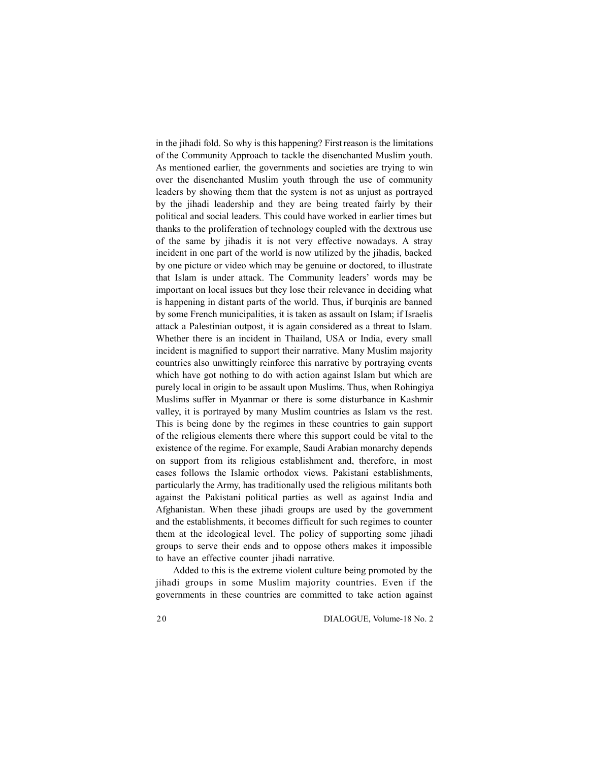in the jihadi fold. So why is this happening? First reason is the limitations of the Community Approach to tackle the disenchanted Muslim youth. As mentioned earlier, the governments and societies are trying to win over the disenchanted Muslim youth through the use of community leaders by showing them that the system is not as unjust as portrayed by the jihadi leadership and they are being treated fairly by their political and social leaders. This could have worked in earlier times but thanks to the proliferation of technology coupled with the dextrous use of the same by jihadis it is not very effective nowadays. A stray incident in one part of the world is now utilized by the jihadis, backed by one picture or video which may be genuine or doctored, to illustrate that Islam is under attack. The Community leaders' words may be important on local issues but they lose their relevance in deciding what is happening in distant parts of the world. Thus, if burqinis are banned by some French municipalities, it is taken as assault on Islam; if Israelis attack a Palestinian outpost, it is again considered as a threat to Islam. Whether there is an incident in Thailand, USA or India, every small incident is magnified to support their narrative. Many Muslim majority countries also unwittingly reinforce this narrative by portraying events which have got nothing to do with action against Islam but which are purely local in origin to be assault upon Muslims. Thus, when Rohingiya Muslims suffer in Myanmar or there is some disturbance in Kashmir valley, it is portrayed by many Muslim countries as Islam vs the rest. This is being done by the regimes in these countries to gain support of the religious elements there where this support could be vital to the existence of the regime. For example, Saudi Arabian monarchy depends on support from its religious establishment and, therefore, in most cases follows the Islamic orthodox views. Pakistani establishments, particularly the Army, has traditionally used the religious militants both against the Pakistani political parties as well as against India and Afghanistan. When these jihadi groups are used by the government and the establishments, it becomes difficult for such regimes to counter them at the ideological level. The policy of supporting some jihadi groups to serve their ends and to oppose others makes it impossible to have an effective counter jihadi narrative.

Added to this is the extreme violent culture being promoted by the jihadi groups in some Muslim majority countries. Even if the governments in these countries are committed to take action against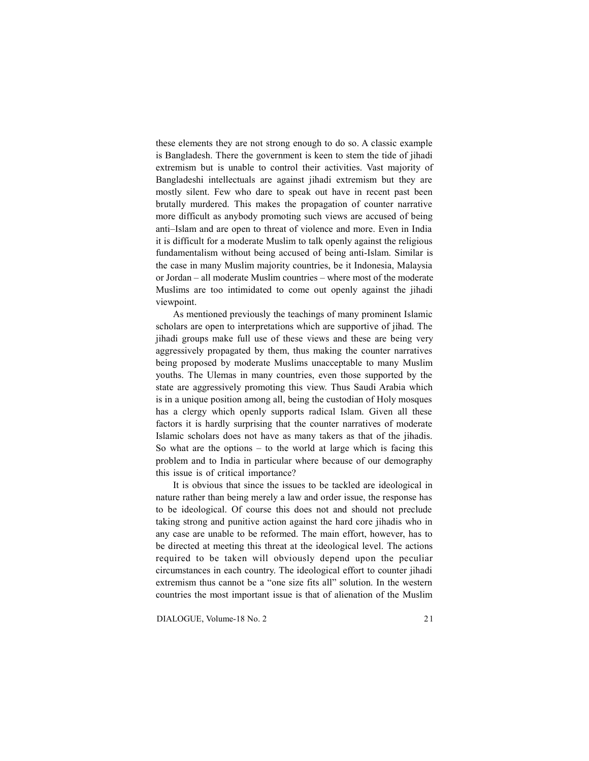these elements they are not strong enough to do so. A classic example is Bangladesh. There the government is keen to stem the tide of jihadi extremism but is unable to control their activities. Vast majority of Bangladeshi intellectuals are against jihadi extremism but they are mostly silent. Few who dare to speak out have in recent past been brutally murdered. This makes the propagation of counter narrative more difficult as anybody promoting such views are accused of being anti–Islam and are open to threat of violence and more. Even in India it is difficult for a moderate Muslim to talk openly against the religious fundamentalism without being accused of being anti-Islam. Similar is the case in many Muslim majority countries, be it Indonesia, Malaysia or Jordan – all moderate Muslim countries – where most of the moderate Muslims are too intimidated to come out openly against the jihadi viewpoint.

As mentioned previously the teachings of many prominent Islamic scholars are open to interpretations which are supportive of jihad. The jihadi groups make full use of these views and these are being very aggressively propagated by them, thus making the counter narratives being proposed by moderate Muslims unacceptable to many Muslim youths. The Ulemas in many countries, even those supported by the state are aggressively promoting this view. Thus Saudi Arabia which is in a unique position among all, being the custodian of Holy mosques has a clergy which openly supports radical Islam. Given all these factors it is hardly surprising that the counter narratives of moderate Islamic scholars does not have as many takers as that of the jihadis. So what are the options – to the world at large which is facing this problem and to India in particular where because of our demography this issue is of critical importance?

It is obvious that since the issues to be tackled are ideological in nature rather than being merely a law and order issue, the response has to be ideological. Of course this does not and should not preclude taking strong and punitive action against the hard core jihadis who in any case are unable to be reformed. The main effort, however, has to be directed at meeting this threat at the ideological level. The actions required to be taken will obviously depend upon the peculiar circumstances in each country. The ideological effort to counter jihadi extremism thus cannot be a "one size fits all" solution. In the western countries the most important issue is that of alienation of the Muslim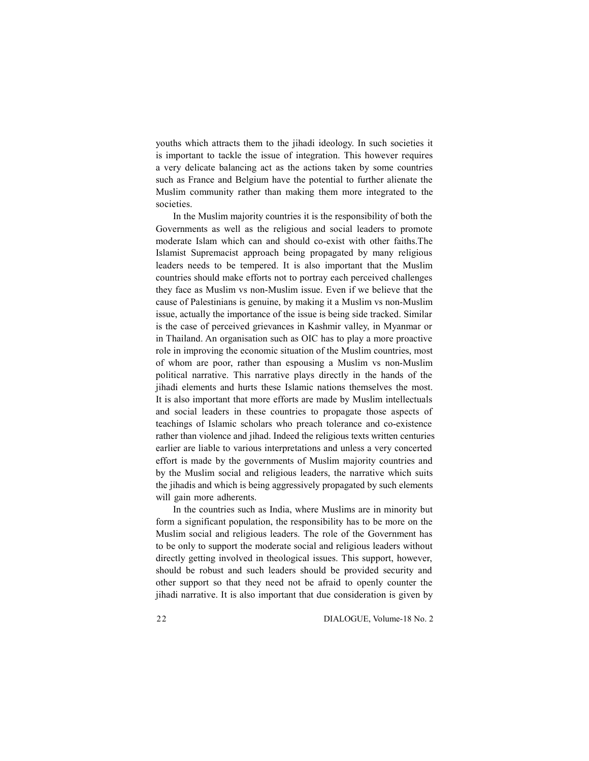youths which attracts them to the jihadi ideology. In such societies it is important to tackle the issue of integration. This however requires a very delicate balancing act as the actions taken by some countries such as France and Belgium have the potential to further alienate the Muslim community rather than making them more integrated to the societies.

In the Muslim majority countries it is the responsibility of both the Governments as well as the religious and social leaders to promote moderate Islam which can and should co-exist with other faiths.The Islamist Supremacist approach being propagated by many religious leaders needs to be tempered. It is also important that the Muslim countries should make efforts not to portray each perceived challenges they face as Muslim vs non-Muslim issue. Even if we believe that the cause of Palestinians is genuine, by making it a Muslim vs non-Muslim issue, actually the importance of the issue is being side tracked. Similar is the case of perceived grievances in Kashmir valley, in Myanmar or in Thailand. An organisation such as OIC has to play a more proactive role in improving the economic situation of the Muslim countries, most of whom are poor, rather than espousing a Muslim vs non-Muslim political narrative. This narrative plays directly in the hands of the jihadi elements and hurts these Islamic nations themselves the most. It is also important that more efforts are made by Muslim intellectuals and social leaders in these countries to propagate those aspects of teachings of Islamic scholars who preach tolerance and co-existence rather than violence and jihad. Indeed the religious texts written centuries earlier are liable to various interpretations and unless a very concerted effort is made by the governments of Muslim majority countries and by the Muslim social and religious leaders, the narrative which suits the jihadis and which is being aggressively propagated by such elements will gain more adherents.

In the countries such as India, where Muslims are in minority but form a significant population, the responsibility has to be more on the Muslim social and religious leaders. The role of the Government has to be only to support the moderate social and religious leaders without directly getting involved in theological issues. This support, however, should be robust and such leaders should be provided security and other support so that they need not be afraid to openly counter the jihadi narrative. It is also important that due consideration is given by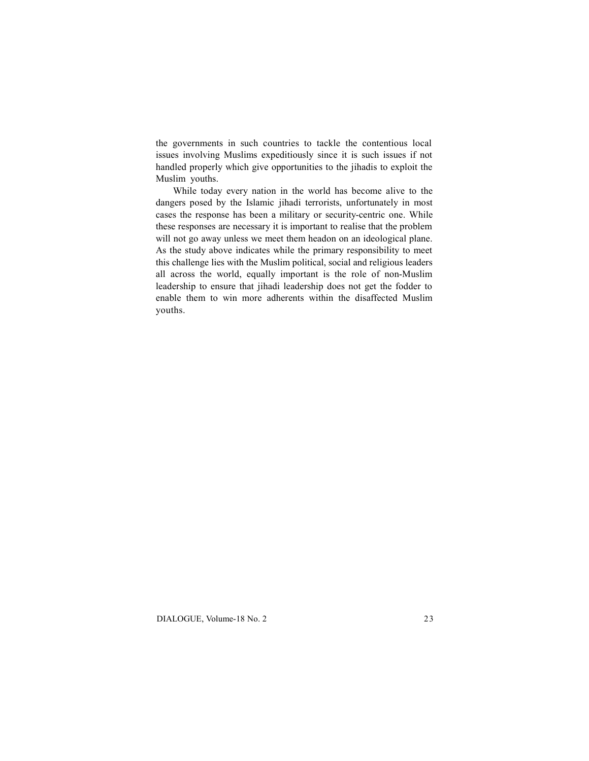the governments in such countries to tackle the contentious local issues involving Muslims expeditiously since it is such issues if not handled properly which give opportunities to the jihadis to exploit the Muslim youths.

While today every nation in the world has become alive to the dangers posed by the Islamic jihadi terrorists, unfortunately in most cases the response has been a military or security-centric one. While these responses are necessary it is important to realise that the problem will not go away unless we meet them headon on an ideological plane. As the study above indicates while the primary responsibility to meet this challenge lies with the Muslim political, social and religious leaders all across the world, equally important is the role of non-Muslim leadership to ensure that jihadi leadership does not get the fodder to enable them to win more adherents within the disaffected Muslim youths.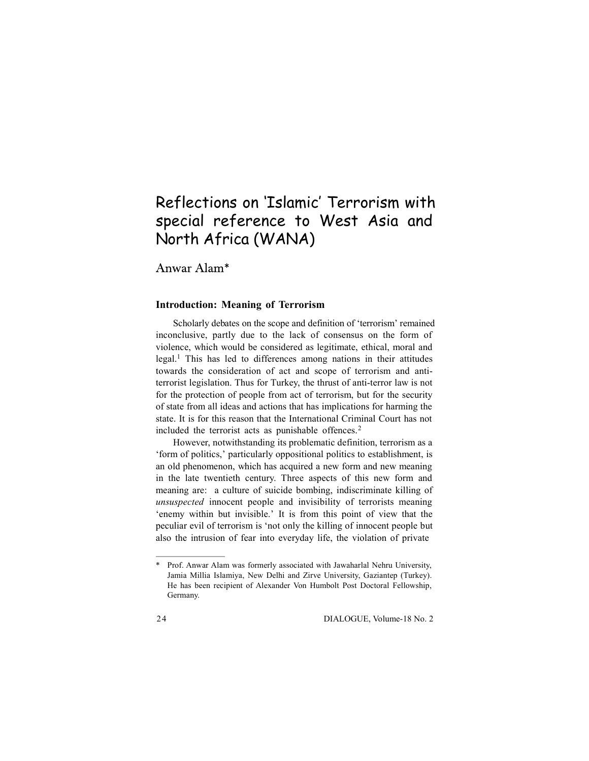# Reflections on 'Islamic' Terrorism with special reference to West Asia and North Africa (WANA)

Anwar Alam\*

### **Introduction: Meaning of Terrorism**

Scholarly debates on the scope and definition of 'terrorism' remained inconclusive, partly due to the lack of consensus on the form of violence, which would be considered as legitimate, ethical, moral and legal.<sup>1</sup> This has led to differences among nations in their attitudes towards the consideration of act and scope of terrorism and antiterrorist legislation. Thus for Turkey, the thrust of anti-terror law is not for the protection of people from act of terrorism, but for the security of state from all ideas and actions that has implications for harming the state. It is for this reason that the International Criminal Court has not included the terrorist acts as punishable offences.<sup>2</sup>

However, notwithstanding its problematic definition, terrorism as a 'form of politics,' particularly oppositional politics to establishment, is an old phenomenon, which has acquired a new form and new meaning in the late twentieth century. Three aspects of this new form and meaning are: a culture of suicide bombing, indiscriminate killing of *unsuspected* innocent people and invisibility of terrorists meaning 'enemy within but invisible.' It is from this point of view that the peculiar evil of terrorism is 'not only the killing of innocent people but also the intrusion of fear into everyday life, the violation of private

Prof. Anwar Alam was formerly associated with Jawaharlal Nehru University, Jamia Millia Islamiya, New Delhi and Zirve University, Gaziantep (Turkey). He has been recipient of Alexander Von Humbolt Post Doctoral Fellowship, Germany.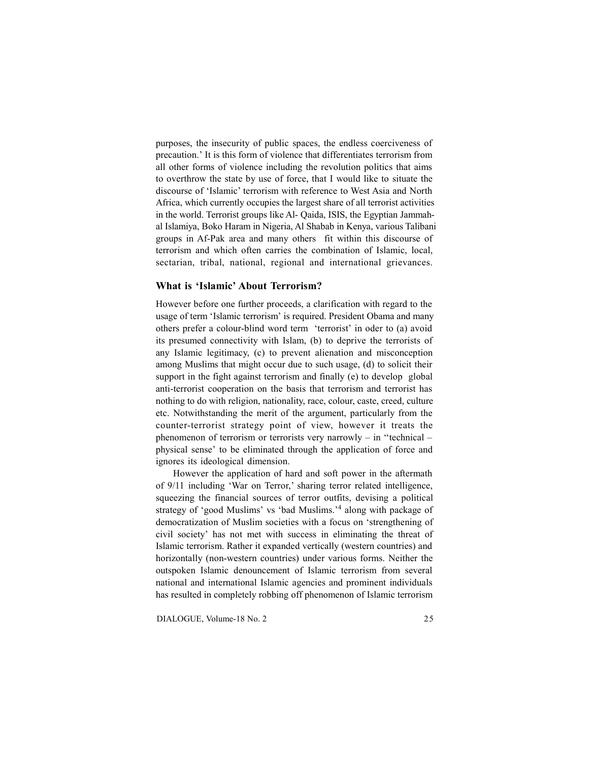purposes, the insecurity of public spaces, the endless coerciveness of precaution.' It is this form of violence that differentiates terrorism from all other forms of violence including the revolution politics that aims to overthrow the state by use of force, that I would like to situate the discourse of 'Islamic' terrorism with reference to West Asia and North Africa, which currently occupies the largest share of all terrorist activities in the world. Terrorist groups like Al- Qaida, ISIS, the Egyptian Jammahal Islamiya, Boko Haram in Nigeria, Al Shabab in Kenya, various Talibani groups in Af-Pak area and many others fit within this discourse of terrorism and which often carries the combination of Islamic, local, sectarian, tribal, national, regional and international grievances.

### **What is 'Islamic' About Terrorism?**

However before one further proceeds, a clarification with regard to the usage of term 'Islamic terrorism' is required. President Obama and many others prefer a colour-blind word term 'terrorist' in oder to (a) avoid its presumed connectivity with Islam, (b) to deprive the terrorists of any Islamic legitimacy, (c) to prevent alienation and misconception among Muslims that might occur due to such usage, (d) to solicit their support in the fight against terrorism and finally (e) to develop global anti-terrorist cooperation on the basis that terrorism and terrorist has nothing to do with religion, nationality, race, colour, caste, creed, culture etc. Notwithstanding the merit of the argument, particularly from the counter-terrorist strategy point of view, however it treats the phenomenon of terrorism or terrorists very narrowly – in ''technical – physical sense' to be eliminated through the application of force and ignores its ideological dimension.

However the application of hard and soft power in the aftermath of 9/11 including 'War on Terror,' sharing terror related intelligence, squeezing the financial sources of terror outfits, devising a political strategy of 'good Muslims' vs 'bad Muslims.'<sup>4</sup> along with package of democratization of Muslim societies with a focus on 'strengthening of civil society' has not met with success in eliminating the threat of Islamic terrorism. Rather it expanded vertically (western countries) and horizontally (non-western countries) under various forms. Neither the outspoken Islamic denouncement of Islamic terrorism from several national and international Islamic agencies and prominent individuals has resulted in completely robbing off phenomenon of Islamic terrorism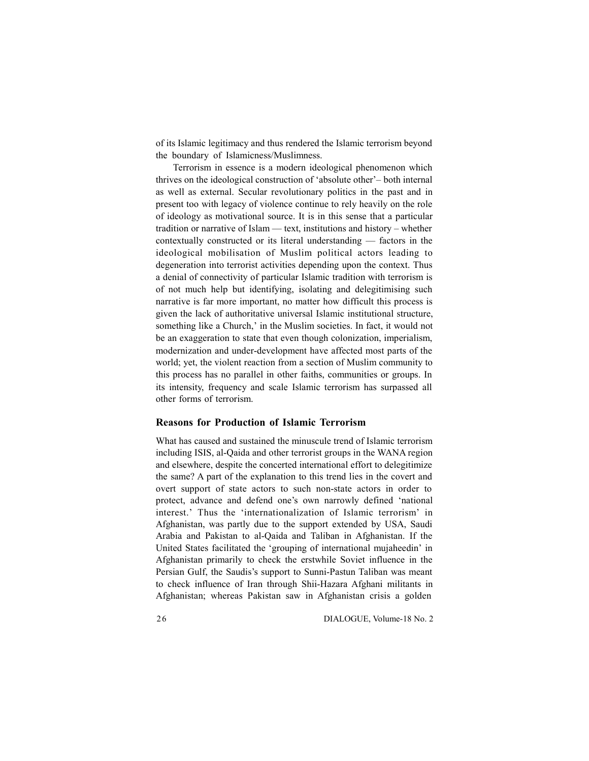of its Islamic legitimacy and thus rendered the Islamic terrorism beyond the boundary of Islamicness/Muslimness.

Terrorism in essence is a modern ideological phenomenon which thrives on the ideological construction of 'absolute other'– both internal as well as external. Secular revolutionary politics in the past and in present too with legacy of violence continue to rely heavily on the role of ideology as motivational source. It is in this sense that a particular tradition or narrative of Islam — text, institutions and history – whether contextually constructed or its literal understanding — factors in the ideological mobilisation of Muslim political actors leading to degeneration into terrorist activities depending upon the context. Thus a denial of connectivity of particular Islamic tradition with terrorism is of not much help but identifying, isolating and delegitimising such narrative is far more important, no matter how difficult this process is given the lack of authoritative universal Islamic institutional structure, something like a Church,' in the Muslim societies. In fact, it would not be an exaggeration to state that even though colonization, imperialism, modernization and under-development have affected most parts of the world; yet, the violent reaction from a section of Muslim community to this process has no parallel in other faiths, communities or groups. In its intensity, frequency and scale Islamic terrorism has surpassed all other forms of terrorism.

### **Reasons for Production of Islamic Terrorism**

What has caused and sustained the minuscule trend of Islamic terrorism including ISIS, al-Qaida and other terrorist groups in the WANA region and elsewhere, despite the concerted international effort to delegitimize the same? A part of the explanation to this trend lies in the covert and overt support of state actors to such non-state actors in order to protect, advance and defend one's own narrowly defined 'national interest.' Thus the 'internationalization of Islamic terrorism' in Afghanistan, was partly due to the support extended by USA, Saudi Arabia and Pakistan to al-Qaida and Taliban in Afghanistan. If the United States facilitated the 'grouping of international mujaheedin' in Afghanistan primarily to check the erstwhile Soviet influence in the Persian Gulf, the Saudis's support to Sunni-Pastun Taliban was meant to check influence of Iran through Shii-Hazara Afghani militants in Afghanistan; whereas Pakistan saw in Afghanistan crisis a golden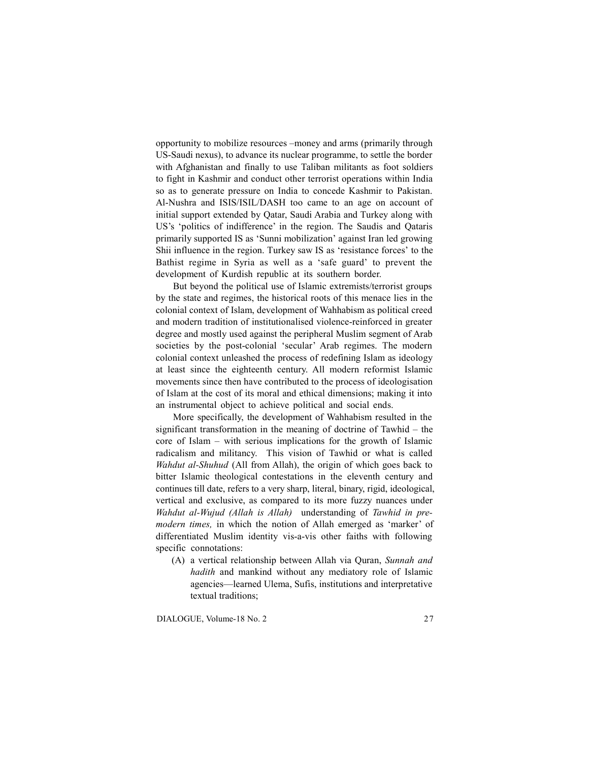opportunity to mobilize resources –money and arms (primarily through US-Saudi nexus), to advance its nuclear programme, to settle the border with Afghanistan and finally to use Taliban militants as foot soldiers to fight in Kashmir and conduct other terrorist operations within India so as to generate pressure on India to concede Kashmir to Pakistan. Al-Nushra and ISIS/ISIL/DASH too came to an age on account of initial support extended by Qatar, Saudi Arabia and Turkey along with US's 'politics of indifference' in the region. The Saudis and Qataris primarily supported IS as 'Sunni mobilization' against Iran led growing Shii influence in the region. Turkey saw IS as 'resistance forces' to the Bathist regime in Syria as well as a 'safe guard' to prevent the development of Kurdish republic at its southern border.

But beyond the political use of Islamic extremists/terrorist groups by the state and regimes, the historical roots of this menace lies in the colonial context of Islam, development of Wahhabism as political creed and modern tradition of institutionalised violence-reinforced in greater degree and mostly used against the peripheral Muslim segment of Arab societies by the post-colonial 'secular' Arab regimes. The modern colonial context unleashed the process of redefining Islam as ideology at least since the eighteenth century. All modern reformist Islamic movements since then have contributed to the process of ideologisation of Islam at the cost of its moral and ethical dimensions; making it into an instrumental object to achieve political and social ends.

More specifically, the development of Wahhabism resulted in the significant transformation in the meaning of doctrine of Tawhid – the core of Islam – with serious implications for the growth of Islamic radicalism and militancy. This vision of Tawhid or what is called *Wahdut al-Shuhud* (All from Allah), the origin of which goes back to bitter Islamic theological contestations in the eleventh century and continues till date, refers to a very sharp, literal, binary, rigid, ideological, vertical and exclusive, as compared to its more fuzzy nuances under *Wahdut al-Wujud (Allah is Allah)* understanding of *Tawhid in premodern times,* in which the notion of Allah emerged as 'marker' of differentiated Muslim identity vis-a-vis other faiths with following specific connotations:

(A) a vertical relationship between Allah via Quran, *Sunnah and hadith* and mankind without any mediatory role of Islamic agencies—learned Ulema, Sufis, institutions and interpretative textual traditions;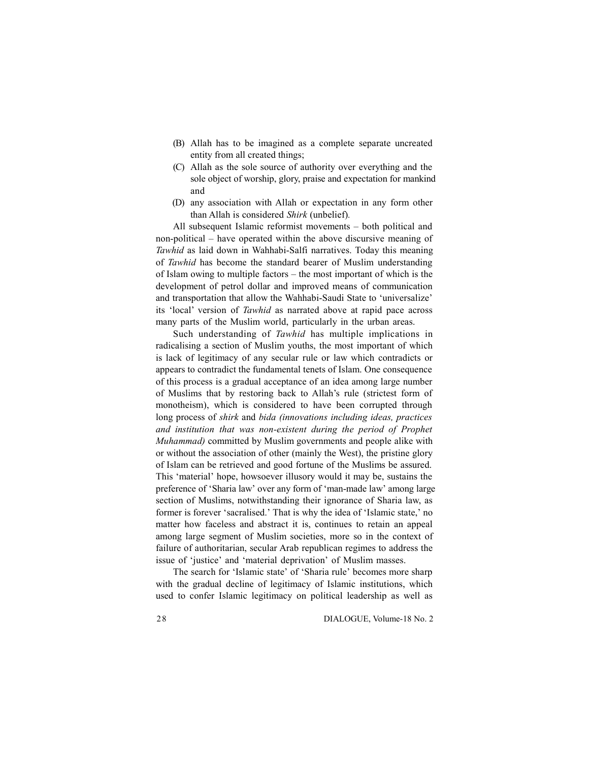- (B) Allah has to be imagined as a complete separate uncreated entity from all created things;
- (C) Allah as the sole source of authority over everything and the sole object of worship, glory, praise and expectation for mankind and
- (D) any association with Allah or expectation in any form other than Allah is considered *Shirk* (unbelief)*.*

All subsequent Islamic reformist movements – both political and non-political – have operated within the above discursive meaning of *Tawhid* as laid down in Wahhabi-Salfi narratives. Today this meaning of *Tawhid* has become the standard bearer of Muslim understanding of Islam owing to multiple factors – the most important of which is the development of petrol dollar and improved means of communication and transportation that allow the Wahhabi-Saudi State to 'universalize' its 'local' version of *Tawhid* as narrated above at rapid pace across many parts of the Muslim world, particularly in the urban areas.

Such understanding of *Tawhid* has multiple implications in radicalising a section of Muslim youths, the most important of which is lack of legitimacy of any secular rule or law which contradicts or appears to contradict the fundamental tenets of Islam. One consequence of this process is a gradual acceptance of an idea among large number of Muslims that by restoring back to Allah's rule (strictest form of monotheism), which is considered to have been corrupted through long process of *shirk* and *bida (innovations including ideas, practices and institution that was non-existent during the period of Prophet Muhammad)* committed by Muslim governments and people alike with or without the association of other (mainly the West), the pristine glory of Islam can be retrieved and good fortune of the Muslims be assured. This 'material' hope, howsoever illusory would it may be, sustains the preference of 'Sharia law' over any form of 'man-made law' among large section of Muslims, notwithstanding their ignorance of Sharia law, as former is forever 'sacralised.' That is why the idea of 'Islamic state,' no matter how faceless and abstract it is, continues to retain an appeal among large segment of Muslim societies, more so in the context of failure of authoritarian, secular Arab republican regimes to address the issue of 'justice' and 'material deprivation' of Muslim masses.

The search for 'Islamic state' of 'Sharia rule' becomes more sharp with the gradual decline of legitimacy of Islamic institutions, which used to confer Islamic legitimacy on political leadership as well as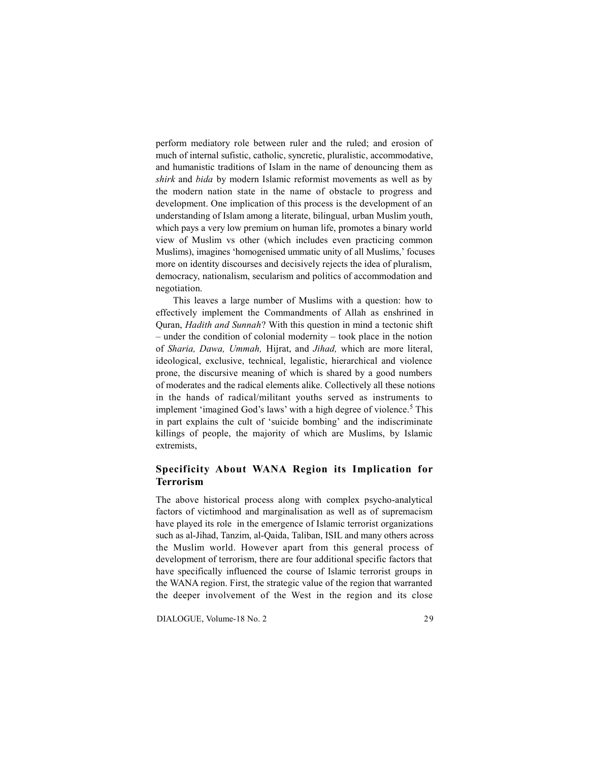perform mediatory role between ruler and the ruled; and erosion of much of internal sufistic, catholic, syncretic, pluralistic, accommodative, and humanistic traditions of Islam in the name of denouncing them as *shirk* and *bida* by modern Islamic reformist movements as well as by the modern nation state in the name of obstacle to progress and development. One implication of this process is the development of an understanding of Islam among a literate, bilingual, urban Muslim youth, which pays a very low premium on human life, promotes a binary world view of Muslim vs other (which includes even practicing common Muslims), imagines 'homogenised ummatic unity of all Muslims,' focuses more on identity discourses and decisively rejects the idea of pluralism, democracy, nationalism, secularism and politics of accommodation and negotiation.

This leaves a large number of Muslims with a question: how to effectively implement the Commandments of Allah as enshrined in Quran, *Hadith and Sunnah*? With this question in mind a tectonic shift – under the condition of colonial modernity – took place in the notion of *Sharia, Dawa, Ummah,* Hijrat, and *Jihad,* which are more literal, ideological, exclusive, technical, legalistic, hierarchical and violence prone, the discursive meaning of which is shared by a good numbers of moderates and the radical elements alike. Collectively all these notions in the hands of radical/militant youths served as instruments to implement 'imagined God's laws' with a high degree of violence.<sup>5</sup> This in part explains the cult of 'suicide bombing' and the indiscriminate killings of people, the majority of which are Muslims, by Islamic extremists,

### **Specificity About WANA Region its Implication for Terrorism**

The above historical process along with complex psycho-analytical factors of victimhood and marginalisation as well as of supremacism have played its role in the emergence of Islamic terrorist organizations such as al-Jihad, Tanzim, al-Qaida, Taliban, ISIL and many others across the Muslim world. However apart from this general process of development of terrorism, there are four additional specific factors that have specifically influenced the course of Islamic terrorist groups in the WANA region. First, the strategic value of the region that warranted the deeper involvement of the West in the region and its close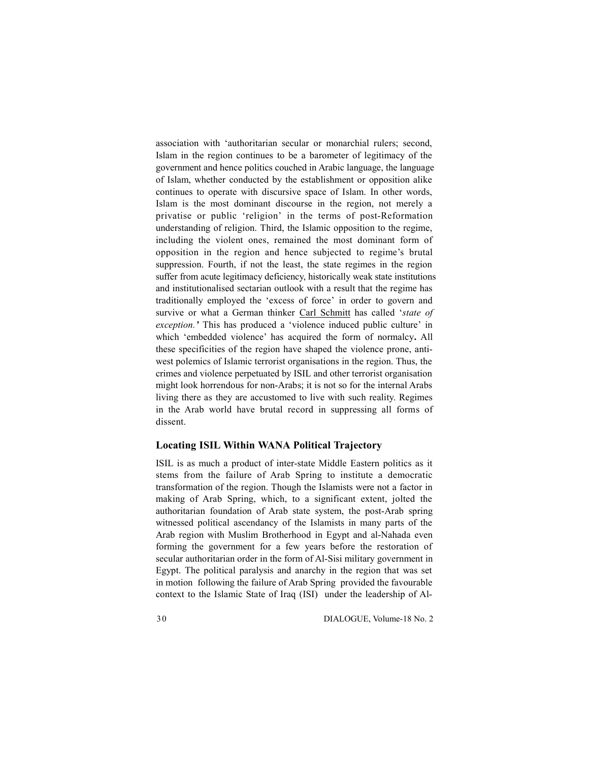association with 'authoritarian secular or monarchial rulers; second, Islam in the region continues to be a barometer of legitimacy of the government and hence politics couched in Arabic language, the language of Islam, whether conducted by the establishment or opposition alike continues to operate with discursive space of Islam. In other words, Islam is the most dominant discourse in the region, not merely a privatise or public 'religion' in the terms of post-Reformation understanding of religion. Third, the Islamic opposition to the regime, including the violent ones, remained the most dominant form of opposition in the region and hence subjected to regime's brutal suppression. Fourth, if not the least, the state regimes in the region suffer from acute legitimacy deficiency, historically weak state institutions and institutionalised sectarian outlook with a result that the regime has traditionally employed the 'excess of force' in order to govern and survive or what a German thinker Carl Schmitt has called '*state of exception.'* This has produced a 'violence induced public culture' in which 'embedded violence' has acquired the form of normalcy**.** All these specificities of the region have shaped the violence prone, antiwest polemics of Islamic terrorist organisations in the region. Thus, the crimes and violence perpetuated by ISIL and other terrorist organisation might look horrendous for non-Arabs; it is not so for the internal Arabs living there as they are accustomed to live with such reality. Regimes in the Arab world have brutal record in suppressing all forms of dissent.

### **Locating ISIL Within WANA Political Trajectory**

ISIL is as much a product of inter-state Middle Eastern politics as it stems from the failure of Arab Spring to institute a democratic transformation of the region. Though the Islamists were not a factor in making of Arab Spring, which, to a significant extent, jolted the authoritarian foundation of Arab state system, the post-Arab spring witnessed political ascendancy of the Islamists in many parts of the Arab region with Muslim Brotherhood in Egypt and al-Nahada even forming the government for a few years before the restoration of secular authoritarian order in the form of Al-Sisi military government in Egypt. The political paralysis and anarchy in the region that was set in motion following the failure of Arab Spring provided the favourable context to the Islamic State of Iraq (ISI) under the leadership of Al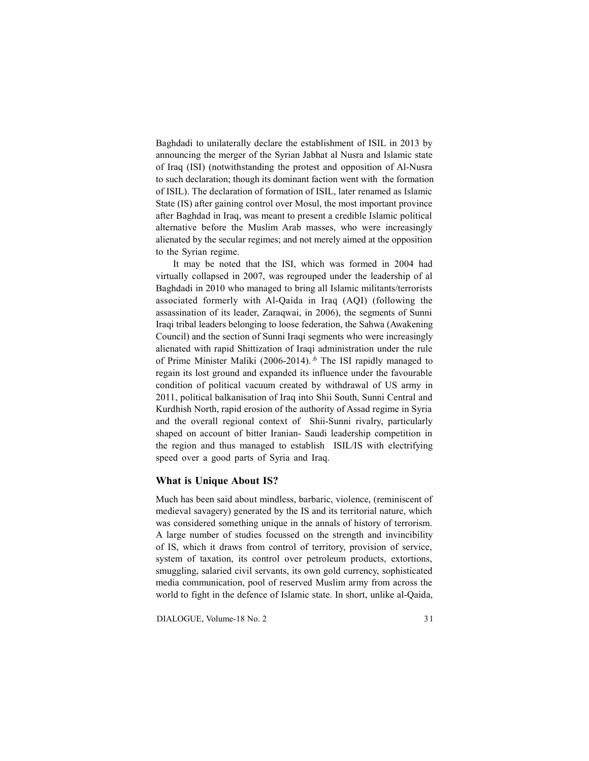Baghdadi to unilaterally declare the establishment of ISIL in 2013 by announcing the merger of the Syrian Jabhat al Nusra and Islamic state of Iraq (ISI) (notwithstanding the protest and opposition of Al-Nusra to such declaration; though its dominant faction went with the formation of ISIL). The declaration of formation of ISIL, later renamed as Islamic State (IS) after gaining control over Mosul, the most important province after Baghdad in Iraq, was meant to present a credible Islamic political alternative before the Muslim Arab masses, who were increasingly alienated by the secular regimes; and not merely aimed at the opposition to the Syrian regime.

It may be noted that the ISI, which was formed in 2004 had virtually collapsed in 2007, was regrouped under the leadership of al Baghdadi in 2010 who managed to bring all Islamic militants/terrorists associated formerly with Al-Qaida in Iraq (AQI) (following the assassination of its leader, Zaraqwai, in 2006), the segments of Sunni Iraqi tribal leaders belonging to loose federation, the Sahwa (Awakening Council) and the section of Sunni Iraqi segments who were increasingly alienated with rapid Shittization of Iraqi administration under the rule of Prime Minister Maliki (2006-2014).<sup>6</sup> The ISI rapidly managed to regain its lost ground and expanded its influence under the favourable condition of political vacuum created by withdrawal of US army in 2011, political balkanisation of Iraq into Shii South, Sunni Central and Kurdhish North, rapid erosion of the authority of Assad regime in Syria and the overall regional context of Shii-Sunni rivalry, particularly shaped on account of bitter Iranian- Saudi leadership competition in the region and thus managed to establish ISIL/IS with electrifying speed over a good parts of Syria and Iraq.

#### **What is Unique About IS?**

Much has been said about mindless, barbaric, violence, (reminiscent of medieval savagery) generated by the IS and its territorial nature, which was considered something unique in the annals of history of terrorism. A large number of studies focussed on the strength and invincibility of IS, which it draws from control of territory, provision of service, system of taxation, its control over petroleum products, extortions, smuggling, salaried civil servants, its own gold currency, sophisticated media communication, pool of reserved Muslim army from across the world to fight in the defence of Islamic state. In short, unlike al-Qaida,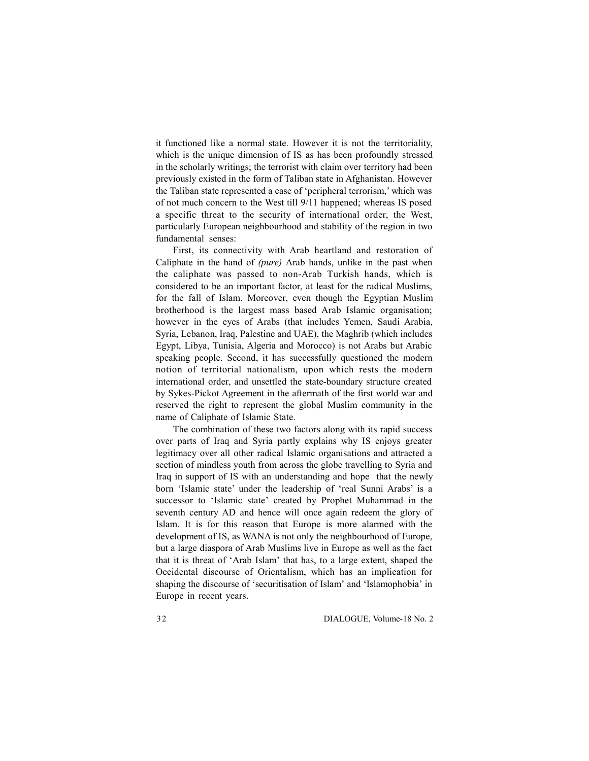it functioned like a normal state. However it is not the territoriality, which is the unique dimension of IS as has been profoundly stressed in the scholarly writings; the terrorist with claim over territory had been previously existed in the form of Taliban state in Afghanistan. However the Taliban state represented a case of 'peripheral terrorism,' which was of not much concern to the West till 9/11 happened; whereas IS posed a specific threat to the security of international order, the West, particularly European neighbourhood and stability of the region in two fundamental senses:

First, its connectivity with Arab heartland and restoration of Caliphate in the hand of *(pure)* Arab hands, unlike in the past when the caliphate was passed to non-Arab Turkish hands, which is considered to be an important factor, at least for the radical Muslims, for the fall of Islam. Moreover, even though the Egyptian Muslim brotherhood is the largest mass based Arab Islamic organisation; however in the eyes of Arabs (that includes Yemen, Saudi Arabia, Syria, Lebanon, Iraq, Palestine and UAE), the Maghrib (which includes Egypt, Libya, Tunisia, Algeria and Morocco) is not Arabs but Arabic speaking people. Second, it has successfully questioned the modern notion of territorial nationalism, upon which rests the modern international order, and unsettled the state-boundary structure created by Sykes-Pickot Agreement in the aftermath of the first world war and reserved the right to represent the global Muslim community in the name of Caliphate of Islamic State.

The combination of these two factors along with its rapid success over parts of Iraq and Syria partly explains why IS enjoys greater legitimacy over all other radical Islamic organisations and attracted a section of mindless youth from across the globe travelling to Syria and Iraq in support of IS with an understanding and hope that the newly born 'Islamic state' under the leadership of 'real Sunni Arabs' is a successor to 'Islamic state' created by Prophet Muhammad in the seventh century AD and hence will once again redeem the glory of Islam. It is for this reason that Europe is more alarmed with the development of IS, as WANA is not only the neighbourhood of Europe, but a large diaspora of Arab Muslims live in Europe as well as the fact that it is threat of 'Arab Islam' that has, to a large extent, shaped the Occidental discourse of Orientalism, which has an implication for shaping the discourse of 'securitisation of Islam' and 'Islamophobia' in Europe in recent years.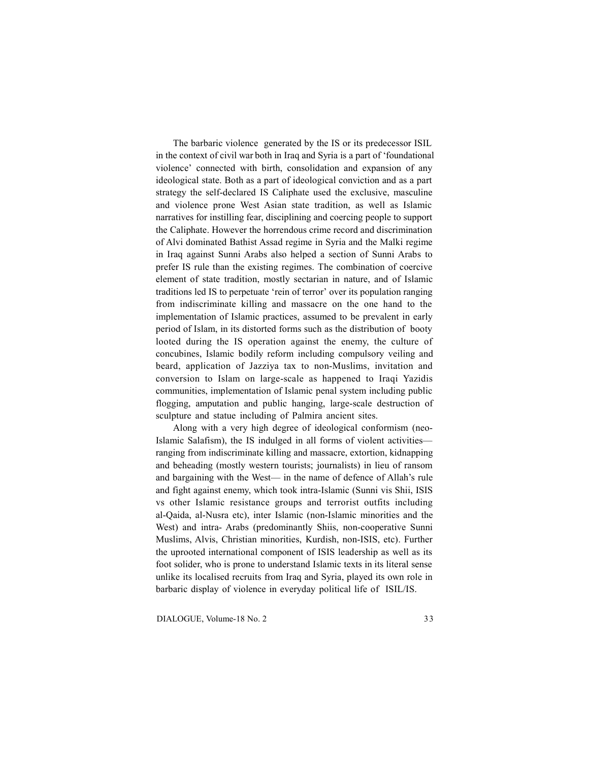The barbaric violence generated by the IS or its predecessor ISIL in the context of civil war both in Iraq and Syria is a part of 'foundational violence' connected with birth, consolidation and expansion of any ideological state. Both as a part of ideological conviction and as a part strategy the self-declared IS Caliphate used the exclusive, masculine and violence prone West Asian state tradition, as well as Islamic narratives for instilling fear, disciplining and coercing people to support the Caliphate. However the horrendous crime record and discrimination of Alvi dominated Bathist Assad regime in Syria and the Malki regime in Iraq against Sunni Arabs also helped a section of Sunni Arabs to prefer IS rule than the existing regimes. The combination of coercive element of state tradition, mostly sectarian in nature, and of Islamic traditions led IS to perpetuate 'rein of terror' over its population ranging from indiscriminate killing and massacre on the one hand to the implementation of Islamic practices, assumed to be prevalent in early period of Islam, in its distorted forms such as the distribution of booty looted during the IS operation against the enemy, the culture of concubines, Islamic bodily reform including compulsory veiling and beard, application of Jazziya tax to non-Muslims, invitation and conversion to Islam on large-scale as happened to Iraqi Yazidis communities, implementation of Islamic penal system including public flogging, amputation and public hanging, large-scale destruction of sculpture and statue including of Palmira ancient sites.

Along with a very high degree of ideological conformism (neo-Islamic Salafism), the IS indulged in all forms of violent activities ranging from indiscriminate killing and massacre, extortion, kidnapping and beheading (mostly western tourists; journalists) in lieu of ransom and bargaining with the West— in the name of defence of Allah's rule and fight against enemy, which took intra-Islamic (Sunni vis Shii, ISIS vs other Islamic resistance groups and terrorist outfits including al-Qaida, al-Nusra etc), inter Islamic (non-Islamic minorities and the West) and intra- Arabs (predominantly Shiis, non-cooperative Sunni Muslims, Alvis, Christian minorities, Kurdish, non-ISIS, etc). Further the uprooted international component of ISIS leadership as well as its foot solider, who is prone to understand Islamic texts in its literal sense unlike its localised recruits from Iraq and Syria, played its own role in barbaric display of violence in everyday political life of ISIL/IS.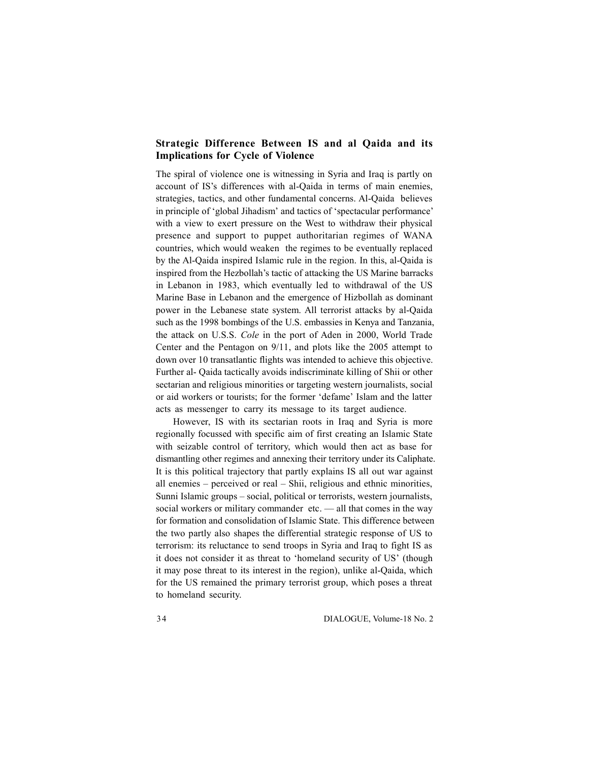### **Strategic Difference Between IS and al Qaida and its Implications for Cycle of Violence**

The spiral of violence one is witnessing in Syria and Iraq is partly on account of IS's differences with al-Qaida in terms of main enemies, strategies, tactics, and other fundamental concerns. Al-Qaida believes in principle of 'global Jihadism' and tactics of 'spectacular performance' with a view to exert pressure on the West to withdraw their physical presence and support to puppet authoritarian regimes of WANA countries, which would weaken the regimes to be eventually replaced by the Al-Qaida inspired Islamic rule in the region. In this, al-Qaida is inspired from the Hezbollah's tactic of attacking the US Marine barracks in Lebanon in 1983, which eventually led to withdrawal of the US Marine Base in Lebanon and the emergence of Hizbollah as dominant power in the Lebanese state system. All terrorist attacks by al-Qaida such as the 1998 bombings of the U.S. embassies in Kenya and Tanzania, the attack on U.S.S. *Cole* in the port of Aden in 2000, World Trade Center and the Pentagon on 9/11, and plots like the 2005 attempt to down over 10 transatlantic flights was intended to achieve this objective. Further al- Qaida tactically avoids indiscriminate killing of Shii or other sectarian and religious minorities or targeting western journalists, social or aid workers or tourists; for the former 'defame' Islam and the latter acts as messenger to carry its message to its target audience.

However, IS with its sectarian roots in Iraq and Syria is more regionally focussed with specific aim of first creating an Islamic State with seizable control of territory, which would then act as base for dismantling other regimes and annexing their territory under its Caliphate. It is this political trajectory that partly explains IS all out war against all enemies – perceived or real – Shii, religious and ethnic minorities, Sunni Islamic groups – social, political or terrorists, western journalists, social workers or military commander etc. — all that comes in the way for formation and consolidation of Islamic State. This difference between the two partly also shapes the differential strategic response of US to terrorism: its reluctance to send troops in Syria and Iraq to fight IS as it does not consider it as threat to 'homeland security of US' (though it may pose threat to its interest in the region), unlike al-Qaida, which for the US remained the primary terrorist group, which poses a threat to homeland security.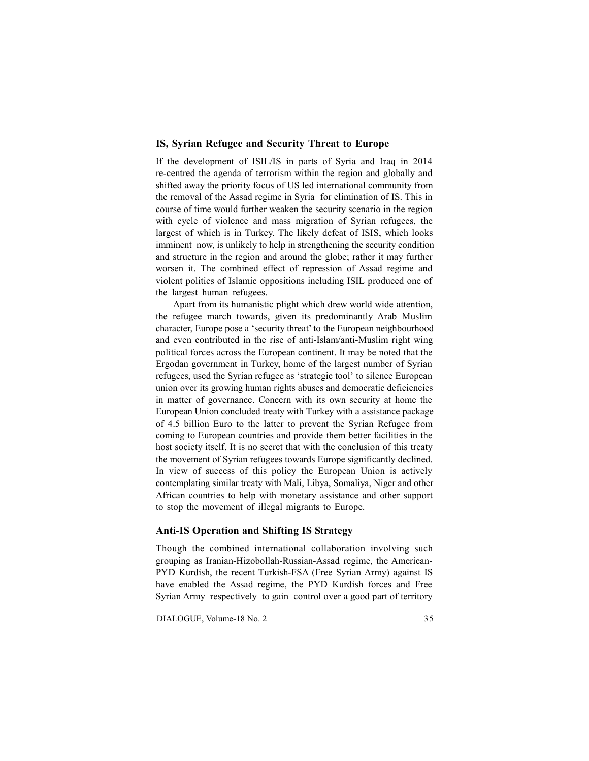#### **IS, Syrian Refugee and Security Threat to Europe**

If the development of ISIL/IS in parts of Syria and Iraq in 2014 re-centred the agenda of terrorism within the region and globally and shifted away the priority focus of US led international community from the removal of the Assad regime in Syria for elimination of IS. This in course of time would further weaken the security scenario in the region with cycle of violence and mass migration of Syrian refugees, the largest of which is in Turkey. The likely defeat of ISIS, which looks imminent now, is unlikely to help in strengthening the security condition and structure in the region and around the globe; rather it may further worsen it. The combined effect of repression of Assad regime and violent politics of Islamic oppositions including ISIL produced one of the largest human refugees.

Apart from its humanistic plight which drew world wide attention, the refugee march towards, given its predominantly Arab Muslim character, Europe pose a 'security threat' to the European neighbourhood and even contributed in the rise of anti-Islam/anti-Muslim right wing political forces across the European continent. It may be noted that the Ergodan government in Turkey, home of the largest number of Syrian refugees, used the Syrian refugee as 'strategic tool' to silence European union over its growing human rights abuses and democratic deficiencies in matter of governance. Concern with its own security at home the European Union concluded treaty with Turkey with a assistance package of 4.5 billion Euro to the latter to prevent the Syrian Refugee from coming to European countries and provide them better facilities in the host society itself. It is no secret that with the conclusion of this treaty the movement of Syrian refugees towards Europe significantly declined. In view of success of this policy the European Union is actively contemplating similar treaty with Mali, Libya, Somaliya, Niger and other African countries to help with monetary assistance and other support to stop the movement of illegal migrants to Europe.

#### **Anti-IS Operation and Shifting IS Strategy**

Though the combined international collaboration involving such grouping as Iranian-Hizobollah-Russian-Assad regime, the American-PYD Kurdish, the recent Turkish-FSA (Free Syrian Army) against IS have enabled the Assad regime, the PYD Kurdish forces and Free Syrian Army respectively to gain control over a good part of territory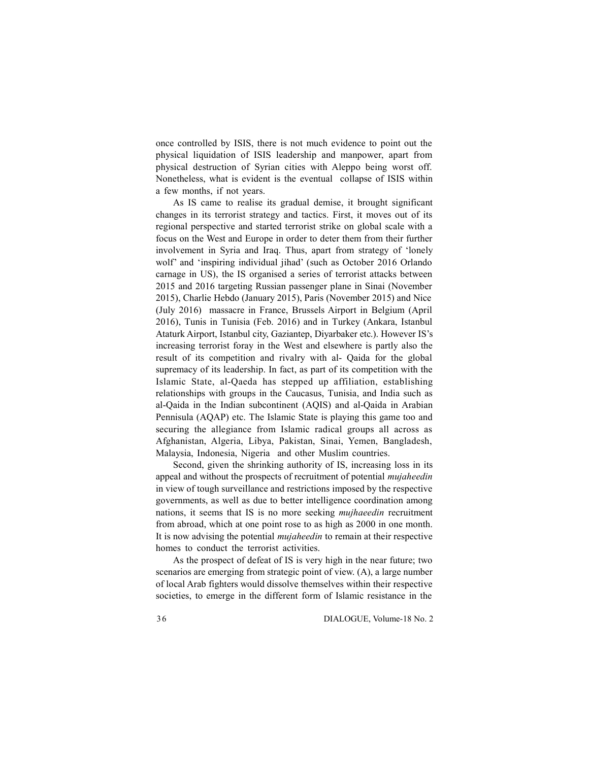once controlled by ISIS, there is not much evidence to point out the physical liquidation of ISIS leadership and manpower, apart from physical destruction of Syrian cities with Aleppo being worst off. Nonetheless, what is evident is the eventual collapse of ISIS within a few months, if not years.

As IS came to realise its gradual demise, it brought significant changes in its terrorist strategy and tactics. First, it moves out of its regional perspective and started terrorist strike on global scale with a focus on the West and Europe in order to deter them from their further involvement in Syria and Iraq. Thus, apart from strategy of 'lonely wolf' and 'inspiring individual jihad' (such as October 2016 Orlando carnage in US), the IS organised a series of terrorist attacks between 2015 and 2016 targeting Russian passenger plane in Sinai (November 2015), Charlie Hebdo (January 2015), Paris (November 2015) and Nice (July 2016) massacre in France, Brussels Airport in Belgium (April 2016), Tunis in Tunisia (Feb. 2016) and in Turkey (Ankara, Istanbul Ataturk Airport, Istanbul city, Gaziantep, Diyarbaker etc.). However IS's increasing terrorist foray in the West and elsewhere is partly also the result of its competition and rivalry with al- Qaida for the global supremacy of its leadership. In fact, as part of its competition with the Islamic State, al-Qaeda has stepped up affiliation, establishing relationships with groups in the Caucasus, Tunisia, and India such as al-Qaida in the Indian subcontinent (AQIS) and al-Qaida in Arabian Pennisula (AQAP) etc. The Islamic State is playing this game too and securing the allegiance from Islamic radical groups all across as Afghanistan, Algeria, Libya, Pakistan, Sinai, Yemen, Bangladesh, Malaysia, Indonesia, Nigeria and other Muslim countries.

Second, given the shrinking authority of IS, increasing loss in its appeal and without the prospects of recruitment of potential *mujaheedin* in view of tough surveillance and restrictions imposed by the respective governments, as well as due to better intelligence coordination among nations, it seems that IS is no more seeking *mujhaeedin* recruitment from abroad, which at one point rose to as high as 2000 in one month. It is now advising the potential *mujaheedin* to remain at their respective homes to conduct the terrorist activities.

As the prospect of defeat of IS is very high in the near future; two scenarios are emerging from strategic point of view. (A), a large number of local Arab fighters would dissolve themselves within their respective societies, to emerge in the different form of Islamic resistance in the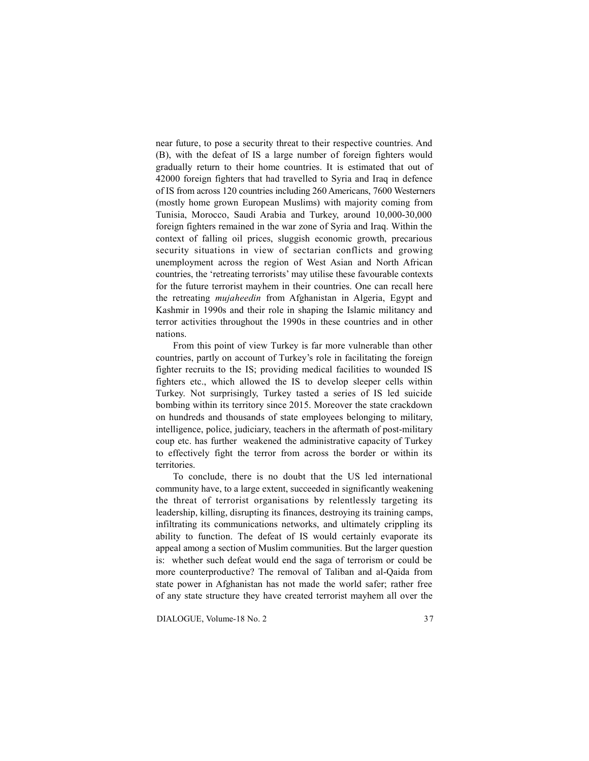near future, to pose a security threat to their respective countries. And (B), with the defeat of IS a large number of foreign fighters would gradually return to their home countries. It is estimated that out of 42000 foreign fighters that had travelled to Syria and Iraq in defence of IS from across 120 countries including 260 Americans, 7600 Westerners (mostly home grown European Muslims) with majority coming from Tunisia, Morocco, Saudi Arabia and Turkey, around 10,000-30,000 foreign fighters remained in the war zone of Syria and Iraq. Within the context of falling oil prices, sluggish economic growth, precarious security situations in view of sectarian conflicts and growing unemployment across the region of West Asian and North African countries, the 'retreating terrorists' may utilise these favourable contexts for the future terrorist mayhem in their countries. One can recall here the retreating *mujaheedin* from Afghanistan in Algeria, Egypt and Kashmir in 1990s and their role in shaping the Islamic militancy and terror activities throughout the 1990s in these countries and in other nations.

From this point of view Turkey is far more vulnerable than other countries, partly on account of Turkey's role in facilitating the foreign fighter recruits to the IS; providing medical facilities to wounded IS fighters etc., which allowed the IS to develop sleeper cells within Turkey. Not surprisingly, Turkey tasted a series of IS led suicide bombing within its territory since 2015. Moreover the state crackdown on hundreds and thousands of state employees belonging to military, intelligence, police, judiciary, teachers in the aftermath of post-military coup etc. has further weakened the administrative capacity of Turkey to effectively fight the terror from across the border or within its territories.

To conclude, there is no doubt that the US led international community have, to a large extent, succeeded in significantly weakening the threat of terrorist organisations by relentlessly targeting its leadership, killing, disrupting its finances, destroying its training camps, infiltrating its communications networks, and ultimately crippling its ability to function. The defeat of IS would certainly evaporate its appeal among a section of Muslim communities. But the larger question is: whether such defeat would end the saga of terrorism or could be more counterproductive? The removal of Taliban and al-Qaida from state power in Afghanistan has not made the world safer; rather free of any state structure they have created terrorist mayhem all over the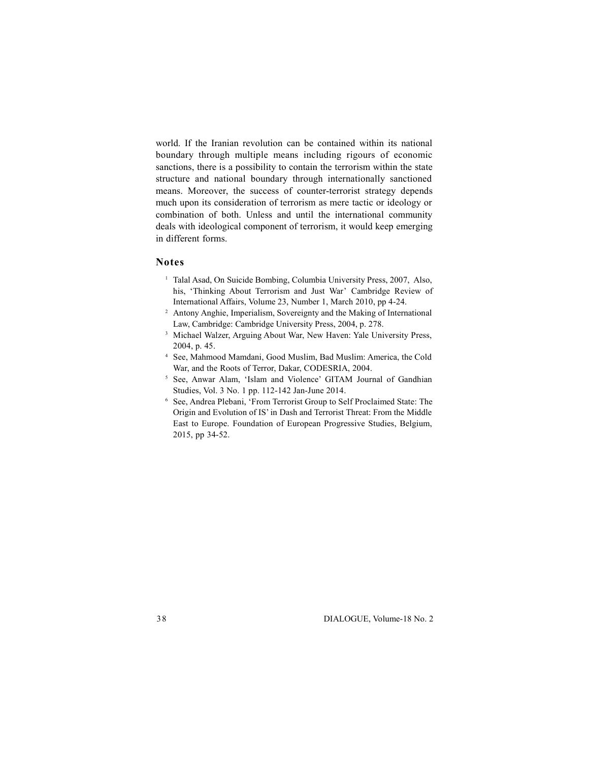world. If the Iranian revolution can be contained within its national boundary through multiple means including rigours of economic sanctions, there is a possibility to contain the terrorism within the state structure and national boundary through internationally sanctioned means. Moreover, the success of counter-terrorist strategy depends much upon its consideration of terrorism as mere tactic or ideology or combination of both. Unless and until the international community deals with ideological component of terrorism, it would keep emerging in different forms.

## **Notes**

- <sup>1</sup> Talal Asad, On Suicide Bombing, Columbia University Press, 2007, Also, his, 'Thinking About Terrorism and Just War' Cambridge Review of International Affairs, Volume 23, Number 1, March 2010, pp 4-24.
- <sup>2</sup> Antony Anghie, Imperialism, Sovereignty and the Making of International Law, Cambridge: Cambridge University Press, 2004, p. 278.
- <sup>3</sup> Michael Walzer, Arguing About War, New Haven: Yale University Press, 2004, p. 45.
- <sup>4</sup> See, Mahmood Mamdani, Good Muslim, Bad Muslim: America, the Cold War, and the Roots of Terror, Dakar, CODESRIA, 2004.
- <sup>5</sup> See, Anwar Alam, 'Islam and Violence' GITAM Journal of Gandhian Studies, Vol. 3 No. 1 pp. 112-142 Jan-June 2014.
- <sup>6</sup> See, Andrea Plebani, 'From Terrorist Group to Self Proclaimed State: The Origin and Evolution of IS' in Dash and Terrorist Threat: From the Middle East to Europe. Foundation of European Progressive Studies, Belgium, 2015, pp 34-52.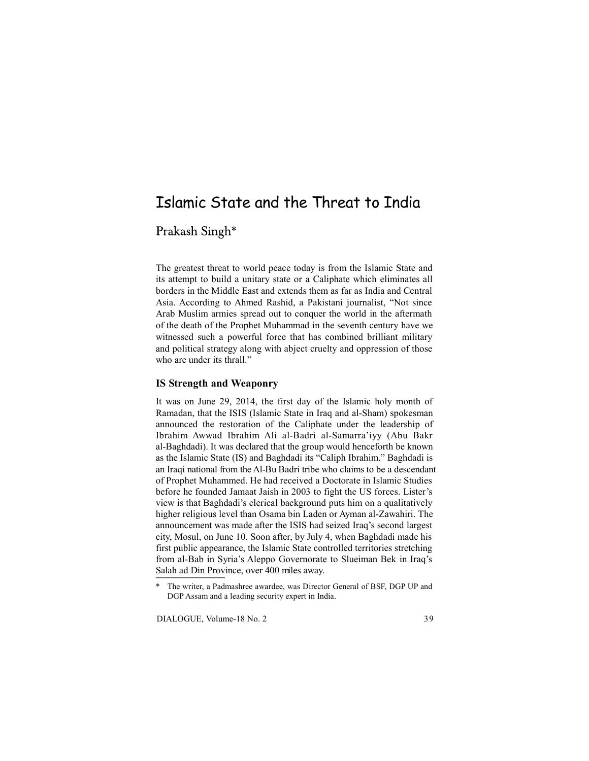## Islamic State and the Threat to India

## Prakash Singh\*

The greatest threat to world peace today is from the Islamic State and its attempt to build a unitary state or a Caliphate which eliminates all borders in the Middle East and extends them as far as India and Central Asia. According to Ahmed Rashid, a Pakistani journalist, "Not since Arab Muslim armies spread out to conquer the world in the aftermath of the death of the Prophet Muhammad in the seventh century have we witnessed such a powerful force that has combined brilliant military and political strategy along with abject cruelty and oppression of those who are under its thrall."

## **IS Strength and Weaponry**

It was on June 29, 2014, the first day of the Islamic holy month of Ramadan, that the ISIS (Islamic State in Iraq and al-Sham) spokesman announced the restoration of the Caliphate under the leadership of Ibrahim Awwad Ibrahim Ali al-Badri al-Samarra'iyy (Abu Bakr al-Baghdadi). It was declared that the group would henceforth be known as the Islamic State (IS) and Baghdadi its "Caliph Ibrahim." Baghdadi is an Iraqi national from the Al-Bu Badri tribe who claims to be a descendant of Prophet Muhammed. He had received a Doctorate in Islamic Studies before he founded Jamaat Jaish in 2003 to fight the US forces. Lister's view is that Baghdadi's clerical background puts him on a qualitatively higher religious level than Osama bin Laden or Ayman al-Zawahiri. The announcement was made after the ISIS had seized Iraq's second largest city, Mosul, on June 10. Soon after, by July 4, when Baghdadi made his first public appearance, the Islamic State controlled territories stretching from al-Bab in Syria's Aleppo Governorate to Slueiman Bek in Iraq's Salah ad Din Province, over 400 miles away.

<sup>\*</sup> The writer, a Padmashree awardee, was Director General of BSF, DGP UP and DGP Assam and a leading security expert in India.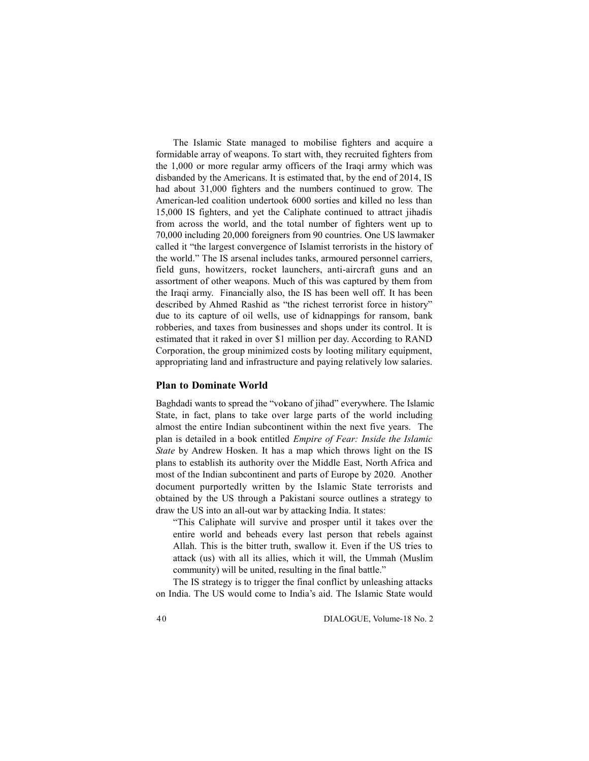The Islamic State managed to mobilise fighters and acquire a formidable array of weapons. To start with, they recruited fighters from the 1,000 or more regular army officers of the Iraqi army which was disbanded by the Americans. It is estimated that, by the end of 2014, IS had about 31,000 fighters and the numbers continued to grow. The American-led coalition undertook 6000 sorties and killed no less than 15,000 IS fighters, and yet the Caliphate continued to attract jihadis from across the world, and the total number of fighters went up to 70,000 including 20,000 foreigners from 90 countries. One US lawmaker called it "the largest convergence of Islamist terrorists in the history of the world." The IS arsenal includes tanks, armoured personnel carriers, field guns, howitzers, rocket launchers, anti-aircraft guns and an assortment of other weapons. Much of this was captured by them from the Iraqi army. Financially also, the IS has been well off. It has been described by Ahmed Rashid as "the richest terrorist force in history" due to its capture of oil wells, use of kidnappings for ransom, bank robberies, and taxes from businesses and shops under its control. It is estimated that it raked in over \$1 million per day. According to RAND Corporation, the group minimized costs by looting military equipment, appropriating land and infrastructure and paying relatively low salaries.

## **Plan to Dominate World**

Baghdadi wants to spread the "volcano of jihad" everywhere. The Islamic State, in fact, plans to take over large parts of the world including almost the entire Indian subcontinent within the next five years. The plan is detailed in a book entitled *Empire of Fear: Inside the Islamic State* by Andrew Hosken. It has a map which throws light on the IS plans to establish its authority over the Middle East, North Africa and most of the Indian subcontinent and parts of Europe by 2020. Another document purportedly written by the Islamic State terrorists and obtained by the US through a Pakistani source outlines a strategy to draw the US into an all-out war by attacking India. It states:

"This Caliphate will survive and prosper until it takes over the entire world and beheads every last person that rebels against Allah. This is the bitter truth, swallow it. Even if the US tries to attack (us) with all its allies, which it will, the Ummah (Muslim community) will be united, resulting in the final battle."

The IS strategy is to trigger the final conflict by unleashing attacks on India. The US would come to India's aid. The Islamic State would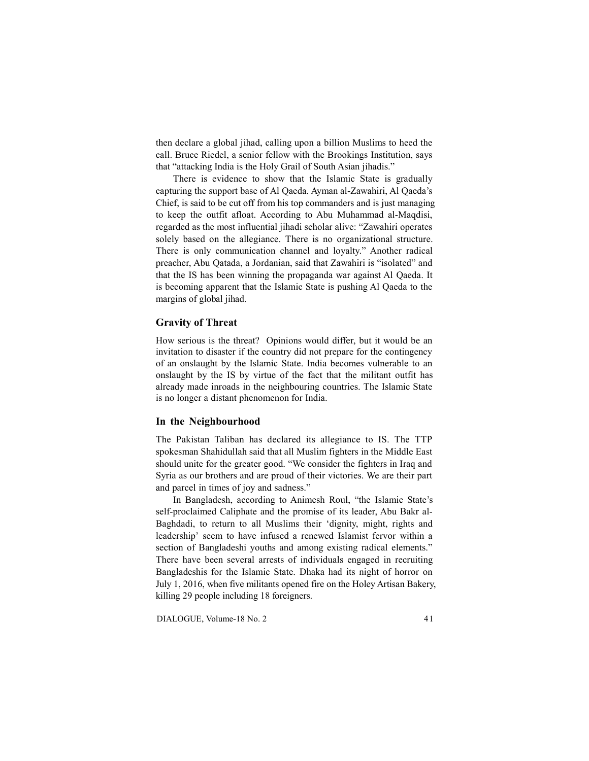then declare a global jihad, calling upon a billion Muslims to heed the call. Bruce Riedel, a senior fellow with the Brookings Institution, says that "attacking India is the Holy Grail of South Asian jihadis."

There is evidence to show that the Islamic State is gradually capturing the support base of Al Qaeda. Ayman al-Zawahiri, Al Qaeda's Chief, is said to be cut off from his top commanders and is just managing to keep the outfit afloat. According to Abu Muhammad al-Maqdisi, regarded as the most influential jihadi scholar alive: "Zawahiri operates solely based on the allegiance. There is no organizational structure. There is only communication channel and loyalty." Another radical preacher, Abu Qatada, a Jordanian, said that Zawahiri is "isolated" and that the IS has been winning the propaganda war against Al Qaeda. It is becoming apparent that the Islamic State is pushing Al Qaeda to the margins of global jihad.

## **Gravity of Threat**

How serious is the threat? Opinions would differ, but it would be an invitation to disaster if the country did not prepare for the contingency of an onslaught by the Islamic State. India becomes vulnerable to an onslaught by the IS by virtue of the fact that the militant outfit has already made inroads in the neighbouring countries. The Islamic State is no longer a distant phenomenon for India.

### **In the Neighbourhood**

The Pakistan Taliban has declared its allegiance to IS. The TTP spokesman Shahidullah said that all Muslim fighters in the Middle East should unite for the greater good. "We consider the fighters in Iraq and Syria as our brothers and are proud of their victories. We are their part and parcel in times of joy and sadness."

In Bangladesh, according to Animesh Roul, "the Islamic State's self-proclaimed Caliphate and the promise of its leader, Abu Bakr al-Baghdadi, to return to all Muslims their 'dignity, might, rights and leadership' seem to have infused a renewed Islamist fervor within a section of Bangladeshi youths and among existing radical elements." There have been several arrests of individuals engaged in recruiting Bangladeshis for the Islamic State. Dhaka had its night of horror on July 1, 2016, when five militants opened fire on the Holey Artisan Bakery, killing 29 people including 18 foreigners.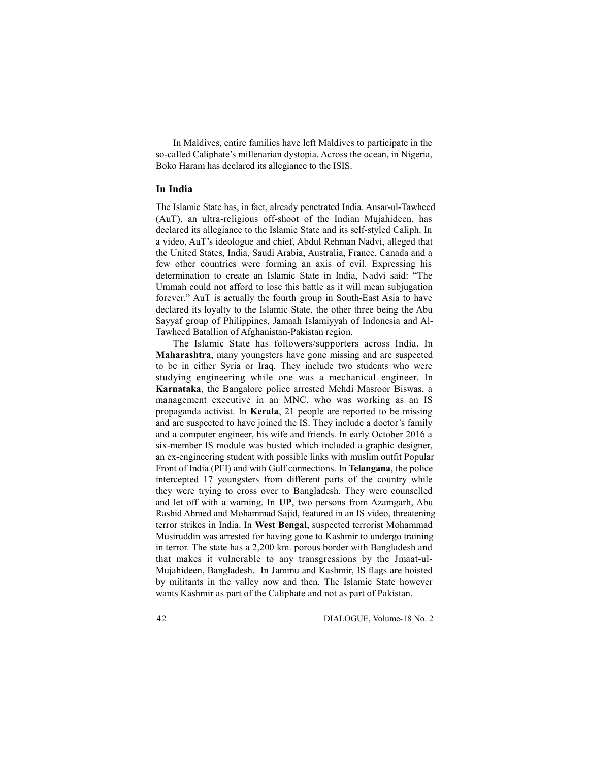In Maldives, entire families have left Maldives to participate in the so-called Caliphate's millenarian dystopia. Across the ocean, in Nigeria, Boko Haram has declared its allegiance to the ISIS.

## **In India**

The Islamic State has, in fact, already penetrated India. Ansar-ul-Tawheed (AuT), an ultra-religious off-shoot of the Indian Mujahideen, has declared its allegiance to the Islamic State and its self-styled Caliph. In a video, AuT's ideologue and chief, Abdul Rehman Nadvi, alleged that the United States, India, Saudi Arabia, Australia, France, Canada and a few other countries were forming an axis of evil. Expressing his determination to create an Islamic State in India, Nadvi said: "The Ummah could not afford to lose this battle as it will mean subjugation forever." AuT is actually the fourth group in South-East Asia to have declared its loyalty to the Islamic State, the other three being the Abu Sayyaf group of Philippines, Jamaah Islamiyyah of Indonesia and Al-Tawheed Batallion of Afghanistan-Pakistan region.

The Islamic State has followers/supporters across India. In **Maharashtra**, many youngsters have gone missing and are suspected to be in either Syria or Iraq. They include two students who were studying engineering while one was a mechanical engineer. In **Karnataka**, the Bangalore police arrested Mehdi Masroor Biswas, a management executive in an MNC, who was working as an IS propaganda activist. In **Kerala**, 21 people are reported to be missing and are suspected to have joined the IS. They include a doctor's family and a computer engineer, his wife and friends. In early October 2016 a six-member IS module was busted which included a graphic designer, an ex-engineering student with possible links with muslim outfit Popular Front of India (PFI) and with Gulf connections. In **Telangana**, the police intercepted 17 youngsters from different parts of the country while they were trying to cross over to Bangladesh. They were counselled and let off with a warning. In **UP**, two persons from Azamgarh, Abu Rashid Ahmed and Mohammad Sajid, featured in an IS video, threatening terror strikes in India. In **West Bengal**, suspected terrorist Mohammad Musiruddin was arrested for having gone to Kashmir to undergo training in terror. The state has a 2,200 km. porous border with Bangladesh and that makes it vulnerable to any transgressions by the Jmaat-ul-Mujahideen, Bangladesh. In Jammu and Kashmir, IS flags are hoisted by militants in the valley now and then. The Islamic State however wants Kashmir as part of the Caliphate and not as part of Pakistan.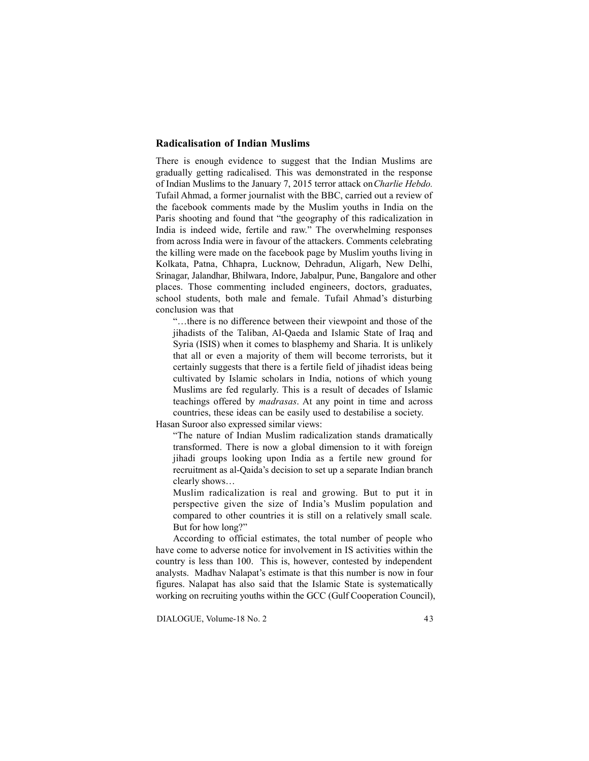## **Radicalisation of Indian Muslims**

There is enough evidence to suggest that the Indian Muslims are gradually getting radicalised. This was demonstrated in the response of Indian Muslims to the January 7, 2015 terror attack on *Charlie Hebdo.* Tufail Ahmad, a former journalist with the BBC, carried out a review of the facebook comments made by the Muslim youths in India on the Paris shooting and found that "the geography of this radicalization in India is indeed wide, fertile and raw." The overwhelming responses from across India were in favour of the attackers. Comments celebrating the killing were made on the facebook page by Muslim youths living in Kolkata, Patna, Chhapra, Lucknow, Dehradun, Aligarh, New Delhi, Srinagar, Jalandhar, Bhilwara, Indore, Jabalpur, Pune, Bangalore and other places. Those commenting included engineers, doctors, graduates, school students, both male and female. Tufail Ahmad's disturbing conclusion was that

"…there is no difference between their viewpoint and those of the jihadists of the Taliban, Al-Qaeda and Islamic State of Iraq and Syria (ISIS) when it comes to blasphemy and Sharia. It is unlikely that all or even a majority of them will become terrorists, but it certainly suggests that there is a fertile field of jihadist ideas being cultivated by Islamic scholars in India, notions of which young Muslims are fed regularly. This is a result of decades of Islamic teachings offered by *madrasas*. At any point in time and across countries, these ideas can be easily used to destabilise a society.

Hasan Suroor also expressed similar views:

"The nature of Indian Muslim radicalization stands dramatically transformed. There is now a global dimension to it with foreign jihadi groups looking upon India as a fertile new ground for recruitment as al-Qaida's decision to set up a separate Indian branch clearly shows…

Muslim radicalization is real and growing. But to put it in perspective given the size of India's Muslim population and compared to other countries it is still on a relatively small scale. But for how long?"

According to official estimates, the total number of people who have come to adverse notice for involvement in IS activities within the country is less than 100. This is, however, contested by independent analysts. Madhav Nalapat's estimate is that this number is now in four figures. Nalapat has also said that the Islamic State is systematically working on recruiting youths within the GCC (Gulf Cooperation Council),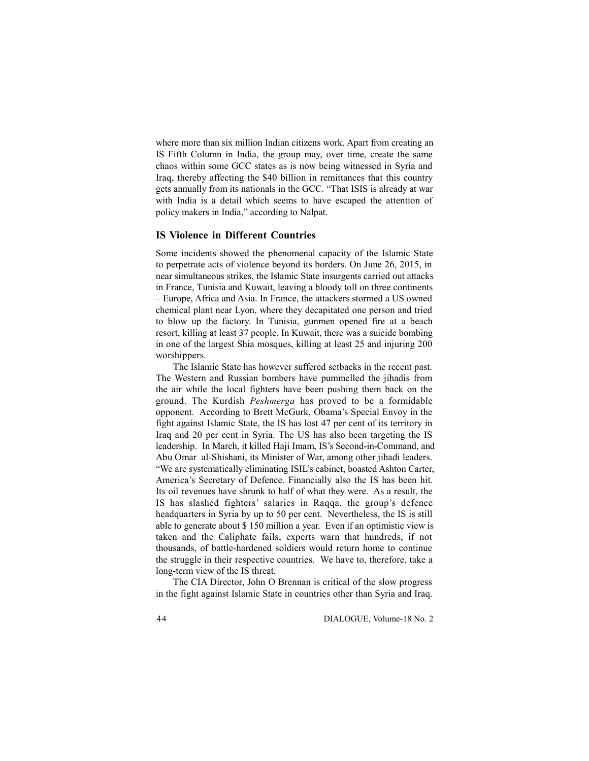where more than six million Indian citizens work. Apart from creating an IS Fifth Column in India, the group may, over time, create the same chaos within some GCC states as is now being witnessed in Syria and Iraq, thereby affecting the \$40 billion in remittances that this country gets annually from its nationals in the GCC. "That ISIS is already at war with India is a detail which seems to have escaped the attention of policy makers in India," according to Nalpat.

### **IS Violence in Different Countries**

Some incidents showed the phenomenal capacity of the Islamic State to perpetrate acts of violence beyond its borders. On June 26, 2015, in near simultaneous strikes, the Islamic State insurgents carried out attacks in France, Tunisia and Kuwait, leaving a bloody toll on three continents – Europe, Africa and Asia. In France, the attackers stormed a US owned chemical plant near Lyon, where they decapitated one person and tried to blow up the factory. In Tunisia, gunmen opened fire at a beach resort, killing at least 37 people. In Kuwait, there was a suicide bombing in one of the largest Shia mosques, killing at least 25 and injuring 200 worshippers.

The Islamic State has however suffered setbacks in the recent past. The Western and Russian bombers have pummelled the jihadis from the air while the local fighters have been pushing them back on the ground. The Kurdish *Peshmerga* has proved to be a formidable opponent. According to Brett McGurk, Obama's Special Envoy in the fight against Islamic State, the IS has lost 47 per cent of its territory in Iraq and 20 per cent in Syria. The US has also been targeting the IS leadership. In March, it killed Haji Imam, IS's Second-in-Command, and Abu Omar al-Shishani, its Minister of War, among other jihadi leaders. "We are systematically eliminating ISIL's cabinet, boasted Ashton Carter, America's Secretary of Defence. Financially also the IS has been hit. Its oil revenues have shrunk to half of what they were. As a result, the IS has slashed fighters' salaries in Raqqa, the group's defence headquarters in Syria by up to 50 per cent. Nevertheless, the IS is still able to generate about \$ 150 million a year. Even if an optimistic view is taken and the Caliphate fails, experts warn that hundreds, if not thousands, of battle-hardened soldiers would return home to continue the struggle in their respective countries. We have to, therefore, take a long-term view of the IS threat.

The CIA Director, John O Brennan is critical of the slow progress in the fight against Islamic State in countries other than Syria and Iraq.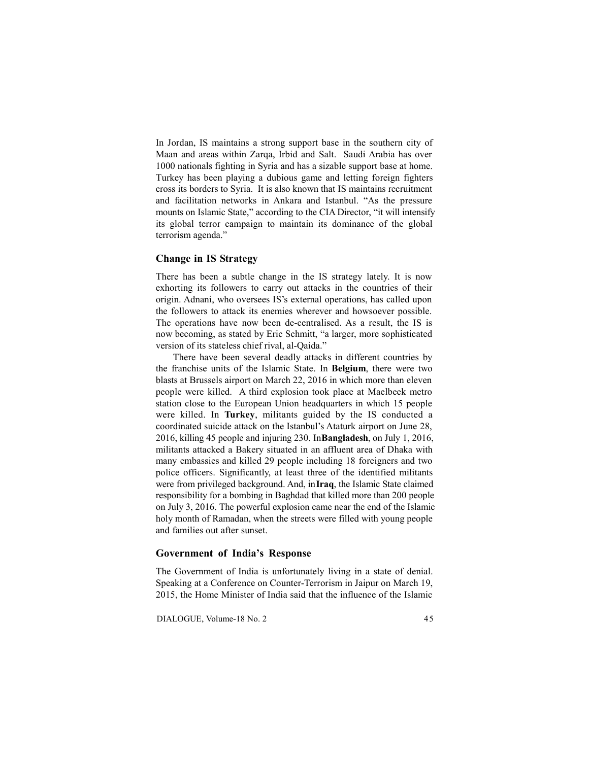In Jordan, IS maintains a strong support base in the southern city of Maan and areas within Zarqa, Irbid and Salt. Saudi Arabia has over 1000 nationals fighting in Syria and has a sizable support base at home. Turkey has been playing a dubious game and letting foreign fighters cross its borders to Syria. It is also known that IS maintains recruitment and facilitation networks in Ankara and Istanbul. "As the pressure mounts on Islamic State," according to the CIA Director, "it will intensify its global terror campaign to maintain its dominance of the global terrorism agenda."

## **Change in IS Strategy**

There has been a subtle change in the IS strategy lately. It is now exhorting its followers to carry out attacks in the countries of their origin. Adnani, who oversees IS's external operations, has called upon the followers to attack its enemies wherever and howsoever possible. The operations have now been de-centralised. As a result, the IS is now becoming, as stated by Eric Schmitt, "a larger, more sophisticated version of its stateless chief rival, al-Qaida."

There have been several deadly attacks in different countries by the franchise units of the Islamic State. In **Belgium**, there were two blasts at Brussels airport on March 22, 2016 in which more than eleven people were killed. A third explosion took place at Maelbeek metro station close to the European Union headquarters in which 15 people were killed. In **Turkey**, militants guided by the IS conducted a coordinated suicide attack on the Istanbul's Ataturk airport on June 28, 2016, killing 45 people and injuring 230. In **Bangladesh**, on July 1, 2016, militants attacked a Bakery situated in an affluent area of Dhaka with many embassies and killed 29 people including 18 foreigners and two police officers. Significantly, at least three of the identified militants were from privileged background. And, in **Iraq**, the Islamic State claimed responsibility for a bombing in Baghdad that killed more than 200 people on July 3, 2016. The powerful explosion came near the end of the Islamic holy month of Ramadan, when the streets were filled with young people and families out after sunset.

## **Government of India's Response**

The Government of India is unfortunately living in a state of denial. Speaking at a Conference on Counter-Terrorism in Jaipur on March 19, 2015, the Home Minister of India said that the influence of the Islamic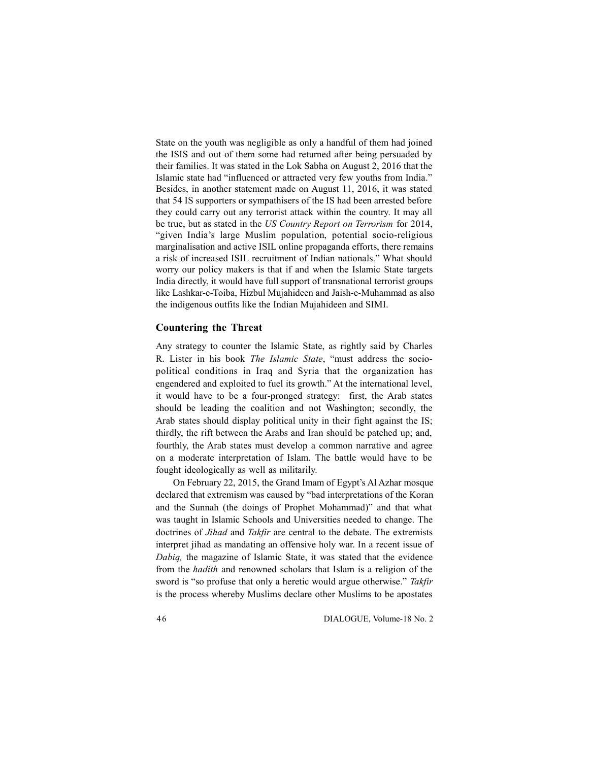State on the youth was negligible as only a handful of them had joined the ISIS and out of them some had returned after being persuaded by their families. It was stated in the Lok Sabha on August 2, 2016 that the Islamic state had "influenced or attracted very few youths from India." Besides, in another statement made on August 11, 2016, it was stated that 54 IS supporters or sympathisers of the IS had been arrested before they could carry out any terrorist attack within the country. It may all be true, but as stated in the *US Country Report on Terrorism* for 2014, "given India's large Muslim population, potential socio-religious marginalisation and active ISIL online propaganda efforts, there remains a risk of increased ISIL recruitment of Indian nationals." What should worry our policy makers is that if and when the Islamic State targets India directly, it would have full support of transnational terrorist groups like Lashkar-e-Toiba, Hizbul Mujahideen and Jaish-e-Muhammad as also the indigenous outfits like the Indian Mujahideen and SIMI.

### **Countering the Threat**

Any strategy to counter the Islamic State, as rightly said by Charles R. Lister in his book *The Islamic State*, "must address the sociopolitical conditions in Iraq and Syria that the organization has engendered and exploited to fuel its growth." At the international level, it would have to be a four-pronged strategy: first, the Arab states should be leading the coalition and not Washington; secondly, the Arab states should display political unity in their fight against the IS; thirdly, the rift between the Arabs and Iran should be patched up; and, fourthly, the Arab states must develop a common narrative and agree on a moderate interpretation of Islam. The battle would have to be fought ideologically as well as militarily.

On February 22, 2015, the Grand Imam of Egypt's Al Azhar mosque declared that extremism was caused by "bad interpretations of the Koran and the Sunnah (the doings of Prophet Mohammad)" and that what was taught in Islamic Schools and Universities needed to change. The doctrines of *Jihad* and *Takfir* are central to the debate. The extremists interpret jihad as mandating an offensive holy war. In a recent issue of *Dabiq,* the magazine of Islamic State, it was stated that the evidence from the *hadith* and renowned scholars that Islam is a religion of the sword is "so profuse that only a heretic would argue otherwise." *Takfir* is the process whereby Muslims declare other Muslims to be apostates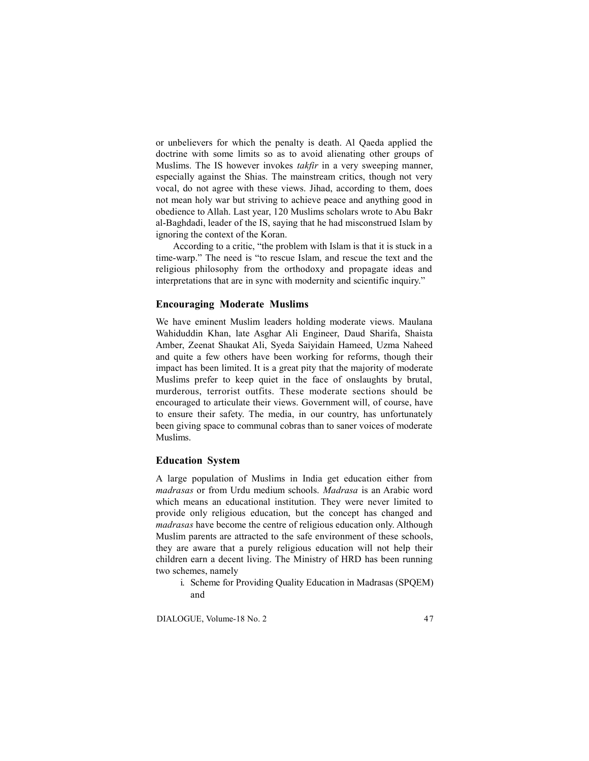or unbelievers for which the penalty is death. Al Qaeda applied the doctrine with some limits so as to avoid alienating other groups of Muslims. The IS however invokes *takfir* in a very sweeping manner, especially against the Shias. The mainstream critics, though not very vocal, do not agree with these views. Jihad, according to them, does not mean holy war but striving to achieve peace and anything good in obedience to Allah. Last year, 120 Muslims scholars wrote to Abu Bakr al-Baghdadi, leader of the IS, saying that he had misconstrued Islam by ignoring the context of the Koran.

According to a critic, "the problem with Islam is that it is stuck in a time-warp." The need is "to rescue Islam, and rescue the text and the religious philosophy from the orthodoxy and propagate ideas and interpretations that are in sync with modernity and scientific inquiry."

### **Encouraging Moderate Muslims**

We have eminent Muslim leaders holding moderate views. Maulana Wahiduddin Khan, late Asghar Ali Engineer, Daud Sharifa, Shaista Amber, Zeenat Shaukat Ali, Syeda Saiyidain Hameed, Uzma Naheed and quite a few others have been working for reforms, though their impact has been limited. It is a great pity that the majority of moderate Muslims prefer to keep quiet in the face of onslaughts by brutal, murderous, terrorist outfits. These moderate sections should be encouraged to articulate their views. Government will, of course, have to ensure their safety. The media, in our country, has unfortunately been giving space to communal cobras than to saner voices of moderate Muslims.

### **Education System**

A large population of Muslims in India get education either from *madrasas* or from Urdu medium schools. *Madrasa* is an Arabic word which means an educational institution. They were never limited to provide only religious education, but the concept has changed and *madrasas* have become the centre of religious education only. Although Muslim parents are attracted to the safe environment of these schools, they are aware that a purely religious education will not help their children earn a decent living. The Ministry of HRD has been running two schemes, namely

i. Scheme for Providing Quality Education in Madrasas (SPQEM) and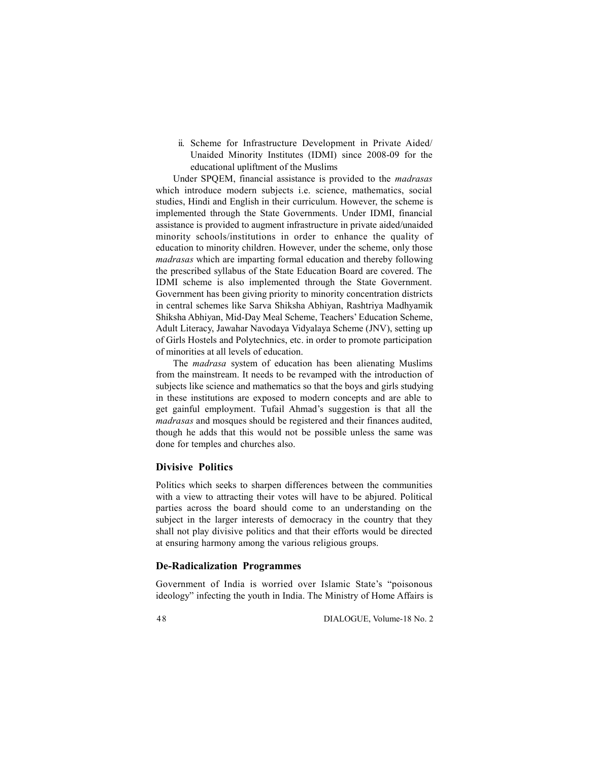ii. Scheme for Infrastructure Development in Private Aided/ Unaided Minority Institutes (IDMI) since 2008-09 for the educational upliftment of the Muslims

Under SPQEM, financial assistance is provided to the *madrasas* which introduce modern subjects *i.e.* science, mathematics, social studies, Hindi and English in their curriculum. However, the scheme is implemented through the State Governments. Under IDMI, financial assistance is provided to augment infrastructure in private aided/unaided minority schools/institutions in order to enhance the quality of education to minority children. However, under the scheme, only those *madrasas* which are imparting formal education and thereby following the prescribed syllabus of the State Education Board are covered. The IDMI scheme is also implemented through the State Government. Government has been giving priority to minority concentration districts in central schemes like Sarva Shiksha Abhiyan, Rashtriya Madhyamik Shiksha Abhiyan, Mid-Day Meal Scheme, Teachers' Education Scheme, Adult Literacy, Jawahar Navodaya Vidyalaya Scheme (JNV), setting up of Girls Hostels and Polytechnics, etc. in order to promote participation of minorities at all levels of education.

The *madrasa* system of education has been alienating Muslims from the mainstream. It needs to be revamped with the introduction of subjects like science and mathematics so that the boys and girls studying in these institutions are exposed to modern concepts and are able to get gainful employment. Tufail Ahmad's suggestion is that all the *madrasas* and mosques should be registered and their finances audited, though he adds that this would not be possible unless the same was done for temples and churches also.

## **Divisive Politics**

Politics which seeks to sharpen differences between the communities with a view to attracting their votes will have to be abjured. Political parties across the board should come to an understanding on the subject in the larger interests of democracy in the country that they shall not play divisive politics and that their efforts would be directed at ensuring harmony among the various religious groups.

## **De-Radicalization Programmes**

Government of India is worried over Islamic State's "poisonous ideology" infecting the youth in India. The Ministry of Home Affairs is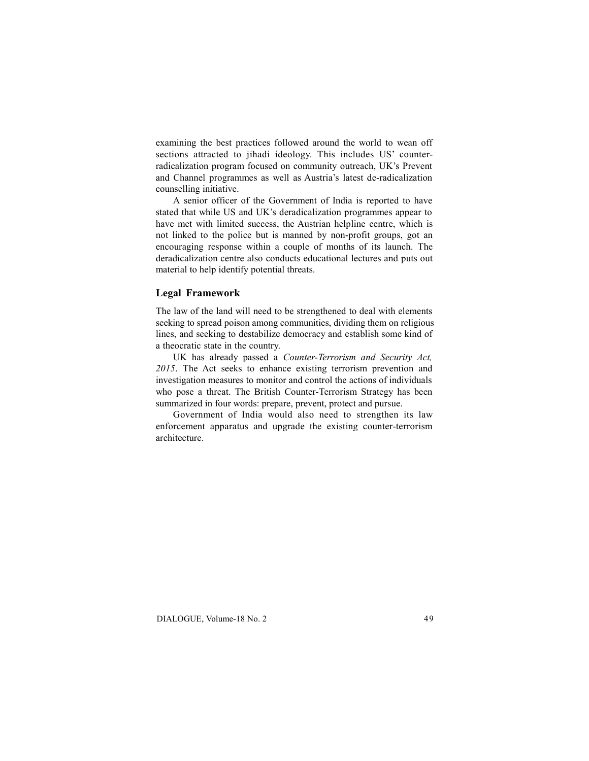examining the best practices followed around the world to wean off sections attracted to jihadi ideology. This includes US' counterradicalization program focused on community outreach, UK's Prevent and Channel programmes as well as Austria's latest de-radicalization counselling initiative.

A senior officer of the Government of India is reported to have stated that while US and UK's deradicalization programmes appear to have met with limited success, the Austrian helpline centre, which is not linked to the police but is manned by non-profit groups, got an encouraging response within a couple of months of its launch. The deradicalization centre also conducts educational lectures and puts out material to help identify potential threats.

## **Legal Framework**

The law of the land will need to be strengthened to deal with elements seeking to spread poison among communities, dividing them on religious lines, and seeking to destabilize democracy and establish some kind of a theocratic state in the country.

UK has already passed a *Counter-Terrorism and Security Act, 2015*. The Act seeks to enhance existing terrorism prevention and investigation measures to monitor and control the actions of individuals who pose a threat. The British Counter-Terrorism Strategy has been summarized in four words: prepare, prevent, protect and pursue.

Government of India would also need to strengthen its law enforcement apparatus and upgrade the existing counter-terrorism architecture.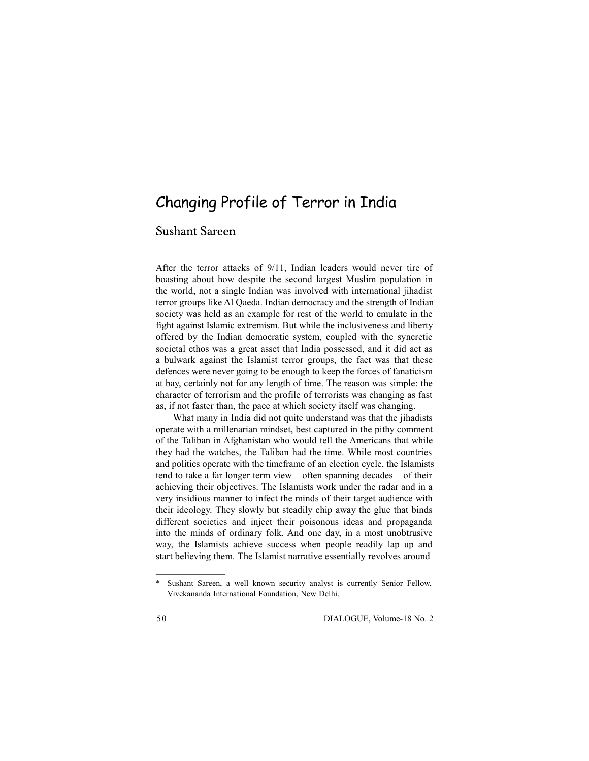# Changing Profile of Terror in India

## **Sushant Sareen**

After the terror attacks of 9/11, Indian leaders would never tire of boasting about how despite the second largest Muslim population in the world, not a single Indian was involved with international jihadist terror groups like Al Qaeda. Indian democracy and the strength of Indian society was held as an example for rest of the world to emulate in the fight against Islamic extremism. But while the inclusiveness and liberty offered by the Indian democratic system, coupled with the syncretic societal ethos was a great asset that India possessed, and it did act as a bulwark against the Islamist terror groups, the fact was that these defences were never going to be enough to keep the forces of fanaticism at bay, certainly not for any length of time. The reason was simple: the character of terrorism and the profile of terrorists was changing as fast as, if not faster than, the pace at which society itself was changing.

What many in India did not quite understand was that the jihadists operate with a millenarian mindset, best captured in the pithy comment of the Taliban in Afghanistan who would tell the Americans that while they had the watches, the Taliban had the time. While most countries and polities operate with the timeframe of an election cycle, the Islamists tend to take a far longer term view – often spanning decades – of their achieving their objectives. The Islamists work under the radar and in a very insidious manner to infect the minds of their target audience with their ideology. They slowly but steadily chip away the glue that binds different societies and inject their poisonous ideas and propaganda into the minds of ordinary folk. And one day, in a most unobtrusive way, the Islamists achieve success when people readily lap up and start believing them. The Islamist narrative essentially revolves around

Sushant Sareen, a well known security analyst is currently Senior Fellow, Vivekananda International Foundation, New Delhi.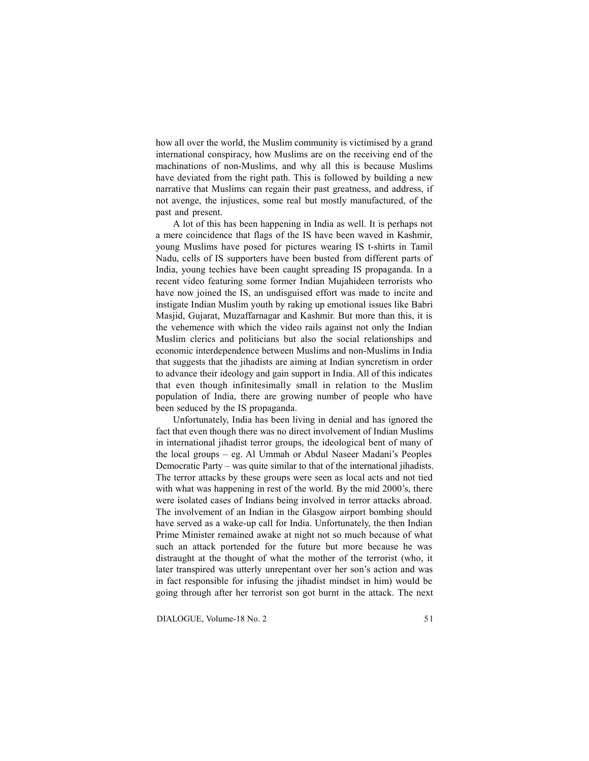how all over the world, the Muslim community is victimised by a grand international conspiracy, how Muslims are on the receiving end of the machinations of non-Muslims, and why all this is because Muslims have deviated from the right path. This is followed by building a new narrative that Muslims can regain their past greatness, and address, if not avenge, the injustices, some real but mostly manufactured, of the past and present.

A lot of this has been happening in India as well. It is perhaps not a mere coincidence that flags of the IS have been waved in Kashmir, young Muslims have posed for pictures wearing IS t-shirts in Tamil Nadu, cells of IS supporters have been busted from different parts of India, young techies have been caught spreading IS propaganda. In a recent video featuring some former Indian Mujahideen terrorists who have now joined the IS, an undisguised effort was made to incite and instigate Indian Muslim youth by raking up emotional issues like Babri Masjid, Gujarat, Muzaffarnagar and Kashmir. But more than this, it is the vehemence with which the video rails against not only the Indian Muslim clerics and politicians but also the social relationships and economic interdependence between Muslims and non-Muslims in India that suggests that the jihadists are aiming at Indian syncretism in order to advance their ideology and gain support in India. All of this indicates that even though infinitesimally small in relation to the Muslim population of India, there are growing number of people who have been seduced by the IS propaganda.

Unfortunately, India has been living in denial and has ignored the fact that even though there was no direct involvement of Indian Muslims in international jihadist terror groups, the ideological bent of many of the local groups – eg. Al Ummah or Abdul Naseer Madani's Peoples Democratic Party – was quite similar to that of the international jihadists. The terror attacks by these groups were seen as local acts and not tied with what was happening in rest of the world. By the mid 2000's, there were isolated cases of Indians being involved in terror attacks abroad. The involvement of an Indian in the Glasgow airport bombing should have served as a wake-up call for India. Unfortunately, the then Indian Prime Minister remained awake at night not so much because of what such an attack portended for the future but more because he was distraught at the thought of what the mother of the terrorist (who, it later transpired was utterly unrepentant over her son's action and was in fact responsible for infusing the jihadist mindset in him) would be going through after her terrorist son got burnt in the attack. The next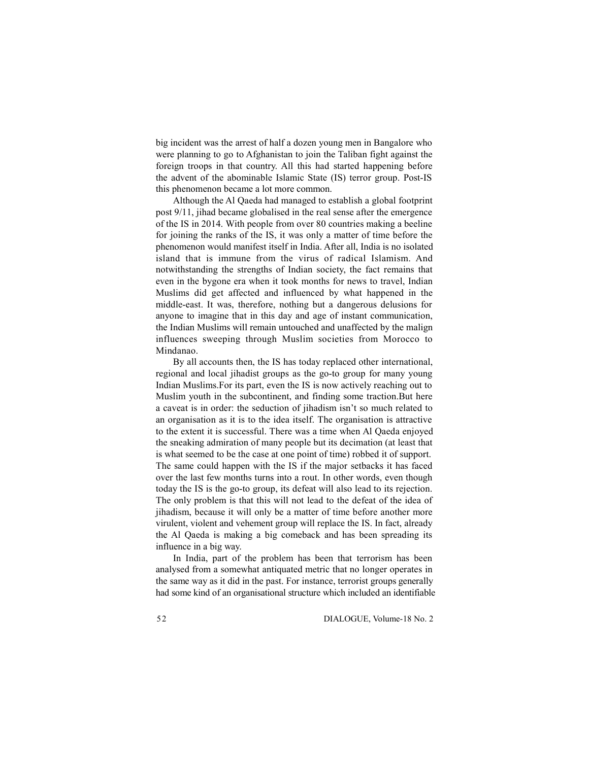big incident was the arrest of half a dozen young men in Bangalore who were planning to go to Afghanistan to join the Taliban fight against the foreign troops in that country. All this had started happening before the advent of the abominable Islamic State (IS) terror group. Post-IS this phenomenon became a lot more common.

Although the Al Qaeda had managed to establish a global footprint post 9/11, jihad became globalised in the real sense after the emergence of the IS in 2014. With people from over 80 countries making a beeline for joining the ranks of the IS, it was only a matter of time before the phenomenon would manifest itself in India. After all, India is no isolated island that is immune from the virus of radical Islamism. And notwithstanding the strengths of Indian society, the fact remains that even in the bygone era when it took months for news to travel, Indian Muslims did get affected and influenced by what happened in the middle-east. It was, therefore, nothing but a dangerous delusions for anyone to imagine that in this day and age of instant communication, the Indian Muslims will remain untouched and unaffected by the malign influences sweeping through Muslim societies from Morocco to Mindanao.

By all accounts then, the IS has today replaced other international, regional and local jihadist groups as the go-to group for many young Indian Muslims.For its part, even the IS is now actively reaching out to Muslim youth in the subcontinent, and finding some traction.But here a caveat is in order: the seduction of jihadism isn't so much related to an organisation as it is to the idea itself. The organisation is attractive to the extent it is successful. There was a time when Al Qaeda enjoyed the sneaking admiration of many people but its decimation (at least that is what seemed to be the case at one point of time) robbed it of support. The same could happen with the IS if the major setbacks it has faced over the last few months turns into a rout. In other words, even though today the IS is the go-to group, its defeat will also lead to its rejection. The only problem is that this will not lead to the defeat of the idea of jihadism, because it will only be a matter of time before another more virulent, violent and vehement group will replace the IS. In fact, already the Al Qaeda is making a big comeback and has been spreading its influence in a big way.

In India, part of the problem has been that terrorism has been analysed from a somewhat antiquated metric that no longer operates in the same way as it did in the past. For instance, terrorist groups generally had some kind of an organisational structure which included an identifiable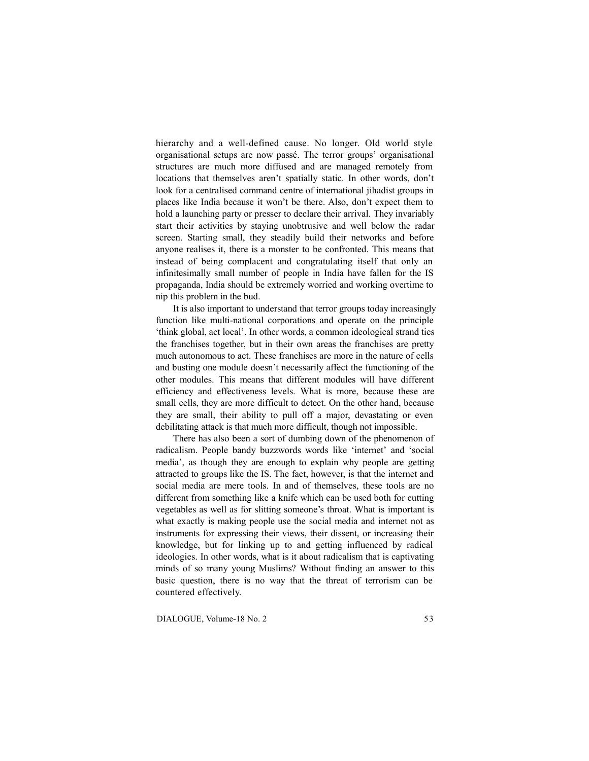hierarchy and a well-defined cause. No longer. Old world style organisational setups are now passé. The terror groups' organisational structures are much more diffused and are managed remotely from locations that themselves aren't spatially static. In other words, don't look for a centralised command centre of international jihadist groups in places like India because it won't be there. Also, don't expect them to hold a launching party or presser to declare their arrival. They invariably start their activities by staying unobtrusive and well below the radar screen. Starting small, they steadily build their networks and before anyone realises it, there is a monster to be confronted. This means that instead of being complacent and congratulating itself that only an infinitesimally small number of people in India have fallen for the IS propaganda, India should be extremely worried and working overtime to nip this problem in the bud.

It is also important to understand that terror groups today increasingly function like multi-national corporations and operate on the principle 'think global, act local'. In other words, a common ideological strand ties the franchises together, but in their own areas the franchises are pretty much autonomous to act. These franchises are more in the nature of cells and busting one module doesn't necessarily affect the functioning of the other modules. This means that different modules will have different efficiency and effectiveness levels. What is more, because these are small cells, they are more difficult to detect. On the other hand, because they are small, their ability to pull off a major, devastating or even debilitating attack is that much more difficult, though not impossible.

There has also been a sort of dumbing down of the phenomenon of radicalism. People bandy buzzwords words like 'internet' and 'social media', as though they are enough to explain why people are getting attracted to groups like the IS. The fact, however, is that the internet and social media are mere tools. In and of themselves, these tools are no different from something like a knife which can be used both for cutting vegetables as well as for slitting someone's throat. What is important is what exactly is making people use the social media and internet not as instruments for expressing their views, their dissent, or increasing their knowledge, but for linking up to and getting influenced by radical ideologies. In other words, what is it about radicalism that is captivating minds of so many young Muslims? Without finding an answer to this basic question, there is no way that the threat of terrorism can be countered effectively.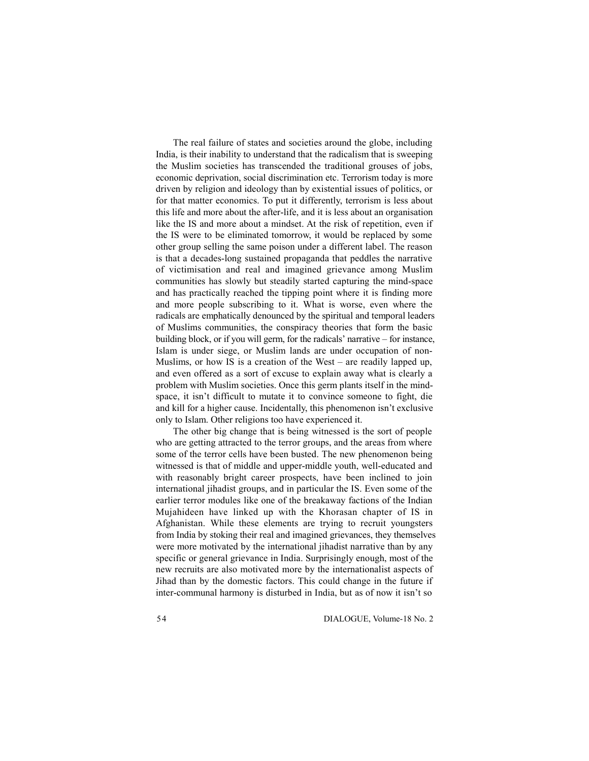The real failure of states and societies around the globe, including India, is their inability to understand that the radicalism that is sweeping the Muslim societies has transcended the traditional grouses of jobs, economic deprivation, social discrimination etc. Terrorism today is more driven by religion and ideology than by existential issues of politics, or for that matter economics. To put it differently, terrorism is less about this life and more about the after-life, and it is less about an organisation like the IS and more about a mindset. At the risk of repetition, even if the IS were to be eliminated tomorrow, it would be replaced by some other group selling the same poison under a different label. The reason is that a decades-long sustained propaganda that peddles the narrative of victimisation and real and imagined grievance among Muslim communities has slowly but steadily started capturing the mind-space and has practically reached the tipping point where it is finding more and more people subscribing to it. What is worse, even where the radicals are emphatically denounced by the spiritual and temporal leaders of Muslims communities, the conspiracy theories that form the basic building block, or if you will germ, for the radicals' narrative – for instance, Islam is under siege, or Muslim lands are under occupation of non-Muslims, or how IS is a creation of the West – are readily lapped up, and even offered as a sort of excuse to explain away what is clearly a problem with Muslim societies. Once this germ plants itself in the mindspace, it isn't difficult to mutate it to convince someone to fight, die and kill for a higher cause. Incidentally, this phenomenon isn't exclusive only to Islam. Other religions too have experienced it.

The other big change that is being witnessed is the sort of people who are getting attracted to the terror groups, and the areas from where some of the terror cells have been busted. The new phenomenon being witnessed is that of middle and upper-middle youth, well-educated and with reasonably bright career prospects, have been inclined to join international jihadist groups, and in particular the IS. Even some of the earlier terror modules like one of the breakaway factions of the Indian Mujahideen have linked up with the Khorasan chapter of IS in Afghanistan. While these elements are trying to recruit youngsters from India by stoking their real and imagined grievances, they themselves were more motivated by the international jihadist narrative than by any specific or general grievance in India. Surprisingly enough, most of the new recruits are also motivated more by the internationalist aspects of Jihad than by the domestic factors. This could change in the future if inter-communal harmony is disturbed in India, but as of now it isn't so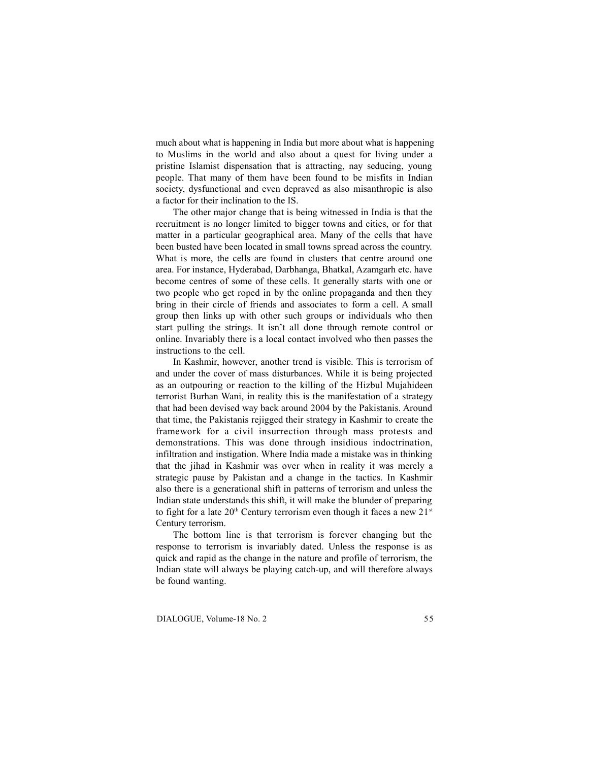much about what is happening in India but more about what is happening to Muslims in the world and also about a quest for living under a pristine Islamist dispensation that is attracting, nay seducing, young people. That many of them have been found to be misfits in Indian society, dysfunctional and even depraved as also misanthropic is also a factor for their inclination to the IS.

The other major change that is being witnessed in India is that the recruitment is no longer limited to bigger towns and cities, or for that matter in a particular geographical area. Many of the cells that have been busted have been located in small towns spread across the country. What is more, the cells are found in clusters that centre around one area. For instance, Hyderabad, Darbhanga, Bhatkal, Azamgarh etc. have become centres of some of these cells. It generally starts with one or two people who get roped in by the online propaganda and then they bring in their circle of friends and associates to form a cell. A small group then links up with other such groups or individuals who then start pulling the strings. It isn't all done through remote control or online. Invariably there is a local contact involved who then passes the instructions to the cell.

In Kashmir, however, another trend is visible. This is terrorism of and under the cover of mass disturbances. While it is being projected as an outpouring or reaction to the killing of the Hizbul Mujahideen terrorist Burhan Wani, in reality this is the manifestation of a strategy that had been devised way back around 2004 by the Pakistanis. Around that time, the Pakistanis rejigged their strategy in Kashmir to create the framework for a civil insurrection through mass protests and demonstrations. This was done through insidious indoctrination, infiltration and instigation. Where India made a mistake was in thinking that the jihad in Kashmir was over when in reality it was merely a strategic pause by Pakistan and a change in the tactics. In Kashmir also there is a generational shift in patterns of terrorism and unless the Indian state understands this shift, it will make the blunder of preparing to fight for a late  $20<sup>th</sup>$  Century terrorism even though it faces a new  $21<sup>st</sup>$ Century terrorism.

The bottom line is that terrorism is forever changing but the response to terrorism is invariably dated. Unless the response is as quick and rapid as the change in the nature and profile of terrorism, the Indian state will always be playing catch-up, and will therefore always be found wanting.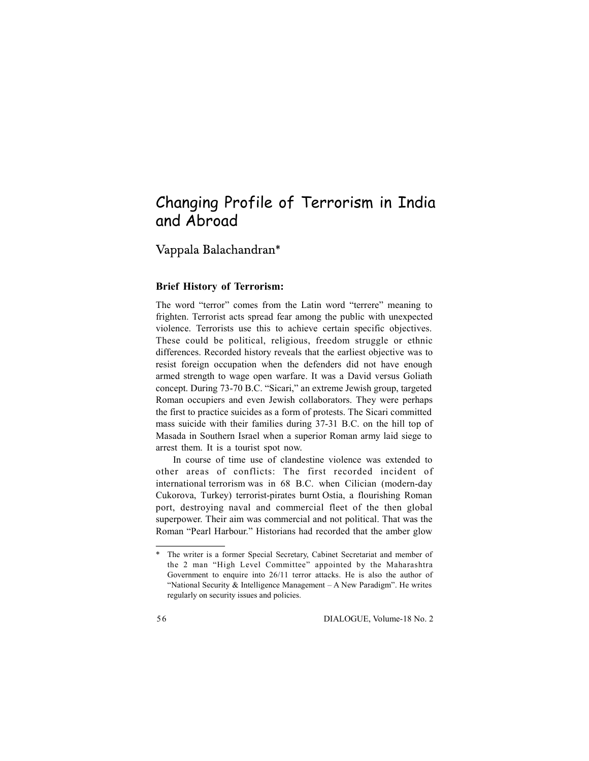# Changing Profile of Terrorism in India and Abroad

Vappala Balachandran\*

## **Brief History of Terrorism:**

The word "terror" comes from the Latin word "terrere" meaning to frighten. Terrorist acts spread fear among the public with unexpected violence. Terrorists use this to achieve certain specific objectives. These could be political, religious, freedom struggle or ethnic differences. Recorded history reveals that the earliest objective was to resist foreign occupation when the defenders did not have enough armed strength to wage open warfare. It was a David versus Goliath concept. During 73-70 B.C. "Sicari," an extreme Jewish group, targeted Roman occupiers and even Jewish collaborators. They were perhaps the first to practice suicides as a form of protests. The Sicari committed mass suicide with their families during 37-31 B.C. on the hill top of Masada in Southern Israel when a superior Roman army laid siege to arrest them. It is a tourist spot now.

In course of time use of clandestine violence was extended to other areas of conflicts: The first recorded incident of international terrorism was in 68 B.C. when Cilician (modern-day Cukorova, Turkey) terrorist-pirates burnt Ostia, a flourishing Roman port, destroying naval and commercial fleet of the then global superpower. Their aim was commercial and not political. That was the Roman "Pearl Harbour." Historians had recorded that the amber glow

<sup>\*</sup> The writer is a former Special Secretary, Cabinet Secretariat and member of the 2 man "High Level Committee" appointed by the Maharashtra Government to enquire into 26/11 terror attacks. He is also the author of "National Security & Intelligence Management – A New Paradigm". He writes regularly on security issues and policies.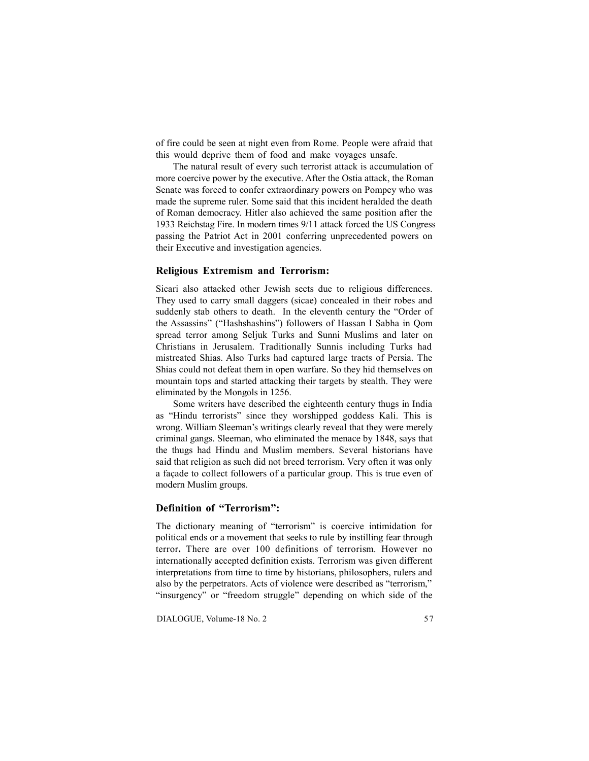of fire could be seen at night even from Rome. People were afraid that this would deprive them of food and make voyages unsafe.

The natural result of every such terrorist attack is accumulation of more coercive power by the executive. After the Ostia attack, the Roman Senate was forced to confer extraordinary powers on Pompey who was made the supreme ruler. Some said that this incident heralded the death of Roman democracy. Hitler also achieved the same position after the 1933 Reichstag Fire. In modern times 9/11 attack forced the US Congress passing the Patriot Act in 2001 conferring unprecedented powers on their Executive and investigation agencies.

### **Religious Extremism and Terrorism:**

Sicari also attacked other Jewish sects due to religious differences. They used to carry small daggers (sicae) concealed in their robes and suddenly stab others to death. In the eleventh century the "Order of the Assassins" ("Hashshashins") followers of Hassan I Sabha in Qom spread terror among Seljuk Turks and Sunni Muslims and later on Christians in Jerusalem. Traditionally Sunnis including Turks had mistreated Shias. Also Turks had captured large tracts of Persia. The Shias could not defeat them in open warfare. So they hid themselves on mountain tops and started attacking their targets by stealth. They were eliminated by the Mongols in 1256.

Some writers have described the eighteenth century thugs in India as "Hindu terrorists" since they worshipped goddess Kali. This is wrong. William Sleeman's writings clearly reveal that they were merely criminal gangs. Sleeman, who eliminated the menace by 1848, says that the thugs had Hindu and Muslim members. Several historians have said that religion as such did not breed terrorism. Very often it was only a façade to collect followers of a particular group. This is true even of modern Muslim groups.

## **Definition of "Terrorism":**

The dictionary meaning of "terrorism" is coercive intimidation for political ends or a movement that seeks to rule by instilling fear through terror**.** There are over 100 definitions of terrorism. However no internationally accepted definition exists. Terrorism was given different interpretations from time to time by historians, philosophers, rulers and also by the perpetrators. Acts of violence were described as "terrorism," "insurgency" or "freedom struggle" depending on which side of the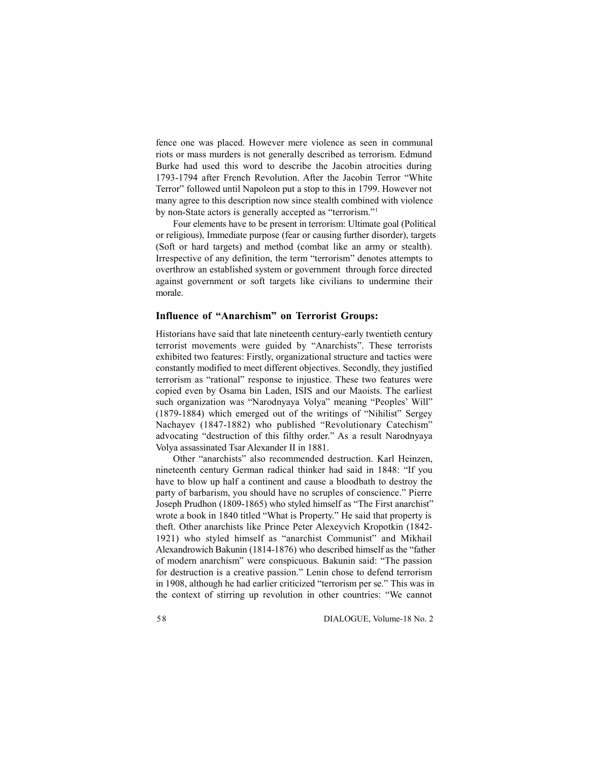fence one was placed. However mere violence as seen in communal riots or mass murders is not generally described as terrorism. Edmund Burke had used this word to describe the Jacobin atrocities during 1793-1794 after French Revolution. After the Jacobin Terror "White Terror" followed until Napoleon put a stop to this in 1799. However not many agree to this description now since stealth combined with violence by non-State actors is generally accepted as "terrorism."<sup>1</sup>

Four elements have to be present in terrorism: Ultimate goal (Political or religious), Immediate purpose (fear or causing further disorder), targets (Soft or hard targets) and method (combat like an army or stealth). Irrespective of any definition, the term "terrorism" denotes attempts to overthrow an established system or government through force directed against government or soft targets like civilians to undermine their morale.

## **Influence of "Anarchism" on Terrorist Groups:**

Historians have said that late nineteenth century-early twentieth century terrorist movements were guided by "Anarchists". These terrorists exhibited two features: Firstly, organizational structure and tactics were constantly modified to meet different objectives. Secondly, they justified terrorism as "rational" response to injustice. These two features were copied even by Osama bin Laden, ISIS and our Maoists. The earliest such organization was "Narodnyaya Volya" meaning "Peoples' Will" (1879-1884) which emerged out of the writings of "Nihilist" Sergey Nachayev (1847-1882) who published "Revolutionary Catechism" advocating "destruction of this filthy order." As a result Narodnyaya Volya assassinated Tsar Alexander II in 1881.

Other "anarchists" also recommended destruction. Karl Heinzen, nineteenth century German radical thinker had said in 1848: "If you have to blow up half a continent and cause a bloodbath to destroy the party of barbarism, you should have no scruples of conscience." Pierre Joseph Prudhon (1809-1865) who styled himself as "The First anarchist" wrote a book in 1840 titled "What is Property." He said that property is theft. Other anarchists like Prince Peter Alexeyvich Kropotkin (1842- 1921) who styled himself as "anarchist Communist" and Mikhail Alexandrowich Bakunin (1814-1876) who described himself as the "father of modern anarchism" were conspicuous. Bakunin said: "The passion for destruction is a creative passion." Lenin chose to defend terrorism in 1908, although he had earlier criticized "terrorism per se." This was in the context of stirring up revolution in other countries: "We cannot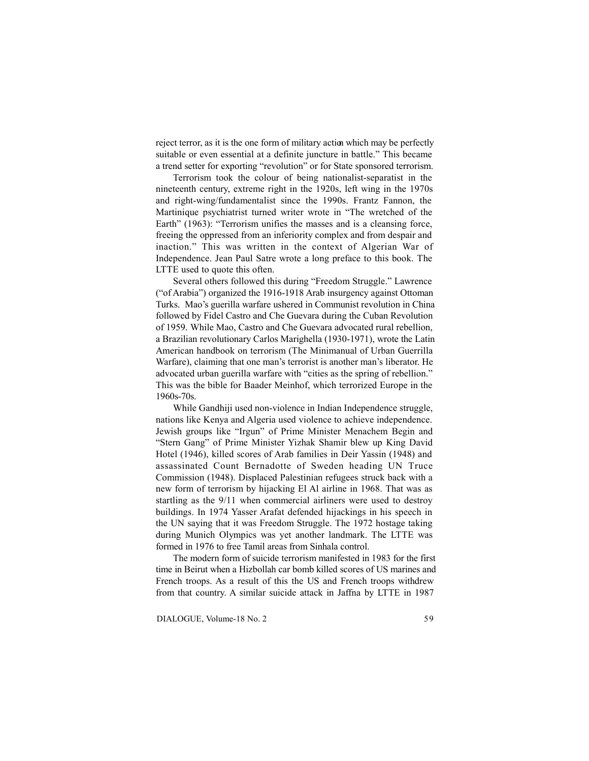reject terror, as it is the one form of military action which may be perfectly suitable or even essential at a definite juncture in battle." This became a trend setter for exporting "revolution" or for State sponsored terrorism.

Terrorism took the colour of being nationalist-separatist in the nineteenth century, extreme right in the 1920s, left wing in the 1970s and right-wing/fundamentalist since the 1990s. Frantz Fannon, the Martinique psychiatrist turned writer wrote in "The wretched of the Earth" (1963): "Terrorism unifies the masses and is a cleansing force, freeing the oppressed from an inferiority complex and from despair and inaction." This was written in the context of Algerian War of Independence. Jean Paul Satre wrote a long preface to this book. The LTTE used to quote this often.

Several others followed this during "Freedom Struggle." Lawrence ("of Arabia") organized the 1916-1918 Arab insurgency against Ottoman Turks. Mao's guerilla warfare ushered in Communist revolution in China followed by Fidel Castro and Che Guevara during the Cuban Revolution of 1959. While Mao, Castro and Che Guevara advocated rural rebellion, a Brazilian revolutionary Carlos Marighella (1930-1971), wrote the Latin American handbook on terrorism (The Minimanual of Urban Guerrilla Warfare), claiming that one man's terrorist is another man's liberator. He advocated urban guerilla warfare with "cities as the spring of rebellion." This was the bible for Baader Meinhof, which terrorized Europe in the 1960s-70s.

While Gandhiji used non-violence in Indian Independence struggle, nations like Kenya and Algeria used violence to achieve independence. Jewish groups like "Irgun" of Prime Minister Menachem Begin and "Stern Gang" of Prime Minister Yizhak Shamir blew up King David Hotel (1946), killed scores of Arab families in Deir Yassin (1948) and assassinated Count Bernadotte of Sweden heading UN Truce Commission (1948). Displaced Palestinian refugees struck back with a new form of terrorism by hijacking El Al airline in 1968. That was as startling as the 9/11 when commercial airliners were used to destroy buildings. In 1974 Yasser Arafat defended hijackings in his speech in the UN saying that it was Freedom Struggle. The 1972 hostage taking during Munich Olympics was yet another landmark. The LTTE was formed in 1976 to free Tamil areas from Sinhala control.

The modern form of suicide terrorism manifested in 1983 for the first time in Beirut when a Hizbollah car bomb killed scores of US marines and French troops. As a result of this the US and French troops withdrew from that country. A similar suicide attack in Jaffna by LTTE in 1987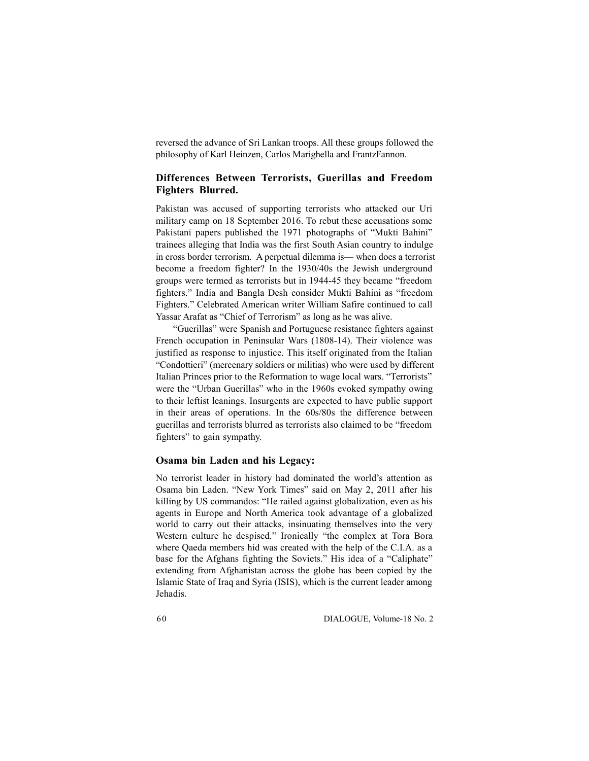reversed the advance of Sri Lankan troops. All these groups followed the philosophy of Karl Heinzen, Carlos Marighella and Frantz Fannon.

## **Differences Between Terrorists, Guerillas and Freedom Fighters Blurred.**

Pakistan was accused of supporting terrorists who attacked our Uri military camp on 18 September 2016. To rebut these accusations some Pakistani papers published the 1971 photographs of "Mukti Bahini" trainees alleging that India was the first South Asian country to indulge in cross border terrorism. A perpetual dilemma is— when does a terrorist become a freedom fighter? In the 1930/40s the Jewish underground groups were termed as terrorists but in 1944-45 they became "freedom fighters." India and Bangla Desh consider Mukti Bahini as "freedom Fighters." Celebrated American writer William Safire continued to call Yassar Arafat as "Chief of Terrorism" as long as he was alive.

"Guerillas" were Spanish and Portuguese resistance fighters against French occupation in Peninsular Wars (1808-14). Their violence was justified as response to injustice. This itself originated from the Italian "Condottieri" (mercenary soldiers or militias) who were used by different Italian Princes prior to the Reformation to wage local wars. "Terrorists" were the "Urban Guerillas" who in the 1960s evoked sympathy owing to their leftist leanings. Insurgents are expected to have public support in their areas of operations. In the 60s/80s the difference between guerillas and terrorists blurred as terrorists also claimed to be "freedom fighters" to gain sympathy.

### **Osama bin Laden and his Legacy:**

No terrorist leader in history had dominated the world's attention as Osama bin Laden. "New York Times" said on May 2, 2011 after his killing by US commandos: "He railed against globalization, even as his agents in Europe and North America took advantage of a globalized world to carry out their attacks, insinuating themselves into the very Western culture he despised." Ironically "the complex at Tora Bora where Qaeda members hid was created with the help of the C.I.A. as a base for the Afghans fighting the Soviets." His idea of a "Caliphate" extending from Afghanistan across the globe has been copied by the Islamic State of Iraq and Syria (ISIS), which is the current leader among Jehadis.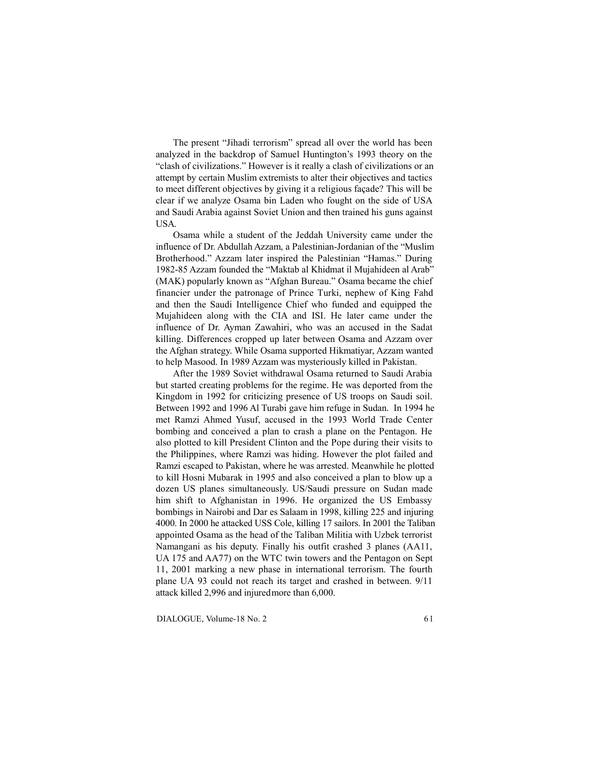The present "Jihadi terrorism" spread all over the world has been analyzed in the backdrop of Samuel Huntington's 1993 theory on the "clash of civilizations." However is it really a clash of civilizations or an attempt by certain Muslim extremists to alter their objectives and tactics to meet different objectives by giving it a religious façade? This will be clear if we analyze Osama bin Laden who fought on the side of USA and Saudi Arabia against Soviet Union and then trained his guns against USA.

Osama while a student of the Jeddah University came under the influence of Dr. Abdullah Azzam, a Palestinian-Jordanian of the "Muslim Brotherhood." Azzam later inspired the Palestinian "Hamas." During 1982-85 Azzam founded the "Maktab al Khidmat il Mujahideen al Arab" (MAK) popularly known as "Afghan Bureau." Osama became the chief financier under the patronage of Prince Turki, nephew of King Fahd and then the Saudi Intelligence Chief who funded and equipped the Mujahideen along with the CIA and ISI. He later came under the influence of Dr. Ayman Zawahiri, who was an accused in the Sadat killing. Differences cropped up later between Osama and Azzam over the Afghan strategy. While Osama supported Hikmatiyar, Azzam wanted to help Masood. In 1989 Azzam was mysteriously killed in Pakistan.

After the 1989 Soviet withdrawal Osama returned to Saudi Arabia but started creating problems for the regime. He was deported from the Kingdom in 1992 for criticizing presence of US troops on Saudi soil. Between 1992 and 1996 Al Turabi gave him refuge in Sudan. In 1994 he met Ramzi Ahmed Yusuf, accused in the 1993 World Trade Center bombing and conceived a plan to crash a plane on the Pentagon. He also plotted to kill President Clinton and the Pope during their visits to the Philippines, where Ramzi was hiding. However the plot failed and Ramzi escaped to Pakistan, where he was arrested. Meanwhile he plotted to kill Hosni Mubarak in 1995 and also conceived a plan to blow up a dozen US planes simultaneously. US/Saudi pressure on Sudan made him shift to Afghanistan in 1996. He organized the US Embassy bombings in Nairobi and Dar es Salaam in 1998, killing 225 and injuring 4000. In 2000 he attacked USS Cole, killing 17 sailors. In 2001 the Taliban appointed Osama as the head of the Taliban Militia with Uzbek terrorist Namangani as his deputy. Finally his outfit crashed 3 planes (AA11, UA 175 and AA77) on the WTC twin towers and the Pentagon on Sept 11, 2001 marking a new phase in international terrorism. The fourth plane UA 93 could not reach its target and crashed in between. 9/11 attack killed 2,996 and injured more than 6,000.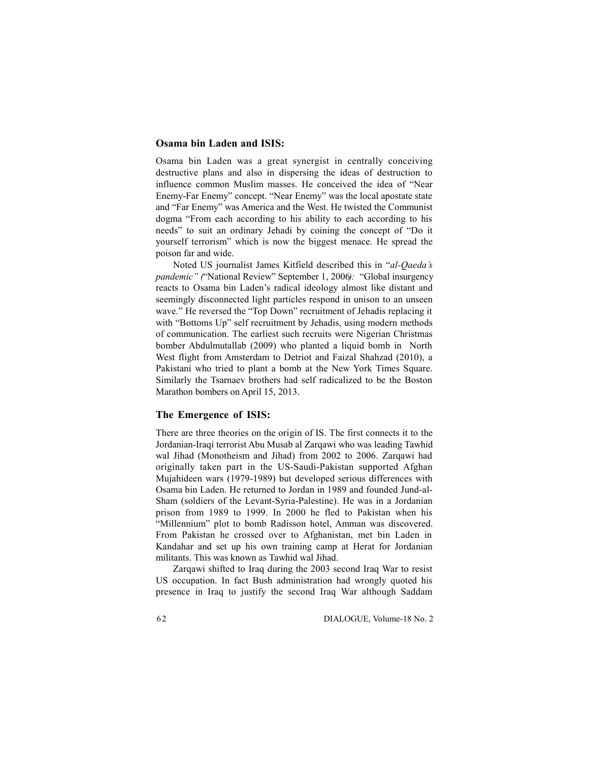### **Osama bin Laden and ISIS:**

Osama bin Laden was a great synergist in centrally conceiving destructive plans and also in dispersing the ideas of destruction to influence common Muslim masses. He conceived the idea of "Near Enemy-Far Enemy" concept. "Near Enemy" was the local apostate state and "Far Enemy" was America and the West. He twisted the Communist dogma "From each according to his ability to each according to his needs" to suit an ordinary Jehadi by coining the concept of "Do it yourself terrorism" which is now the biggest menace. He spread the poison far and wide.

Noted US journalist James Kitfield described this in "*al-Qaeda's pandemic" (*"National Review" September 1, 2006*):* "Global insurgency reacts to Osama bin Laden's radical ideology almost like distant and seemingly disconnected light particles respond in unison to an unseen wave." He reversed the "Top Down" recruitment of Jehadis replacing it with "Bottoms Up" self recruitment by Jehadis, using modern methods of communication. The earliest such recruits were Nigerian Christmas bomber Abdulmutallab (2009) who planted a liquid bomb in North West flight from Amsterdam to Detriot and Faizal Shahzad (2010), a Pakistani who tried to plant a bomb at the New York Times Square. Similarly the Tsarnaev brothers had self radicalized to be the Boston Marathon bombers on April 15, 2013.

### **The Emergence of ISIS:**

There are three theories on the origin of IS. The first connects it to the Jordanian-Iraqi terrorist Abu Musab al Zarqawi who was leading Tawhid wal Jihad (Monotheism and Jihad) from 2002 to 2006. Zarqawi had originally taken part in the US-Saudi-Pakistan supported Afghan Mujahideen wars (1979-1989) but developed serious differences with Osama bin Laden. He returned to Jordan in 1989 and founded Jund-al-Sham (soldiers of the Levant-Syria-Palestine). He was in a Jordanian prison from 1989 to 1999. In 2000 he fled to Pakistan when his "Millennium" plot to bomb Radisson hotel, Amman was discovered. From Pakistan he crossed over to Afghanistan, met bin Laden in Kandahar and set up his own training camp at Herat for Jordanian militants. This was known as Tawhid wal Jihad.

Zarqawi shifted to Iraq during the 2003 second Iraq War to resist US occupation. In fact Bush administration had wrongly quoted his presence in Iraq to justify the second Iraq War although Saddam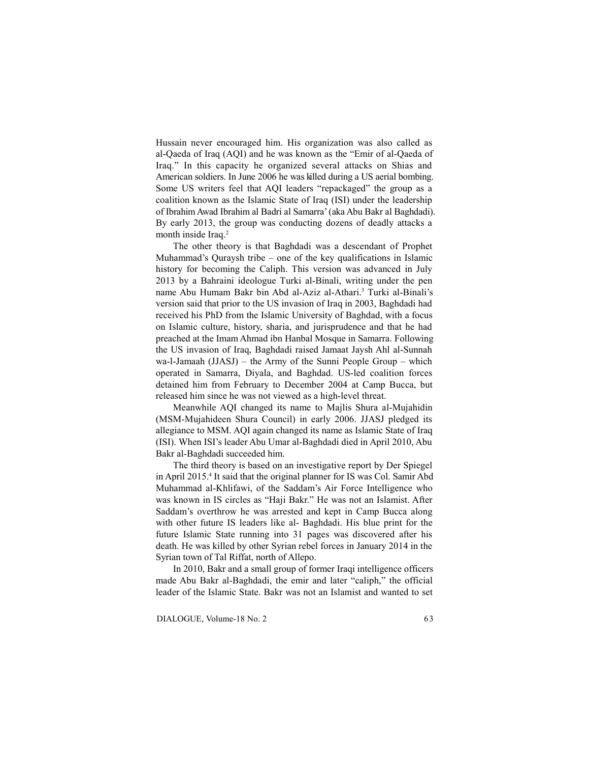Hussain never encouraged him. His organization was also called as al-Qaeda of Iraq (AQI) and he was known as the "Emir of al-Qaeda of Iraq." In this capacity he organized several attacks on Shias and American soldiers. In June 2006 he was killed during a US aerial bombing. Some US writers feel that AQI leaders "repackaged" the group as a coalition known as the Islamic State of Iraq (ISI) under the leadership of Ibrahim Awad Ibrahim al Badri al Samarra' (aka Abu Bakr al Baghdadi). By early 2013, the group was conducting dozens of deadly attacks a month inside Iraq.<sup>2</sup>

The other theory is that Baghdadi was a descendant of Prophet Muhammad's Quraysh tribe – one of the key qualifications in Islamic history for becoming the Caliph. This version was advanced in July 2013 by a Bahraini ideologue Turki al-Binali, writing under the pen name Abu Humam Bakr bin Abd al-Aziz al-Athari.<sup>3</sup> Turki al-Binali's version said that prior to the US invasion of Iraq in 2003, Baghdadi had received his PhD from the Islamic University of Baghdad, with a focus on Islamic culture, history, sharia, and jurisprudence and that he had preached at the Imam Ahmad ibn Hanbal Mosque in Samarra. Following the US invasion of Iraq, Baghdadi raised Jamaat Jaysh Ahl al-Sunnah wa-l-Jamaah (JJASJ) – the Army of the Sunni People Group – which operated in Samarra, Diyala, and Baghdad. US-led coalition forces detained him from February to December 2004 at Camp Bucca, but released him since he was not viewed as a high-level threat.

Meanwhile AQI changed its name to Majlis Shura al-Mujahidin (MSM-Mujahideen Shura Council) in early 2006. JJASJ pledged its allegiance to MSM. AQI again changed its name as Islamic State of Iraq (ISI). When ISI's leader Abu Umar al-Baghdadi died in April 2010, Abu Bakr al-Baghdadi succeeded him.

The third theory is based on an investigative report by Der Spiegel in April 2015.<sup>4</sup> It said that the original planner for IS was Col. Samir Abd Muhammad al-Khlifawi, of the Saddam's Air Force Intelligence who was known in IS circles as "Haji Bakr." He was not an Islamist. After Saddam's overthrow he was arrested and kept in Camp Bucca along with other future IS leaders like al- Baghdadi. His blue print for the future Islamic State running into 31 pages was discovered after his death. He was killed by other Syrian rebel forces in January 2014 in the Syrian town of Tal Riffat, north of Allepo.

In 2010, Bakr and a small group of former Iraqi intelligence officers made Abu Bakr al-Baghdadi, the emir and later "caliph," the official leader of the Islamic State. Bakr was not an Islamist and wanted to set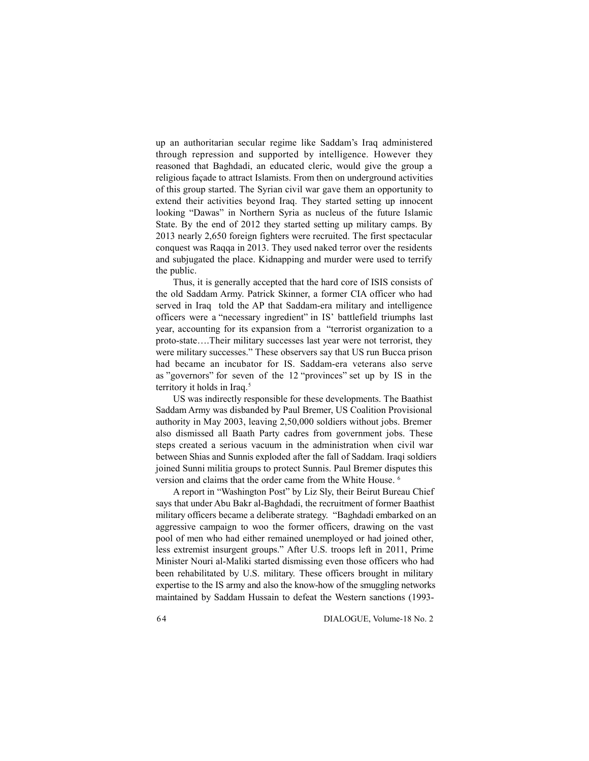up an authoritarian secular regime like Saddam's Iraq administered through repression and supported by intelligence. However they reasoned that Baghdadi, an educated cleric, would give the group a religious façade to attract Islamists. From then on underground activities of this group started. The Syrian civil war gave them an opportunity to extend their activities beyond Iraq. They started setting up innocent looking "Dawas" in Northern Syria as nucleus of the future Islamic State. By the end of 2012 they started setting up military camps. By 2013 nearly 2,650 foreign fighters were recruited. The first spectacular conquest was Raqqa in 2013. They used naked terror over the residents and subjugated the place. Kidnapping and murder were used to terrify the public.

Thus, it is generally accepted that the hard core of ISIS consists of the old Saddam Army. Patrick Skinner, a former CIA officer who had served in Iraq told the AP that Saddam-era military and intelligence officers were a "necessary ingredient" in IS' battlefield triumphs last year, accounting for its expansion from a "terrorist organization to a proto-state….Their military successes last year were not terrorist, they were military successes." These observers say that US run Bucca prison had became an incubator for IS. Saddam-era veterans also serve as "governors" for seven of the 12 "provinces" set up by IS in the territory it holds in Iraq.<sup>5</sup>

US was indirectly responsible for these developments. The Baathist Saddam Army was disbanded by Paul Bremer, US Coalition Provisional authority in May 2003, leaving 2,50,000 soldiers without jobs. Bremer also dismissed all Baath Party cadres from government jobs. These steps created a serious vacuum in the administration when civil war between Shias and Sunnis exploded after the fall of Saddam. Iraqi soldiers joined Sunni militia groups to protect Sunnis. Paul Bremer disputes this version and claims that the order came from the White House. <sup>6</sup>

A report in "Washington Post" by Liz Sly, their Beirut Bureau Chief says that under Abu Bakr al-Baghdadi, the recruitment of former Baathist military officers became a deliberate strategy. "Baghdadi embarked on an aggressive campaign to woo the former officers, drawing on the vast pool of men who had either remained unemployed or had joined other, less extremist insurgent groups." After U.S. troops left in 2011, Prime Minister Nouri al-Maliki started dismissing even those officers who had been rehabilitated by U.S. military. These officers brought in military expertise to the IS army and also the know-how of the smuggling networks maintained by Saddam Hussain to defeat the Western sanctions (1993-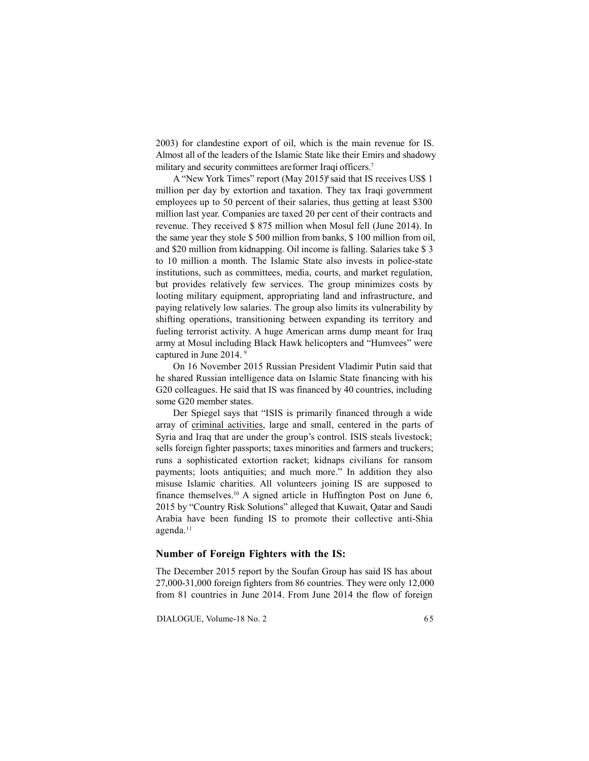2003) for clandestine export of oil, which is the main revenue for IS. Almost all of the leaders of the Islamic State like their Emirs and shadowy military and security committees are former Iraqi officers.<sup>7</sup>

A "New York Times" report (May 2015)<sup>8</sup> said that IS receives US\$ 1 million per day by extortion and taxation. They tax Iraqi government employees up to 50 percent of their salaries, thus getting at least \$300 million last year. Companies are taxed 20 per cent of their contracts and revenue. They received \$ 875 million when Mosul fell (June 2014). In the same year they stole \$ 500 million from banks, \$ 100 million from oil, and \$20 million from kidnapping. Oil income is falling. Salaries take \$ 3 to 10 million a month. The Islamic State also invests in police-state institutions, such as committees, media, courts, and market regulation, but provides relatively few services. The group minimizes costs by looting military equipment, appropriating land and infrastructure, and paying relatively low salaries. The group also limits its vulnerability by shifting operations, transitioning between expanding its territory and fueling terrorist activity. A huge American arms dump meant for Iraq army at Mosul including Black Hawk helicopters and "Humvees" were captured in June 2014. <sup>9</sup>

On 16 November 2015 Russian President Vladimir Putin said that he shared Russian intelligence data on Islamic State financing with his G20 colleagues. He said that IS was financed by 40 countries, including some G20 member states.

Der Spiegel says that "ISIS is primarily financed through a wide array of criminal activities, large and small, centered in the parts of Syria and Iraq that are under the group's control. ISIS steals livestock; sells foreign fighter passports; taxes minorities and farmers and truckers; runs a sophisticated extortion racket; kidnaps civilians for ransom payments; loots antiquities; and much more." In addition they also misuse Islamic charities. All volunteers joining IS are supposed to finance themselves.<sup>10</sup> A signed article in Huffington Post on June  $6$ , 2015 by "Country Risk Solutions" alleged that Kuwait, Qatar and Saudi Arabia have been funding IS to promote their collective anti-Shia agenda.<sup>11</sup>

### **Number of Foreign Fighters with the IS:**

The December 2015 report by the Soufan Group has said IS has about 27,000-31,000 foreign fighters from 86 countries. They were only 12,000 from 81 countries in June 2014. From June 2014 the flow of foreign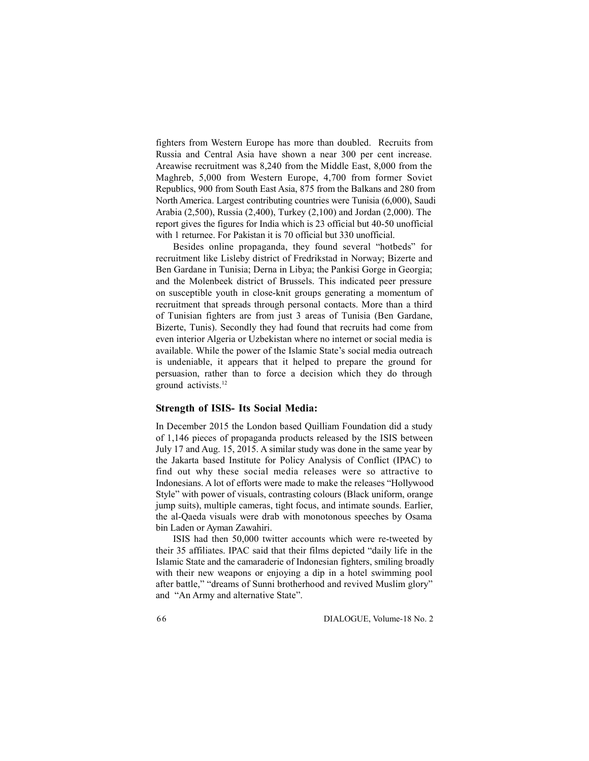fighters from Western Europe has more than doubled. Recruits from Russia and Central Asia have shown a near 300 per cent increase. Areawise recruitment was 8,240 from the Middle East, 8,000 from the Maghreb, 5,000 from Western Europe, 4,700 from former Soviet Republics, 900 from South East Asia, 875 from the Balkans and 280 from North America. Largest contributing countries were Tunisia (6,000), Saudi Arabia (2,500), Russia (2,400), Turkey (2,100) and Jordan (2,000). The report gives the figures for India which is 23 official but 40-50 unofficial with 1 returnee. For Pakistan it is 70 official but 330 unofficial.

Besides online propaganda, they found several "hotbeds" for recruitment like Lisleby district of Fredrikstad in Norway; Bizerte and Ben Gardane in Tunisia; Derna in Libya; the Pankisi Gorge in Georgia; and the Molenbeek district of Brussels. This indicated peer pressure on susceptible youth in close-knit groups generating a momentum of recruitment that spreads through personal contacts. More than a third of Tunisian fighters are from just 3 areas of Tunisia (Ben Gardane, Bizerte, Tunis). Secondly they had found that recruits had come from even interior Algeria or Uzbekistan where no internet or social media is available. While the power of the Islamic State's social media outreach is undeniable, it appears that it helped to prepare the ground for persuasion, rather than to force a decision which they do through ground activists.<sup>12</sup>

#### **Strength of ISIS- Its Social Media:**

In December 2015 the London based Quilliam Foundation did a study of 1,146 pieces of propaganda products released by the ISIS between July 17 and Aug. 15, 2015. A similar study was done in the same year by the Jakarta based Institute for Policy Analysis of Conflict (IPAC) to find out why these social media releases were so attractive to Indonesians. A lot of efforts were made to make the releases "Hollywood Style" with power of visuals, contrasting colours (Black uniform, orange jump suits), multiple cameras, tight focus, and intimate sounds. Earlier, the al-Qaeda visuals were drab with monotonous speeches by Osama bin Laden or Ayman Zawahiri.

ISIS had then 50,000 twitter accounts which were re-tweeted by their 35 affiliates. IPAC said that their films depicted "daily life in the Islamic State and the camaraderie of Indonesian fighters, smiling broadly with their new weapons or enjoying a dip in a hotel swimming pool after battle," "dreams of Sunni brotherhood and revived Muslim glory" and "An Army and alternative State".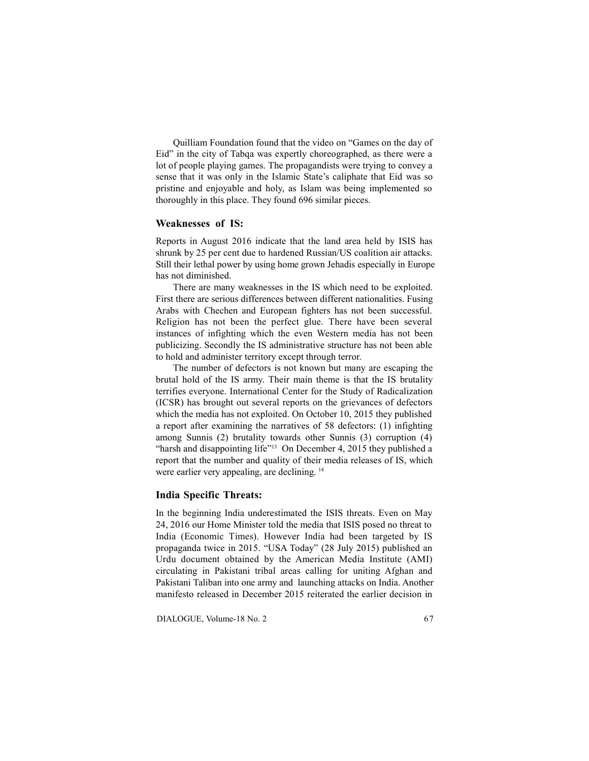Quilliam Foundation found that the video on "Games on the day of Eid" in the city of Tabqa was expertly choreographed, as there were a lot of people playing games. The propagandists were trying to convey a sense that it was only in the Islamic State's caliphate that Eid was so pristine and enjoyable and holy, as Islam was being implemented so thoroughly in this place. They found 696 similar pieces.

### **Weaknesses of IS:**

Reports in August 2016 indicate that the land area held by ISIS has shrunk by 25 per cent due to hardened Russian/US coalition air attacks. Still their lethal power by using home grown Jehadis especially in Europe has not diminished.

There are many weaknesses in the IS which need to be exploited. First there are serious differences between different nationalities. Fusing Arabs with Chechen and European fighters has not been successful. Religion has not been the perfect glue. There have been several instances of infighting which the even Western media has not been publicizing. Secondly the IS administrative structure has not been able to hold and administer territory except through terror.

The number of defectors is not known but many are escaping the brutal hold of the IS army. Their main theme is that the IS brutality terrifies everyone. International Center for the Study of Radicalization (ICSR) has brought out several reports on the grievances of defectors which the media has not exploited. On October 10, 2015 they published a report after examining the narratives of 58 defectors: (1) infighting among Sunnis (2) brutality towards other Sunnis (3) corruption (4) "harsh and disappointing life"<sup>13</sup> On December 4, 2015 they published a report that the number and quality of their media releases of IS, which were earlier very appealing, are declining. <sup>14</sup>

### **India Specific Threats:**

In the beginning India underestimated the ISIS threats. Even on May 24, 2016 our Home Minister told the media that ISIS posed no threat to India (Economic Times). However India had been targeted by IS propaganda twice in 2015. "USA Today" (28 July 2015) published an Urdu document obtained by the American Media Institute (AMI) circulating in Pakistani tribal areas calling for uniting Afghan and Pakistani Taliban into one army and launching attacks on India. Another manifesto released in December 2015 reiterated the earlier decision in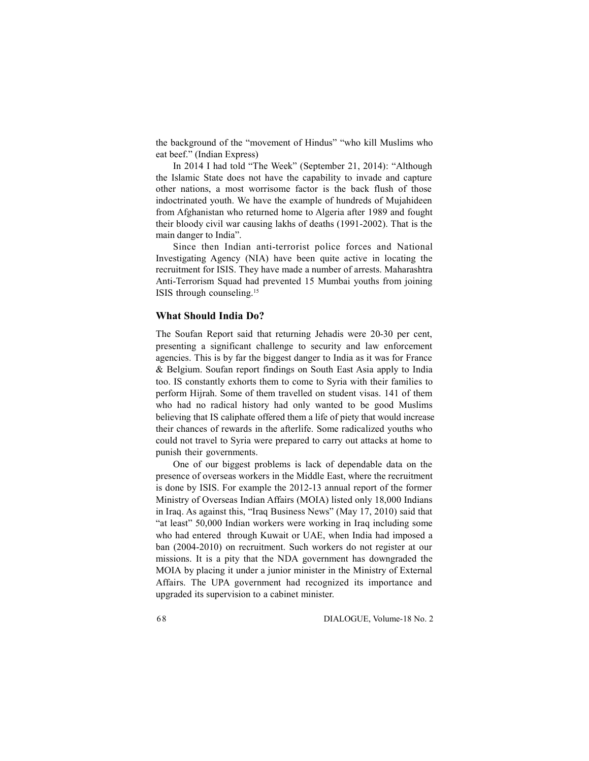the background of the "movement of Hindus" "who kill Muslims who eat beef." (Indian Express)

In 2014 I had told "The Week" (September 21, 2014): "Although the Islamic State does not have the capability to invade and capture other nations, a most worrisome factor is the back flush of those indoctrinated youth. We have the example of hundreds of Mujahideen from Afghanistan who returned home to Algeria after 1989 and fought their bloody civil war causing lakhs of deaths (1991-2002). That is the main danger to India".

Since then Indian anti-terrorist police forces and National Investigating Agency (NIA) have been quite active in locating the recruitment for ISIS. They have made a number of arrests. Maharashtra Anti-Terrorism Squad had prevented 15 Mumbai youths from joining ISIS through counseling.<sup>15</sup>

## **What Should India Do?**

The Soufan Report said that returning Jehadis were 20-30 per cent, presenting a significant challenge to security and law enforcement agencies. This is by far the biggest danger to India as it was for France & Belgium. Soufan report findings on South East Asia apply to India too. IS constantly exhorts them to come to Syria with their families to perform Hijrah. Some of them travelled on student visas. 141 of them who had no radical history had only wanted to be good Muslims believing that IS caliphate offered them a life of piety that would increase their chances of rewards in the afterlife. Some radicalized youths who could not travel to Syria were prepared to carry out attacks at home to punish their governments.

One of our biggest problems is lack of dependable data on the presence of overseas workers in the Middle East, where the recruitment is done by ISIS. For example the 2012-13 annual report of the former Ministry of Overseas Indian Affairs (MOIA) listed only 18,000 Indians in Iraq. As against this, "Iraq Business News" (May 17, 2010) said that "at least" 50,000 Indian workers were working in Iraq including some who had entered through Kuwait or UAE, when India had imposed a ban (2004-2010) on recruitment. Such workers do not register at our missions. It is a pity that the NDA government has downgraded the MOIA by placing it under a junior minister in the Ministry of External Affairs. The UPA government had recognized its importance and upgraded its supervision to a cabinet minister.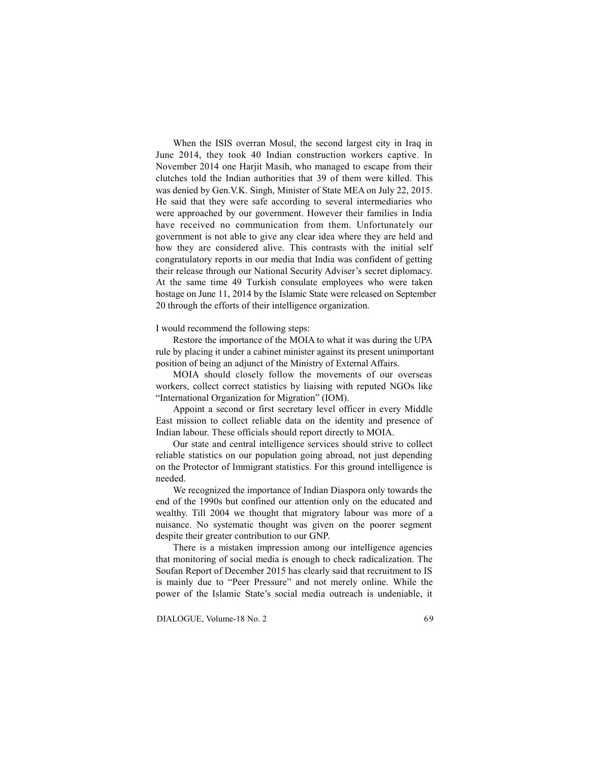When the ISIS overran Mosul, the second largest city in Iraq in June 2014, they took 40 Indian construction workers captive. In November 2014 one Harjit Masih, who managed to escape from their clutches told the Indian authorities that 39 of them were killed. This was denied by Gen.V.K. Singh, Minister of State MEA on July 22, 2015. He said that they were safe according to several intermediaries who were approached by our government. However their families in India have received no communication from them. Unfortunately our government is not able to give any clear idea where they are held and how they are considered alive. This contrasts with the initial self congratulatory reports in our media that India was confident of getting their release through our National Security Adviser's secret diplomacy. At the same time 49 Turkish consulate employees who were taken hostage on June 11, 2014 by the Islamic State were released on September 20 through the efforts of their intelligence organization.

I would recommend the following steps:

Restore the importance of the MOIA to what it was during the UPA rule by placing it under a cabinet minister against its present unimportant position of being an adjunct of the Ministry of External Affairs.

MOIA should closely follow the movements of our overseas workers, collect correct statistics by liaising with reputed NGOs like "International Organization for Migration" (IOM).

Appoint a second or first secretary level officer in every Middle East mission to collect reliable data on the identity and presence of Indian labour. These officials should report directly to MOIA.

Our state and central intelligence services should strive to collect reliable statistics on our population going abroad, not just depending on the Protector of Immigrant statistics. For this ground intelligence is needed.

We recognized the importance of Indian Diaspora only towards the end of the 1990s but confined our attention only on the educated and wealthy. Till 2004 we thought that migratory labour was more of a nuisance. No systematic thought was given on the poorer segment despite their greater contribution to our GNP.

There is a mistaken impression among our intelligence agencies that monitoring of social media is enough to check radicalization. The Soufan Report of December 2015 has clearly said that recruitment to IS is mainly due to "Peer Pressure" and not merely online. While the power of the Islamic State's social media outreach is undeniable, it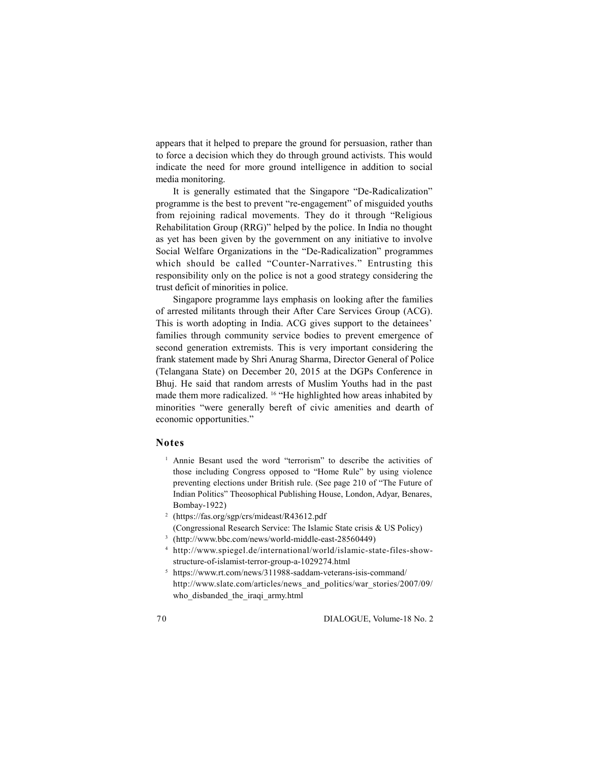appears that it helped to prepare the ground for persuasion, rather than to force a decision which they do through ground activists. This would indicate the need for more ground intelligence in addition to social media monitoring.

It is generally estimated that the Singapore "De-Radicalization" programme is the best to prevent "re-engagement" of misguided youths from rejoining radical movements. They do it through "Religious Rehabilitation Group (RRG)" helped by the police. In India no thought as yet has been given by the government on any initiative to involve Social Welfare Organizations in the "De-Radicalization" programmes which should be called "Counter-Narratives." Entrusting this responsibility only on the police is not a good strategy considering the trust deficit of minorities in police.

Singapore programme lays emphasis on looking after the families of arrested militants through their After Care Services Group (ACG). This is worth adopting in India. ACG gives support to the detainees' families through community service bodies to prevent emergence of second generation extremists. This is very important considering the frank statement made by Shri Anurag Sharma, Director General of Police (Telangana State) on December 20, 2015 at the DGPs Conference in Bhuj. He said that random arrests of Muslim Youths had in the past made them more radicalized. <sup>16</sup> "He highlighted how areas inhabited by minorities "were generally bereft of civic amenities and dearth of economic opportunities."

## **Notes**

- <sup>1</sup> Annie Besant used the word "terrorism" to describe the activities of those including Congress opposed to "Home Rule" by using violence preventing elections under British rule. (See page 210 of "The Future of Indian Politics" Theosophical Publishing House, London, Adyar, Benares, Bombay-1922)
- <sup>2</sup> (https://fas.org/sgp/crs/mideast/R43612.pdf (Congressional Research Service: The Islamic State crisis & US Policy)
- <sup>3</sup> (http://www.bbc.com/news/world-middle-east-28560449)
- <sup>4</sup> http://www.spiegel.de/international/world/islamic-state-files-showstructure-of-islamist-terror-group-a-1029274.html
- <sup>5</sup> https://www.rt.com/news/311988-saddam-veterans-isis-command/ http://www.slate.com/articles/news\_and\_politics/war\_stories/2007/09/ who disbanded the iraqi army.html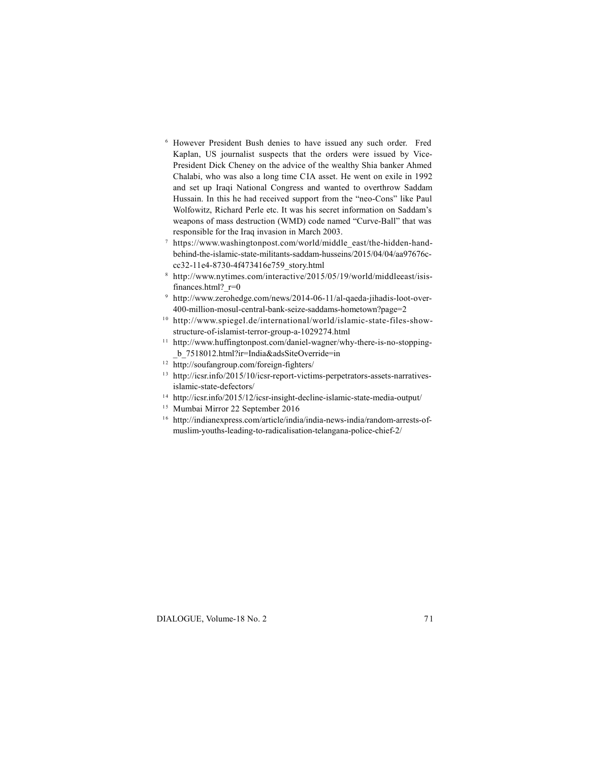- <sup>6</sup> However President Bush denies to have issued any such order. Fred Kaplan, US journalist suspects that the orders were issued by Vice-President Dick Cheney on the advice of the wealthy Shia banker Ahmed Chalabi, who was also a long time CIA asset. He went on exile in 1992 and set up Iraqi National Congress and wanted to overthrow Saddam Hussain. In this he had received support from the "neo-Cons" like Paul Wolfowitz, Richard Perle etc. It was his secret information on Saddam's weapons of mass destruction (WMD) code named "Curve-Ball" that was responsible for the Iraq invasion in March 2003.
- <sup>7</sup> https://www.washingtonpost.com/world/middle\_east/the-hidden-handbehind-the-islamic-state-militants-saddam-husseins/2015/04/04/aa97676ccc32-11e4-8730-4f473416e759\_story.html
- <sup>8</sup> http://www.nytimes.com/interactive/2015/05/19/world/middleeast/isisfinances.html? r=0
- <sup>9</sup> http://www.zerohedge.com/news/2014-06-11/al-qaeda-jihadis-loot-over-400-million-mosul-central-bank-seize-saddams-hometown?page=2
- $10$  http://www.spiegel.de/international/world/islamic-state-files-show-structure-of-islamist-terror-group-a-1029274.html structure-of-islamist-terror-group-a-1029274.html<br>
10 http://www.spiegel.de/international/world/islamic-state-files-show-<br>
structure-of-islamist-terror-group-a-1029274.html<br>
11 http://www.huffingtonpost.com/daniel-wagner/w
- \_b\_7518012.html?ir=India&adsSiteOverride=in 11 http://www.huffingtonpost.com/daniel-wagner/why-there-is-no-stopping-<br>
11 http://www.huffingtonpost.com/daniel-wagner/why-there-is-no-stopping-<br>
12 http://icsr.info/2015/10/icsr-report-victims-perpetrators-assets-narrat
- 
- 13 http://icsr.info/2015/10/icsr-report-victims-perpetrators-assets-narratives-<br>
islamic-state-defectors/<br>
<sup>14</sup> http://icsr.info/2015/12/icsr-insight-decline-islamic-state-media-output/<br>
<sup>15</sup> Mumbai Mirror 22 September 201
- 
- 
- <sup>14</sup> http://icsr.info/2015/12/icsr-insight-decline-islamic-state-media-output/<br><sup>15</sup> Mumbai Mirror 22 September 2016<br><sup>16</sup> http://indianexpress.com/article/india/india-news-india/random-arrests-ofmuslim-youths-leading-to-radicalisation-telangana-police-chief-2/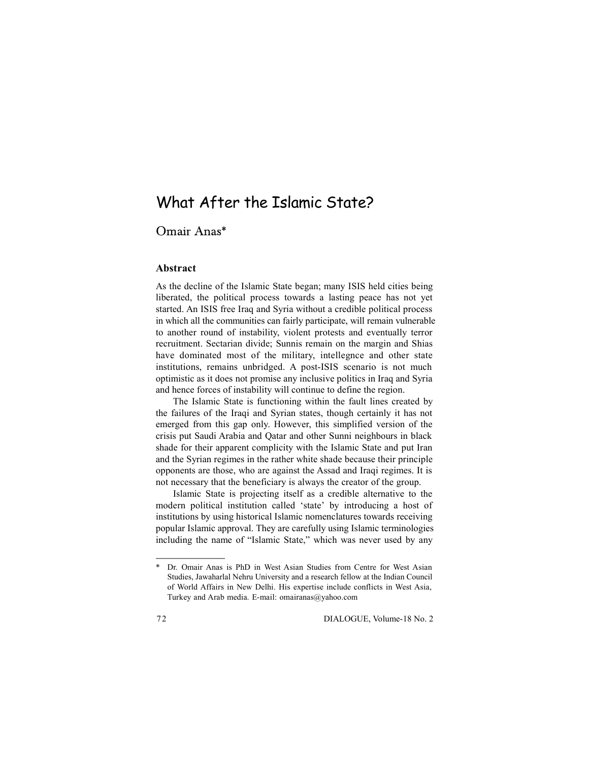# What After the Islamic State?

## Omair Anas\*

## **Abstract**

As the decline of the Islamic State began; many ISIS held cities being liberated, the political process towards a lasting peace has not yet started. An ISIS free Iraq and Syria without a credible political process in which all the communities can fairly participate, will remain vulnerable to another round of instability, violent protests and eventually terror recruitment. Sectarian divide; Sunnis remain on the margin and Shias have dominated most of the military, intellegnce and other state institutions, remains unbridged. A post-ISIS scenario is not much optimistic as it does not promise any inclusive politics in Iraq and Syria and hence forces of instability will continue to define the region.

The Islamic State is functioning within the fault lines created by the failures of the Iraqi and Syrian states, though certainly it has not emerged from this gap only. However, this simplified version of the crisis put Saudi Arabia and Qatar and other Sunni neighbours in black shade for their apparent complicity with the Islamic State and put Iran and the Syrian regimes in the rather white shade because their principle opponents are those, who are against the Assad and Iraqi regimes. It is not necessary that the beneficiary is always the creator of the group.

Islamic State is projecting itself as a credible alternative to the modern political institution called 'state' by introducing a host of institutions by using historical Islamic nomenclatures towards receiving popular Islamic approval. They are carefully using Islamic terminologies including the name of "Islamic State," which was never used by any

Dr. Omair Anas is PhD in West Asian Studies from Centre for West Asian Studies, Jawaharlal Nehru University and a research fellow at the Indian Council of World Affairs in New Delhi. His expertise include conflicts in West Asia, Turkey and Arab media. E-mail: omairanas@yahoo.com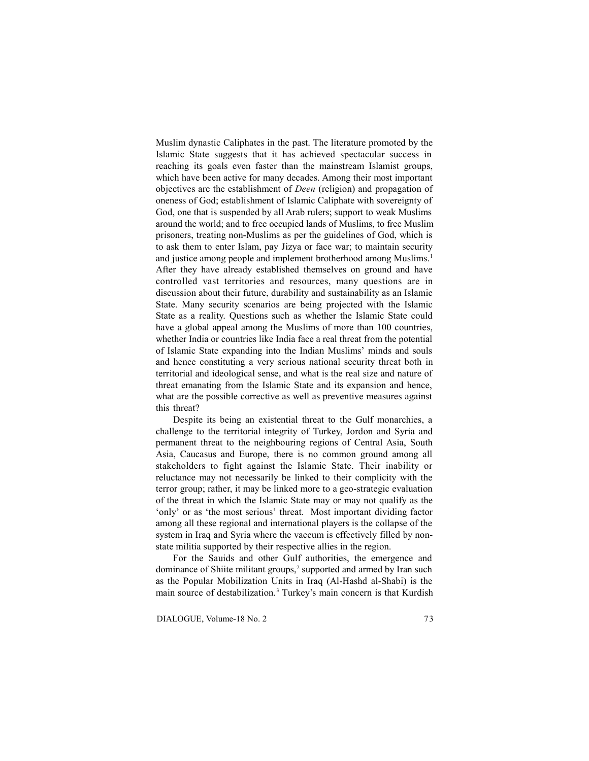Muslim dynastic Caliphates in the past. The literature promoted by the Islamic State suggests that it has achieved spectacular success in reaching its goals even faster than the mainstream Islamist groups, which have been active for many decades. Among their most important objectives are the establishment of *Deen* (religion) and propagation of oneness of God; establishment of Islamic Caliphate with sovereignty of God, one that is suspended by all Arab rulers; support to weak Muslims around the world; and to free occupied lands of Muslims, to free Muslim prisoners, treating non-Muslims as per the guidelines of God, which is to ask them to enter Islam, pay Jizya or face war; to maintain security and justice among people and implement brotherhood among Muslims.<sup>1</sup> After they have already established themselves on ground and have controlled vast territories and resources, many questions are in discussion about their future, durability and sustainability as an Islamic State. Many security scenarios are being projected with the Islamic State as a reality. Questions such as whether the Islamic State could have a global appeal among the Muslims of more than 100 countries, whether India or countries like India face a real threat from the potential of Islamic State expanding into the Indian Muslims' minds and souls and hence constituting a very serious national security threat both in territorial and ideological sense, and what is the real size and nature of threat emanating from the Islamic State and its expansion and hence, what are the possible corrective as well as preventive measures against this threat?

Despite its being an existential threat to the Gulf monarchies, a challenge to the territorial integrity of Turkey, Jordon and Syria and permanent threat to the neighbouring regions of Central Asia, South Asia, Caucasus and Europe, there is no common ground among all stakeholders to fight against the Islamic State. Their inability or reluctance may not necessarily be linked to their complicity with the terror group; rather, it may be linked more to a geo-strategic evaluation of the threat in which the Islamic State may or may not qualify as the 'only' or as 'the most serious' threat. Most important dividing factor among all these regional and international players is the collapse of the system in Iraq and Syria where the vaccum is effectively filled by nonstate militia supported by their respective allies in the region.

For the Sauids and other Gulf authorities, the emergence and dominance of Shiite militant groups,<sup>2</sup> supported and armed by Iran such as the Popular Mobilization Units in Iraq (Al-Hashd al-Shabi) is the main source of destabilization.<sup>3</sup> Turkey's main concern is that Kurdish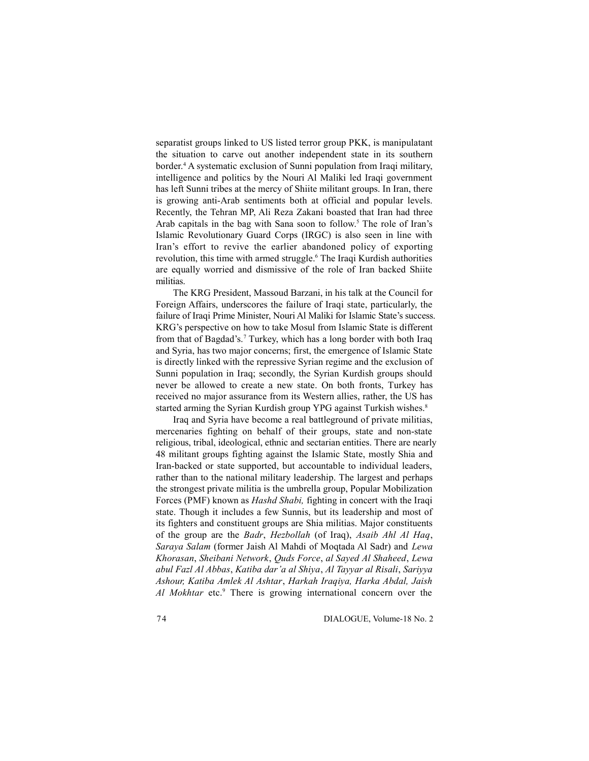separatist groups linked to US listed terror group PKK, is manipulatant the situation to carve out another independent state in its southern border.<sup>4</sup> A systematic exclusion of Sunni population from Iraqi military, intelligence and politics by the Nouri Al Maliki led Iraqi government has left Sunni tribes at the mercy of Shiite militant groups. In Iran, there is growing anti-Arab sentiments both at official and popular levels. Recently, the Tehran MP, Ali Reza Zakani boasted that Iran had three Arab capitals in the bag with Sana soon to follow.<sup>5</sup> The role of Iran's Islamic Revolutionary Guard Corps (IRGC) is also seen in line with Iran's effort to revive the earlier abandoned policy of exporting revolution, this time with armed struggle.<sup>6</sup> The Iraqi Kurdish authorities are equally worried and dismissive of the role of Iran backed Shiite militias.

The KRG President, Massoud Barzani, in his talk at the Council for Foreign Affairs, underscores the failure of Iraqi state, particularly, the failure of Iraqi Prime Minister, Nouri Al Maliki for Islamic State's success. KRG's perspective on how to take Mosul from Islamic State is different from that of Bagdad's.<sup>7</sup> Turkey, which has a long border with both Iraq and Syria, has two major concerns; first, the emergence of Islamic State is directly linked with the repressive Syrian regime and the exclusion of Sunni population in Iraq; secondly, the Syrian Kurdish groups should never be allowed to create a new state. On both fronts, Turkey has received no major assurance from its Western allies, rather, the US has started arming the Syrian Kurdish group YPG against Turkish wishes.<sup>8</sup>

Iraq and Syria have become a real battleground of private militias, mercenaries fighting on behalf of their groups, state and non-state religious, tribal, ideological, ethnic and sectarian entities. There are nearly 48 militant groups fighting against the Islamic State, mostly Shia and Iran-backed or state supported, but accountable to individual leaders, rather than to the national military leadership. The largest and perhaps the strongest private militia is the umbrella group, Popular Mobilization Forces (PMF) known as *Hashd Shabi,* fighting in concert with the Iraqi state. Though it includes a few Sunnis, but its leadership and most of its fighters and constituent groups are Shia militias. Major constituents of the group are the *Badr*, *Hezbollah* (of Iraq), *Asaib Ahl Al Haq*, *Saraya Salam* (former Jaish Al Mahdi of Moqtada Al Sadr) and *Lewa Khorasan*, *Sheibani Network*, *Quds Force*, *al Sayed Al Shaheed*, *Lewa abul Fazl Al Abbas*, *Katiba dar'a al Shiya*, *Al Tayyar al Risali*, *Sariyya Ashour, Katiba Amlek Al Ashtar*, *Harkah Iraqiya, Harka Abdal, Jaish* Al Mokhtar etc.<sup>9</sup> There is growing international concern over the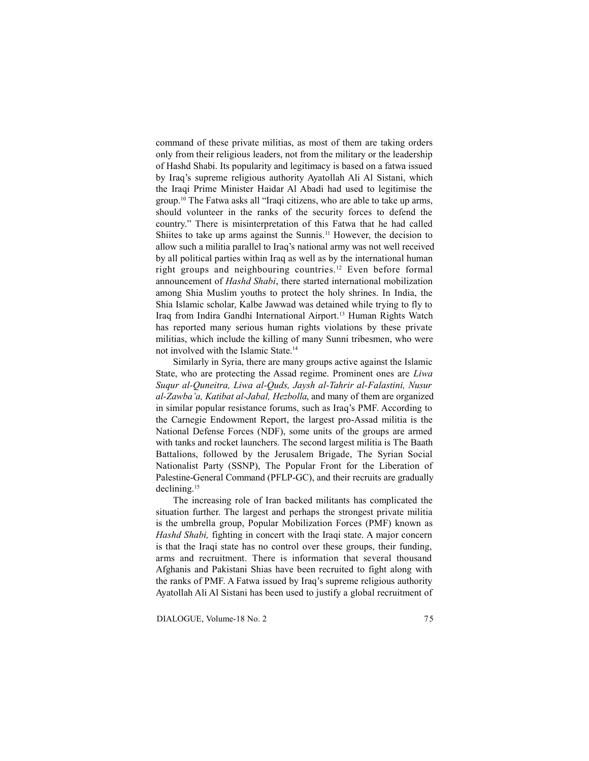command of these private militias, as most of them are taking orders only from their religious leaders, not from the military or the leadership of Hashd Shabi. Its popularity and legitimacy is based on a fatwa issued by Iraq's supreme religious authority Ayatollah Ali Al Sistani, which the Iraqi Prime Minister Haidar Al Abadi had used to legitimise the group.<sup>10</sup> The Fatwa asks all "Iraqi citizens, who are able to take up arms, should volunteer in the ranks of the security forces to defend the country." There is misinterpretation of this Fatwa that he had called Shiites to take up arms against the Sunnis.<sup>11</sup> However, the decision to allow such a militia parallel to Iraq's national army was not well received by all political parties within Iraq as well as by the international human right groups and neighbouring countries.<sup>12</sup> Even before formal announcement of *Hashd Shabi*, there started international mobilization among Shia Muslim youths to protect the holy shrines. In India, the Shia Islamic scholar, Kalbe Jawwad was detained while trying to fly to Iraq from Indira Gandhi International Airport.<sup>13</sup> Human Rights Watch has reported many serious human rights violations by these private militias, which include the killing of many Sunni tribesmen, who were not involved with the Islamic State.<sup>14</sup>

Similarly in Syria, there are many groups active against the Islamic State, who are protecting the Assad regime. Prominent ones are *Liwa Suqur al-Quneitra, Liwa al-Quds, Jaysh al-Tahrir al-Falastini, Nusur al-Zawba'a, Katibat al-Jabal, Hezbolla*, and many of them are organized in similar popular resistance forums, such as Iraq's PMF. According to the Carnegie Endowment Report, the largest pro-Assad militia is the National Defense Forces (NDF), some units of the groups are armed with tanks and rocket launchers. The second largest militia is The Baath Battalions, followed by the Jerusalem Brigade, The Syrian Social Nationalist Party (SSNP), The Popular Front for the Liberation of Palestine-General Command (PFLP-GC), and their recruits are gradually declining.<sup>15</sup>

The increasing role of Iran backed militants has complicated the situation further. The largest and perhaps the strongest private militia is the umbrella group, Popular Mobilization Forces (PMF) known as *Hashd Shabi,* fighting in concert with the Iraqi state. A major concern is that the Iraqi state has no control over these groups, their funding, arms and recruitment. There is information that several thousand Afghanis and Pakistani Shias have been recruited to fight along with the ranks of PMF. A Fatwa issued by Iraq's supreme religious authority Ayatollah Ali Al Sistani has been used to justify a global recruitment of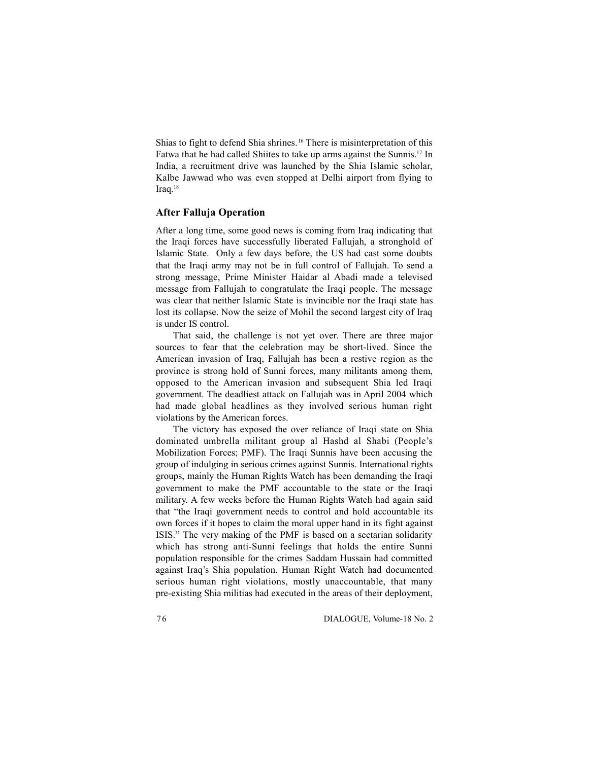Shias to fight to defend Shia shrines.<sup>16</sup> There is misinterpretation of this Fatwa that he had called Shiites to take up arms against the Sunnis.<sup>17</sup> In India, a recruitment drive was launched by the Shia Islamic scholar, Kalbe Jawwad who was even stopped at Delhi airport from flying to Iraq.<sup>18</sup>

## **After Falluja Operation**

After a long time, some good news is coming from Iraq indicating that the Iraqi forces have successfully liberated Fallujah, a stronghold of Islamic State. Only a few days before, the US had cast some doubts that the Iraqi army may not be in full control of Fallujah. To send a strong message, Prime Minister Haidar al Abadi made a televised message from Fallujah to congratulate the Iraqi people. The message was clear that neither Islamic State is invincible nor the Iraqi state has lost its collapse. Now the seize of Mohil the second largest city of Iraq is under IS control.

That said, the challenge is not yet over. There are three major sources to fear that the celebration may be short-lived. Since the American invasion of Iraq, Fallujah has been a restive region as the province is strong hold of Sunni forces, many militants among them, opposed to the American invasion and subsequent Shia led Iraqi government. The deadliest attack on Fallujah was in April 2004 which had made global headlines as they involved serious human right violations by the American forces.

The victory has exposed the over reliance of Iraqi state on Shia dominated umbrella militant group al Hashd al Shabi (People's Mobilization Forces; PMF). The Iraqi Sunnis have been accusing the group of indulging in serious crimes against Sunnis. International rights groups, mainly the Human Rights Watch has been demanding the Iraqi government to make the PMF accountable to the state or the Iraqi military. A few weeks before the Human Rights Watch had again said that "the Iraqi government needs to control and hold accountable its own forces if it hopes to claim the moral upper hand in its fight against ISIS." The very making of the PMF is based on a sectarian solidarity which has strong anti-Sunni feelings that holds the entire Sunni population responsible for the crimes Saddam Hussain had committed against Iraq's Shia population. Human Right Watch had documented serious human right violations, mostly unaccountable, that many pre-existing Shia militias had executed in the areas of their deployment,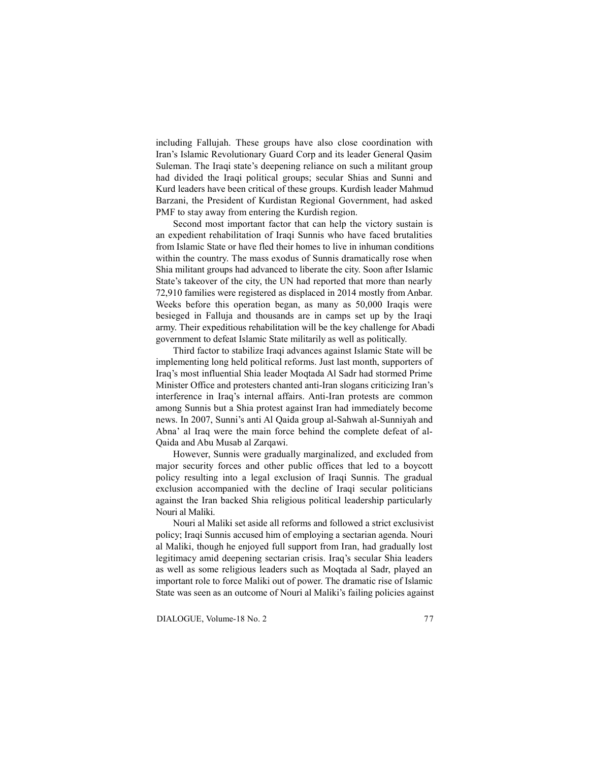including Fallujah. These groups have also close coordination with Iran's Islamic Revolutionary Guard Corp and its leader General Qasim Suleman. The Iraqi state's deepening reliance on such a militant group had divided the Iraqi political groups; secular Shias and Sunni and Kurd leaders have been critical of these groups. Kurdish leader Mahmud Barzani, the President of Kurdistan Regional Government, had asked PMF to stay away from entering the Kurdish region.

Second most important factor that can help the victory sustain is an expedient rehabilitation of Iraqi Sunnis who have faced brutalities from Islamic State or have fled their homes to live in inhuman conditions within the country. The mass exodus of Sunnis dramatically rose when Shia militant groups had advanced to liberate the city. Soon after Islamic State's takeover of the city, the UN had reported that more than nearly 72,910 families were registered as displaced in 2014 mostly from Anbar. Weeks before this operation began, as many as 50,000 Iraqis were besieged in Falluja and thousands are in camps set up by the Iraqi army. Their expeditious rehabilitation will be the key challenge for Abadi government to defeat Islamic State militarily as well as politically.

Third factor to stabilize Iraqi advances against Islamic State will be implementing long held political reforms. Just last month, supporters of Iraq's most influential Shia leader Moqtada Al Sadr had stormed Prime Minister Office and protesters chanted anti-Iran slogans criticizing Iran's interference in Iraq's internal affairs. Anti-Iran protests are common among Sunnis but a Shia protest against Iran had immediately become news. In 2007, Sunni's anti Al Qaida group al-Sahwah al-Sunniyah and Abna' al Iraq were the main force behind the complete defeat of al-Qaida and Abu Musab al Zarqawi.

However, Sunnis were gradually marginalized, and excluded from major security forces and other public offices that led to a boycott policy resulting into a legal exclusion of Iraqi Sunnis. The gradual exclusion accompanied with the decline of Iraqi secular politicians against the Iran backed Shia religious political leadership particularly Nouri al Maliki.

Nouri al Maliki set aside all reforms and followed a strict exclusivist policy; Iraqi Sunnis accused him of employing a sectarian agenda. Nouri al Maliki, though he enjoyed full support from Iran, had gradually lost legitimacy amid deepening sectarian crisis. Iraq's secular Shia leaders as well as some religious leaders such as Moqtada al Sadr, played an important role to force Maliki out of power. The dramatic rise of Islamic State was seen as an outcome of Nouri al Maliki's failing policies against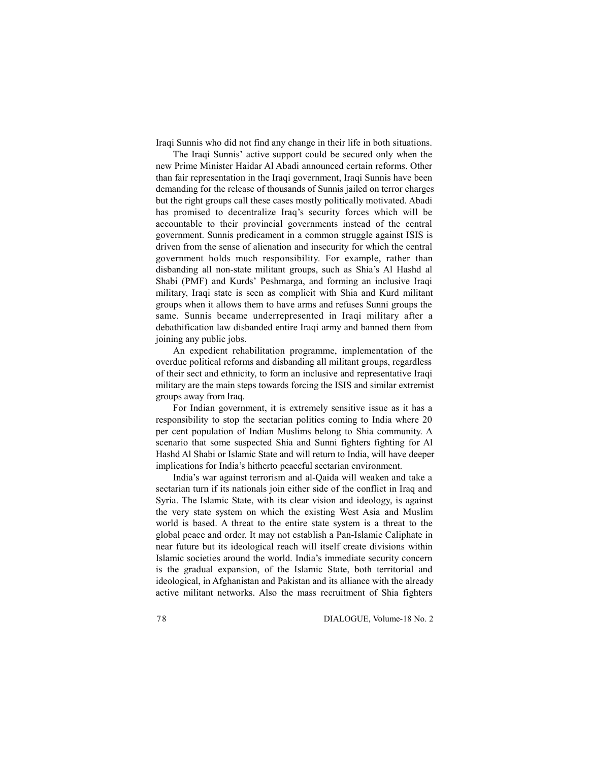Iraqi Sunnis who did not find any change in their life in both situations.

The Iraqi Sunnis' active support could be secured only when the new Prime Minister Haidar Al Abadi announced certain reforms. Other than fair representation in the Iraqi government, Iraqi Sunnis have been demanding for the release of thousands of Sunnis jailed on terror charges but the right groups call these cases mostly politically motivated. Abadi has promised to decentralize Iraq's security forces which will be accountable to their provincial governments instead of the central government. Sunnis predicament in a common struggle against ISIS is driven from the sense of alienation and insecurity for which the central government holds much responsibility. For example, rather than disbanding all non-state militant groups, such as Shia's Al Hashd al Shabi (PMF) and Kurds' Peshmarga, and forming an inclusive Iraqi military, Iraqi state is seen as complicit with Shia and Kurd militant groups when it allows them to have arms and refuses Sunni groups the same. Sunnis became underrepresented in Iraqi military after a debathification law disbanded entire Iraqi army and banned them from joining any public jobs.

An expedient rehabilitation programme, implementation of the overdue political reforms and disbanding all militant groups, regardless of their sect and ethnicity, to form an inclusive and representative Iraqi military are the main steps towards forcing the ISIS and similar extremist groups away from Iraq.

For Indian government, it is extremely sensitive issue as it has a responsibility to stop the sectarian politics coming to India where 20 per cent population of Indian Muslims belong to Shia community. A scenario that some suspected Shia and Sunni fighters fighting for Al Hashd Al Shabi or Islamic State and will return to India, will have deeper implications for India's hitherto peaceful sectarian environment.

India's war against terrorism and al-Qaida will weaken and take a sectarian turn if its nationals join either side of the conflict in Iraq and Syria. The Islamic State, with its clear vision and ideology, is against the very state system on which the existing West Asia and Muslim world is based. A threat to the entire state system is a threat to the global peace and order. It may not establish a Pan-Islamic Caliphate in near future but its ideological reach will itself create divisions within Islamic societies around the world. India's immediate security concern is the gradual expansion, of the Islamic State, both territorial and ideological, in Afghanistan and Pakistan and its alliance with the already active militant networks. Also the mass recruitment of Shia fighters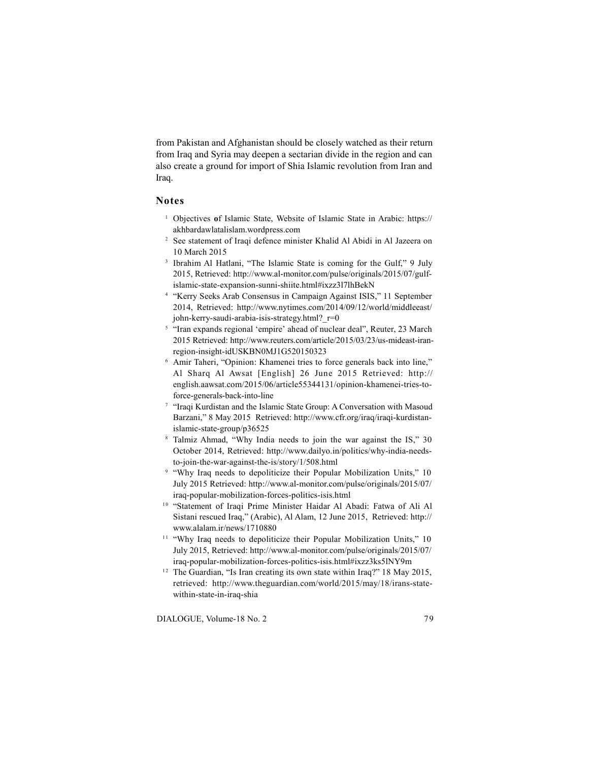from Pakistan and Afghanistan should be closely watched as their return from Iraq and Syria may deepen a sectarian divide in the region and can also create a ground for import of Shia Islamic revolution from Iran and Iraq.

## **Notes**

- <sup>1</sup> Objectives **o**f Islamic State, Website of Islamic State in Arabic: https:// akhbardawlatalislam.wordpress.com
- <sup>2</sup> See statement of Iraqi defence minister Khalid Al Abidi in Al Jazeera on 10 March 2015
- <sup>3</sup> Ibrahim Al Hatlani, "The Islamic State is coming for the Gulf," 9 July 2015, Retrieved: http://www.al-monitor.com/pulse/originals/2015/07/gulfislamic-state-expansion-sunni-shiite.html#ixzz3l7lhBekN
- <sup>4</sup> "Kerry Seeks Arab Consensus in Campaign Against ISIS," 11 September 2014, Retrieved: http://www.nytimes.com/2014/09/12/world/middleeast/ john-kerry-saudi-arabia-isis-strategy.html? r=0
- <sup>5</sup> "Iran expands regional 'empire' ahead of nuclear deal", Reuter, 23 March 2015 Retrieved: http://www.reuters.com/article/2015/03/23/us-mideast-iranregion-insight-idUSKBN0MJ1G520150323
- <sup>6</sup> Amir Taheri, "Opinion: Khamenei tries to force generals back into line," Al Sharq Al Awsat [English] 26 June 2015 Retrieved: http:// english.aawsat.com/2015/06/article55344131/opinion-khamenei-tries-toforce-generals-back-into-line
- <sup>7</sup> "Iraqi Kurdistan and the Islamic State Group: A Conversation with Masoud Barzani," 8 May 2015 Retrieved: http://www.cfr.org/iraq/iraqi-kurdistanislamic-state-group/p36525
- <sup>8</sup> Talmiz Ahmad, "Why India needs to join the war against the IS," 30 October 2014, Retrieved: http://www.dailyo.in/politics/why-india-needsto-join-the-war-against-the-is/story/1/508.html
- <sup>9</sup> "Why Iraq needs to depoliticize their Popular Mobilization Units," 10 July 2015 Retrieved: http://www.al-monitor.com/pulse/originals/2015/07/
- iraq-popular-mobilization-forces-politics-isis.html  $10$  "Statement of Iraqi Prime Minister Haidar Al Abadi: Fatwa of Ali Al Sistani rescued Iraq," (Arabic), Al Alam, 12 June 2015, Retrieved: http:// www.alalam.ir/news/1710880
- <sup>11</sup> "Why Iraq needs to depoliticize their Popular Mobilization Units," 10 July 2015, Retrieved: http://www.al-monitor.com/pulse/originals/2015/07/ iraq-popular-mobilization-forces-politics-isis.html#ixzz3ks5lNY9m
- <sup>12</sup> The Guardian, "Is Iran creating its own state within Iraq?" 18 May 2015, retrieved: http://www.theguardian.com/world/2015/may/18/irans-statewithin-state-in-iraq-shia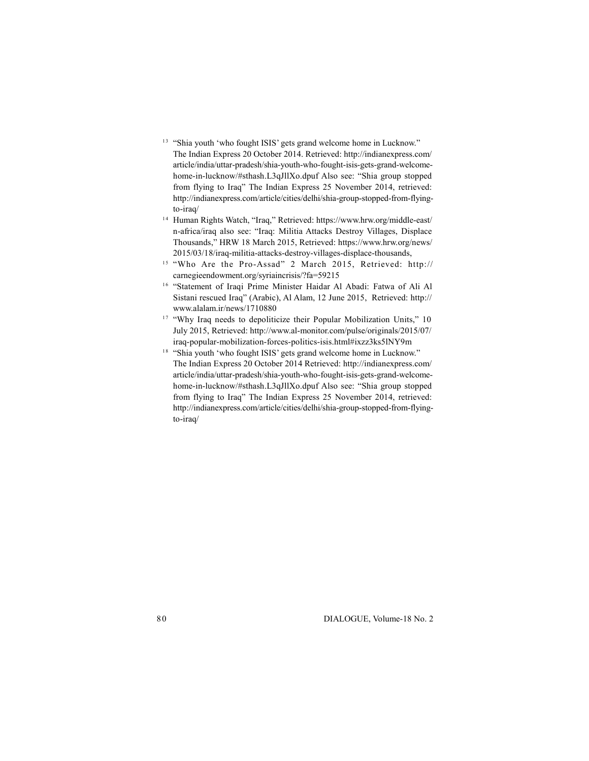- <sup>13</sup> "Shia youth 'who fought ISIS' gets grand welcome home in Lucknow." The Indian Express 20 October 2014. Retrieved: http://indianexpress.com/ article/india/uttar-pradesh/shia-youth-who-fought-isis-gets-grand-welcomehome-in-lucknow/#sthash.L3qJllXo.dpuf Also see: "Shia group stopped from flying to Iraq" The Indian Express 25 November 2014, retrieved: http://indianexpress.com/article/cities/delhi/shia-group-stopped-from-flyingto-iraq/  $14$  Human Rights Watch, "Iraq," Retrieved: https://www.hrw.org/middle-east/
- n-africa/iraq also see: "Iraq: Militia Attacks Destroy Villages, Displace Thousands," HRW 18 March 2015, Retrieved: https://www.hrw.org/news/ 2015/03/18/iraq-militia-attacks-destroy-villages-displace-thousands, 15 "Who Are the Pro-Assad" 2 March 2015, Retrieved: http://
- carnegieendowment.org/syriaincrisis/?fa=59215<br><sup>16</sup> "Statement of Iraqi Prime Minister Haidar Al Abadi: Fatwa of Ali Al <sup>15</sup> "Who Are the Pro-Assad" 2 March 2015, Retrieved: http://<br>carnegieendowment.org/syriaincrisis/?fa=59215<br><sup>16</sup> "Statement of Iraqi Prime Minister Haidar Al Abadi: Fatwa of Ali Al
- Sistani rescued Iraq" (Arabic), Al Alam, 12 June 2015, Retrieved: http:// www.alalam.ir/news/1710880
- <sup>17</sup> "Why Iraq needs to depoliticize their Popular Mobilization Units," 10 July 2015, Retrieved: http://www.al-monitor.com/pulse/originals/2015/07/ iraq-popular-mobilization-forces-politics-isis.html#ixzz3ks5lNY9m
- <sup>18</sup> "Shia youth 'who fought ISIS' gets grand welcome home in Lucknow." The Indian Express 20 October 2014 Retrieved: http://indianexpress.com/ article/india/uttar-pradesh/shia-youth-who-fought-isis-gets-grand-welcomehome-in-lucknow/#sthash.L3qJllXo.dpuf Also see: "Shia group stopped from flying to Iraq" The Indian Express 25 November 2014, retrieved: http://indianexpress.com/article/cities/delhi/shia-group-stopped-from-flyingto-iraq/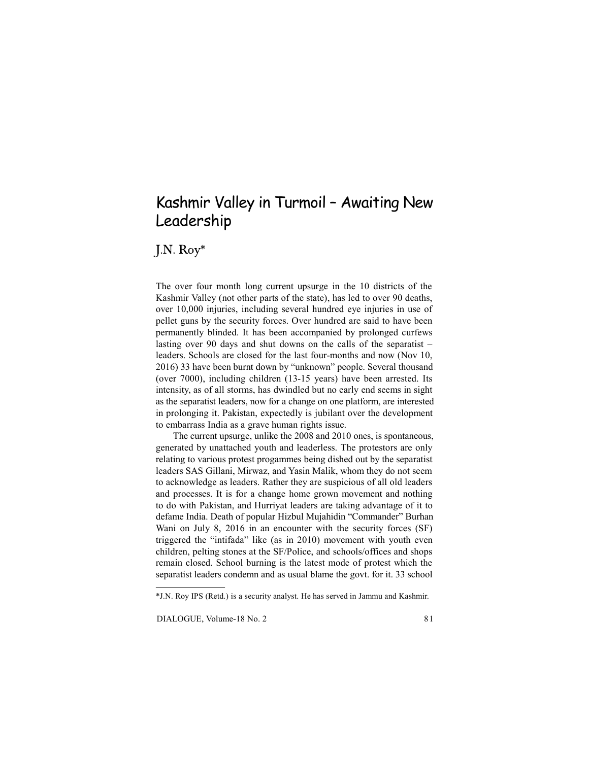# Kashmir Valley in Turmoil – Awaiting New Leadership

J.N.  $\mathrm{Roy}^*$ 

The over four month long current upsurge in the 10 districts of the Kashmir Valley (not other parts of the state), has led to over 90 deaths, over 10,000 injuries, including several hundred eye injuries in use of pellet guns by the security forces. Over hundred are said to have been permanently blinded. It has been accompanied by prolonged curfews lasting over 90 days and shut downs on the calls of the separatist – leaders. Schools are closed for the last four-months and now (Nov 10, 2016) 33 have been burnt down by "unknown" people. Several thousand (over 7000), including children (13-15 years) have been arrested. Its intensity, as of all storms, has dwindled but no early end seems in sight as the separatist leaders, now for a change on one platform, are interested in prolonging it. Pakistan, expectedly is jubilant over the development to embarrass India as a grave human rights issue.

The current upsurge, unlike the 2008 and 2010 ones, is spontaneous, generated by unattached youth and leaderless. The protestors are only relating to various protest progammes being dished out by the separatist leaders SAS Gillani, Mirwaz, and Yasin Malik, whom they do not seem to acknowledge as leaders. Rather they are suspicious of all old leaders and processes. It is for a change home grown movement and nothing to do with Pakistan, and Hurriyat leaders are taking advantage of it to defame India. Death of popular Hizbul Mujahidin "Commander" Burhan Wani on July 8, 2016 in an encounter with the security forces (SF) triggered the "intifada" like (as in 2010) movement with youth even children, pelting stones at the SF/Police, and schools/offices and shops remain closed. School burning is the latest mode of protest which the separatist leaders condemn and as usual blame the govt. for it. 33 school

<sup>\*</sup>J.N. Roy IPS (Retd.) is a security analyst. He has served in Jammu and Kashmir.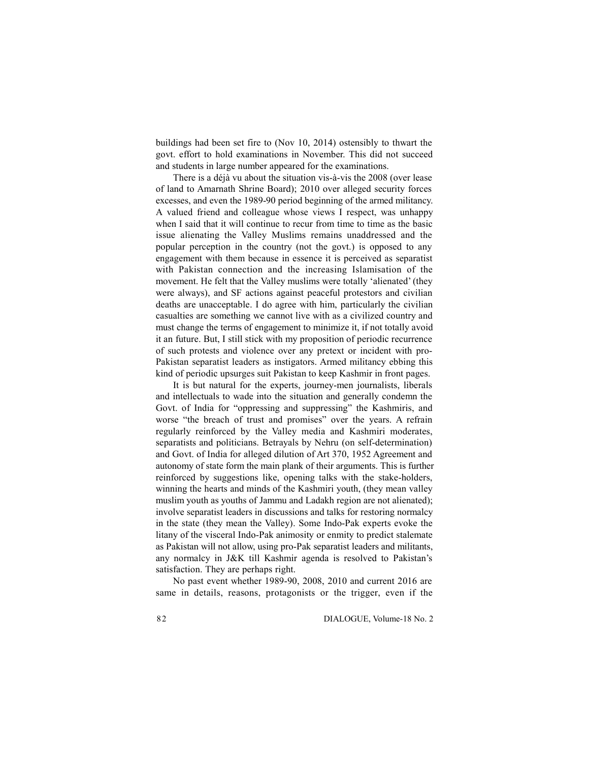buildings had been set fire to (Nov 10, 2014) ostensibly to thwart the govt. effort to hold examinations in November. This did not succeed and students in large number appeared for the examinations.

There is a déjà vu about the situation vis-à-vis the 2008 (over lease of land to Amarnath Shrine Board); 2010 over alleged security forces excesses, and even the 1989-90 period beginning of the armed militancy. A valued friend and colleague whose views I respect, was unhappy when I said that it will continue to recur from time to time as the basic issue alienating the Valley Muslims remains unaddressed and the popular perception in the country (not the govt.) is opposed to any engagement with them because in essence it is perceived as separatist with Pakistan connection and the increasing Islamisation of the movement. He felt that the Valley muslims were totally 'alienated' (they were always), and SF actions against peaceful protestors and civilian deaths are unacceptable. I do agree with him, particularly the civilian casualties are something we cannot live with as a civilized country and must change the terms of engagement to minimize it, if not totally avoid it an future. But, I still stick with my proposition of periodic recurrence of such protests and violence over any pretext or incident with pro-Pakistan separatist leaders as instigators. Armed militancy ebbing this kind of periodic upsurges suit Pakistan to keep Kashmir in front pages.

It is but natural for the experts, journey-men journalists, liberals and intellectuals to wade into the situation and generally condemn the Govt. of India for "oppressing and suppressing" the Kashmiris, and worse "the breach of trust and promises" over the years. A refrain regularly reinforced by the Valley media and Kashmiri moderates, separatists and politicians. Betrayals by Nehru (on self-determination) and Govt. of India for alleged dilution of Art 370, 1952 Agreement and autonomy of state form the main plank of their arguments. This is further reinforced by suggestions like, opening talks with the stake-holders, winning the hearts and minds of the Kashmiri youth, (they mean valley muslim youth as youths of Jammu and Ladakh region are not alienated); involve separatist leaders in discussions and talks for restoring normalcy in the state (they mean the Valley). Some Indo-Pak experts evoke the litany of the visceral Indo-Pak animosity or enmity to predict stalemate as Pakistan will not allow, using pro-Pak separatist leaders and militants, any normalcy in J&K till Kashmir agenda is resolved to Pakistan's satisfaction. They are perhaps right.

No past event whether 1989-90, 2008, 2010 and current 2016 are same in details, reasons, protagonists or the trigger, even if the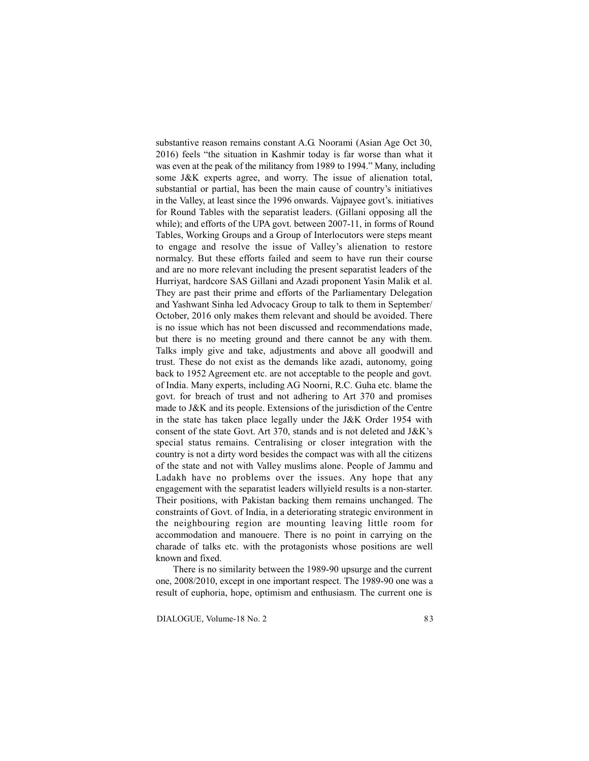substantive reason remains constant A.G. Noorami (Asian Age Oct 30, 2016) feels "the situation in Kashmir today is far worse than what it was even at the peak of the militancy from 1989 to 1994." Many, including some J&K experts agree, and worry. The issue of alienation total, substantial or partial, has been the main cause of country's initiatives in the Valley, at least since the 1996 onwards. Vajpayee govt's. initiatives for Round Tables with the separatist leaders. (Gillani opposing all the while); and efforts of the UPA govt. between 2007-11, in forms of Round Tables, Working Groups and a Group of Interlocutors were steps meant to engage and resolve the issue of Valley's alienation to restore normalcy. But these efforts failed and seem to have run their course and are no more relevant including the present separatist leaders of the Hurriyat, hardcore SAS Gillani and Azadi proponent Yasin Malik et al. They are past their prime and efforts of the Parliamentary Delegation and Yashwant Sinha led Advocacy Group to talk to them in September/ October, 2016 only makes them relevant and should be avoided. There is no issue which has not been discussed and recommendations made, but there is no meeting ground and there cannot be any with them. Talks imply give and take, adjustments and above all goodwill and trust. These do not exist as the demands like azadi, autonomy, going back to 1952 Agreement etc. are not acceptable to the people and govt. of India. Many experts, including AG Noorni, R.C. Guha etc. blame the govt. for breach of trust and not adhering to Art 370 and promises made to J&K and its people. Extensions of the jurisdiction of the Centre in the state has taken place legally under the J&K Order 1954 with consent of the state Govt. Art 370, stands and is not deleted and J&K's special status remains. Centralising or closer integration with the country is not a dirty word besides the compact was with all the citizens of the state and not with Valley muslims alone. People of Jammu and Ladakh have no problems over the issues. Any hope that any engagement with the separatist leaders willyield results is a non-starter. Their positions, with Pakistan backing them remains unchanged. The constraints of Govt. of India, in a deteriorating strategic environment in the neighbouring region are mounting leaving little room for accommodation and manouere. There is no point in carrying on the charade of talks etc. with the protagonists whose positions are well known and fixed.

There is no similarity between the 1989-90 upsurge and the current one, 2008/2010, except in one important respect. The 1989-90 one was a result of euphoria, hope, optimism and enthusiasm. The current one is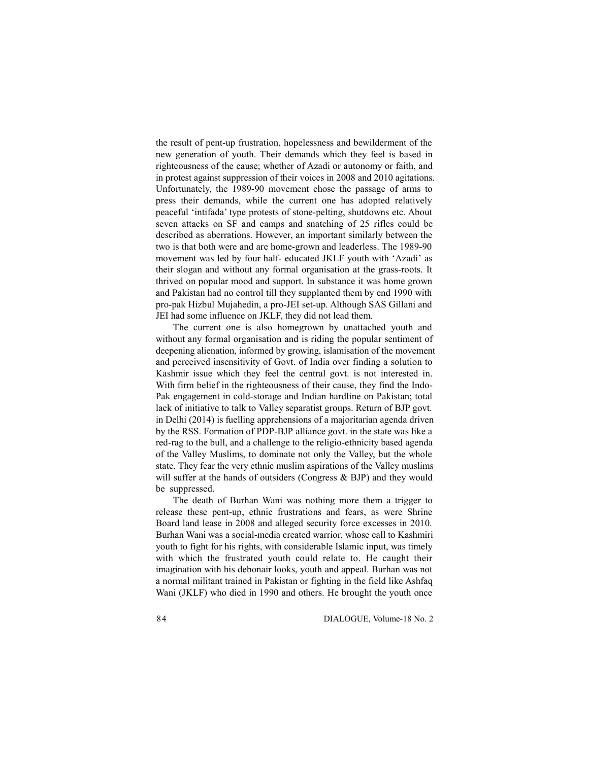the result of pent-up frustration, hopelessness and bewilderment of the new generation of youth. Their demands which they feel is based in righteousness of the cause; whether of Azadi or autonomy or faith, and in protest against suppression of their voices in 2008 and 2010 agitations. Unfortunately, the 1989-90 movement chose the passage of arms to press their demands, while the current one has adopted relatively peaceful 'intifada' type protests of stone-pelting, shutdowns etc. About seven attacks on SF and camps and snatching of 25 rifles could be described as aberrations. However, an important similarly between the two is that both were and are home-grown and leaderless. The 1989-90 movement was led by four half- educated JKLF youth with 'Azadi' as their slogan and without any formal organisation at the grass-roots. It thrived on popular mood and support. In substance it was home grown and Pakistan had no control till they supplanted them by end 1990 with pro-pak Hizbul Mujahedin, a pro-JEI set-up. Although SAS Gillani and JEI had some influence on JKLF, they did not lead them.

The current one is also homegrown by unattached youth and without any formal organisation and is riding the popular sentiment of deepening alienation, informed by growing, islamisation of the movement and perceived insensitivity of Govt. of India over finding a solution to Kashmir issue which they feel the central govt. is not interested in. With firm belief in the righteousness of their cause, they find the Indo-Pak engagement in cold-storage and Indian hardline on Pakistan; total lack of initiative to talk to Valley separatist groups. Return of BJP govt. in Delhi (2014) is fuelling apprehensions of a majoritarian agenda driven by the RSS. Formation of PDP-BJP alliance govt. in the state was like a red-rag to the bull, and a challenge to the religio-ethnicity based agenda of the Valley Muslims, to dominate not only the Valley, but the whole state. They fear the very ethnic muslim aspirations of the Valley muslims will suffer at the hands of outsiders (Congress & BJP) and they would be suppressed.

The death of Burhan Wani was nothing more them a trigger to release these pent-up, ethnic frustrations and fears, as were Shrine Board land lease in 2008 and alleged security force excesses in 2010. Burhan Wani was a social-media created warrior, whose call to Kashmiri youth to fight for his rights, with considerable Islamic input, was timely with which the frustrated youth could relate to. He caught their imagination with his debonair looks, youth and appeal. Burhan was not a normal militant trained in Pakistan or fighting in the field like Ashfaq Wani (JKLF) who died in 1990 and others. He brought the youth once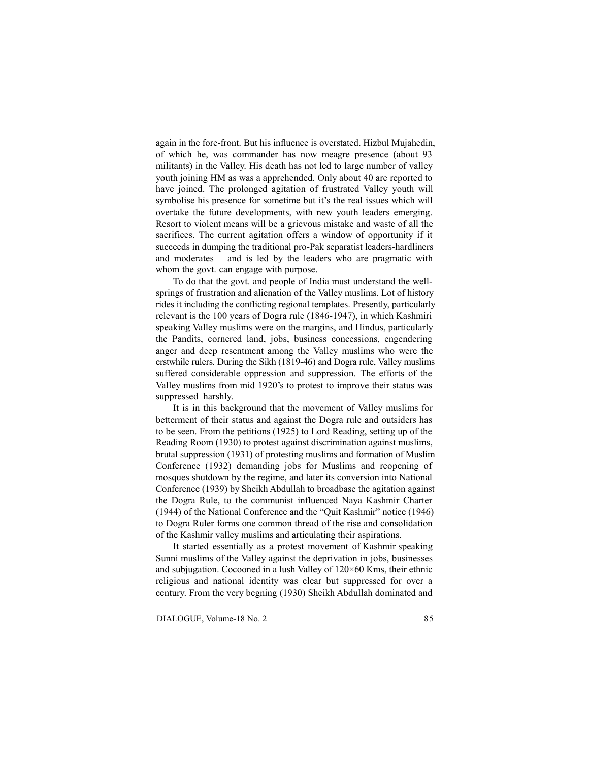again in the fore-front. But his influence is overstated. Hizbul Mujahedin, of which he, was commander has now meagre presence (about 93 militants) in the Valley. His death has not led to large number of valley youth joining HM as was a apprehended. Only about 40 are reported to have joined. The prolonged agitation of frustrated Valley youth will symbolise his presence for sometime but it's the real issues which will overtake the future developments, with new youth leaders emerging. Resort to violent means will be a grievous mistake and waste of all the sacrifices. The current agitation offers a window of opportunity if it succeeds in dumping the traditional pro-Pak separatist leaders-hardliners and moderates – and is led by the leaders who are pragmatic with whom the govt. can engage with purpose.

To do that the govt. and people of India must understand the wellsprings of frustration and alienation of the Valley muslims. Lot of history rides it including the conflicting regional templates. Presently, particularly relevant is the 100 years of Dogra rule (1846-1947), in which Kashmiri speaking Valley muslims were on the margins, and Hindus, particularly the Pandits, cornered land, jobs, business concessions, engendering anger and deep resentment among the Valley muslims who were the erstwhile rulers. During the Sikh (1819-46) and Dogra rule, Valley muslims suffered considerable oppression and suppression. The efforts of the Valley muslims from mid 1920's to protest to improve their status was suppressed harshly.

It is in this background that the movement of Valley muslims for betterment of their status and against the Dogra rule and outsiders has to be seen. From the petitions (1925) to Lord Reading, setting up of the Reading Room (1930) to protest against discrimination against muslims, brutal suppression (1931) of protesting muslims and formation of Muslim Conference (1932) demanding jobs for Muslims and reopening of mosques shutdown by the regime, and later its conversion into National Conference (1939) by Sheikh Abdullah to broadbase the agitation against the Dogra Rule, to the communist influenced Naya Kashmir Charter (1944) of the National Conference and the "Quit Kashmir" notice (1946) to Dogra Ruler forms one common thread of the rise and consolidation of the Kashmir valley muslims and articulating their aspirations.

It started essentially as a protest movement of Kashmir speaking Sunni muslims of the Valley against the deprivation in jobs, businesses and subjugation. Cocooned in a lush Valley of 120×60 Kms, their ethnic religious and national identity was clear but suppressed for over a century. From the very begning (1930) Sheikh Abdullah dominated and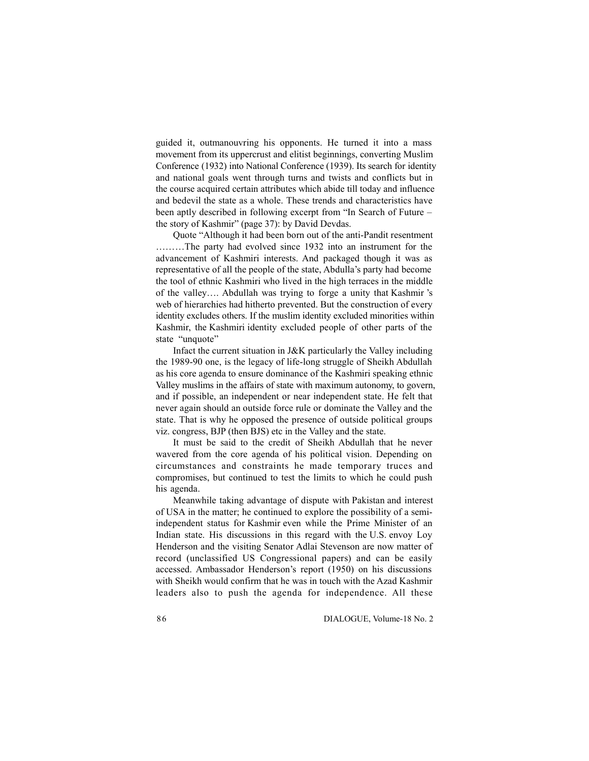guided it, outmanouvring his opponents. He turned it into a mass movement from its uppercrust and elitist beginnings, converting Muslim Conference (1932) into National Conference (1939). Its search for identity and national goals went through turns and twists and conflicts but in the course acquired certain attributes which abide till today and influence and bedevil the state as a whole. These trends and characteristics have been aptly described in following excerpt from "In Search of Future – the story of Kashmir" (page 37): by David Devdas.

Quote "Although it had been born out of the anti-Pandit resentment ………The party had evolved since 1932 into an instrument for the advancement of Kashmiri interests. And packaged though it was as representative of all the people of the state, Abdulla's party had become the tool of ethnic Kashmiri who lived in the high terraces in the middle of the valley…. Abdullah was trying to forge a unity that Kashmir 's web of hierarchies had hitherto prevented. But the construction of every identity excludes others. If the muslim identity excluded minorities within Kashmir, the Kashmiri identity excluded people of other parts of the state "unquote"

Infact the current situation in J&K particularly the Valley including the 1989-90 one, is the legacy of life-long struggle of Sheikh Abdullah as his core agenda to ensure dominance of the Kashmiri speaking ethnic Valley muslims in the affairs of state with maximum autonomy, to govern, and if possible, an independent or near independent state. He felt that never again should an outside force rule or dominate the Valley and the state. That is why he opposed the presence of outside political groups viz. congress, BJP (then BJS) etc in the Valley and the state.

It must be said to the credit of Sheikh Abdullah that he never wavered from the core agenda of his political vision. Depending on circumstances and constraints he made temporary truces and compromises, but continued to test the limits to which he could push his agenda.

Meanwhile taking advantage of dispute with Pakistan and interest of USA in the matter; he continued to explore the possibility of a semiindependent status for Kashmir even while the Prime Minister of an Indian state. His discussions in this regard with the U.S. envoy Loy Henderson and the visiting Senator Adlai Stevenson are now matter of record (unclassified US Congressional papers) and can be easily accessed. Ambassador Henderson's report (1950) on his discussions with Sheikh would confirm that he was in touch with the Azad Kashmir leaders also to push the agenda for independence. All these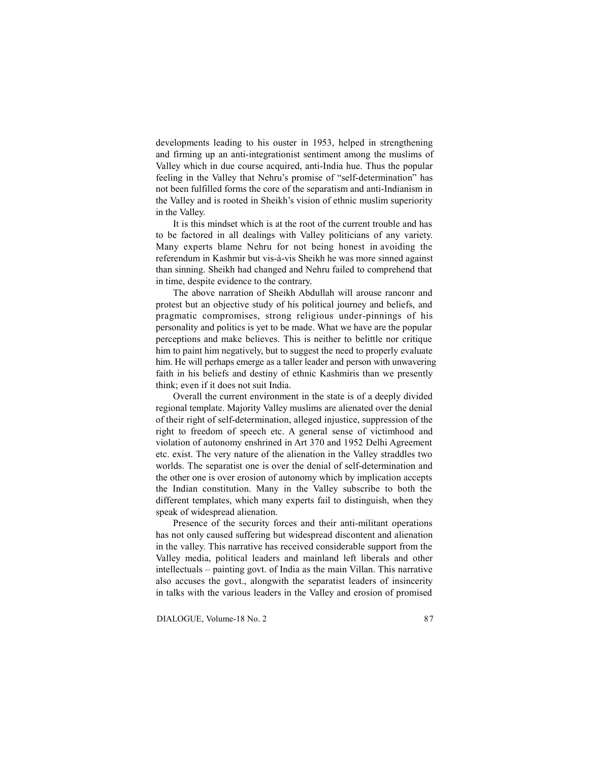developments leading to his ouster in 1953, helped in strengthening and firming up an anti-integrationist sentiment among the muslims of Valley which in due course acquired, anti-India hue. Thus the popular feeling in the Valley that Nehru's promise of "self-determination" has not been fulfilled forms the core of the separatism and anti-Indianism in the Valley and is rooted in Sheikh's vision of ethnic muslim superiority in the Valley.

It is this mindset which is at the root of the current trouble and has to be factored in all dealings with Valley politicians of any variety. Many experts blame Nehru for not being honest in avoiding the referendum in Kashmir but vis-à-vis Sheikh he was more sinned against than sinning. Sheikh had changed and Nehru failed to comprehend that in time, despite evidence to the contrary.

The above narration of Sheikh Abdullah will arouse ranconr and protest but an objective study of his political journey and beliefs, and pragmatic compromises, strong religious under-pinnings of his personality and politics is yet to be made. What we have are the popular perceptions and make believes. This is neither to belittle nor critique him to paint him negatively, but to suggest the need to properly evaluate him. He will perhaps emerge as a taller leader and person with unwavering faith in his beliefs and destiny of ethnic Kashmiris than we presently think; even if it does not suit India.

Overall the current environment in the state is of a deeply divided regional template. Majority Valley muslims are alienated over the denial of their right of self-determination, alleged injustice, suppression of the right to freedom of speech etc. A general sense of victimhood and violation of autonomy enshrined in Art 370 and 1952 Delhi Agreement etc. exist. The very nature of the alienation in the Valley straddles two worlds. The separatist one is over the denial of self-determination and the other one is over erosion of autonomy which by implication accepts the Indian constitution. Many in the Valley subscribe to both the different templates, which many experts fail to distinguish, when they speak of widespread alienation.

Presence of the security forces and their anti-militant operations has not only caused suffering but widespread discontent and alienation in the valley. This narrative has received considerable support from the Valley media, political leaders and mainland left liberals and other intellectuals – painting govt. of India as the main Villan. This narrative also accuses the govt., alongwith the separatist leaders of insincerity in talks with the various leaders in the Valley and erosion of promised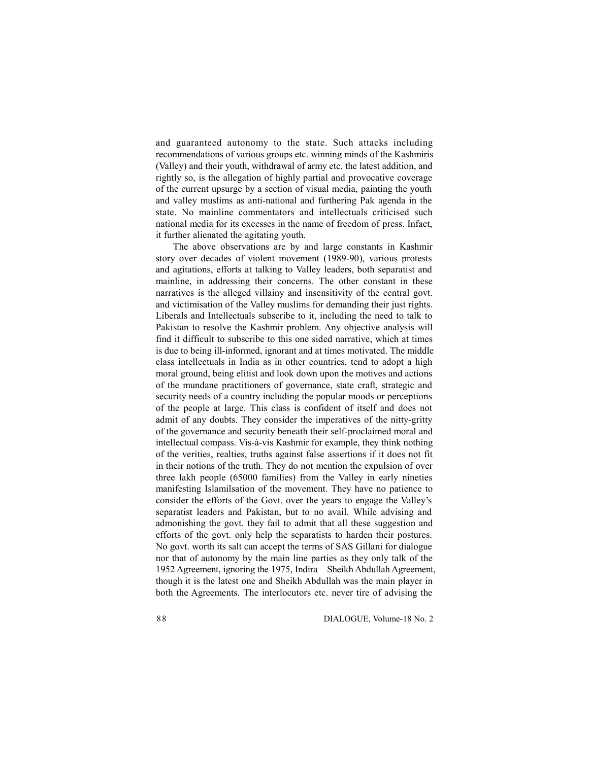and guaranteed autonomy to the state. Such attacks including recommendations of various groups etc. winning minds of the Kashmiris (Valley) and their youth, withdrawal of army etc. the latest addition, and rightly so, is the allegation of highly partial and provocative coverage of the current upsurge by a section of visual media, painting the youth and valley muslims as anti-national and furthering Pak agenda in the state. No mainline commentators and intellectuals criticised such national media for its excesses in the name of freedom of press. Infact, it further alienated the agitating youth.

The above observations are by and large constants in Kashmir story over decades of violent movement (1989-90), various protests and agitations, efforts at talking to Valley leaders, both separatist and mainline, in addressing their concerns. The other constant in these narratives is the alleged villainy and insensitivity of the central govt. and victimisation of the Valley muslims for demanding their just rights. Liberals and Intellectuals subscribe to it, including the need to talk to Pakistan to resolve the Kashmir problem. Any objective analysis will find it difficult to subscribe to this one sided narrative, which at times is due to being ill-informed, ignorant and at times motivated. The middle class intellectuals in India as in other countries, tend to adopt a high moral ground, being elitist and look down upon the motives and actions of the mundane practitioners of governance, state craft, strategic and security needs of a country including the popular moods or perceptions of the people at large. This class is confident of itself and does not admit of any doubts. They consider the imperatives of the nitty-gritty of the governance and security beneath their self-proclaimed moral and intellectual compass. Vis-à-vis Kashmir for example, they think nothing of the verities, realties, truths against false assertions if it does not fit in their notions of the truth. They do not mention the expulsion of over three lakh people (65000 families) from the Valley in early nineties manifesting Islamilsation of the movement. They have no patience to consider the efforts of the Govt. over the years to engage the Valley's separatist leaders and Pakistan, but to no avail. While advising and admonishing the govt. they fail to admit that all these suggestion and efforts of the govt. only help the separatists to harden their postures. No govt. worth its salt can accept the terms of SAS Gillani for dialogue nor that of autonomy by the main line parties as they only talk of the 1952 Agreement, ignoring the 1975, Indira – Sheikh Abdullah Agreement, though it is the latest one and Sheikh Abdullah was the main player in both the Agreements. The interlocutors etc. never tire of advising the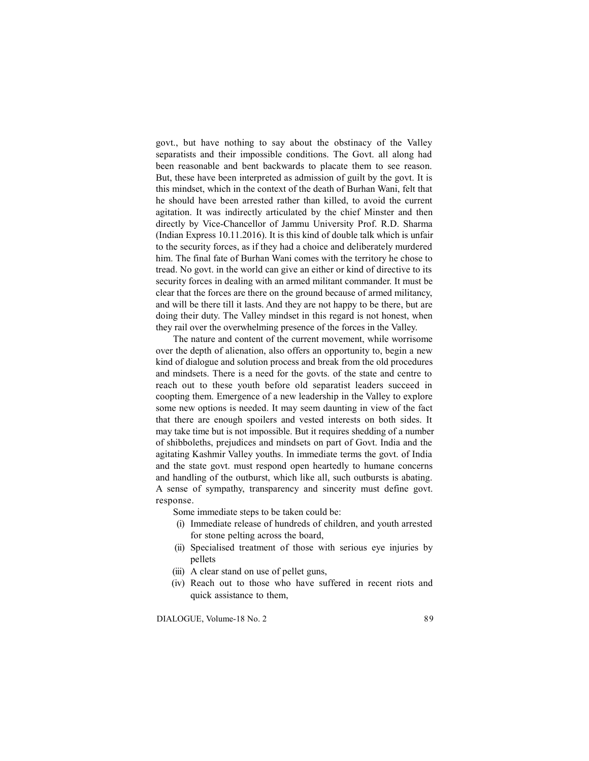govt., but have nothing to say about the obstinacy of the Valley separatists and their impossible conditions. The Govt. all along had been reasonable and bent backwards to placate them to see reason. But, these have been interpreted as admission of guilt by the govt. It is this mindset, which in the context of the death of Burhan Wani, felt that he should have been arrested rather than killed, to avoid the current agitation. It was indirectly articulated by the chief Minster and then directly by Vice-Chancellor of Jammu University Prof. R.D. Sharma (Indian Express 10.11.2016). It is this kind of double talk which is unfair to the security forces, as if they had a choice and deliberately murdered him. The final fate of Burhan Wani comes with the territory he chose to tread. No govt. in the world can give an either or kind of directive to its security forces in dealing with an armed militant commander. It must be clear that the forces are there on the ground because of armed militancy, and will be there till it lasts. And they are not happy to be there, but are doing their duty. The Valley mindset in this regard is not honest, when they rail over the overwhelming presence of the forces in the Valley.

The nature and content of the current movement, while worrisome over the depth of alienation, also offers an opportunity to, begin a new kind of dialogue and solution process and break from the old procedures and mindsets. There is a need for the govts. of the state and centre to reach out to these youth before old separatist leaders succeed in coopting them. Emergence of a new leadership in the Valley to explore some new options is needed. It may seem daunting in view of the fact that there are enough spoilers and vested interests on both sides. It may take time but is not impossible. But it requires shedding of a number of shibboleths, prejudices and mindsets on part of Govt. India and the agitating Kashmir Valley youths. In immediate terms the govt. of India and the state govt. must respond open heartedly to humane concerns and handling of the outburst, which like all, such outbursts is abating. A sense of sympathy, transparency and sincerity must define govt. response.

Some immediate steps to be taken could be:

- (i) Immediate release of hundreds of children, and youth arrested for stone pelting across the board,
- (ii) Specialised treatment of those with serious eye injuries by pellets
- (iii) A clear stand on use of pellet guns,
- (iv) Reach out to those who have suffered in recent riots and quick assistance to them,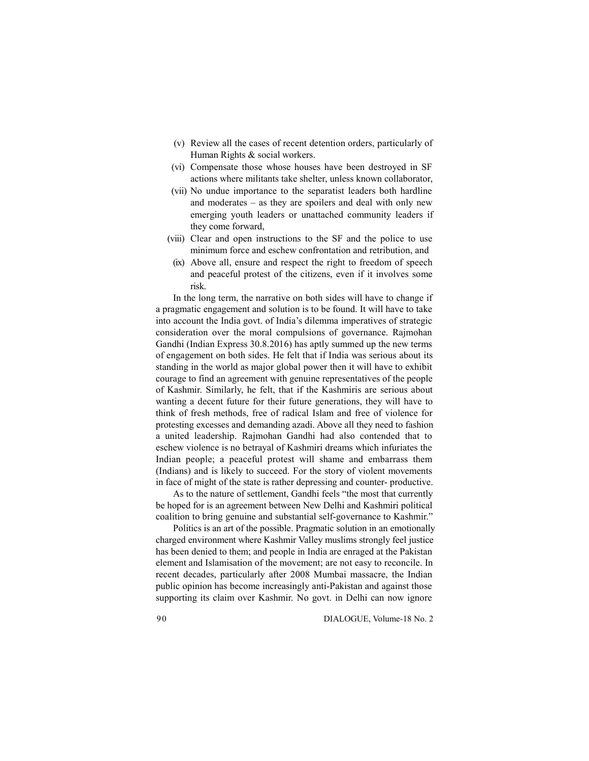- (v) Review all the cases of recent detention orders, particularly of Human Rights & social workers.
- (vi) Compensate those whose houses have been destroyed in SF actions where militants take shelter, unless known collaborator,
- (vii) No undue importance to the separatist leaders both hardline and moderates – as they are spoilers and deal with only new emerging youth leaders or unattached community leaders if they come forward,
- (viii) Clear and open instructions to the SF and the police to use minimum force and eschew confrontation and retribution, and
- (ix) Above all, ensure and respect the right to freedom of speech and peaceful protest of the citizens, even if it involves some risk.

In the long term, the narrative on both sides will have to change if a pragmatic engagement and solution is to be found. It will have to take into account the India govt. of India's dilemma imperatives of strategic consideration over the moral compulsions of governance. Rajmohan Gandhi (Indian Express 30.8.2016) has aptly summed up the new terms of engagement on both sides. He felt that if India was serious about its standing in the world as major global power then it will have to exhibit courage to find an agreement with genuine representatives of the people of Kashmir. Similarly, he felt, that if the Kashmiris are serious about wanting a decent future for their future generations, they will have to think of fresh methods, free of radical Islam and free of violence for protesting excesses and demanding azadi. Above all they need to fashion a united leadership. Rajmohan Gandhi had also contended that to eschew violence is no betrayal of Kashmiri dreams which infuriates the Indian people; a peaceful protest will shame and embarrass them (Indians) and is likely to succeed. For the story of violent movements in face of might of the state is rather depressing and counter- productive.

As to the nature of settlement, Gandhi feels "the most that currently be hoped for is an agreement between New Delhi and Kashmiri political coalition to bring genuine and substantial self-governance to Kashmir."

Politics is an art of the possible. Pragmatic solution in an emotionally charged environment where Kashmir Valley muslims strongly feel justice has been denied to them; and people in India are enraged at the Pakistan element and Islamisation of the movement; are not easy to reconcile. In recent decades, particularly after 2008 Mumbai massacre, the Indian public opinion has become increasingly anti-Pakistan and against those supporting its claim over Kashmir. No govt. in Delhi can now ignore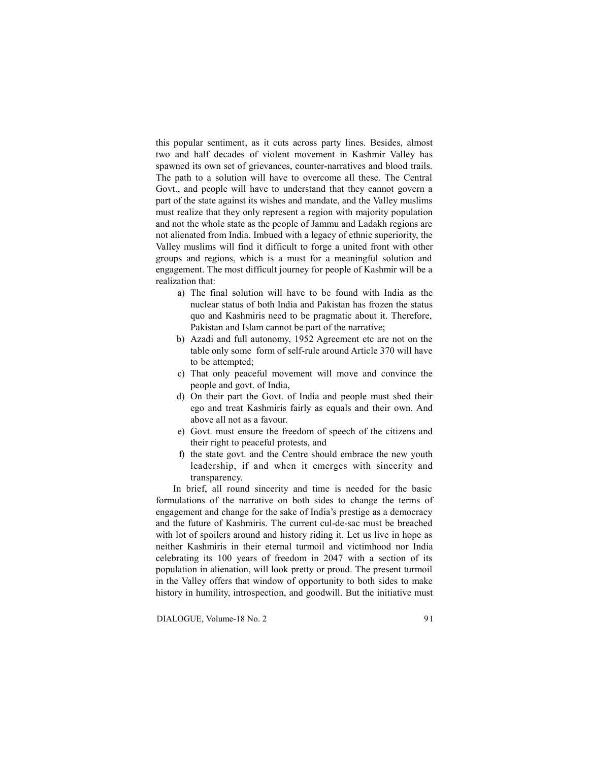this popular sentiment, as it cuts across party lines. Besides, almost two and half decades of violent movement in Kashmir Valley has spawned its own set of grievances, counter-narratives and blood trails. The path to a solution will have to overcome all these. The Central Govt., and people will have to understand that they cannot govern a part of the state against its wishes and mandate, and the Valley muslims must realize that they only represent a region with majority population and not the whole state as the people of Jammu and Ladakh regions are not alienated from India. Imbued with a legacy of ethnic superiority, the Valley muslims will find it difficult to forge a united front with other groups and regions, which is a must for a meaningful solution and engagement. The most difficult journey for people of Kashmir will be a realization that:

- a) The final solution will have to be found with India as the nuclear status of both India and Pakistan has frozen the status quo and Kashmiris need to be pragmatic about it. Therefore, Pakistan and Islam cannot be part of the narrative;
- b) Azadi and full autonomy, 1952 Agreement etc are not on the table only some form of self-rule around Article 370 will have to be attempted;
- c) That only peaceful movement will move and convince the people and govt. of India,
- d) On their part the Govt. of India and people must shed their ego and treat Kashmiris fairly as equals and their own. And above all not as a favour.
- e) Govt. must ensure the freedom of speech of the citizens and their right to peaceful protests, and
- f) the state govt. and the Centre should embrace the new youth leadership, if and when it emerges with sincerity and transparency.

In brief, all round sincerity and time is needed for the basic formulations of the narrative on both sides to change the terms of engagement and change for the sake of India's prestige as a democracy and the future of Kashmiris. The current cul-de-sac must be breached with lot of spoilers around and history riding it. Let us live in hope as neither Kashmiris in their eternal turmoil and victimhood nor India celebrating its 100 years of freedom in 2047 with a section of its population in alienation, will look pretty or proud. The present turmoil in the Valley offers that window of opportunity to both sides to make history in humility, introspection, and goodwill. But the initiative must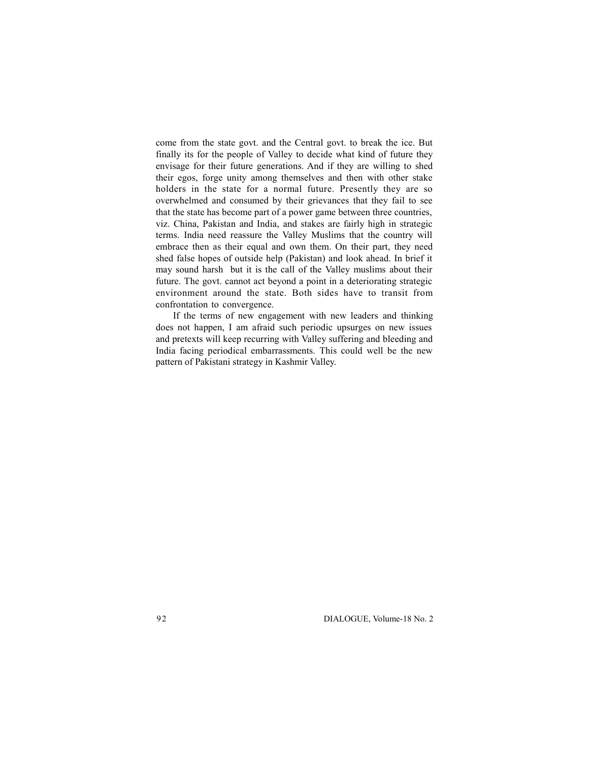come from the state govt. and the Central govt. to break the ice. But finally its for the people of Valley to decide what kind of future they envisage for their future generations. And if they are willing to shed their egos, forge unity among themselves and then with other stake holders in the state for a normal future. Presently they are so overwhelmed and consumed by their grievances that they fail to see that the state has become part of a power game between three countries, viz. China, Pakistan and India, and stakes are fairly high in strategic terms. India need reassure the Valley Muslims that the country will embrace then as their equal and own them. On their part, they need shed false hopes of outside help (Pakistan) and look ahead. In brief it may sound harsh but it is the call of the Valley muslims about their future. The govt. cannot act beyond a point in a deteriorating strategic environment around the state. Both sides have to transit from confrontation to convergence.

If the terms of new engagement with new leaders and thinking does not happen, I am afraid such periodic upsurges on new issues and pretexts will keep recurring with Valley suffering and bleeding and India facing periodical embarrassments. This could well be the new pattern of Pakistani strategy in Kashmir Valley.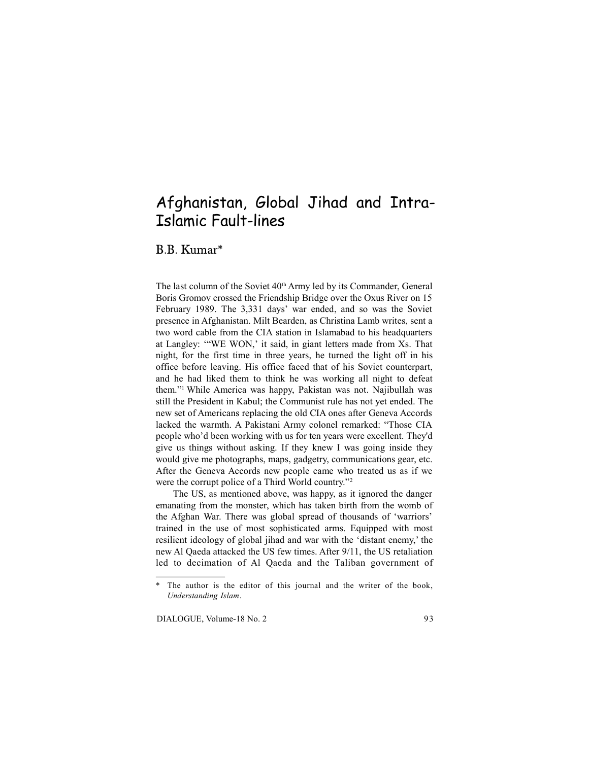# Afghanistan, Global Jihad and Intra-Islamic Fault-lines

B.B. Kumar\*

The last column of the Soviet 40<sup>th</sup> Army led by its Commander, General Boris Gromov crossed the Friendship Bridge over the Oxus River on 15 February 1989. The 3,331 days' war ended, and so was the Soviet presence in Afghanistan. Milt Bearden, as Christina Lamb writes, sent a two word cable from the CIA station in Islamabad to his headquarters at Langley: '"WE WON,' it said, in giant letters made from Xs. That night, for the first time in three years, he turned the light off in his office before leaving. His office faced that of his Soviet counterpart, and he had liked them to think he was working all night to defeat them."<sup>1</sup>While America was happy, Pakistan was not. Najibullah was still the President in Kabul; the Communist rule has not yet ended. The new set of Americans replacing the old CIA ones after Geneva Accords lacked the warmth. A Pakistani Army colonel remarked: "Those CIA people who'd been working with us for ten years were excellent. They'd give us things without asking. If they knew I was going inside they would give me photographs, maps, gadgetry, communications gear, etc. After the Geneva Accords new people came who treated us as if we were the corrupt police of a Third World country."<sup>2</sup>

The US, as mentioned above, was happy, as it ignored the danger emanating from the monster, which has taken birth from the womb of the Afghan War. There was global spread of thousands of 'warriors' trained in the use of most sophisticated arms. Equipped with most resilient ideology of global jihad and war with the 'distant enemy,' the new Al Qaeda attacked the US few times. After 9/11, the US retaliation led to decimation of Al Qaeda and the Taliban government of

<sup>\*</sup> The author is the editor of this journal and the writer of the book, *Understanding Islam*.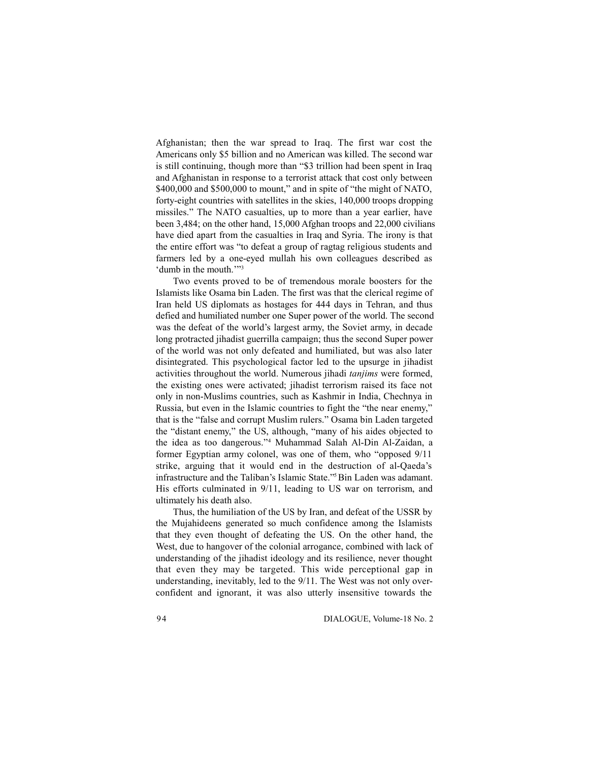Afghanistan; then the war spread to Iraq. The first war cost the Americans only \$5 billion and no American was killed. The second war is still continuing, though more than "\$3 trillion had been spent in Iraq and Afghanistan in response to a terrorist attack that cost only between \$400,000 and \$500,000 to mount," and in spite of "the might of NATO, forty-eight countries with satellites in the skies, 140,000 troops dropping missiles." The NATO casualties, up to more than a year earlier, have been 3,484; on the other hand, 15,000 Afghan troops and 22,000 civilians have died apart from the casualties in Iraq and Syria. The irony is that the entire effort was "to defeat a group of ragtag religious students and farmers led by a one-eyed mullah his own colleagues described as 'dumb in the mouth.""3

Two events proved to be of tremendous morale boosters for the Islamists like Osama bin Laden. The first was that the clerical regime of Iran held US diplomats as hostages for 444 days in Tehran, and thus defied and humiliated number one Super power of the world. The second was the defeat of the world's largest army, the Soviet army, in decade long protracted jihadist guerrilla campaign; thus the second Super power of the world was not only defeated and humiliated, but was also later disintegrated. This psychological factor led to the upsurge in jihadist activities throughout the world. Numerous jihadi *tanjims* were formed, the existing ones were activated; jihadist terrorism raised its face not only in non-Muslims countries, such as Kashmir in India, Chechnya in Russia, but even in the Islamic countries to fight the "the near enemy," that is the "false and corrupt Muslim rulers." Osama bin Laden targeted the "distant enemy," the US, although, "many of his aides objected to the idea as too dangerous."<sup>4</sup> Muhammad Salah Al-Din Al-Zaidan, a former Egyptian army colonel, was one of them, who "opposed 9/11 strike, arguing that it would end in the destruction of al-Qaeda's infrastructure and the Taliban's Islamic State."<sup>5</sup>Bin Laden was adamant. His efforts culminated in 9/11, leading to US war on terrorism, and ultimately his death also.

Thus, the humiliation of the US by Iran, and defeat of the USSR by the Mujahideens generated so much confidence among the Islamists that they even thought of defeating the US. On the other hand, the West, due to hangover of the colonial arrogance, combined with lack of understanding of the jihadist ideology and its resilience, never thought that even they may be targeted. This wide perceptional gap in understanding, inevitably, led to the 9/11. The West was not only overconfident and ignorant, it was also utterly insensitive towards the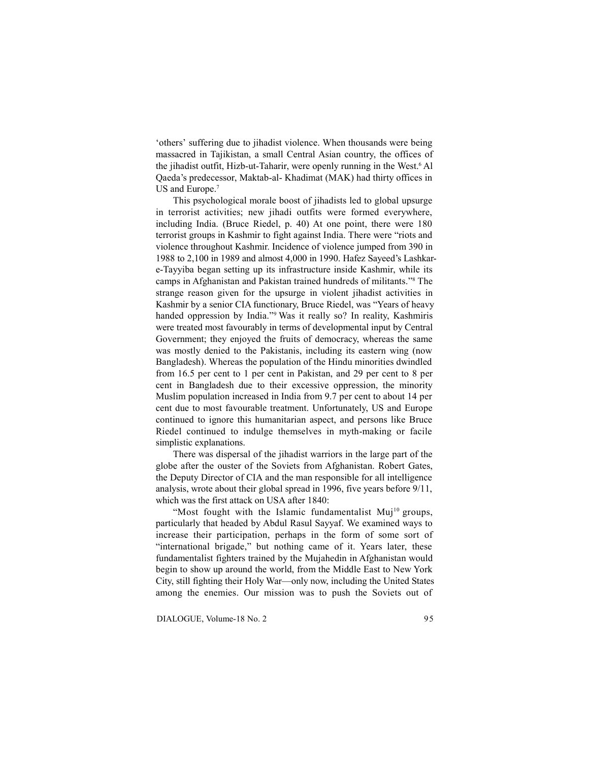'others' suffering due to jihadist violence. When thousands were being massacred in Tajikistan, a small Central Asian country, the offices of the jihadist outfit, Hizb-ut-Taharir, were openly running in the West.<sup>6</sup> Al Qaeda's predecessor, Maktab-al- Khadimat (MAK) had thirty offices in US and Europe.<sup>7</sup>

This psychological morale boost of jihadists led to global upsurge in terrorist activities; new jihadi outfits were formed everywhere, including India. (Bruce Riedel, p. 40) At one point, there were 180 terrorist groups in Kashmir to fight against India. There were "riots and violence throughout Kashmir. Incidence of violence jumped from 390 in 1988 to 2,100 in 1989 and almost 4,000 in 1990. Hafez Sayeed's Lashkare-Tayyiba began setting up its infrastructure inside Kashmir, while its camps in Afghanistan and Pakistan trained hundreds of militants."<sup>8</sup> The strange reason given for the upsurge in violent jihadist activities in Kashmir by a senior CIA functionary, Bruce Riedel, was "Years of heavy handed oppression by India."<sup>9</sup> Was it really so? In reality, Kashmiris were treated most favourably in terms of developmental input by Central Government; they enjoyed the fruits of democracy, whereas the same was mostly denied to the Pakistanis, including its eastern wing (now Bangladesh). Whereas the population of the Hindu minorities dwindled from 16.5 per cent to 1 per cent in Pakistan, and 29 per cent to 8 per cent in Bangladesh due to their excessive oppression, the minority Muslim population increased in India from 9.7 per cent to about 14 per cent due to most favourable treatment. Unfortunately, US and Europe continued to ignore this humanitarian aspect, and persons like Bruce Riedel continued to indulge themselves in myth-making or facile simplistic explanations.

There was dispersal of the jihadist warriors in the large part of the globe after the ouster of the Soviets from Afghanistan. Robert Gates, the Deputy Director of CIA and the man responsible for all intelligence analysis, wrote about their global spread in 1996, five years before 9/11, which was the first attack on USA after 1840:

"Most fought with the Islamic fundamentalist Muj<sup>10</sup> groups, particularly that headed by Abdul Rasul Sayyaf. We examined ways to increase their participation, perhaps in the form of some sort of "international brigade," but nothing came of it. Years later, these fundamentalist fighters trained by the Mujahedin in Afghanistan would begin to show up around the world, from the Middle East to New York City, still fighting their Holy War—only now, including the United States among the enemies. Our mission was to push the Soviets out of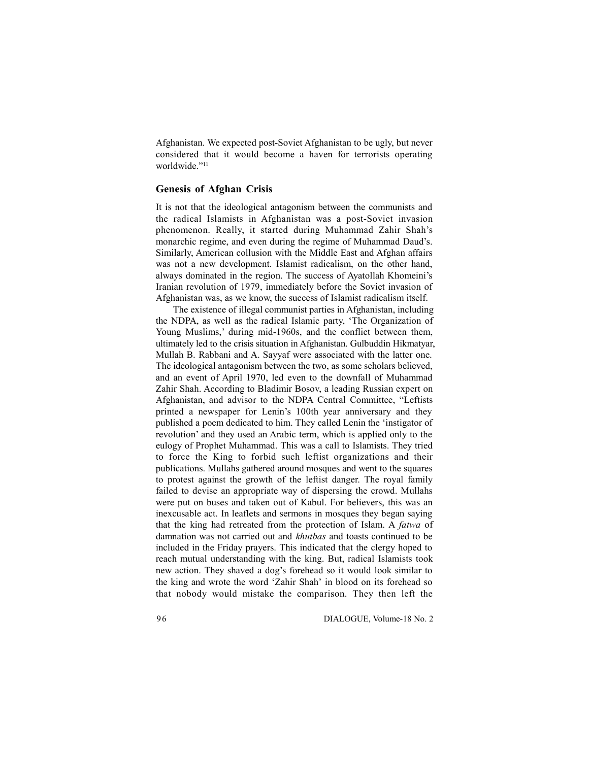Afghanistan. We expected post-Soviet Afghanistan to be ugly, but never considered that it would become a haven for terrorists operating worldwide."<sup>11</sup>

# **Genesis of Afghan Crisis**

It is not that the ideological antagonism between the communists and the radical Islamists in Afghanistan was a post-Soviet invasion phenomenon. Really, it started during Muhammad Zahir Shah's monarchic regime, and even during the regime of Muhammad Daud's. Similarly, American collusion with the Middle East and Afghan affairs was not a new development. Islamist radicalism, on the other hand, always dominated in the region. The success of Ayatollah Khomeini's Iranian revolution of 1979, immediately before the Soviet invasion of Afghanistan was, as we know, the success of Islamist radicalism itself.

The existence of illegal communist parties in Afghanistan, including the NDPA, as well as the radical Islamic party, 'The Organization of Young Muslims,' during mid-1960s, and the conflict between them, ultimately led to the crisis situation in Afghanistan. Gulbuddin Hikmatyar, Mullah B. Rabbani and A. Sayyaf were associated with the latter one. The ideological antagonism between the two, as some scholars believed, and an event of April 1970, led even to the downfall of Muhammad Zahir Shah. According to Bladimir Bosov, a leading Russian expert on Afghanistan, and advisor to the NDPA Central Committee, "Leftists printed a newspaper for Lenin's 100th year anniversary and they published a poem dedicated to him. They called Lenin the 'instigator of revolution' and they used an Arabic term, which is applied only to the eulogy of Prophet Muhammad. This was a call to Islamists. They tried to force the King to forbid such leftist organizations and their publications. Mullahs gathered around mosques and went to the squares to protest against the growth of the leftist danger. The royal family failed to devise an appropriate way of dispersing the crowd. Mullahs were put on buses and taken out of Kabul. For believers, this was an inexcusable act. In leaflets and sermons in mosques they began saying that the king had retreated from the protection of Islam. A *fatwa* of damnation was not carried out and *khutbas* and toasts continued to be included in the Friday prayers. This indicated that the clergy hoped to reach mutual understanding with the king. But, radical Islamists took new action. They shaved a dog's forehead so it would look similar to the king and wrote the word 'Zahir Shah' in blood on its forehead so that nobody would mistake the comparison. They then left the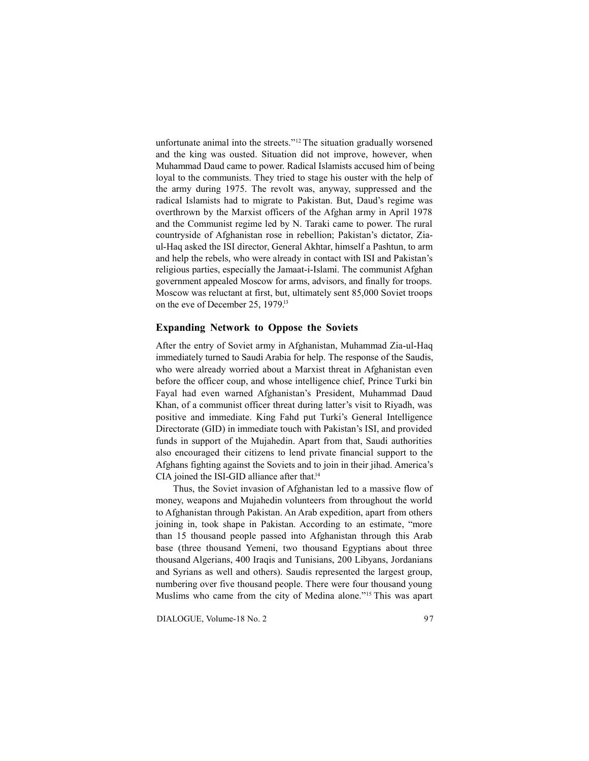unfortunate animal into the streets."<sup>12</sup> The situation gradually worsened and the king was ousted. Situation did not improve, however, when Muhammad Daud came to power. Radical Islamists accused him of being loyal to the communists. They tried to stage his ouster with the help of the army during 1975. The revolt was, anyway, suppressed and the radical Islamists had to migrate to Pakistan. But, Daud's regime was overthrown by the Marxist officers of the Afghan army in April 1978 and the Communist regime led by N. Taraki came to power. The rural countryside of Afghanistan rose in rebellion; Pakistan's dictator, Ziaul-Haq asked the ISI director, General Akhtar, himself a Pashtun, to arm and help the rebels, who were already in contact with ISI and Pakistan's religious parties, especially the Jamaat-i-Islami. The communist Afghan government appealed Moscow for arms, advisors, and finally for troops. Moscow was reluctant at first, but, ultimately sent 85,000 Soviet troops on the eve of December 25, 1979.<sup>13</sup>

### **Expanding Network to Oppose the Soviets**

After the entry of Soviet army in Afghanistan, Muhammad Zia-ul-Haq immediately turned to Saudi Arabia for help. The response of the Saudis, who were already worried about a Marxist threat in Afghanistan even before the officer coup, and whose intelligence chief, Prince Turki bin Fayal had even warned Afghanistan's President, Muhammad Daud Khan, of a communist officer threat during latter's visit to Riyadh, was positive and immediate. King Fahd put Turki's General Intelligence Directorate (GID) in immediate touch with Pakistan's ISI, and provided funds in support of the Mujahedin. Apart from that, Saudi authorities also encouraged their citizens to lend private financial support to the Afghans fighting against the Soviets and to join in their jihad. America's CIA joined the ISI-GID alliance after that.<sup>14</sup>

Thus, the Soviet invasion of Afghanistan led to a massive flow of money, weapons and Mujahedin volunteers from throughout the world to Afghanistan through Pakistan. An Arab expedition, apart from others joining in, took shape in Pakistan. According to an estimate, "more than 15 thousand people passed into Afghanistan through this Arab base (three thousand Yemeni, two thousand Egyptians about three thousand Algerians, 400 Iraqis and Tunisians, 200 Libyans, Jordanians and Syrians as well and others). Saudis represented the largest group, numbering over five thousand people. There were four thousand young Muslims who came from the city of Medina alone."15 This was apart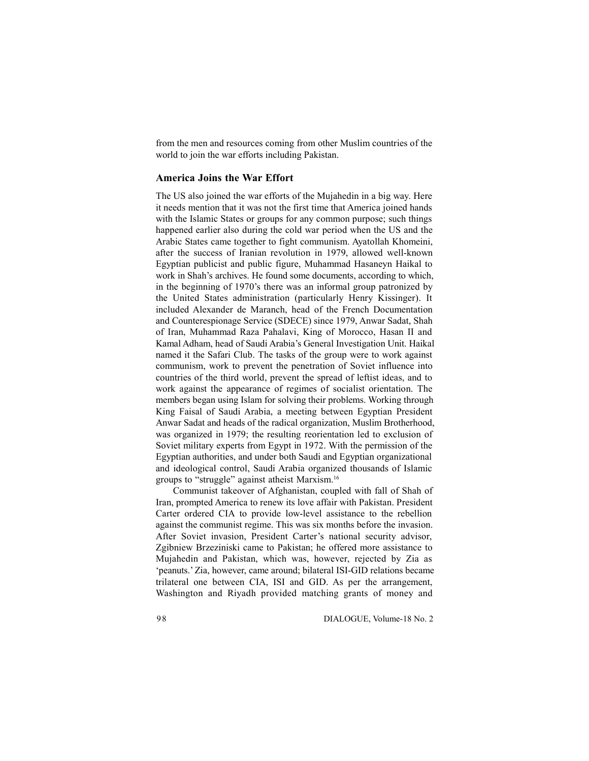from the men and resources coming from other Muslim countries of the world to join the war efforts including Pakistan.

# **America Joins the War Effort**

The US also joined the war efforts of the Mujahedin in a big way. Here it needs mention that it was not the first time that America joined hands with the Islamic States or groups for any common purpose; such things happened earlier also during the cold war period when the US and the Arabic States came together to fight communism. Ayatollah Khomeini, after the success of Iranian revolution in 1979, allowed well-known Egyptian publicist and public figure, Muhammad Hasaneyn Haikal to work in Shah's archives. He found some documents, according to which, in the beginning of 1970's there was an informal group patronized by the United States administration (particularly Henry Kissinger). It included Alexander de Maranch, head of the French Documentation and Counterespionage Service (SDECE) since 1979, Anwar Sadat, Shah of Iran, Muhammad Raza Pahalavi, King of Morocco, Hasan II and Kamal Adham, head of Saudi Arabia's General Investigation Unit. Haikal named it the Safari Club. The tasks of the group were to work against communism, work to prevent the penetration of Soviet influence into countries of the third world, prevent the spread of leftist ideas, and to work against the appearance of regimes of socialist orientation. The members began using Islam for solving their problems. Working through King Faisal of Saudi Arabia, a meeting between Egyptian President Anwar Sadat and heads of the radical organization, Muslim Brotherhood, was organized in 1979; the resulting reorientation led to exclusion of Soviet military experts from Egypt in 1972. With the permission of the Egyptian authorities, and under both Saudi and Egyptian organizational and ideological control, Saudi Arabia organized thousands of Islamic groups to "struggle" against atheist Marxism.<sup>16</sup>

Communist takeover of Afghanistan, coupled with fall of Shah of Iran, prompted America to renew its love affair with Pakistan. President Carter ordered CIA to provide low-level assistance to the rebellion against the communist regime. This was six months before the invasion. After Soviet invasion, President Carter's national security advisor, Zgibniew Brzeziniski came to Pakistan; he offered more assistance to Mujahedin and Pakistan, which was, however, rejected by Zia as 'peanuts.' Zia, however, came around; bilateral ISI-GID relations became trilateral one between CIA, ISI and GID. As per the arrangement, Washington and Riyadh provided matching grants of money and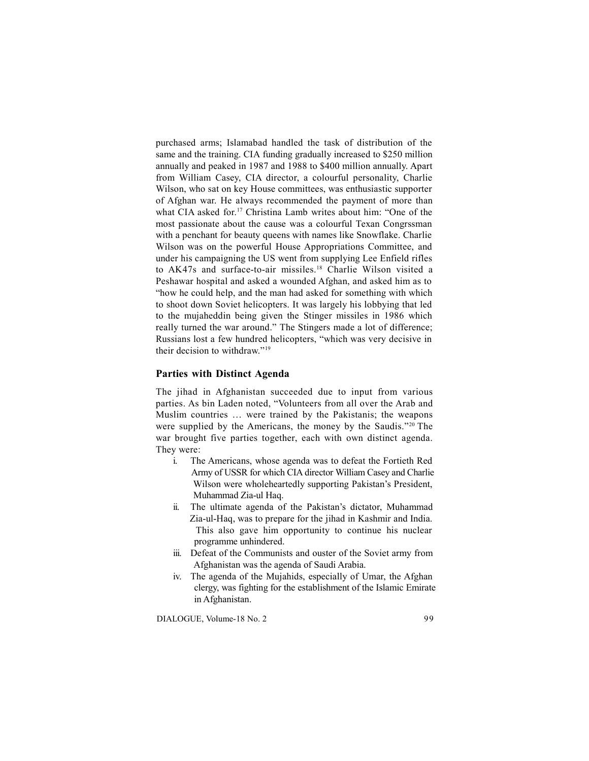purchased arms; Islamabad handled the task of distribution of the same and the training. CIA funding gradually increased to \$250 million annually and peaked in 1987 and 1988 to \$400 million annually. Apart from William Casey, CIA director, a colourful personality, Charlie Wilson, who sat on key House committees, was enthusiastic supporter of Afghan war. He always recommended the payment of more than what CIA asked for.<sup>17</sup> Christina Lamb writes about him: "One of the most passionate about the cause was a colourful Texan Congrssman with a penchant for beauty queens with names like Snowflake. Charlie Wilson was on the powerful House Appropriations Committee, and under his campaigning the US went from supplying Lee Enfield rifles to AK47s and surface-to-air missiles.<sup>18</sup> Charlie Wilson visited a Peshawar hospital and asked a wounded Afghan, and asked him as to "how he could help, and the man had asked for something with which to shoot down Soviet helicopters. It was largely his lobbying that led to the mujaheddin being given the Stinger missiles in 1986 which really turned the war around." The Stingers made a lot of difference; Russians lost a few hundred helicopters, "which was very decisive in their decision to withdraw."<sup>19</sup>

# **Parties with Distinct Agenda**

The jihad in Afghanistan succeeded due to input from various parties. As bin Laden noted, "Volunteers from all over the Arab and Muslim countries … were trained by the Pakistanis; the weapons were supplied by the Americans, the money by the Saudis."20 The war brought five parties together, each with own distinct agenda. They were:

- i. The Americans, whose agenda was to defeat the Fortieth Red Army of USSR for which CIA director William Casey and Charlie Wilson were wholeheartedly supporting Pakistan's President, Muhammad Zia-ul Haq.
- ii. The ultimate agenda of the Pakistan's dictator, Muhammad Zia-ul-Haq, was to prepare for the jihad in Kashmir and India. This also gave him opportunity to continue his nuclear programme unhindered.
- iii. Defeat of the Communists and ouster of the Soviet army from Afghanistan was the agenda of Saudi Arabia.
- iv. The agenda of the Mujahids, especially of Umar, the Afghan clergy, was fighting for the establishment of the Islamic Emirate in Afghanistan.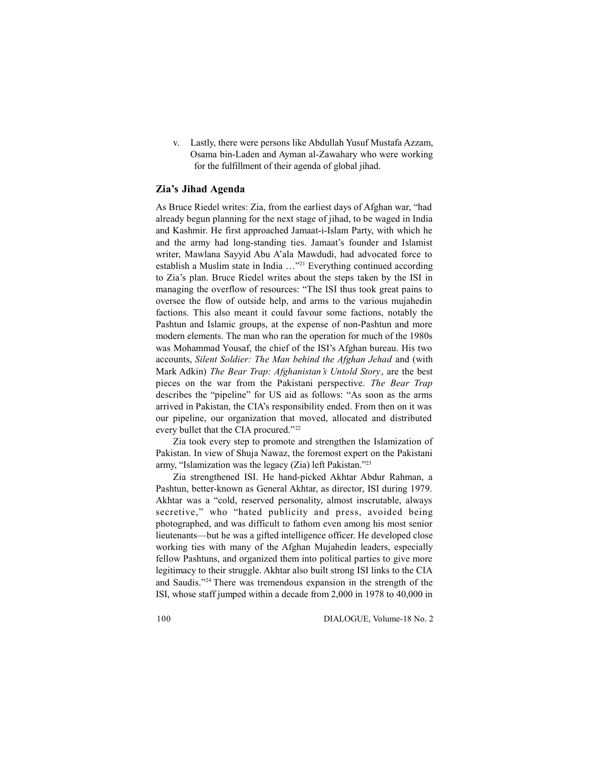v. Lastly, there were persons like Abdullah Yusuf Mustafa Azzam, Osama bin-Laden and Ayman al-Zawahary who were working for the fulfillment of their agenda of global jihad.

# **Zia's Jihad Agenda**

As Bruce Riedel writes: Zia, from the earliest days of Afghan war, "had already begun planning for the next stage of jihad, to be waged in India and Kashmir. He first approached Jamaat-i-Islam Party, with which he and the army had long-standing ties. Jamaat's founder and Islamist writer, Mawlana Sayyid Abu A'ala Mawdudi, had advocated force to establish a Muslim state in India …"<sup>21</sup> Everything continued according to Zia's plan. Bruce Riedel writes about the steps taken by the ISI in managing the overflow of resources: "The ISI thus took great pains to oversee the flow of outside help, and arms to the various mujahedin factions. This also meant it could favour some factions, notably the Pashtun and Islamic groups, at the expense of non-Pashtun and more modern elements. The man who ran the operation for much of the 1980s was Mohammad Yousaf, the chief of the ISI's Afghan bureau. His two accounts, *Silent Soldier: The Man behind the Afghan Jehad* and (with Mark Adkin) *The Bear Trap: Afghanistan's Untold Story*, are the best pieces on the war from the Pakistani perspective. *The Bear Trap* describes the "pipeline" for US aid as follows: "As soon as the arms arrived in Pakistan, the CIA's responsibility ended. From then on it was our pipeline, our organization that moved, allocated and distributed every bullet that the CIA procured."<sup>22</sup>

Zia took every step to promote and strengthen the Islamization of Pakistan. In view of Shuja Nawaz, the foremost expert on the Pakistani army, "Islamization was the legacy (Zia) left Pakistan."<sup>23</sup>

Zia strengthened ISI. He hand-picked Akhtar Abdur Rahman, a Pashtun, better-known as General Akhtar, as director, ISI during 1979. Akhtar was a "cold, reserved personality, almost inscrutable, always secretive," who "hated publicity and press, avoided being photographed, and was difficult to fathom even among his most senior lieutenants—but he was a gifted intelligence officer. He developed close working ties with many of the Afghan Mujahedin leaders, especially fellow Pashtuns, and organized them into political parties to give more legitimacy to their struggle. Akhtar also built strong ISI links to the CIA and Saudis."<sup>24</sup> There was tremendous expansion in the strength of the ISI, whose staff jumped within a decade from 2,000 in 1978 to 40,000 in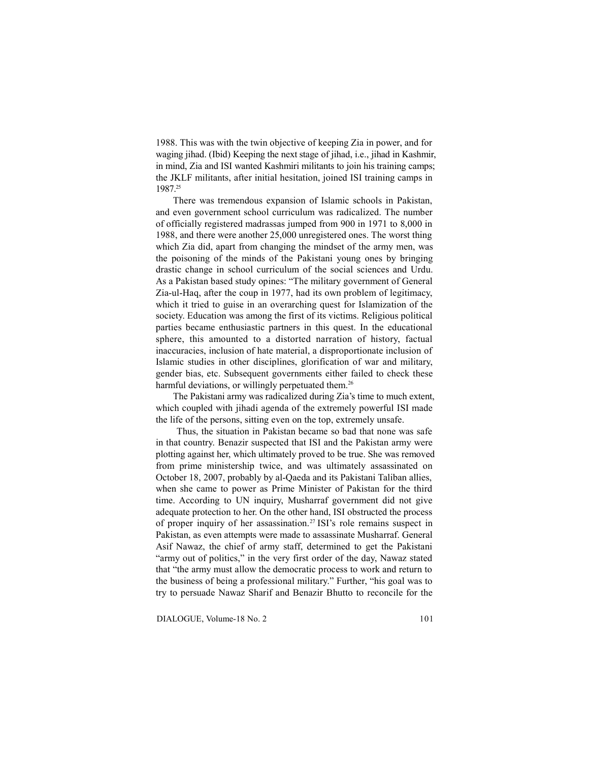1988. This was with the twin objective of keeping Zia in power, and for waging jihad. (Ibid) Keeping the next stage of jihad, i.e., jihad in Kashmir, in mind, Zia and ISI wanted Kashmiri militants to join his training camps; the JKLF militants, after initial hesitation, joined ISI training camps in 1987.<sup>25</sup>

There was tremendous expansion of Islamic schools in Pakistan, and even government school curriculum was radicalized. The number of officially registered madrassas jumped from 900 in 1971 to 8,000 in 1988, and there were another 25,000 unregistered ones. The worst thing which Zia did, apart from changing the mindset of the army men, was the poisoning of the minds of the Pakistani young ones by bringing drastic change in school curriculum of the social sciences and Urdu. As a Pakistan based study opines: "The military government of General Zia-ul-Haq, after the coup in 1977, had its own problem of legitimacy, which it tried to guise in an overarching quest for Islamization of the society. Education was among the first of its victims. Religious political parties became enthusiastic partners in this quest. In the educational sphere, this amounted to a distorted narration of history, factual inaccuracies, inclusion of hate material, a disproportionate inclusion of Islamic studies in other disciplines, glorification of war and military, gender bias, etc. Subsequent governments either failed to check these harmful deviations, or willingly perpetuated them.<sup>26</sup>

The Pakistani army was radicalized during Zia's time to much extent, which coupled with jihadi agenda of the extremely powerful ISI made the life of the persons, sitting even on the top, extremely unsafe.

Thus, the situation in Pakistan became so bad that none was safe in that country. Benazir suspected that ISI and the Pakistan army were plotting against her, which ultimately proved to be true. She was removed from prime ministership twice, and was ultimately assassinated on October 18, 2007, probably by al-Qaeda and its Pakistani Taliban allies, when she came to power as Prime Minister of Pakistan for the third time. According to UN inquiry, Musharraf government did not give adequate protection to her. On the other hand, ISI obstructed the process of proper inquiry of her assassination.<sup>27</sup> ISI's role remains suspect in Pakistan, as even attempts were made to assassinate Musharraf. General Asif Nawaz, the chief of army staff, determined to get the Pakistani "army out of politics," in the very first order of the day, Nawaz stated that "the army must allow the democratic process to work and return to the business of being a professional military." Further, "his goal was to try to persuade Nawaz Sharif and Benazir Bhutto to reconcile for the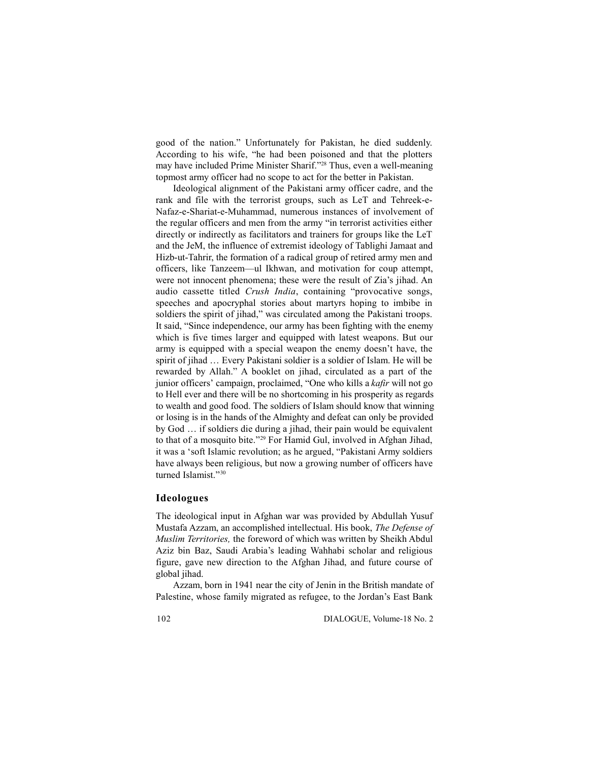good of the nation." Unfortunately for Pakistan, he died suddenly. According to his wife, "he had been poisoned and that the plotters may have included Prime Minister Sharif."<sup>28</sup> Thus, even a well-meaning topmost army officer had no scope to act for the better in Pakistan.

Ideological alignment of the Pakistani army officer cadre, and the rank and file with the terrorist groups, such as LeT and Tehreek-e-Nafaz-e-Shariat-e-Muhammad, numerous instances of involvement of the regular officers and men from the army "in terrorist activities either directly or indirectly as facilitators and trainers for groups like the LeT and the JeM, the influence of extremist ideology of Tablighi Jamaat and Hizb-ut-Tahrir, the formation of a radical group of retired army men and officers, like Tanzeem—ul Ikhwan, and motivation for coup attempt, were not innocent phenomena; these were the result of Zia's jihad. An audio cassette titled *Crush India*, containing "provocative songs, speeches and apocryphal stories about martyrs hoping to imbibe in soldiers the spirit of jihad," was circulated among the Pakistani troops. It said, "Since independence, our army has been fighting with the enemy which is five times larger and equipped with latest weapons. But our army is equipped with a special weapon the enemy doesn't have, the spirit of jihad … Every Pakistani soldier is a soldier of Islam. He will be rewarded by Allah." A booklet on jihad, circulated as a part of the junior officers' campaign, proclaimed, "One who kills a *kafir* will not go to Hell ever and there will be no shortcoming in his prosperity as regards to wealth and good food. The soldiers of Islam should know that winning or losing is in the hands of the Almighty and defeat can only be provided by God … if soldiers die during a jihad, their pain would be equivalent to that of a mosquito bite."<sup>29</sup> For Hamid Gul, involved in Afghan Jihad, it was a 'soft Islamic revolution; as he argued, "Pakistani Army soldiers have always been religious, but now a growing number of officers have turned Islamist."30

## **Ideologues**

The ideological input in Afghan war was provided by Abdullah Yusuf Mustafa Azzam, an accomplished intellectual. His book, *The Defense of Muslim Territories,* the foreword of which was written by Sheikh Abdul Aziz bin Baz, Saudi Arabia's leading Wahhabi scholar and religious figure, gave new direction to the Afghan Jihad, and future course of global jihad.

Azzam, born in 1941 near the city of Jenin in the British mandate of Palestine, whose family migrated as refugee, to the Jordan's East Bank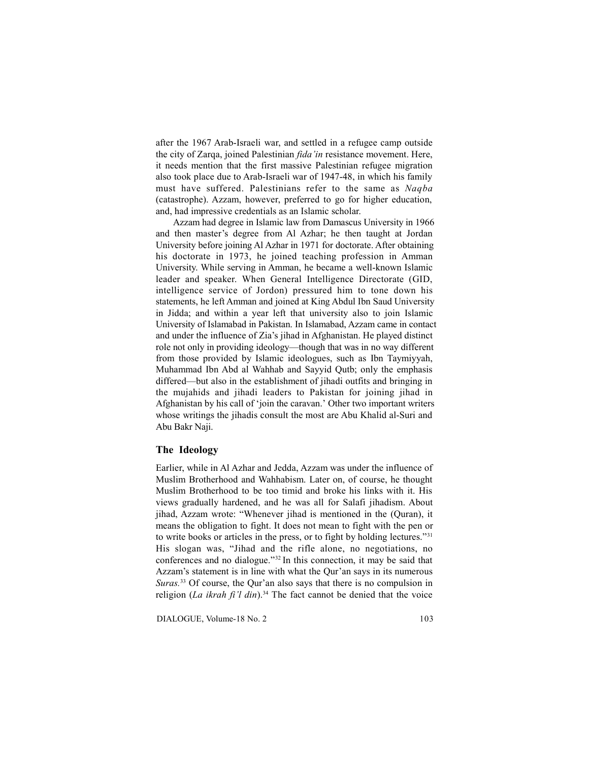after the 1967 Arab-Israeli war, and settled in a refugee camp outside the city of Zarqa, joined Palestinian *fida'in* resistance movement. Here, it needs mention that the first massive Palestinian refugee migration also took place due to Arab-Israeli war of 1947-48, in which his family must have suffered. Palestinians refer to the same as *Naqba* (catastrophe). Azzam, however, preferred to go for higher education, and, had impressive credentials as an Islamic scholar.

Azzam had degree in Islamic law from Damascus University in 1966 and then master's degree from Al Azhar; he then taught at Jordan University before joining Al Azhar in 1971 for doctorate. After obtaining his doctorate in 1973, he joined teaching profession in Amman University. While serving in Amman, he became a well-known Islamic leader and speaker. When General Intelligence Directorate (GID, intelligence service of Jordon) pressured him to tone down his statements, he left Amman and joined at King Abdul Ibn Saud University in Jidda; and within a year left that university also to join Islamic University of Islamabad in Pakistan. In Islamabad, Azzam came in contact and under the influence of Zia's jihad in Afghanistan. He played distinct role not only in providing ideology—though that was in no way different from those provided by Islamic ideologues, such as Ibn Taymiyyah, Muhammad Ibn Abd al Wahhab and Sayyid Qutb; only the emphasis differed—but also in the establishment of jihadi outfits and bringing in the mujahids and jihadi leaders to Pakistan for joining jihad in Afghanistan by his call of 'join the caravan.' Other two important writers whose writings the jihadis consult the most are Abu Khalid al-Suri and Abu Bakr Naji.

## **The Ideology**

Earlier, while in Al Azhar and Jedda, Azzam was under the influence of Muslim Brotherhood and Wahhabism. Later on, of course, he thought Muslim Brotherhood to be too timid and broke his links with it. His views gradually hardened, and he was all for Salafi jihadism. About jihad, Azzam wrote: "Whenever jihad is mentioned in the (Quran), it means the obligation to fight. It does not mean to fight with the pen or to write books or articles in the press, or to fight by holding lectures."<sup>31</sup> His slogan was, "Jihad and the rifle alone, no negotiations, no conferences and no dialogue."<sup>32</sup> In this connection, it may be said that Azzam's statement is in line with what the Qur'an says in its numerous *Suras.*<sup>33</sup> Of course, the Qur'an also says that there is no compulsion in religion (*La ikrah fi'l din*).<sup>34</sup> The fact cannot be denied that the voice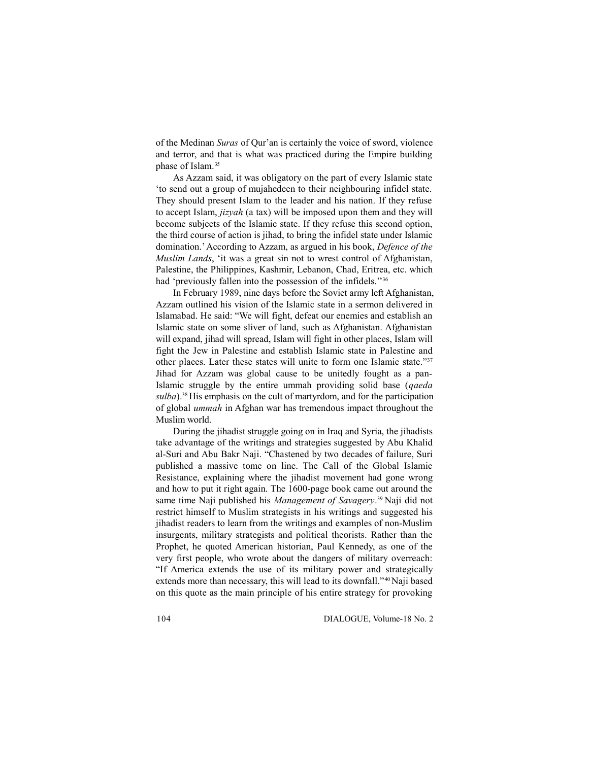of the Medinan *Suras* of Qur'an is certainly the voice of sword, violence and terror, and that is what was practiced during the Empire building phase of Islam.<sup>35</sup>

As Azzam said, it was obligatory on the part of every Islamic state 'to send out a group of mujahedeen to their neighbouring infidel state. They should present Islam to the leader and his nation. If they refuse to accept Islam, *jizyah* (a tax) will be imposed upon them and they will become subjects of the Islamic state. If they refuse this second option, the third course of action is jihad, to bring the infidel state under Islamic domination.' According to Azzam, as argued in his book, *Defence of the Muslim Lands*, 'it was a great sin not to wrest control of Afghanistan, Palestine, the Philippines, Kashmir, Lebanon, Chad, Eritrea, etc. which had 'previously fallen into the possession of the infidels.<sup>"36</sup>

In February 1989, nine days before the Soviet army left Afghanistan, Azzam outlined his vision of the Islamic state in a sermon delivered in Islamabad. He said: "We will fight, defeat our enemies and establish an Islamic state on some sliver of land, such as Afghanistan. Afghanistan will expand, jihad will spread, Islam will fight in other places, Islam will fight the Jew in Palestine and establish Islamic state in Palestine and other places. Later these states will unite to form one Islamic state."<sup>37</sup> Jihad for Azzam was global cause to be unitedly fought as a pan-Islamic struggle by the entire ummah providing solid base (*qaeda sulba*).<sup>38</sup>His emphasis on the cult of martyrdom, and for the participation of global *ummah* in Afghan war has tremendous impact throughout the Muslim world.

During the jihadist struggle going on in Iraq and Syria, the jihadists take advantage of the writings and strategies suggested by Abu Khalid al-Suri and Abu Bakr Naji. "Chastened by two decades of failure, Suri published a massive tome on line. The Call of the Global Islamic Resistance, explaining where the jihadist movement had gone wrong and how to put it right again. The 1600-page book came out around the same time Naji published his *Management of Savagery*.<sup>39</sup> Naji did not restrict himself to Muslim strategists in his writings and suggested his jihadist readers to learn from the writings and examples of non-Muslim insurgents, military strategists and political theorists. Rather than the Prophet, he quoted American historian, Paul Kennedy, as one of the very first people, who wrote about the dangers of military overreach: "If America extends the use of its military power and strategically extends more than necessary, this will lead to its downfall."<sup>40</sup> Naji based on this quote as the main principle of his entire strategy for provoking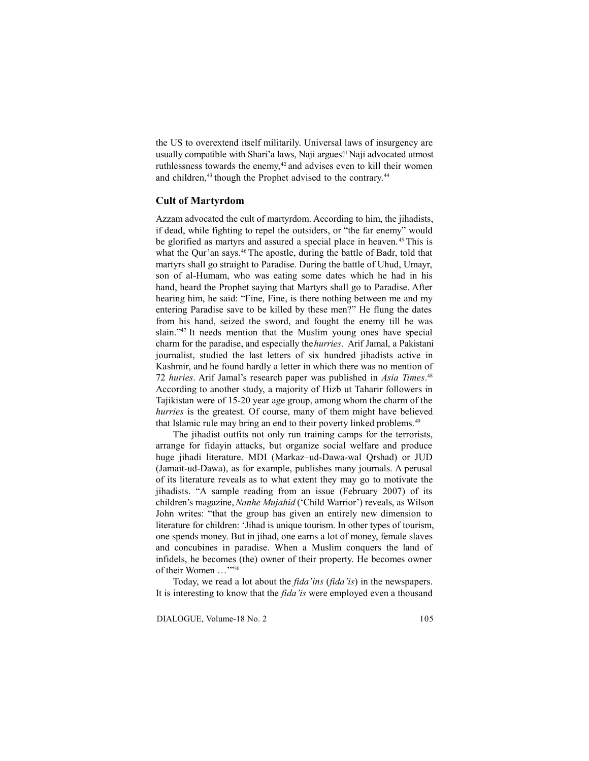the US to overextend itself militarily. Universal laws of insurgency are usually compatible with Shari'a laws, Naji argues.<sup>41</sup> Naji advocated utmost ruthlessness towards the enemy,<sup>42</sup> and advises even to kill their women and children,<sup>43</sup> though the Prophet advised to the contrary.<sup>44</sup>

# **Cult of Martyrdom**

Azzam advocated the cult of martyrdom. According to him, the jihadists, if dead, while fighting to repel the outsiders, or "the far enemy" would be glorified as martyrs and assured a special place in heaven.<sup>45</sup> This is what the Qur'an says.<sup>46</sup> The apostle, during the battle of Badr, told that martyrs shall go straight to Paradise. During the battle of Uhud, Umayr, son of al-Humam, who was eating some dates which he had in his hand, heard the Prophet saying that Martyrs shall go to Paradise. After hearing him, he said: "Fine, Fine, is there nothing between me and my entering Paradise save to be killed by these men?" He flung the dates from his hand, seized the sword, and fought the enemy till he was slain."<sup>47</sup> It needs mention that the Muslim young ones have special charm for the paradise, and especially the *hurries*. Arif Jamal, a Pakistani journalist, studied the last letters of six hundred jihadists active in Kashmir, and he found hardly a letter in which there was no mention of 72 *huries*. Arif Jamal's research paper was published in *Asia Times*.<sup>48</sup> According to another study, a majority of Hizb ut Taharir followers in Tajikistan were of 15-20 year age group, among whom the charm of the *hurries* is the greatest. Of course, many of them might have believed that Islamic rule may bring an end to their poverty linked problems.<sup>49</sup>

The jihadist outfits not only run training camps for the terrorists, arrange for fidayin attacks, but organize social welfare and produce huge jihadi literature. MDI (Markaz–ud-Dawa-wal Qrshad) or JUD (Jamait-ud-Dawa), as for example, publishes many journals. A perusal of its literature reveals as to what extent they may go to motivate the jihadists. "A sample reading from an issue (February 2007) of its children's magazine, *Nanhe Mujahid* ('Child Warrior') reveals, as Wilson John writes: "that the group has given an entirely new dimension to literature for children: 'Jihad is unique tourism. In other types of tourism, one spends money. But in jihad, one earns a lot of money, female slaves and concubines in paradise. When a Muslim conquers the land of infidels, he becomes (the) owner of their property. He becomes owner of their Women …'"<sup>50</sup>

Today, we read a lot about the *fida'ins* (*fida'is*) in the newspapers. It is interesting to know that the *fida'is* were employed even a thousand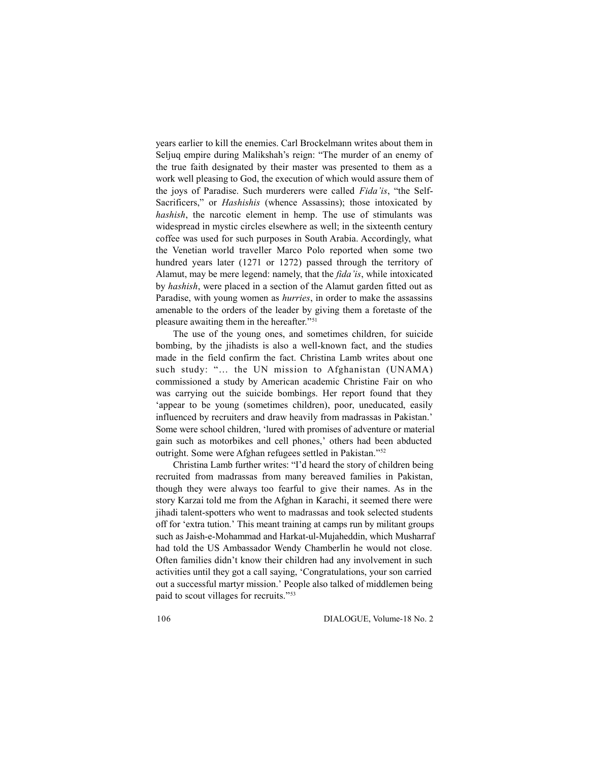years earlier to kill the enemies. Carl Brockelmann writes about them in Seljuq empire during Malikshah's reign: "The murder of an enemy of the true faith designated by their master was presented to them as a work well pleasing to God, the execution of which would assure them of the joys of Paradise. Such murderers were called *Fida'is*, "the Self-Sacrificers," or *Hashishis* (whence Assassins); those intoxicated by *hashish*, the narcotic element in hemp. The use of stimulants was widespread in mystic circles elsewhere as well; in the sixteenth century coffee was used for such purposes in South Arabia. Accordingly, what the Venetian world traveller Marco Polo reported when some two hundred years later (1271 or 1272) passed through the territory of Alamut, may be mere legend: namely, that the *fida'is*, while intoxicated by *hashish*, were placed in a section of the Alamut garden fitted out as Paradise, with young women as *hurries*, in order to make the assassins amenable to the orders of the leader by giving them a foretaste of the pleasure awaiting them in the hereafter."<sup>51</sup>

The use of the young ones, and sometimes children, for suicide bombing, by the jihadists is also a well-known fact, and the studies made in the field confirm the fact. Christina Lamb writes about one such study: "… the UN mission to Afghanistan (UNAMA) commissioned a study by American academic Christine Fair on who was carrying out the suicide bombings. Her report found that they 'appear to be young (sometimes children), poor, uneducated, easily influenced by recruiters and draw heavily from madrassas in Pakistan.' Some were school children, 'lured with promises of adventure or material gain such as motorbikes and cell phones,' others had been abducted outright. Some were Afghan refugees settled in Pakistan."<sup>52</sup>

Christina Lamb further writes: "I'd heard the story of children being recruited from madrassas from many bereaved families in Pakistan, though they were always too fearful to give their names. As in the story Karzai told me from the Afghan in Karachi, it seemed there were jihadi talent-spotters who went to madrassas and took selected students off for 'extra tution.' This meant training at camps run by militant groups such as Jaish-e-Mohammad and Harkat-ul-Mujaheddin, which Musharraf had told the US Ambassador Wendy Chamberlin he would not close. Often families didn't know their children had any involvement in such activities until they got a call saying, 'Congratulations, your son carried out a successful martyr mission.' People also talked of middlemen being paid to scout villages for recruits."53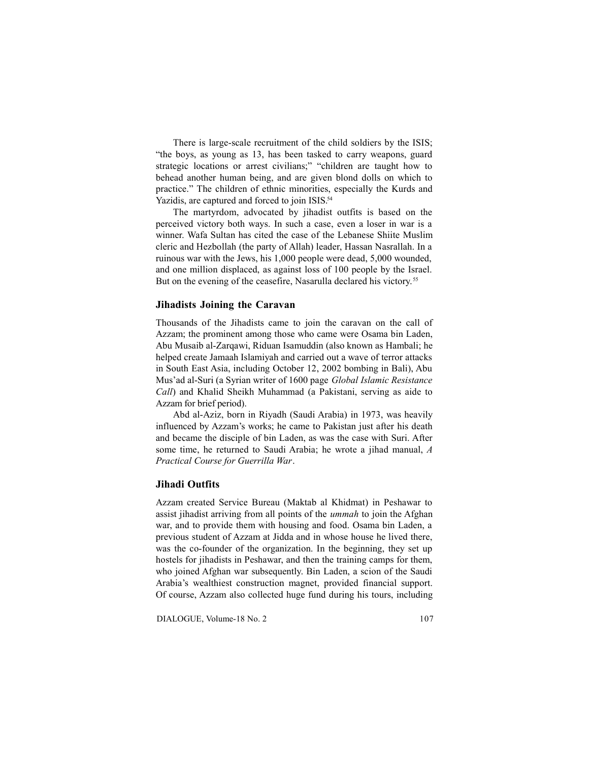There is large-scale recruitment of the child soldiers by the ISIS; "the boys, as young as 13, has been tasked to carry weapons, guard strategic locations or arrest civilians;" "children are taught how to behead another human being, and are given blond dolls on which to practice." The children of ethnic minorities, especially the Kurds and Yazidis, are captured and forced to join ISIS.<sup>54</sup>

The martyrdom, advocated by jihadist outfits is based on the perceived victory both ways. In such a case, even a loser in war is a winner. Wafa Sultan has cited the case of the Lebanese Shiite Muslim cleric and Hezbollah (the party of Allah) leader, Hassan Nasrallah. In a ruinous war with the Jews, his 1,000 people were dead, 5,000 wounded, and one million displaced, as against loss of 100 people by the Israel. But on the evening of the ceasefire, Nasarulla declared his victory.<sup>55</sup>

## **Jihadists Joining the Caravan**

Thousands of the Jihadists came to join the caravan on the call of Azzam; the prominent among those who came were Osama bin Laden, Abu Musaib al-Zarqawi, Riduan Isamuddin (also known as Hambali; he helped create Jamaah Islamiyah and carried out a wave of terror attacks in South East Asia, including October 12, 2002 bombing in Bali), Abu Mus'ad al-Suri (a Syrian writer of 1600 page *Global Islamic Resistance Call*) and Khalid Sheikh Muhammad (a Pakistani, serving as aide to Azzam for brief period).

Abd al-Aziz, born in Riyadh (Saudi Arabia) in 1973, was heavily influenced by Azzam's works; he came to Pakistan just after his death and became the disciple of bin Laden, as was the case with Suri. After some time, he returned to Saudi Arabia; he wrote a jihad manual, *A Practical Course for Guerrilla War*.

## **Jihadi Outfits**

Azzam created Service Bureau (Maktab al Khidmat) in Peshawar to assist jihadist arriving from all points of the *ummah* to join the Afghan war, and to provide them with housing and food. Osama bin Laden, a previous student of Azzam at Jidda and in whose house he lived there, was the co-founder of the organization. In the beginning, they set up hostels for jihadists in Peshawar, and then the training camps for them, who joined Afghan war subsequently. Bin Laden, a scion of the Saudi Arabia's wealthiest construction magnet, provided financial support. Of course, Azzam also collected huge fund during his tours, including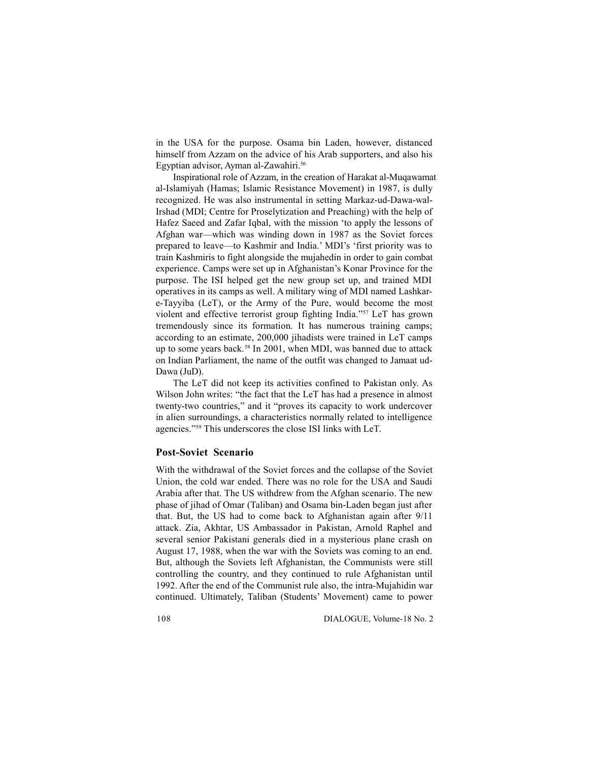in the USA for the purpose. Osama bin Laden, however, distanced himself from Azzam on the advice of his Arab supporters, and also his Egyptian advisor, Ayman al-Zawahiri.<sup>56</sup>

Inspirational role of Azzam, in the creation of Harakat al-Muqawamat al-Islamiyah (Hamas; Islamic Resistance Movement) in 1987, is dully recognized. He was also instrumental in setting Markaz-ud-Dawa-wal-Irshad (MDI; Centre for Proselytization and Preaching) with the help of Hafez Saeed and Zafar Iqbal, with the mission 'to apply the lessons of Afghan war—which was winding down in 1987 as the Soviet forces prepared to leave—to Kashmir and India.' MDI's 'first priority was to train Kashmiris to fight alongside the mujahedin in order to gain combat experience. Camps were set up in Afghanistan's Konar Province for the purpose. The ISI helped get the new group set up, and trained MDI operatives in its camps as well. A military wing of MDI named Lashkare-Tayyiba (LeT), or the Army of the Pure, would become the most violent and effective terrorist group fighting India."<sup>57</sup> LeT has grown tremendously since its formation. It has numerous training camps; according to an estimate, 200,000 jihadists were trained in LeT camps up to some years back.<sup>58</sup> In 2001, when MDI, was banned due to attack on Indian Parliament, the name of the outfit was changed to Jamaat ud-Dawa (JuD).

The LeT did not keep its activities confined to Pakistan only. As Wilson John writes: "the fact that the LeT has had a presence in almost twenty-two countries," and it "proves its capacity to work undercover in alien surroundings, a characteristics normally related to intelligence agencies."<sup>59</sup> This underscores the close ISI links with LeT.

## **Post-Soviet Scenario**

With the withdrawal of the Soviet forces and the collapse of the Soviet Union, the cold war ended. There was no role for the USA and Saudi Arabia after that. The US withdrew from the Afghan scenario. The new phase of jihad of Omar (Taliban) and Osama bin-Laden began just after that. But, the US had to come back to Afghanistan again after 9/11 attack. Zia, Akhtar, US Ambassador in Pakistan, Arnold Raphel and several senior Pakistani generals died in a mysterious plane crash on August 17, 1988, when the war with the Soviets was coming to an end. But, although the Soviets left Afghanistan, the Communists were still controlling the country, and they continued to rule Afghanistan until 1992. After the end of the Communist rule also, the intra-Mujahidin war continued. Ultimately, Taliban (Students' Movement) came to power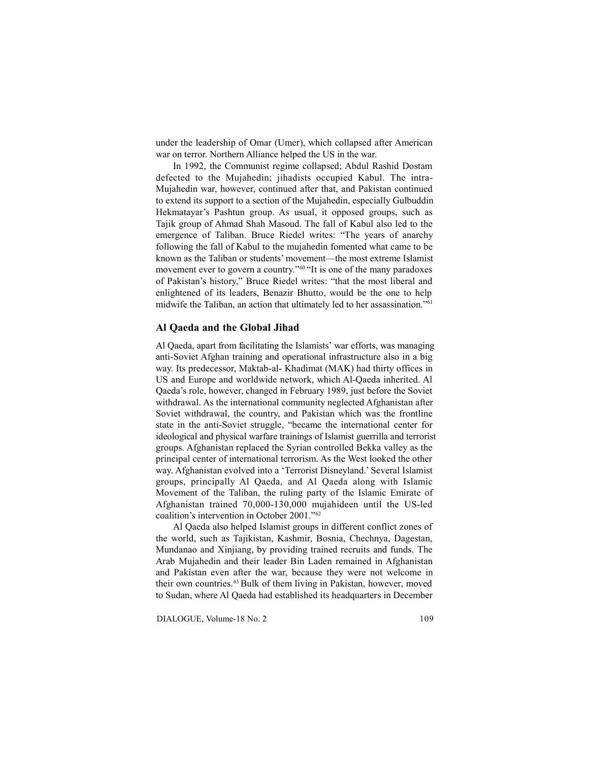under the leadership of Omar (Umer), which collapsed after American war on terror. Northern Alliance helped the US in the war.

In 1992, the Communist regime collapsed; Abdul Rashid Dostam defected to the Mujahedin; jihadists occupied Kabul. The intra-Mujahedin war, however, continued after that, and Pakistan continued to extend its support to a section of the Mujahedin, especially Gulbuddin Hekmatayar's Pashtun group. As usual, it opposed groups, such as Tajik group of Ahmad Shah Masoud. The fall of Kabul also led to the emergence of Taliban. Bruce Riedel writes: "The years of anarchy following the fall of Kabul to the mujahedin fomented what came to be known as the Taliban or students' movement—the most extreme Islamist movement ever to govern a country."<sup>60</sup>"It is one of the many paradoxes of Pakistan's history," Bruce Riedel writes: "that the most liberal and enlightened of its leaders, Benazir Bhutto, would be the one to help midwife the Taliban, an action that ultimately led to her assassination."<sup>61</sup>

#### **Al Qaeda and the Global Jihad**

Al Qaeda, apart from facilitating the Islamists' war efforts, was managing anti-Soviet Afghan training and operational infrastructure also in a big way. Its predecessor, Maktab-al- Khadimat (MAK) had thirty offices in US and Europe and worldwide network, which Al-Qaeda inherited. Al Qaeda's role, however, changed in February 1989, just before the Soviet withdrawal. As the international community neglected Afghanistan after Soviet withdrawal, the country, and Pakistan which was the frontline state in the anti-Soviet struggle, "became the international center for ideological and physical warfare trainings of Islamist guerrilla and terrorist groups. Afghanistan replaced the Syrian controlled Bekka valley as the principal center of international terrorism. As the West looked the other way. Afghanistan evolved into a 'Terrorist Disneyland.' Several Islamist groups, principally Al Qaeda, and Al Qaeda along with Islamic Movement of the Taliban, the ruling party of the Islamic Emirate of Afghanistan trained 70,000-130,000 mujahideen until the US-led coalition's intervention in October 2001."<sup>62</sup>

Al Qaeda also helped Islamist groups in different conflict zones of the world, such as Tajikistan, Kashmir, Bosnia, Chechnya, Dagestan, Mundanao and Xinjiang, by providing trained recruits and funds. The Arab Mujahedin and their leader Bin Laden remained in Afghanistan and Pakistan even after the war, because they were not welcome in their own countries.<sup>63</sup> Bulk of them living in Pakistan, however, moved to Sudan, where Al Qaeda had established its headquarters in December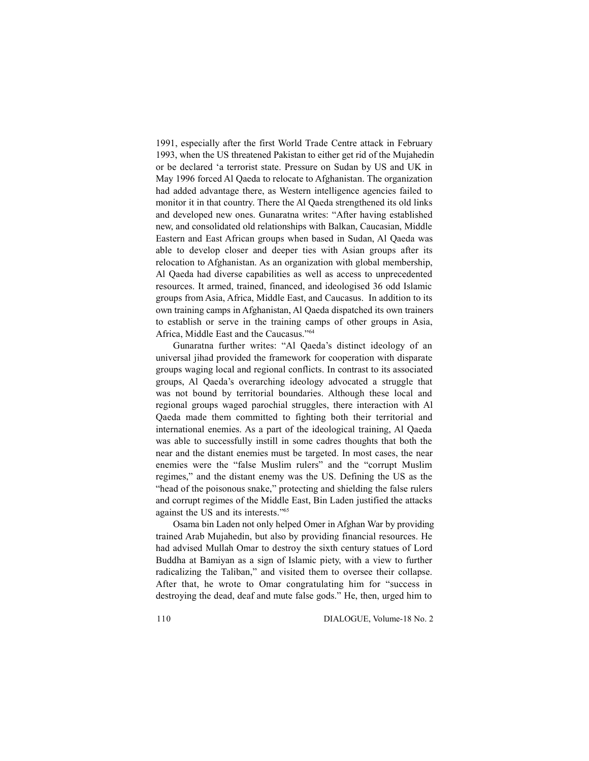1991, especially after the first World Trade Centre attack in February 1993, when the US threatened Pakistan to either get rid of the Mujahedin or be declared 'a terrorist state. Pressure on Sudan by US and UK in May 1996 forced Al Qaeda to relocate to Afghanistan. The organization had added advantage there, as Western intelligence agencies failed to monitor it in that country. There the Al Qaeda strengthened its old links and developed new ones. Gunaratna writes: "After having established new, and consolidated old relationships with Balkan, Caucasian, Middle Eastern and East African groups when based in Sudan, Al Qaeda was able to develop closer and deeper ties with Asian groups after its relocation to Afghanistan. As an organization with global membership, Al Qaeda had diverse capabilities as well as access to unprecedented resources. It armed, trained, financed, and ideologised 36 odd Islamic groups from Asia, Africa, Middle East, and Caucasus. In addition to its own training camps in Afghanistan, Al Qaeda dispatched its own trainers to establish or serve in the training camps of other groups in Asia, Africa, Middle East and the Caucasus."<sup>64</sup>

Gunaratna further writes: "Al Qaeda's distinct ideology of an universal jihad provided the framework for cooperation with disparate groups waging local and regional conflicts. In contrast to its associated groups, Al Qaeda's overarching ideology advocated a struggle that was not bound by territorial boundaries. Although these local and regional groups waged parochial struggles, there interaction with Al Qaeda made them committed to fighting both their territorial and international enemies. As a part of the ideological training, Al Qaeda was able to successfully instill in some cadres thoughts that both the near and the distant enemies must be targeted. In most cases, the near enemies were the "false Muslim rulers" and the "corrupt Muslim regimes," and the distant enemy was the US. Defining the US as the "head of the poisonous snake," protecting and shielding the false rulers and corrupt regimes of the Middle East, Bin Laden justified the attacks against the US and its interests."<sup>65</sup>

Osama bin Laden not only helped Omer in Afghan War by providing trained Arab Mujahedin, but also by providing financial resources. He had advised Mullah Omar to destroy the sixth century statues of Lord Buddha at Bamiyan as a sign of Islamic piety, with a view to further radicalizing the Taliban," and visited them to oversee their collapse. After that, he wrote to Omar congratulating him for "success in destroying the dead, deaf and mute false gods." He, then, urged him to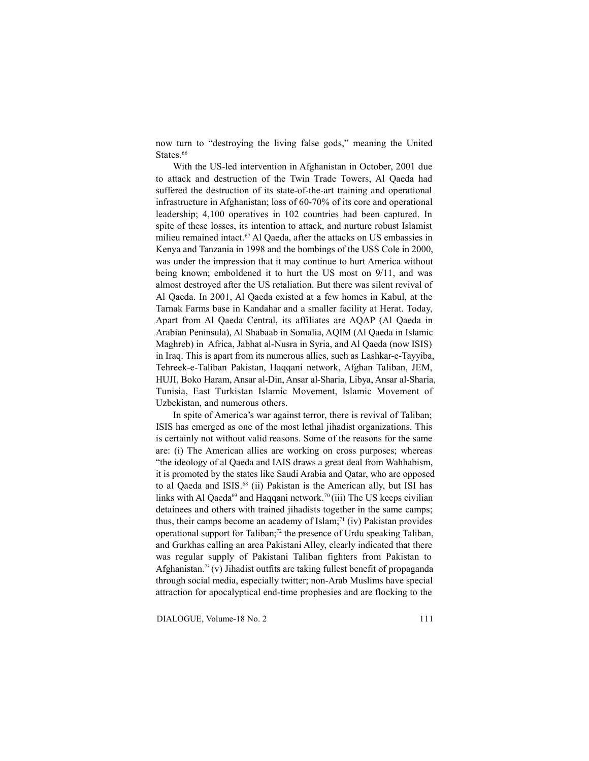now turn to "destroying the living false gods," meaning the United States.<sup>66</sup>

With the US-led intervention in Afghanistan in October, 2001 due to attack and destruction of the Twin Trade Towers, Al Qaeda had suffered the destruction of its state-of-the-art training and operational infrastructure in Afghanistan; loss of 60-70% of its core and operational leadership; 4,100 operatives in 102 countries had been captured. In spite of these losses, its intention to attack, and nurture robust Islamist milieu remained intact.<sup>67</sup> Al Qaeda, after the attacks on US embassies in Kenya and Tanzania in 1998 and the bombings of the USS Cole in 2000, was under the impression that it may continue to hurt America without being known; emboldened it to hurt the US most on 9/11, and was almost destroyed after the US retaliation. But there was silent revival of Al Qaeda. In 2001, Al Qaeda existed at a few homes in Kabul, at the Tarnak Farms base in Kandahar and a smaller facility at Herat. Today, Apart from Al Qaeda Central, its affiliates are AQAP (Al Qaeda in Arabian Peninsula), Al Shabaab in Somalia, AQIM (Al Qaeda in Islamic Maghreb) in Africa, Jabhat al-Nusra in Syria, and Al Qaeda (now ISIS) in Iraq. This is apart from its numerous allies, such as Lashkar-e-Tayyiba, Tehreek-e-Taliban Pakistan, Haqqani network, Afghan Taliban, JEM, HUJI, Boko Haram, Ansar al-Din, Ansar al-Sharia, Libya, Ansar al-Sharia, Tunisia, East Turkistan Islamic Movement, Islamic Movement of Uzbekistan, and numerous others.

In spite of America's war against terror, there is revival of Taliban; ISIS has emerged as one of the most lethal jihadist organizations. This is certainly not without valid reasons. Some of the reasons for the same are: (i) The American allies are working on cross purposes; whereas "the ideology of al Qaeda and IAIS draws a great deal from Wahhabism, it is promoted by the states like Saudi Arabia and Qatar, who are opposed to al Qaeda and ISIS.<sup>68</sup> (ii) Pakistan is the American ally, but ISI has links with Al Qaeda<sup>69</sup> and Haqqani network.<sup>70</sup>(iii) The US keeps civilian detainees and others with trained jihadists together in the same camps; thus, their camps become an academy of Islam;<sup>71</sup> (iv) Pakistan provides operational support for Taliban;<sup>72</sup> the presence of Urdu speaking Taliban, and Gurkhas calling an area Pakistani Alley, clearly indicated that there was regular supply of Pakistani Taliban fighters from Pakistan to Afghanistan.<sup>73</sup>(v) Jihadist outfits are taking fullest benefit of propaganda through social media, especially twitter; non-Arab Muslims have special attraction for apocalyptical end-time prophesies and are flocking to the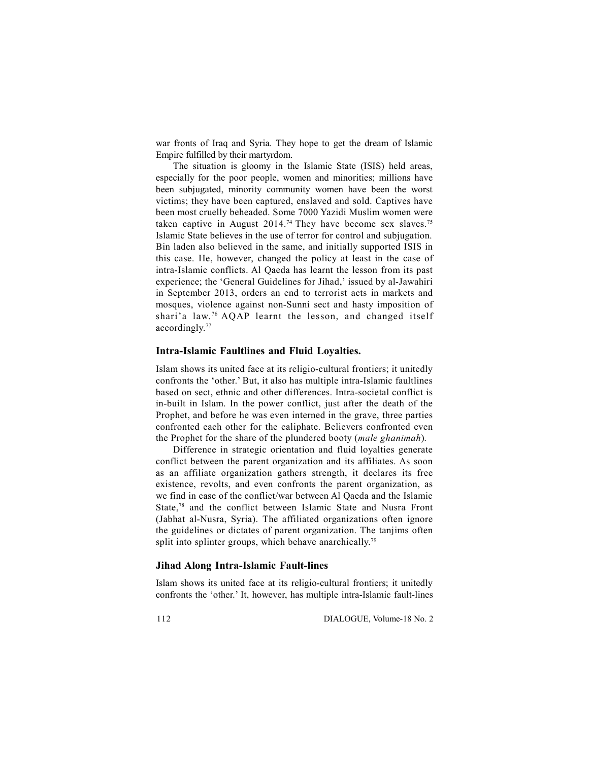war fronts of Iraq and Syria. They hope to get the dream of Islamic Empire fulfilled by their martyrdom.

The situation is gloomy in the Islamic State (ISIS) held areas, especially for the poor people, women and minorities; millions have been subjugated, minority community women have been the worst victims; they have been captured, enslaved and sold. Captives have been most cruelly beheaded. Some 7000 Yazidi Muslim women were taken captive in August 2014.<sup>74</sup> They have become sex slaves.<sup>75</sup> Islamic State believes in the use of terror for control and subjugation. Bin laden also believed in the same, and initially supported ISIS in this case. He, however, changed the policy at least in the case of intra-Islamic conflicts. Al Qaeda has learnt the lesson from its past experience; the 'General Guidelines for Jihad,' issued by al-Jawahiri in September 2013, orders an end to terrorist acts in markets and mosques, violence against non-Sunni sect and hasty imposition of shari'a law.<sup>76</sup> AQAP learnt the lesson, and changed itself accordingly.<sup>77</sup>

## **Intra-Islamic Faultlines and Fluid Loyalties.**

Islam shows its united face at its religio-cultural frontiers; it unitedly confronts the 'other.' But, it also has multiple intra-Islamic faultlines based on sect, ethnic and other differences. Intra-societal conflict is in-built in Islam. In the power conflict, just after the death of the Prophet, and before he was even interned in the grave, three parties confronted each other for the caliphate. Believers confronted even the Prophet for the share of the plundered booty (*male ghanimah*)*.*

Difference in strategic orientation and fluid loyalties generate conflict between the parent organization and its affiliates. As soon as an affiliate organization gathers strength, it declares its free existence, revolts, and even confronts the parent organization, as we find in case of the conflict/war between Al Qaeda and the Islamic State,<sup>78</sup> and the conflict between Islamic State and Nusra Front (Jabhat al-Nusra, Syria). The affiliated organizations often ignore the guidelines or dictates of parent organization. The tanjims often split into splinter groups, which behave anarchically.<sup>79</sup>

## **Jihad Along Intra-Islamic Fault-lines**

Islam shows its united face at its religio-cultural frontiers; it unitedly confronts the 'other.' It, however, has multiple intra-Islamic fault-lines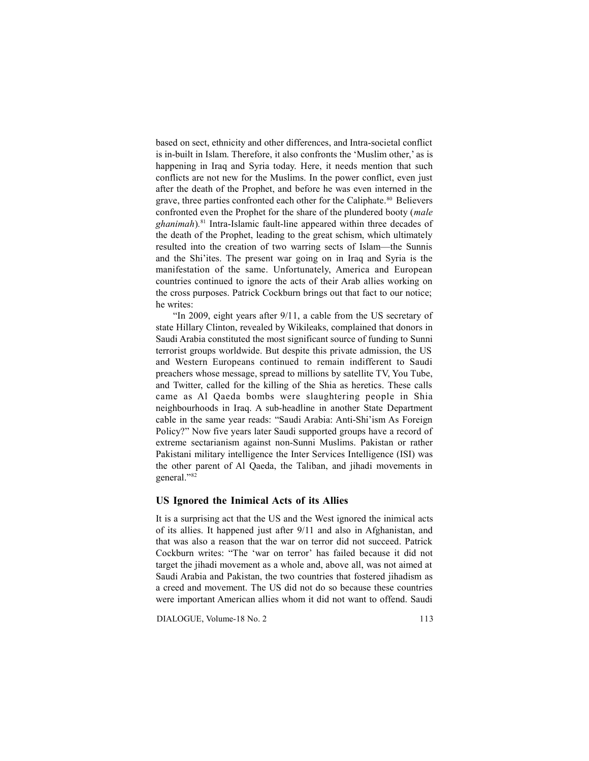based on sect, ethnicity and other differences, and Intra-societal conflict is in-built in Islam. Therefore, it also confronts the 'Muslim other,' as is happening in Iraq and Syria today. Here, it needs mention that such conflicts are not new for the Muslims. In the power conflict, even just after the death of the Prophet, and before he was even interned in the grave, three parties confronted each other for the Caliphate.<sup>80</sup> Believers confronted even the Prophet for the share of the plundered booty (*male ghanimah*)*.*<sup>81</sup> Intra-Islamic fault-line appeared within three decades of the death of the Prophet, leading to the great schism, which ultimately resulted into the creation of two warring sects of Islam—the Sunnis and the Shi'ites. The present war going on in Iraq and Syria is the manifestation of the same. Unfortunately, America and European countries continued to ignore the acts of their Arab allies working on the cross purposes. Patrick Cockburn brings out that fact to our notice; he writes:

"In 2009, eight years after 9/11, a cable from the US secretary of state Hillary Clinton, revealed by Wikileaks, complained that donors in Saudi Arabia constituted the most significant source of funding to Sunni terrorist groups worldwide. But despite this private admission, the US and Western Europeans continued to remain indifferent to Saudi preachers whose message, spread to millions by satellite TV, You Tube, and Twitter, called for the killing of the Shia as heretics. These calls came as Al Qaeda bombs were slaughtering people in Shia neighbourhoods in Iraq. A sub-headline in another State Department cable in the same year reads: "Saudi Arabia: Anti-Shi'ism As Foreign Policy?" Now five years later Saudi supported groups have a record of extreme sectarianism against non-Sunni Muslims. Pakistan or rather Pakistani military intelligence the Inter Services Intelligence (ISI) was the other parent of Al Qaeda, the Taliban, and jihadi movements in general."<sup>82</sup>

### **US Ignored the Inimical Acts of its Allies**

It is a surprising act that the US and the West ignored the inimical acts of its allies. It happened just after 9/11 and also in Afghanistan, and that was also a reason that the war on terror did not succeed. Patrick Cockburn writes: "The 'war on terror' has failed because it did not target the jihadi movement as a whole and, above all, was not aimed at Saudi Arabia and Pakistan, the two countries that fostered jihadism as a creed and movement. The US did not do so because these countries were important American allies whom it did not want to offend. Saudi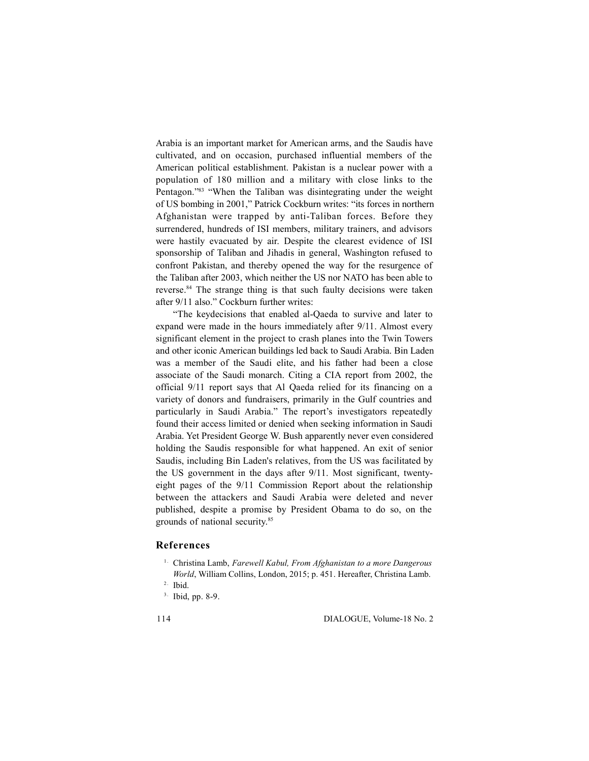Arabia is an important market for American arms, and the Saudis have cultivated, and on occasion, purchased influential members of the American political establishment. Pakistan is a nuclear power with a population of 180 million and a military with close links to the Pentagon."<sup>83</sup> "When the Taliban was disintegrating under the weight of US bombing in 2001," Patrick Cockburn writes: "its forces in northern Afghanistan were trapped by anti-Taliban forces. Before they surrendered, hundreds of ISI members, military trainers, and advisors were hastily evacuated by air. Despite the clearest evidence of ISI sponsorship of Taliban and Jihadis in general, Washington refused to confront Pakistan, and thereby opened the way for the resurgence of the Taliban after 2003, which neither the US nor NATO has been able to reverse.<sup>84</sup> The strange thing is that such faulty decisions were taken after 9/11 also." Cockburn further writes:

"The keydecisions that enabled al-Qaeda to survive and later to expand were made in the hours immediately after 9/11. Almost every significant element in the project to crash planes into the Twin Towers and other iconic American buildings led back to Saudi Arabia. Bin Laden was a member of the Saudi elite, and his father had been a close associate of the Saudi monarch. Citing a CIA report from 2002, the official 9/11 report says that Al Qaeda relied for its financing on a variety of donors and fundraisers, primarily in the Gulf countries and particularly in Saudi Arabia." The report's investigators repeatedly found their access limited or denied when seeking information in Saudi Arabia. Yet President George W. Bush apparently never even considered holding the Saudis responsible for what happened. An exit of senior Saudis, including Bin Laden's relatives, from the US was facilitated by the US government in the days after 9/11. Most significant, twentyeight pages of the 9/11 Commission Report about the relationship between the attackers and Saudi Arabia were deleted and never published, despite a promise by President Obama to do so, on the grounds of national security.<sup>85</sup>

### **References**

- <sup>1.</sup> Christina Lamb, *Farewell Kabul, From Afghanistan to a more Dangerous World*, William Collins, London, 2015; p. 451. Hereafter, Christina Lamb.<br><sup>2.</sup> Ibid. 3. Ibid, pp. 8-9.
- 
-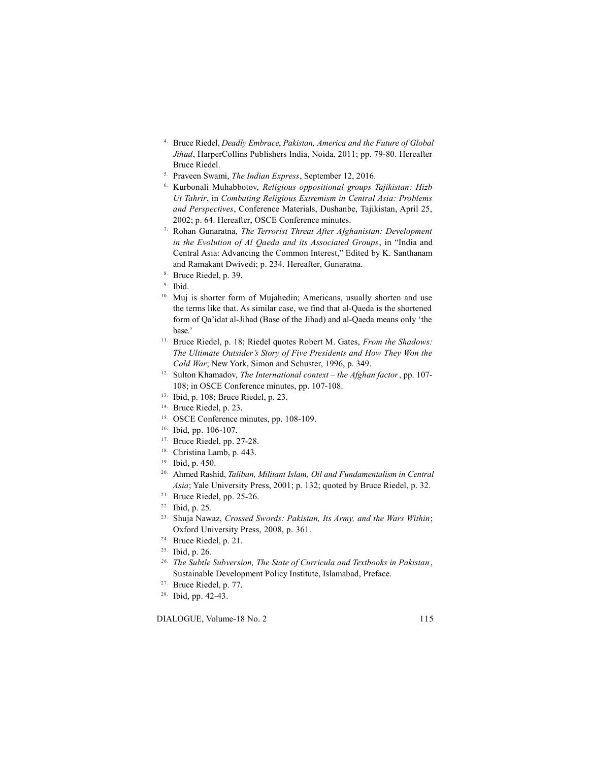- 4 . Bruce Riedel, *Deadly Embrace*, *Pakistan, America and the Future of Global* Jihad, HarperCollins Publishers India, Noida, 2011; pp. 79-80. Hereafter<br>
Bruce Riedel.<br>
<sup>5.</sup> Praveen Swami, *The Indian Express*, September 12, 2016.<br>
<sup>6.</sup> Kurbonali Muhabbotov, *Religious oppositional groups Tajikistan:*
- 
- *Ut Tahrir*, in *Combating Religious Extremism in Central Asia: Problems and Perspectives*, Conference Materials, Dushanbe, Tajikistan, April 25, 2002; p. 64. Hereafter, OSCE Conference minutes. 7 . Rohan Gunaratna, *The Terrorist Threat After Afghanistan: Development*
- *in the Evolution of Al Qaeda and its Associated Groups*, in "India and Central Asia: Advancing the Common Interest," Edited by K. Santhanam and Ramakant Dwivedi; p. 234. Hereafter, Gunaratna.<br><sup>8.</sup> Bruce Riedel, p. 39.<br><sup>9.</sup> Ibid.<br><sup>10.</sup> Muj is shorter form of Mujahedin; Americans, usually shorten and use
- 
- 
- the terms like that. As similar case, we find that al-Qaeda is the shortened form of Qa'idat al-Jihad (Base of the Jihad) and al-Qaeda means only 'the base.'
- 11. Bruce Riedel, p. 18; Riedel quotes Robert M. Gates, *From the Shadows: The Ultimate Outsider's Story of Five Presidents and How They Won the Cold War*; New York, Simon and Schuster, 1996, p. 349.
- 12. Sulton Khamadov, *The International context the Afghan factor*, pp. 107- 108; in OSCE Conference minutes, pp. 107-108.
- 13. Ibid, p. 108; Bruce Riedel, p. 23.
- 14. Bruce Riedel, p. 23.
- 15. OSCE Conference minutes, pp. 108-109.
- 16. Ibid, pp. 106-107.
- <sup>17.</sup> Bruce Riedel, pp. 27-28.
- 18. Christina Lamb, p. 443.
- 19. Ibid, p. 450.
- 20. Ahmed Rashid, *Taliban, Militant Islam, Oil and Fundamentalism in Central Asia*; Yale University Press, 2001; p. 132; quoted by Bruce Riedel, p. 32.
- 21. Bruce Riedel, pp. 25-26.
- 22. Ibid, p. 25.
- 23. Shuja Nawaz, *Crossed Swords: Pakistan, Its Army, and the Wars Within*; Oxford University Press, 2008, p. 361.
- 24. Bruce Riedel, p. 21.
- 25. Ibid, p. 26.
- *26. The Subtle Subversion, The State of Curricula and Textbooks in Pakistan* , Sustainable Development Policy Institute, Islamabad, Preface.
- 27. Bruce Riedel, p. 77.
- 28. Ibid, pp. 42-43.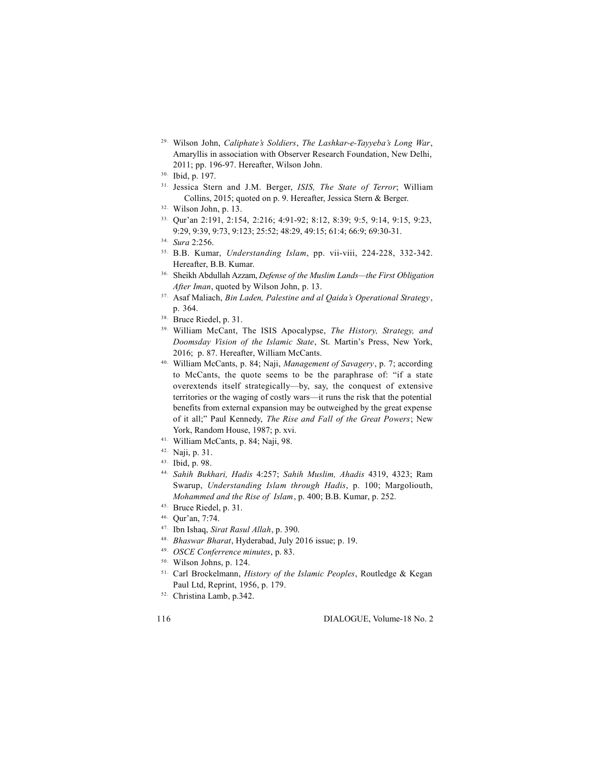- 29. Wilson John, *Caliphate's Soldiers*, *The Lashkar-e-Tayyeba's Long War*, Amaryllis in association with Observer Research Foundation, New Delhi, 2011; pp. 196-97. Hereafter, Wilson John.
- 30. Ibid, p. 197.
- 31. Jessica Stern and J.M. Berger, *ISIS, The State of Terror*; William Collins, 2015; quoted on p. 9. Hereafter, Jessica Stern & Berger.
- 32. Wilson John, p. 13.
- 33. Qur'an 2:191, 2:154, 2:216; 4:91-92; 8:12, 8:39; 9:5, 9:14, 9:15, 9:23, 9:29, 9:39, 9:73, 9:123; 25:52; 48:29, 49:15; 61:4; 66:9; 69:30-31.
- 34. *Sura* 2:256.
- 35. B.B. Kumar, *Understanding Islam*, pp. vii-viii, 224-228, 332-342. Hereafter, B.B. Kumar.
- 36. Sheikh Abdullah Azzam, *Defense of the Muslim Lands—the First Obligation After Iman*, quoted by Wilson John, p. 13.
- 37. Asaf Maliach, *Bin Laden, Palestine and al Qaida's Operational Strategy*, p. 364.
- 38. Bruce Riedel, p. 31.
- 39. William McCant, The ISIS Apocalypse, *The History, Strategy, and Doomsday Vision of the Islamic State*, St. Martin's Press, New York, 2016; p. 87. Hereafter, William McCants.
- 40. William McCants, p. 84; Naji, *Management of Savagery*, p. 7; according to McCants, the quote seems to be the paraphrase of: "if a state overextends itself strategically—by, say, the conquest of extensive territories or the waging of costly wars—it runs the risk that the potential benefits from external expansion may be outweighed by the great expense of it all;" Paul Kennedy, *The Rise and Fall of the Great Powers*; New York, Random House, 1987; p. xvi.
- 41. William McCants, p. 84; Naji, 98.
- 42. Naji, p. 31.
- 43. Ibid, p. 98.
- 44. *Sahih Bukhari, Hadis* 4:257; *Sahih Muslim, Ahadis* 4319, 4323; Ram Swarup, *Understanding Islam through Hadis*, p. 100; Margoliouth, *Mohammed and the Rise of Islam*, p. 400; B.B. Kumar, p. 252.
- 45. Bruce Riedel, p. 31.
- 46. Qur'an, 7:74.
- 47. Ibn Ishaq, *Sirat Rasul Allah*, p. 390.
- 48. *Bhaswar Bharat*, Hyderabad, July 2016 issue; p. 19.
- 49. *OSCE Conferrence minutes*, p. 83.
- 50. Wilson Johns, p. 124.
- 51. Carl Brockelmann, *History of the Islamic Peoples*, Routledge & Kegan Paul Ltd, Reprint, 1956, p. 179.
- 52. Christina Lamb, p.342.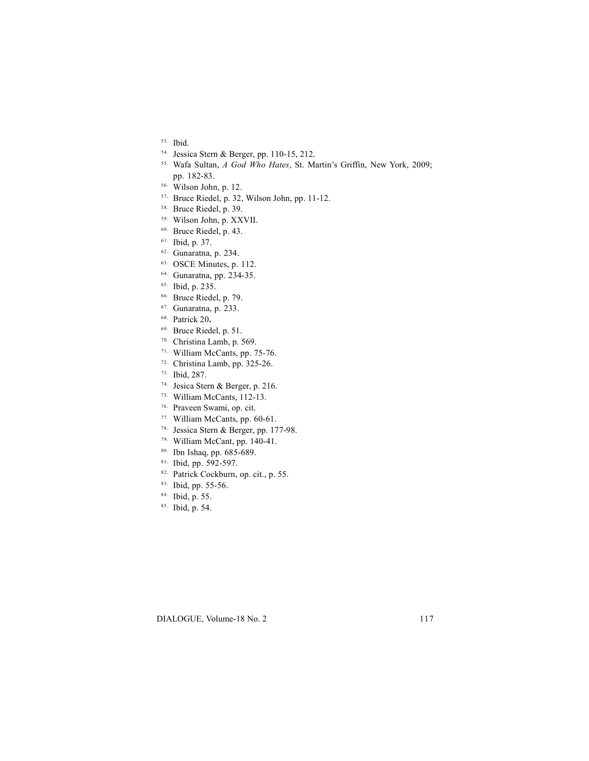- 53. Ibid.
- 54. Jessica Stern & Berger, pp. 110-15, 212.
- 55. Wafa Sultan, *A God Who Hates*, St. Martin's Griffin, New York, 2009; pp. 182-83.
- 56. Wilson John, p. 12.
- <sup>57</sup>**.** Bruce Riedel, p. 32, Wilson John, pp. 11-12.
- 58. Bruce Riedel, p. 39.
- 59. Wilson John, p. XXVII.
- 60. Bruce Riedel, p. 43.
- 61. Ibid, p. 37.
- 62. Gunaratna, p. 234.
- 63. OSCE Minutes, p. 112.
- 64. Gunaratna, pp. 234-35.
- 65. Ibid, p. 235.
- 66. Bruce Riedel, p. 79.
- 67. Gunaratna, p. 233.
- 68. Patrick 20**.**
- 69. Bruce Riedel, p. 51.
- 70. Christina Lamb, p. 569.
- 71. William McCants, pp. 75-76.
- 72. Christina Lamb, pp. 325-26.
- 73. Ibid, 287.
- 74. Jesica Stern & Berger, p. 216.
- 75. William McCants, 112-13.
- 76. Praveen Swami, op. cit.
- 77. William McCants, pp. 60-61.
- 78. Jessica Stern & Berger, pp. 177-98.
- 79. William McCant, pp. 140-41.
- 80. Ibn Ishaq, pp. 685-689.
- 81. Ibid, pp. 592-597.
- 82. Patrick Cockburn, op. cit., p. 55.
- 83. Ibid, pp. 55-56.
- 84. Ibid, p. 55.
- 85. Ibid, p. 54.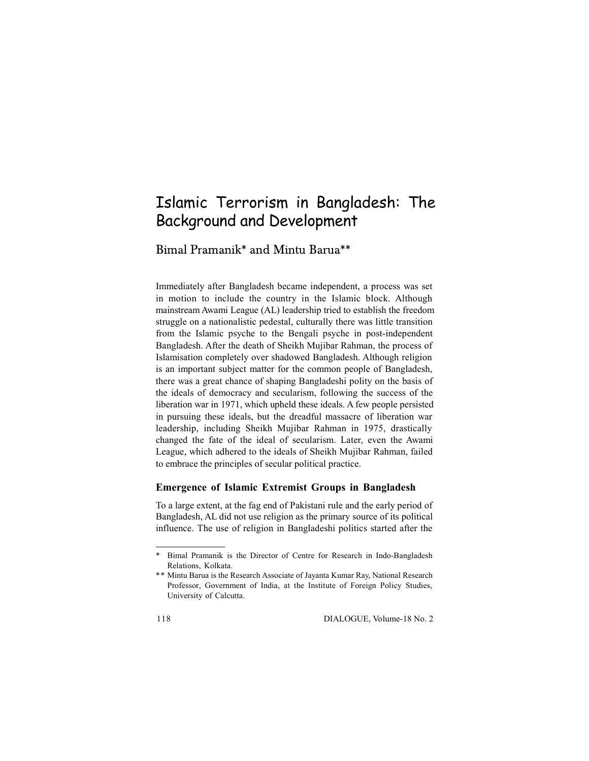# Islamic Terrorism in Bangladesh: The Background and Development

Bimal Pramanik\* and Mintu Barua\*\*

Immediately after Bangladesh became independent, a process was set in motion to include the country in the Islamic block. Although mainstream Awami League (AL) leadership tried to establish the freedom struggle on a nationalistic pedestal, culturally there was little transition from the Islamic psyche to the Bengali psyche in post-independent Bangladesh. After the death of Sheikh Mujibar Rahman, the process of Islamisation completely over shadowed Bangladesh. Although religion is an important subject matter for the common people of Bangladesh, there was a great chance of shaping Bangladeshi polity on the basis of the ideals of democracy and secularism, following the success of the liberation war in 1971, which upheld these ideals. A few people persisted in pursuing these ideals, but the dreadful massacre of liberation war leadership, including Sheikh Mujibar Rahman in 1975, drastically changed the fate of the ideal of secularism. Later, even the Awami League, which adhered to the ideals of Sheikh Mujibar Rahman, failed to embrace the principles of secular political practice.

# **Emergence of Islamic Extremist Groups in Bangladesh**

To a large extent, at the fag end of Pakistani rule and the early period of Bangladesh, AL did not use religion as the primary source of its political influence. The use of religion in Bangladeshi politics started after the

<sup>\*</sup> Bimal Pramanik is the Director of Centre for Research in Indo-Bangladesh Relations, Kolkata.

<sup>\*\*</sup> Mintu Barua is the Research Associate of Jayanta Kumar Ray, National Research Professor, Government of India, at the Institute of Foreign Policy Studies, University of Calcutta.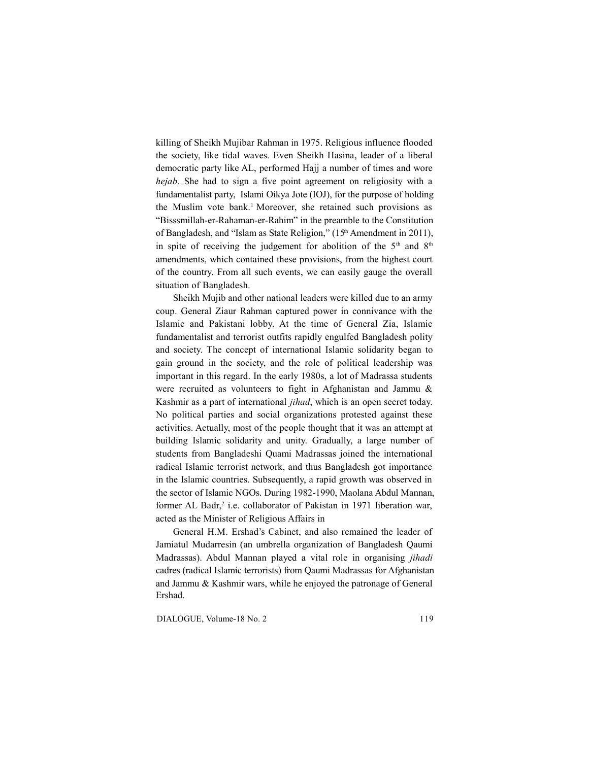killing of Sheikh Mujibar Rahman in 1975. Religious influence flooded the society, like tidal waves. Even Sheikh Hasina, leader of a liberal democratic party like AL, performed Hajj a number of times and wore *hejab*. She had to sign a five point agreement on religiosity with a fundamentalist party, Islami Oikya Jote (IOJ), for the purpose of holding the Muslim vote bank.<sup>1</sup> Moreover, she retained such provisions as "Bisssmillah-er-Rahaman-er-Rahim" in the preamble to the Constitution of Bangladesh, and "Islam as State Religion," (15<sup>th</sup> Amendment in 2011), in spite of receiving the judgement for abolition of the  $5<sup>th</sup>$  and  $8<sup>th</sup>$ amendments, which contained these provisions, from the highest court of the country. From all such events, we can easily gauge the overall situation of Bangladesh.

Sheikh Mujib and other national leaders were killed due to an army coup. General Ziaur Rahman captured power in connivance with the Islamic and Pakistani lobby. At the time of General Zia, Islamic fundamentalist and terrorist outfits rapidly engulfed Bangladesh polity and society. The concept of international Islamic solidarity began to gain ground in the society, and the role of political leadership was important in this regard. In the early 1980s, a lot of Madrassa students were recruited as volunteers to fight in Afghanistan and Jammu & Kashmir as a part of international *jihad*, which is an open secret today. No political parties and social organizations protested against these activities. Actually, most of the people thought that it was an attempt at building Islamic solidarity and unity. Gradually, a large number of students from Bangladeshi Quami Madrassas joined the international radical Islamic terrorist network, and thus Bangladesh got importance in the Islamic countries. Subsequently, a rapid growth was observed in the sector of Islamic NGOs. During 1982-1990, Maolana Abdul Mannan, former AL Badr,<sup>2</sup> i.e. collaborator of Pakistan in 1971 liberation war, acted as the Minister of Religious Affairs in

General H.M. Ershad's Cabinet, and also remained the leader of Jamiatul Mudarresin (an umbrella organization of Bangladesh Qaumi Madrassas). Abdul Mannan played a vital role in organising *jihadi* cadres (radical Islamic terrorists) from Qaumi Madrassas for Afghanistan and Jammu & Kashmir wars, while he enjoyed the patronage of General Ershad.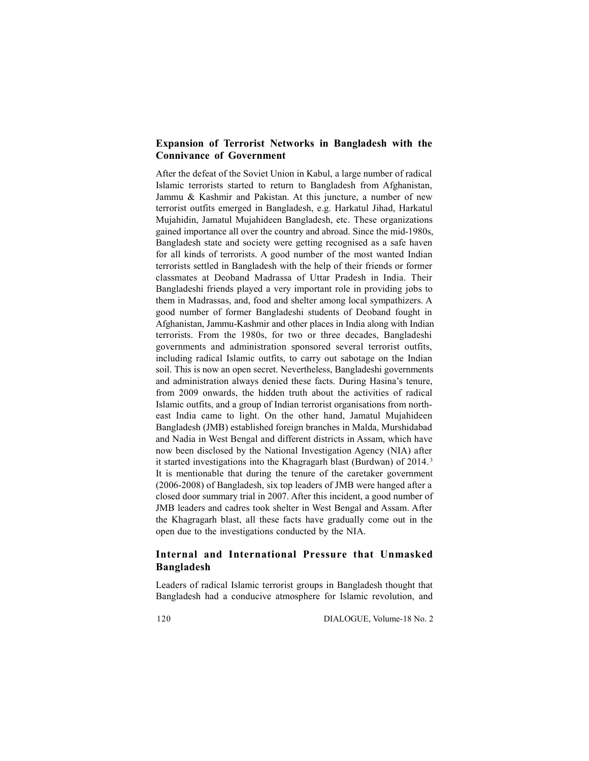# **Expansion of Terrorist Networks in Bangladesh with the Connivance of Government**

After the defeat of the Soviet Union in Kabul, a large number of radical Islamic terrorists started to return to Bangladesh from Afghanistan, Jammu & Kashmir and Pakistan. At this juncture, a number of new terrorist outfits emerged in Bangladesh, e.g. Harkatul Jihad, Harkatul Mujahidin, Jamatul Mujahideen Bangladesh, etc. These organizations gained importance all over the country and abroad. Since the mid-1980s, Bangladesh state and society were getting recognised as a safe haven for all kinds of terrorists. A good number of the most wanted Indian terrorists settled in Bangladesh with the help of their friends or former classmates at Deoband Madrassa of Uttar Pradesh in India. Their Bangladeshi friends played a very important role in providing jobs to them in Madrassas, and, food and shelter among local sympathizers. A good number of former Bangladeshi students of Deoband fought in Afghanistan, Jammu-Kashmir and other places in India along with Indian terrorists. From the 1980s, for two or three decades, Bangladeshi governments and administration sponsored several terrorist outfits, including radical Islamic outfits, to carry out sabotage on the Indian soil. This is now an open secret. Nevertheless, Bangladeshi governments and administration always denied these facts. During Hasina's tenure, from 2009 onwards, the hidden truth about the activities of radical Islamic outfits, and a group of Indian terrorist organisations from northeast India came to light. On the other hand, Jamatul Mujahideen Bangladesh (JMB) established foreign branches in Malda, Murshidabad and Nadia in West Bengal and different districts in Assam, which have now been disclosed by the National Investigation Agency (NIA) after it started investigations into the Khagragarh blast (Burdwan) of 2014. <sup>3</sup> It is mentionable that during the tenure of the caretaker government (2006-2008) of Bangladesh, six top leaders of JMB were hanged after a closed door summary trial in 2007. After this incident, a good number of JMB leaders and cadres took shelter in West Bengal and Assam. After the Khagragarh blast, all these facts have gradually come out in the open due to the investigations conducted by the NIA.

# **Internal and International Pressure that Unmasked Bangladesh**

Leaders of radical Islamic terrorist groups in Bangladesh thought that Bangladesh had a conducive atmosphere for Islamic revolution, and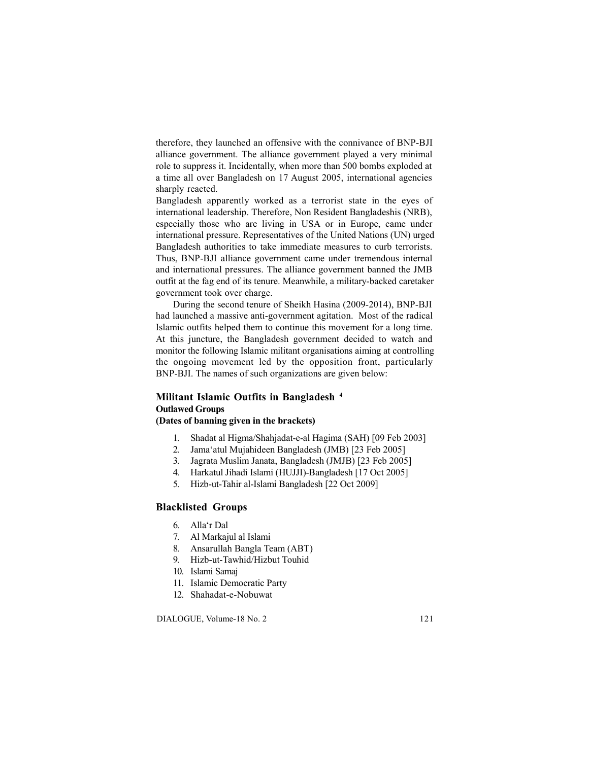therefore, they launched an offensive with the connivance of BNP-BJI alliance government. The alliance government played a very minimal role to suppress it. Incidentally, when more than 500 bombs exploded at a time all over Bangladesh on 17 August 2005, international agencies sharply reacted.

Bangladesh apparently worked as a terrorist state in the eyes of international leadership. Therefore, Non Resident Bangladeshis (NRB), especially those who are living in USA or in Europe, came under international pressure. Representatives of the United Nations (UN) urged Bangladesh authorities to take immediate measures to curb terrorists. Thus, BNP-BJI alliance government came under tremendous internal and international pressures. The alliance government banned the JMB outfit at the fag end of its tenure. Meanwhile, a military-backed caretaker government took over charge.

During the second tenure of Sheikh Hasina (2009-2014), BNP-BJI had launched a massive anti-government agitation. Most of the radical Islamic outfits helped them to continue this movement for a long time. At this juncture, the Bangladesh government decided to watch and monitor the following Islamic militant organisations aiming at controlling the ongoing movement led by the opposition front, particularly BNP-BJI. The names of such organizations are given below:

# **Militant Islamic Outfits in Bangladesh <sup>4</sup> Outlawed Groups (Dates of banning given in the brackets)**

- 1. Shadat al Higma/Shahjadat-e-al Hagima (SAH) [09 Feb 2003]
- 2. Jama'atul Mujahideen Bangladesh (JMB) [23 Feb 2005]
- 3. Jagrata Muslim Janata, Bangladesh (JMJB) [23 Feb 2005]
- 4. Harkatul Jihadi Islami (HUJJI)-Bangladesh [17 Oct 2005]
- 5. Hizb-ut-Tahir al-Islami Bangladesh [22 Oct 2009]

## **Blacklisted Groups**

- 6. Alla'r Dal
- 7. Al Markajul al Islami
- 8. Ansarullah Bangla Team (ABT)
- 9. Hizb-ut-Tawhid/Hizbut Touhid
- 10. Islami Samaj
- 11. Islamic Democratic Party
- 12. Shahadat-e-Nobuwat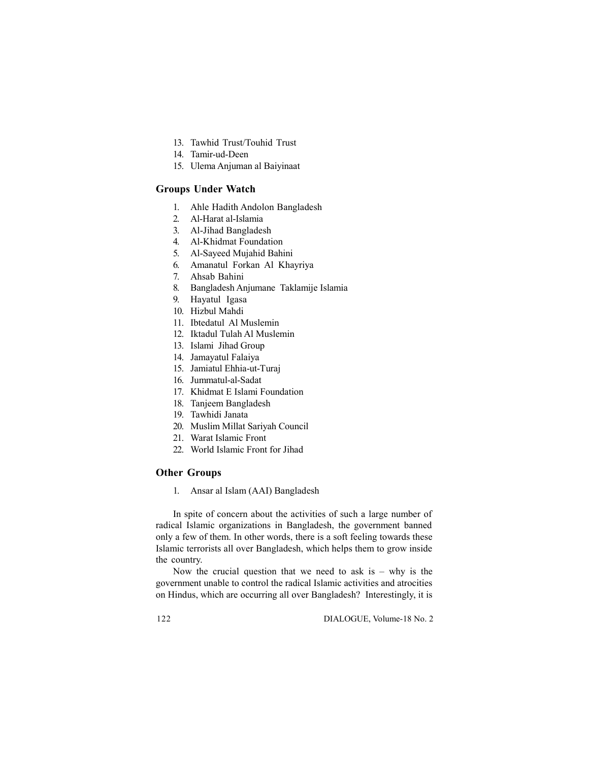- 13. Tawhid Trust/Touhid Trust
- 14. Tamir-ud-Deen
- 15. Ulema Anjuman al Baiyinaat

# **Groups Under Watch**

- 1. Ahle Hadith Andolon Bangladesh
- 2. Al-Harat al-Islamia
- 3. Al-Jihad Bangladesh
- 4. Al-Khidmat Foundation
- 5. Al-Sayeed Mujahid Bahini
- 6. Amanatul Forkan Al Khayriya
- 7. Ahsab Bahini
- 8. Bangladesh Anjumane Taklamije Islamia
- 9. Hayatul Igasa
- 10. Hizbul Mahdi
- 11. Ibtedatul Al Muslemin
- 12. Iktadul Tulah Al Muslemin
- 13. Islami Jihad Group
- 14. Jamayatul Falaiya
- 15. Jamiatul Ehhia-ut-Turaj
- 16. Jummatul-al-Sadat
- 17. Khidmat E Islami Foundation
- 18. Tanjeem Bangladesh
- 19. Tawhidi Janata
- 20. Muslim Millat Sariyah Council
- 21. Warat Islamic Front
- 22. World Islamic Front for Jihad

## **Other Groups**

1. Ansar al Islam (AAI) Bangladesh

In spite of concern about the activities of such a large number of radical Islamic organizations in Bangladesh, the government banned only a few of them. In other words, there is a soft feeling towards these Islamic terrorists all over Bangladesh, which helps them to grow inside the country.

Now the crucial question that we need to ask is  $-$  why is the government unable to control the radical Islamic activities and atrocities on Hindus, which are occurring all over Bangladesh? Interestingly, it is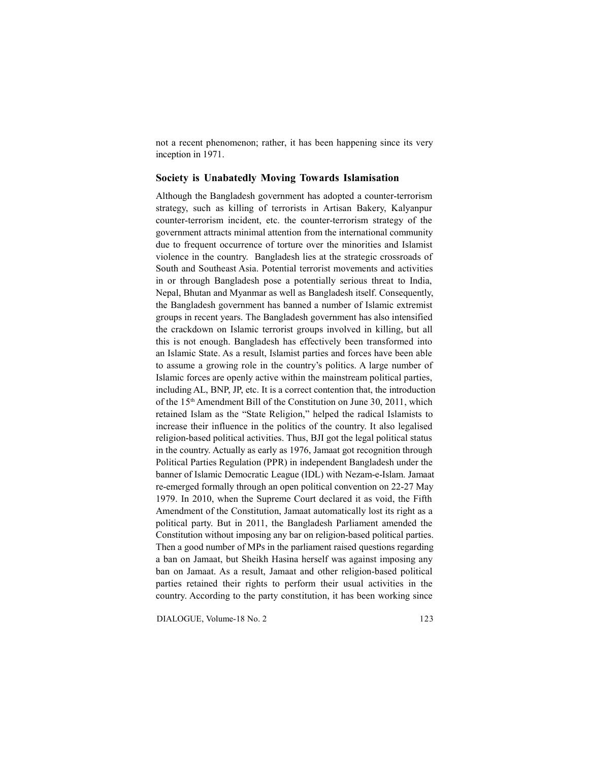not a recent phenomenon; rather, it has been happening since its very inception in 1971.

#### **Society is Unabatedly Moving Towards Islamisation**

Although the Bangladesh government has adopted a counter-terrorism strategy, such as killing of terrorists in Artisan Bakery, Kalyanpur counter-terrorism incident, etc. the counter-terrorism strategy of the government attracts minimal attention from the international community due to frequent occurrence of torture over the minorities and Islamist violence in the country. Bangladesh lies at the strategic crossroads of South and Southeast Asia. Potential terrorist movements and activities in or through Bangladesh pose a potentially serious threat to India, Nepal, Bhutan and Myanmar as well as Bangladesh itself. Consequently, the Bangladesh government has banned a number of Islamic extremist groups in recent years. The Bangladesh government has also intensified the crackdown on Islamic terrorist groups involved in killing, but all this is not enough. Bangladesh has effectively been transformed into an Islamic State. As a result, Islamist parties and forces have been able to assume a growing role in the country's politics. A large number of Islamic forces are openly active within the mainstream political parties, including AL, BNP, JP, etc. It is a correct contention that, the introduction of the 15<sup>th</sup> Amendment Bill of the Constitution on June 30, 2011, which retained Islam as the "State Religion," helped the radical Islamists to increase their influence in the politics of the country. It also legalised religion-based political activities. Thus, BJI got the legal political status in the country. Actually as early as 1976, Jamaat got recognition through Political Parties Regulation (PPR) in independent Bangladesh under the banner of Islamic Democratic League (IDL) with Nezam-e-Islam. Jamaat re-emerged formally through an open political convention on 22-27 May 1979. In 2010, when the Supreme Court declared it as void, the Fifth Amendment of the Constitution, Jamaat automatically lost its right as a political party. But in 2011, the Bangladesh Parliament amended the Constitution without imposing any bar on religion-based political parties. Then a good number of MPs in the parliament raised questions regarding a ban on Jamaat, but Sheikh Hasina herself was against imposing any ban on Jamaat. As a result, Jamaat and other religion-based political parties retained their rights to perform their usual activities in the country. According to the party constitution, it has been working since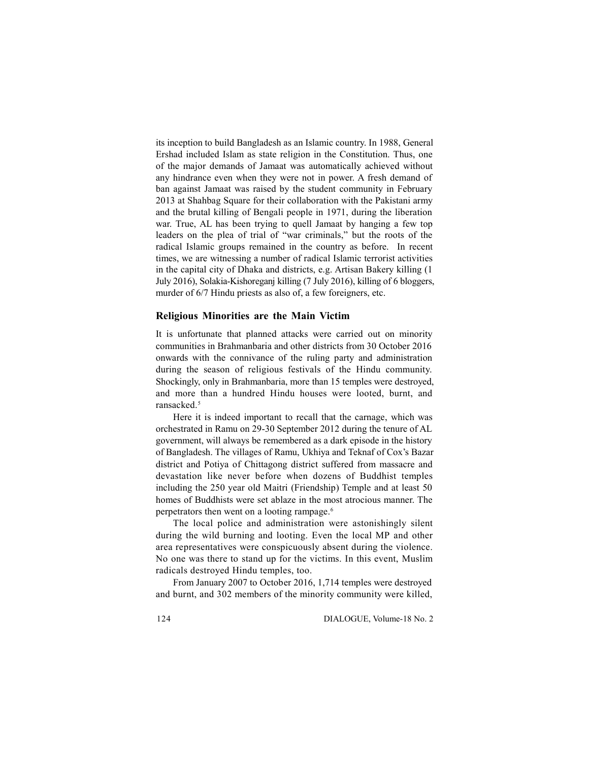its inception to build Bangladesh as an Islamic country. In 1988, General Ershad included Islam as state religion in the Constitution. Thus, one of the major demands of Jamaat was automatically achieved without any hindrance even when they were not in power. A fresh demand of ban against Jamaat was raised by the student community in February 2013 at Shahbag Square for their collaboration with the Pakistani army and the brutal killing of Bengali people in 1971, during the liberation war. True, AL has been trying to quell Jamaat by hanging a few top leaders on the plea of trial of "war criminals," but the roots of the radical Islamic groups remained in the country as before. In recent times, we are witnessing a number of radical Islamic terrorist activities in the capital city of Dhaka and districts, e.g. Artisan Bakery killing (1 July 2016), Solakia-Kishoreganj killing (7 July 2016), killing of 6 bloggers, murder of 6/7 Hindu priests as also of, a few foreigners, etc.

#### **Religious Minorities are the Main Victim**

It is unfortunate that planned attacks were carried out on minority communities in Brahmanbaria and other districts from 30 October 2016 onwards with the connivance of the ruling party and administration during the season of religious festivals of the Hindu community. Shockingly, only in Brahmanbaria, more than 15 temples were destroyed, and more than a hundred Hindu houses were looted, burnt, and ransacked.<sup>5</sup>

Here it is indeed important to recall that the carnage, which was orchestrated in Ramu on 29-30 September 2012 during the tenure of AL government, will always be remembered as a dark episode in the history of Bangladesh. The villages of Ramu, Ukhiya and Teknaf of Cox's Bazar district and Potiya of Chittagong district suffered from massacre and devastation like never before when dozens of Buddhist temples including the 250 year old Maitri (Friendship) Temple and at least 50 homes of Buddhists were set ablaze in the most atrocious manner. The perpetrators then went on a looting rampage.<sup>6</sup>

The local police and administration were astonishingly silent during the wild burning and looting. Even the local MP and other area representatives were conspicuously absent during the violence. No one was there to stand up for the victims. In this event, Muslim radicals destroyed Hindu temples, too.

From January 2007 to October 2016, 1,714 temples were destroyed and burnt, and 302 members of the minority community were killed,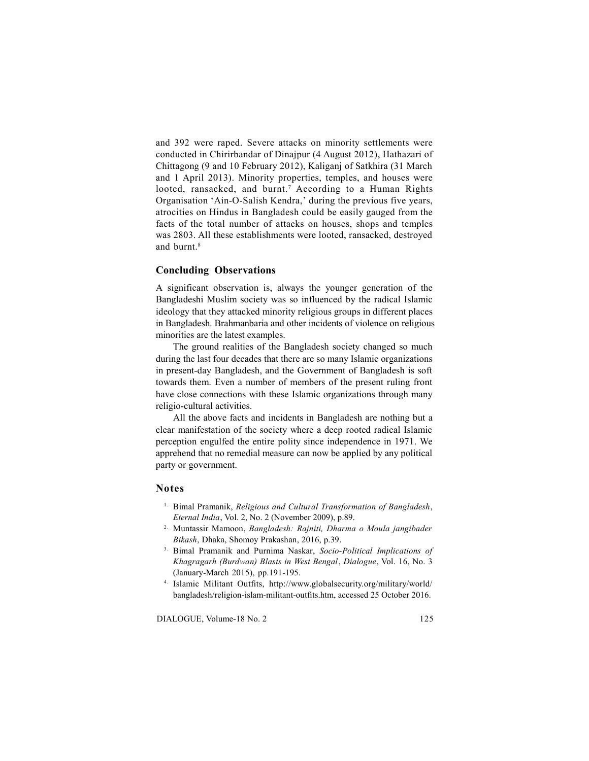and 392 were raped. Severe attacks on minority settlements were conducted in Chirirbandar of Dinajpur (4 August 2012), Hathazari of Chittagong (9 and 10 February 2012), Kaliganj of Satkhira (31 March and 1 April 2013). Minority properties, temples, and houses were looted, ransacked, and burnt.<sup>7</sup> According to a Human Rights Organisation 'Ain-O-Salish Kendra,' during the previous five years, atrocities on Hindus in Bangladesh could be easily gauged from the facts of the total number of attacks on houses, shops and temples was 2803. All these establishments were looted, ransacked, destroyed and burnt.<sup>8</sup>

## **Concluding Observations**

A significant observation is, always the younger generation of the Bangladeshi Muslim society was so influenced by the radical Islamic ideology that they attacked minority religious groups in different places in Bangladesh. Brahmanbaria and other incidents of violence on religious minorities are the latest examples.

The ground realities of the Bangladesh society changed so much during the last four decades that there are so many Islamic organizations in present-day Bangladesh, and the Government of Bangladesh is soft towards them. Even a number of members of the present ruling front have close connections with these Islamic organizations through many religio-cultural activities.

All the above facts and incidents in Bangladesh are nothing but a clear manifestation of the society where a deep rooted radical Islamic perception engulfed the entire polity since independence in 1971. We apprehend that no remedial measure can now be applied by any political party or government.

#### **Notes**

- 
- 1 . Bimal Pramanik, *Religious and Cultural Transformation of Bangladesh*, *Eternal India*, Vol. 2, No. 2 (November 2009), p.89. 2 . Muntassir Mamoon, *Bangladesh: Rajniti, Dharma o Moula jangibader Bikash*, Dhaka, Shomoy <sup>2.</sup> Muntassir Mamoon, *Bangladesh: Rajniti, Dharma o Moula jangibader Bikash*, Dhaka, Shomoy Prakashan, 2016, p.39.<br><sup>3.</sup> Bimal Pramanik and Purnima Naskar, *Socio-Political Implications of*
- *Khagragarh (Burdwan) Blasts in West Bengal*, *Dialogue*, Vol. 16, No. 3 (January-March 2015), pp.191-195. 4 . Islamic Militant Outfits, http://www.globalsecurity.org/military/world/
- bangladesh/religion-islam-militant-outfits.htm, accessed 25 October 2016.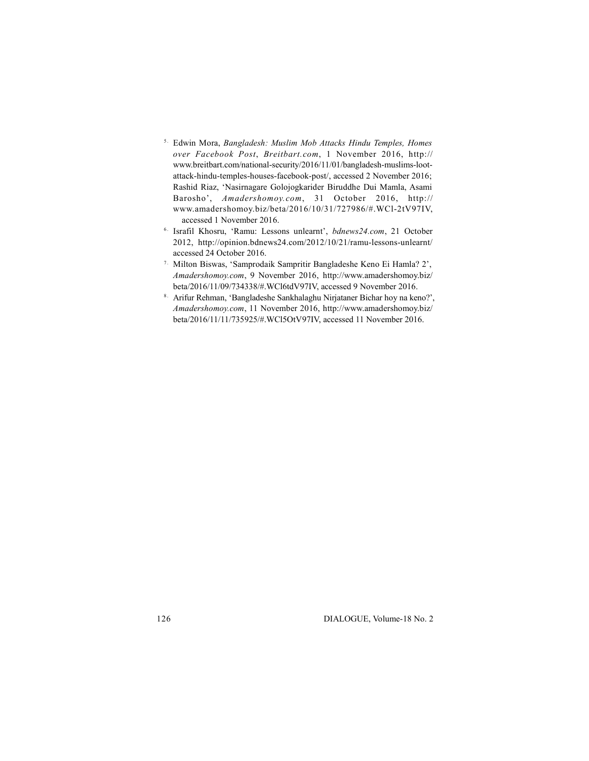- 5 . Edwin Mora, *Bangladesh: Muslim Mob Attacks Hindu Temples, Homes over Facebook Post*, *Breitbart.com*, 1 November 2016, http:// www.breitbart.com/national-security/2016/11/01/bangladesh-muslims-lootattack-hindu-temples-houses-facebook-post/, accessed 2 November 2016; Rashid Riaz, 'Nasirnagare Golojogkarider Biruddhe Dui Mamla, Asami Barosho', *Amadershomoy.com*, 31 October 2016, http:// www.amadershomoy.biz/beta/2016/10/31/727986/#.WCl-2tV97IV,
- accessed 1 November 2016. 6 . Israfil Khosru, 'Ramu: Lessons unlearnt', *bdnews24.com*, 21 October 2012, http://opinion.bdnews24.com/2012/10/21/ramu-lessons-unlearnt/
- accessed 24 October 2016. 7 . Milton Biswas, 'Samprodaik Sampritir Bangladeshe Keno Ei Hamla? 2', *Amadershomoy.com*, 9 November 2016, http://www.amadershomoy.biz/
- beta/2016/11/09/734338/#.WCl6tdV97IV, accessed 9 November 2016. 8 . Arifur Rehman, 'Bangladeshe Sankhalaghu Nirjataner Bichar hoy na keno?', *Amadershomoy.com*, 11 November 2016, http://www.amadershomoy.biz/ beta/2016/11/11/735925/#.WCl5OtV97IV, accessed 11 November 2016.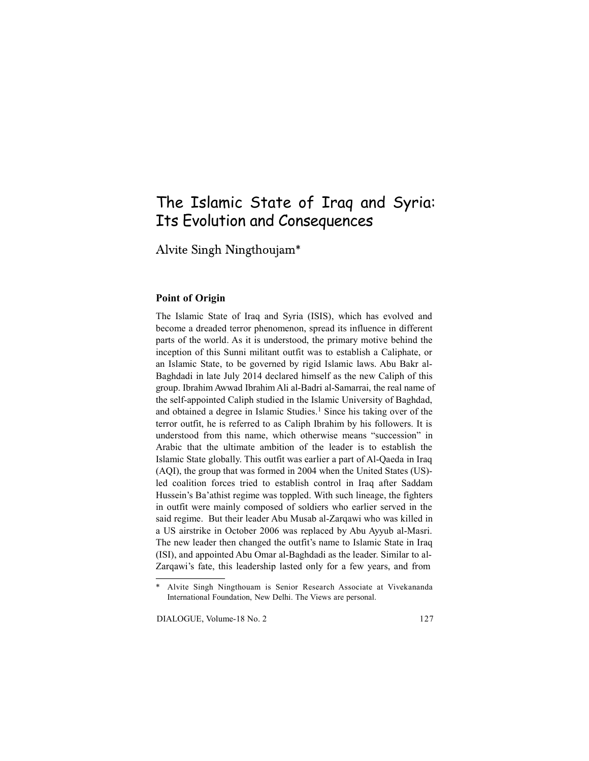# The Islamic State of Iraq and Syria: Its Evolution and Consequences

Alvite Singh Ningthoujam\*

# **Point of Origin**

The Islamic State of Iraq and Syria (ISIS), which has evolved and become a dreaded terror phenomenon, spread its influence in different parts of the world. As it is understood, the primary motive behind the inception of this Sunni militant outfit was to establish a Caliphate, or an Islamic State, to be governed by rigid Islamic laws. Abu Bakr al-Baghdadi in late July 2014 declared himself as the new Caliph of this group. Ibrahim Awwad Ibrahim Ali al-Badri al-Samarrai, the real name of the self-appointed Caliph studied in the Islamic University of Baghdad, and obtained a degree in Islamic Studies.<sup>1</sup> Since his taking over of the terror outfit, he is referred to as Caliph Ibrahim by his followers. It is understood from this name, which otherwise means "succession" in Arabic that the ultimate ambition of the leader is to establish the Islamic State globally. This outfit was earlier a part of Al-Qaeda in Iraq (AQI), the group that was formed in 2004 when the United States (US) led coalition forces tried to establish control in Iraq after Saddam Hussein's Ba'athist regime was toppled. With such lineage, the fighters in outfit were mainly composed of soldiers who earlier served in the said regime. But their leader Abu Musab al-Zarqawi who was killed in a US airstrike in October 2006 was replaced by Abu Ayyub al-Masri. The new leader then changed the outfit's name to Islamic State in Iraq (ISI), and appointed Abu Omar al-Baghdadi as the leader. Similar to al-Zarqawi's fate, this leadership lasted only for a few years, and from

Alvite Singh Ningthouam is Senior Research Associate at Vivekananda International Foundation, New Delhi. The Views are personal.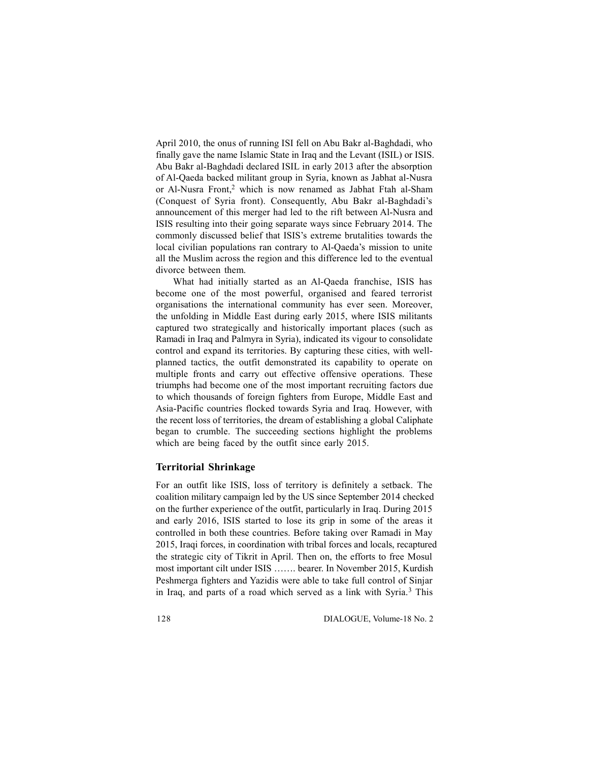April 2010, the onus of running ISI fell on Abu Bakr al-Baghdadi, who finally gave the name Islamic State in Iraq and the Levant (ISIL) or ISIS. Abu Bakr al-Baghdadi declared ISIL in early 2013 after the absorption of Al-Qaeda backed militant group in Syria, known as Jabhat al-Nusra or Al-Nusra Front,<sup>2</sup> which is now renamed as Jabhat Ftah al-Sham (Conquest of Syria front). Consequently, Abu Bakr al-Baghdadi's announcement of this merger had led to the rift between Al-Nusra and ISIS resulting into their going separate ways since February 2014. The commonly discussed belief that ISIS's extreme brutalities towards the local civilian populations ran contrary to Al-Qaeda's mission to unite all the Muslim across the region and this difference led to the eventual divorce between them.

What had initially started as an Al-Qaeda franchise, ISIS has become one of the most powerful, organised and feared terrorist organisations the international community has ever seen. Moreover, the unfolding in Middle East during early 2015, where ISIS militants captured two strategically and historically important places (such as Ramadi in Iraq and Palmyra in Syria), indicated its vigour to consolidate control and expand its territories. By capturing these cities, with wellplanned tactics, the outfit demonstrated its capability to operate on multiple fronts and carry out effective offensive operations. These triumphs had become one of the most important recruiting factors due to which thousands of foreign fighters from Europe, Middle East and Asia-Pacific countries flocked towards Syria and Iraq. However, with the recent loss of territories, the dream of establishing a global Caliphate began to crumble. The succeeding sections highlight the problems which are being faced by the outfit since early 2015.

#### **Territorial Shrinkage**

For an outfit like ISIS, loss of territory is definitely a setback. The coalition military campaign led by the US since September 2014 checked on the further experience of the outfit, particularly in Iraq. During 2015 and early 2016, ISIS started to lose its grip in some of the areas it controlled in both these countries. Before taking over Ramadi in May 2015, Iraqi forces, in coordination with tribal forces and locals, recaptured the strategic city of Tikrit in April. Then on, the efforts to free Mosul most important cilt under ISIS ……. bearer. In November 2015, Kurdish Peshmerga fighters and Yazidis were able to take full control of Sinjar in Iraq, and parts of a road which served as a link with Syria.<sup>3</sup> This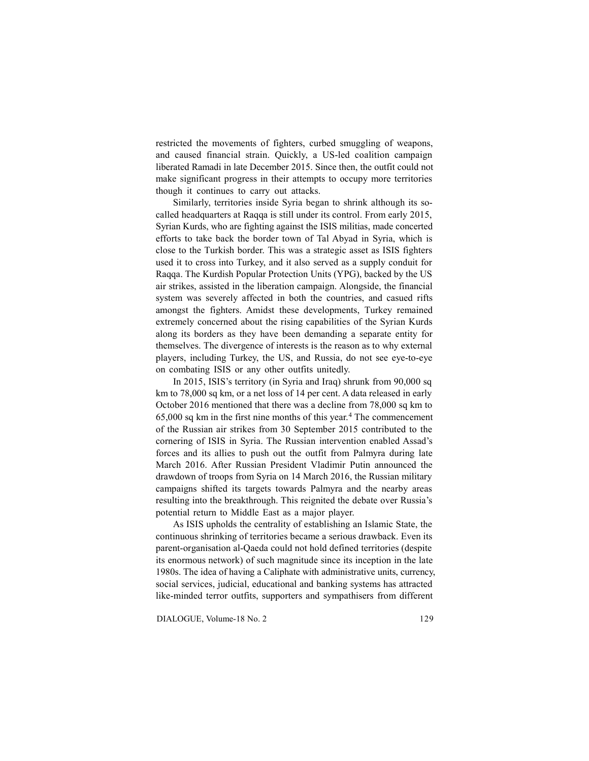restricted the movements of fighters, curbed smuggling of weapons, and caused financial strain. Quickly, a US-led coalition campaign liberated Ramadi in late December 2015. Since then, the outfit could not make significant progress in their attempts to occupy more territories though it continues to carry out attacks.

Similarly, territories inside Syria began to shrink although its socalled headquarters at Raqqa is still under its control. From early 2015, Syrian Kurds, who are fighting against the ISIS militias, made concerted efforts to take back the border town of Tal Abyad in Syria, which is close to the Turkish border. This was a strategic asset as ISIS fighters used it to cross into Turkey, and it also served as a supply conduit for Raqqa. The Kurdish Popular Protection Units (YPG), backed by the US air strikes, assisted in the liberation campaign. Alongside, the financial system was severely affected in both the countries, and casued rifts amongst the fighters. Amidst these developments, Turkey remained extremely concerned about the rising capabilities of the Syrian Kurds along its borders as they have been demanding a separate entity for themselves. The divergence of interests is the reason as to why external players, including Turkey, the US, and Russia, do not see eye-to-eye on combating ISIS or any other outfits unitedly.

In 2015, ISIS's territory (in Syria and Iraq) shrunk from 90,000 sq km to 78,000 sq km, or a net loss of 14 per cent. A data released in early October 2016 mentioned that there was a decline from 78,000 sq km to 65,000 sq km in the first nine months of this year.<sup>4</sup> The commencement of the Russian air strikes from 30 September 2015 contributed to the cornering of ISIS in Syria. The Russian intervention enabled Assad's forces and its allies to push out the outfit from Palmyra during late March 2016. After Russian President Vladimir Putin announced the drawdown of troops from Syria on 14 March 2016, the Russian military campaigns shifted its targets towards Palmyra and the nearby areas resulting into the breakthrough. This reignited the debate over Russia's potential return to Middle East as a major player.

As ISIS upholds the centrality of establishing an Islamic State, the continuous shrinking of territories became a serious drawback. Even its parent-organisation al-Qaeda could not hold defined territories (despite its enormous network) of such magnitude since its inception in the late 1980s. The idea of having a Caliphate with administrative units, currency, social services, judicial, educational and banking systems has attracted like-minded terror outfits, supporters and sympathisers from different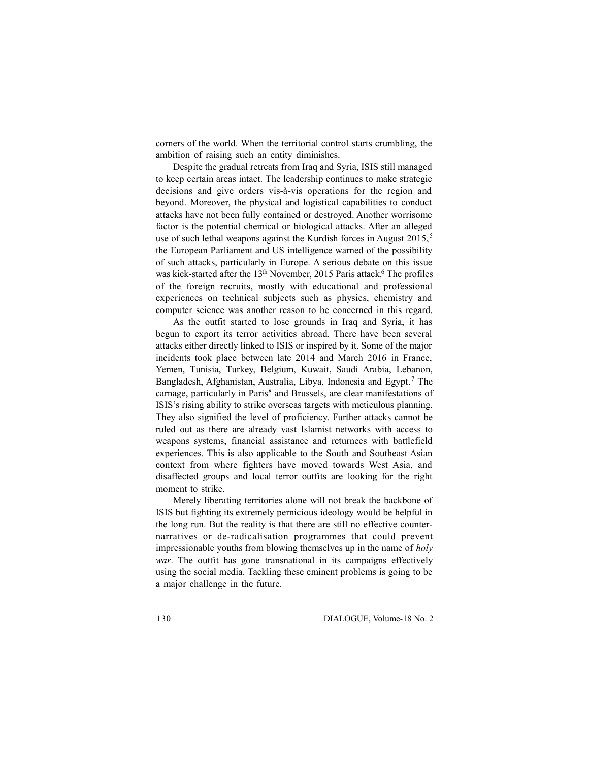corners of the world. When the territorial control starts crumbling, the ambition of raising such an entity diminishes.

Despite the gradual retreats from Iraq and Syria, ISIS still managed to keep certain areas intact. The leadership continues to make strategic decisions and give orders vis-à-vis operations for the region and beyond. Moreover, the physical and logistical capabilities to conduct attacks have not been fully contained or destroyed. Another worrisome factor is the potential chemical or biological attacks. After an alleged use of such lethal weapons against the Kurdish forces in August 2015,<sup>5</sup> the European Parliament and US intelligence warned of the possibility of such attacks, particularly in Europe. A serious debate on this issue was kick-started after the 13<sup>th</sup> November, 2015 Paris attack.<sup>6</sup> The profiles of the foreign recruits, mostly with educational and professional experiences on technical subjects such as physics, chemistry and computer science was another reason to be concerned in this regard.

As the outfit started to lose grounds in Iraq and Syria, it has begun to export its terror activities abroad. There have been several attacks either directly linked to ISIS or inspired by it. Some of the major incidents took place between late 2014 and March 2016 in France, Yemen, Tunisia, Turkey, Belgium, Kuwait, Saudi Arabia, Lebanon, Bangladesh, Afghanistan, Australia, Libya, Indonesia and Egypt.<sup>7</sup> The carnage, particularly in Paris<sup>8</sup> and Brussels, are clear manifestations of ISIS's rising ability to strike overseas targets with meticulous planning. They also signified the level of proficiency. Further attacks cannot be ruled out as there are already vast Islamist networks with access to weapons systems, financial assistance and returnees with battlefield experiences. This is also applicable to the South and Southeast Asian context from where fighters have moved towards West Asia, and disaffected groups and local terror outfits are looking for the right moment to strike.

Merely liberating territories alone will not break the backbone of ISIS but fighting its extremely pernicious ideology would be helpful in the long run. But the reality is that there are still no effective counternarratives or de-radicalisation programmes that could prevent impressionable youths from blowing themselves up in the name of *holy war*. The outfit has gone transnational in its campaigns effectively using the social media. Tackling these eminent problems is going to be a major challenge in the future.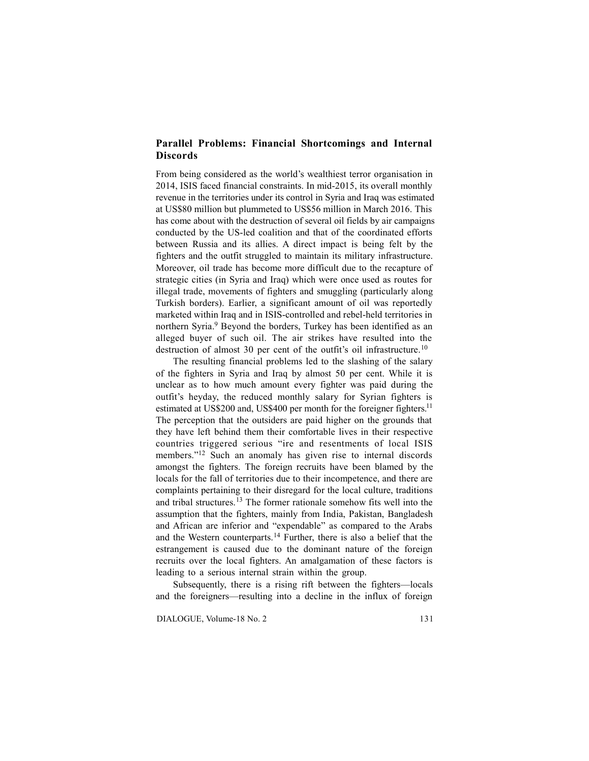# **Parallel Problems: Financial Shortcomings and Internal Discords**

From being considered as the world's wealthiest terror organisation in 2014, ISIS faced financial constraints. In mid-2015, its overall monthly revenue in the territories under its control in Syria and Iraq was estimated at US\$80 million but plummeted to US\$56 million in March 2016. This has come about with the destruction of several oil fields by air campaigns conducted by the US-led coalition and that of the coordinated efforts between Russia and its allies. A direct impact is being felt by the fighters and the outfit struggled to maintain its military infrastructure. Moreover, oil trade has become more difficult due to the recapture of strategic cities (in Syria and Iraq) which were once used as routes for illegal trade, movements of fighters and smuggling (particularly along Turkish borders). Earlier, a significant amount of oil was reportedly marketed within Iraq and in ISIS-controlled and rebel-held territories in northern Syria.<sup>9</sup> Beyond the borders, Turkey has been identified as an alleged buyer of such oil. The air strikes have resulted into the destruction of almost 30 per cent of the outfit's oil infrastructure.<sup>10</sup>

The resulting financial problems led to the slashing of the salary of the fighters in Syria and Iraq by almost 50 per cent. While it is unclear as to how much amount every fighter was paid during the outfit's heyday, the reduced monthly salary for Syrian fighters is estimated at US\$200 and, US\$400 per month for the foreigner fighters.<sup>11</sup> The perception that the outsiders are paid higher on the grounds that they have left behind them their comfortable lives in their respective countries triggered serious "ire and resentments of local ISIS members."<sup>12</sup> Such an anomaly has given rise to internal discords amongst the fighters. The foreign recruits have been blamed by the locals for the fall of territories due to their incompetence, and there are complaints pertaining to their disregard for the local culture, traditions and tribal structures.<sup>13</sup> The former rationale somehow fits well into the assumption that the fighters, mainly from India, Pakistan, Bangladesh and African are inferior and "expendable" as compared to the Arabs and the Western counterparts.<sup>14</sup> Further, there is also a belief that the estrangement is caused due to the dominant nature of the foreign recruits over the local fighters. An amalgamation of these factors is leading to a serious internal strain within the group.

Subsequently, there is a rising rift between the fighters—locals and the foreigners—resulting into a decline in the influx of foreign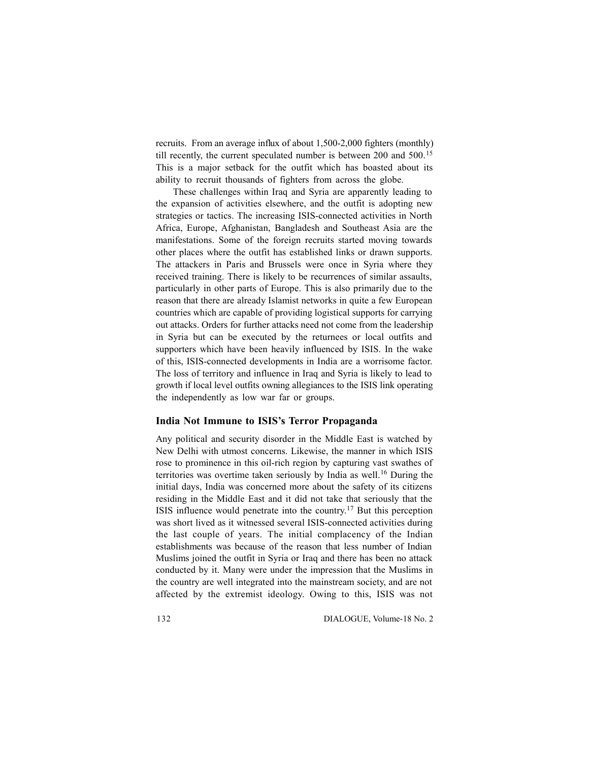recruits. From an average influx of about 1,500-2,000 fighters (monthly) till recently, the current speculated number is between 200 and 500.<sup>15</sup> This is a major setback for the outfit which has boasted about its ability to recruit thousands of fighters from across the globe.

These challenges within Iraq and Syria are apparently leading to the expansion of activities elsewhere, and the outfit is adopting new strategies or tactics. The increasing ISIS-connected activities in North Africa, Europe, Afghanistan, Bangladesh and Southeast Asia are the manifestations. Some of the foreign recruits started moving towards other places where the outfit has established links or drawn supports. The attackers in Paris and Brussels were once in Syria where they received training. There is likely to be recurrences of similar assaults, particularly in other parts of Europe. This is also primarily due to the reason that there are already Islamist networks in quite a few European countries which are capable of providing logistical supports for carrying out attacks. Orders for further attacks need not come from the leadership in Syria but can be executed by the returnees or local outfits and supporters which have been heavily influenced by ISIS. In the wake of this, ISIS-connected developments in India are a worrisome factor. The loss of territory and influence in Iraq and Syria is likely to lead to growth if local level outfits owning allegiances to the ISIS link operating the independently as low war far or groups.

#### **India Not Immune to ISIS's Terror Propaganda**

Any political and security disorder in the Middle East is watched by New Delhi with utmost concerns. Likewise, the manner in which ISIS rose to prominence in this oil-rich region by capturing vast swathes of territories was overtime taken seriously by India as well.<sup>16</sup> During the initial days, India was concerned more about the safety of its citizens residing in the Middle East and it did not take that seriously that the ISIS influence would penetrate into the country.<sup>17</sup> But this perception was short lived as it witnessed several ISIS-connected activities during the last couple of years. The initial complacency of the Indian establishments was because of the reason that less number of Indian Muslims joined the outfit in Syria or Iraq and there has been no attack conducted by it. Many were under the impression that the Muslims in the country are well integrated into the mainstream society, and are not affected by the extremist ideology. Owing to this, ISIS was not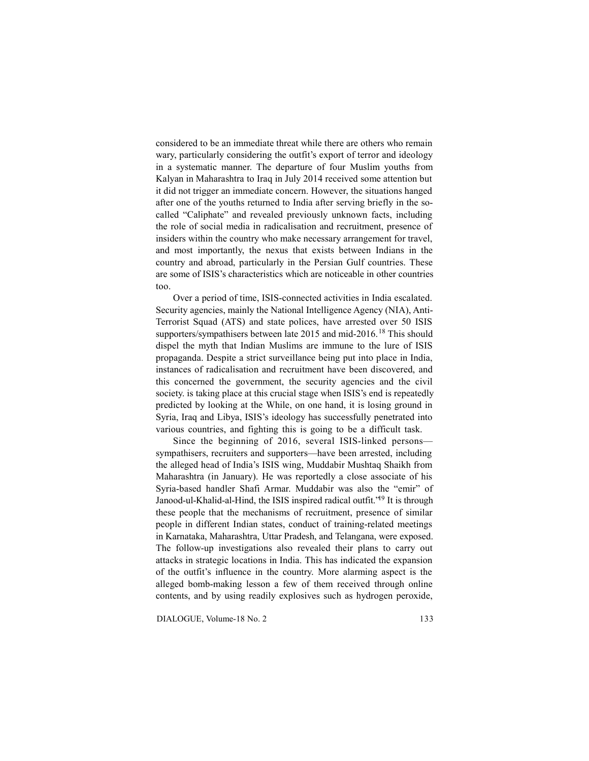considered to be an immediate threat while there are others who remain wary, particularly considering the outfit's export of terror and ideology in a systematic manner. The departure of four Muslim youths from Kalyan in Maharashtra to Iraq in July 2014 received some attention but it did not trigger an immediate concern. However, the situations hanged after one of the youths returned to India after serving briefly in the socalled "Caliphate" and revealed previously unknown facts, including the role of social media in radicalisation and recruitment, presence of insiders within the country who make necessary arrangement for travel, and most importantly, the nexus that exists between Indians in the country and abroad, particularly in the Persian Gulf countries. These are some of ISIS's characteristics which are noticeable in other countries too.

Over a period of time, ISIS-connected activities in India escalated. Security agencies, mainly the National Intelligence Agency (NIA), Anti-Terrorist Squad (ATS) and state polices, have arrested over 50 ISIS supporters/sympathisers between late 2015 and mid-2016.<sup>18</sup> This should dispel the myth that Indian Muslims are immune to the lure of ISIS propaganda. Despite a strict surveillance being put into place in India, instances of radicalisation and recruitment have been discovered, and this concerned the government, the security agencies and the civil society. is taking place at this crucial stage when ISIS's end is repeatedly predicted by looking at the While, on one hand, it is losing ground in Syria, Iraq and Libya, ISIS's ideology has successfully penetrated into various countries, and fighting this is going to be a difficult task.

Since the beginning of 2016, several ISIS-linked persons sympathisers, recruiters and supporters—have been arrested, including the alleged head of India's ISIS wing, Muddabir Mushtaq Shaikh from Maharashtra (in January). He was reportedly a close associate of his Syria-based handler Shafi Armar. Muddabir was also the "emir" of Janood-ul-Khalid-al-Hind, the ISIS inspired radical outfit.<sup>'19</sup> It is through these people that the mechanisms of recruitment, presence of similar people in different Indian states, conduct of training-related meetings in Karnataka, Maharashtra, Uttar Pradesh, and Telangana, were exposed. The follow-up investigations also revealed their plans to carry out attacks in strategic locations in India. This has indicated the expansion of the outfit's influence in the country. More alarming aspect is the alleged bomb-making lesson a few of them received through online contents, and by using readily explosives such as hydrogen peroxide,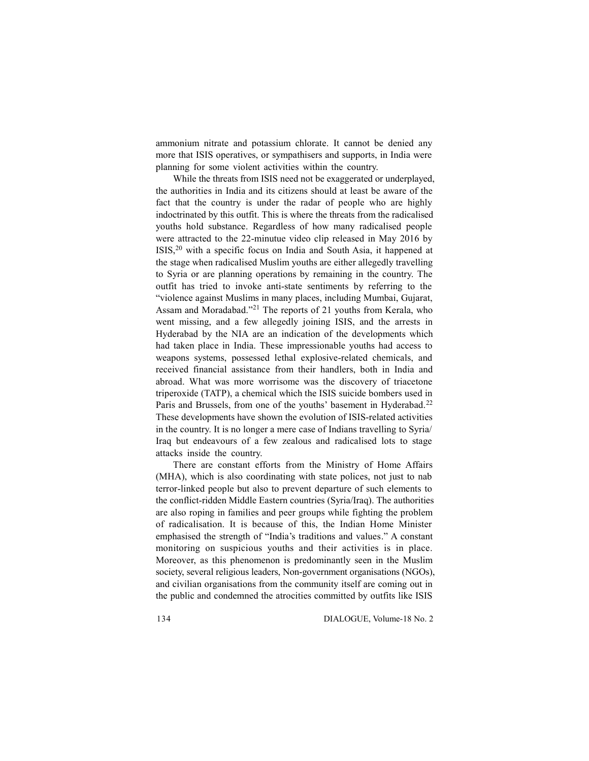ammonium nitrate and potassium chlorate. It cannot be denied any more that ISIS operatives, or sympathisers and supports, in India were planning for some violent activities within the country.

While the threats from ISIS need not be exaggerated or underplayed, the authorities in India and its citizens should at least be aware of the fact that the country is under the radar of people who are highly indoctrinated by this outfit. This is where the threats from the radicalised youths hold substance. Regardless of how many radicalised people were attracted to the 22-minutue video clip released in May 2016 by ISIS,<sup>20</sup> with a specific focus on India and South Asia, it happened at the stage when radicalised Muslim youths are either allegedly travelling to Syria or are planning operations by remaining in the country. The outfit has tried to invoke anti-state sentiments by referring to the "violence against Muslims in many places, including Mumbai, Gujarat, Assam and Moradabad."<sup>21</sup> The reports of 21 youths from Kerala, who went missing, and a few allegedly joining ISIS, and the arrests in Hyderabad by the NIA are an indication of the developments which had taken place in India. These impressionable youths had access to weapons systems, possessed lethal explosive-related chemicals, and received financial assistance from their handlers, both in India and abroad. What was more worrisome was the discovery of triacetone triperoxide (TATP), a chemical which the ISIS suicide bombers used in Paris and Brussels, from one of the youths' basement in Hyderabad.<sup>22</sup> These developments have shown the evolution of ISIS-related activities in the country. It is no longer a mere case of Indians travelling to Syria/ Iraq but endeavours of a few zealous and radicalised lots to stage attacks inside the country.

There are constant efforts from the Ministry of Home Affairs (MHA), which is also coordinating with state polices, not just to nab terror-linked people but also to prevent departure of such elements to the conflict-ridden Middle Eastern countries (Syria/Iraq). The authorities are also roping in families and peer groups while fighting the problem of radicalisation. It is because of this, the Indian Home Minister emphasised the strength of "India's traditions and values." A constant monitoring on suspicious youths and their activities is in place. Moreover, as this phenomenon is predominantly seen in the Muslim society, several religious leaders, Non-government organisations (NGOs), and civilian organisations from the community itself are coming out in the public and condemned the atrocities committed by outfits like ISIS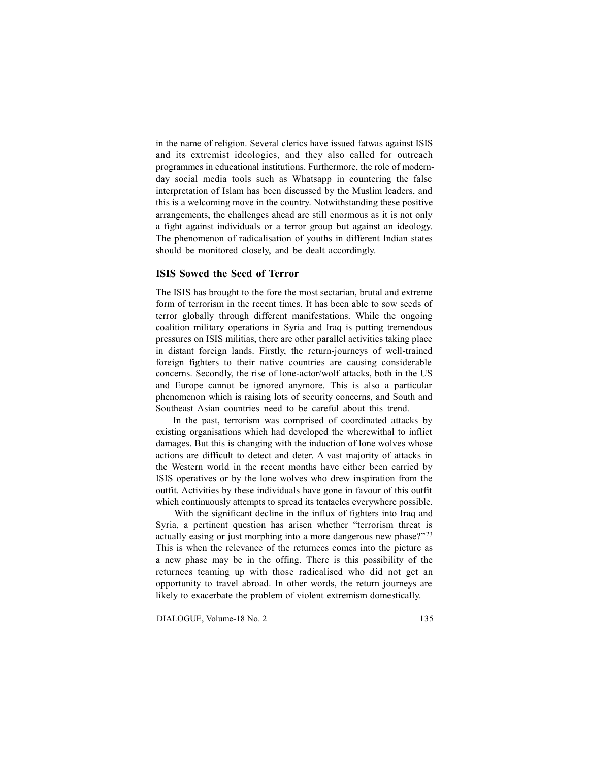in the name of religion. Several clerics have issued fatwas against ISIS and its extremist ideologies, and they also called for outreach programmes in educational institutions. Furthermore, the role of modernday social media tools such as Whatsapp in countering the false interpretation of Islam has been discussed by the Muslim leaders, and this is a welcoming move in the country. Notwithstanding these positive arrangements, the challenges ahead are still enormous as it is not only a fight against individuals or a terror group but against an ideology. The phenomenon of radicalisation of youths in different Indian states should be monitored closely, and be dealt accordingly.

### **ISIS Sowed the Seed of Terror**

The ISIS has brought to the fore the most sectarian, brutal and extreme form of terrorism in the recent times. It has been able to sow seeds of terror globally through different manifestations. While the ongoing coalition military operations in Syria and Iraq is putting tremendous pressures on ISIS militias, there are other parallel activities taking place in distant foreign lands. Firstly, the return-journeys of well-trained foreign fighters to their native countries are causing considerable concerns. Secondly, the rise of lone-actor/wolf attacks, both in the US and Europe cannot be ignored anymore. This is also a particular phenomenon which is raising lots of security concerns, and South and Southeast Asian countries need to be careful about this trend.

In the past, terrorism was comprised of coordinated attacks by existing organisations which had developed the wherewithal to inflict damages. But this is changing with the induction of lone wolves whose actions are difficult to detect and deter. A vast majority of attacks in the Western world in the recent months have either been carried by ISIS operatives or by the lone wolves who drew inspiration from the outfit. Activities by these individuals have gone in favour of this outfit which continuously attempts to spread its tentacles everywhere possible.

 With the significant decline in the influx of fighters into Iraq and Syria, a pertinent question has arisen whether "terrorism threat is actually easing or just morphing into a more dangerous new phase?"<sup>23</sup> This is when the relevance of the returnees comes into the picture as a new phase may be in the offing. There is this possibility of the returnees teaming up with those radicalised who did not get an opportunity to travel abroad. In other words, the return journeys are likely to exacerbate the problem of violent extremism domestically.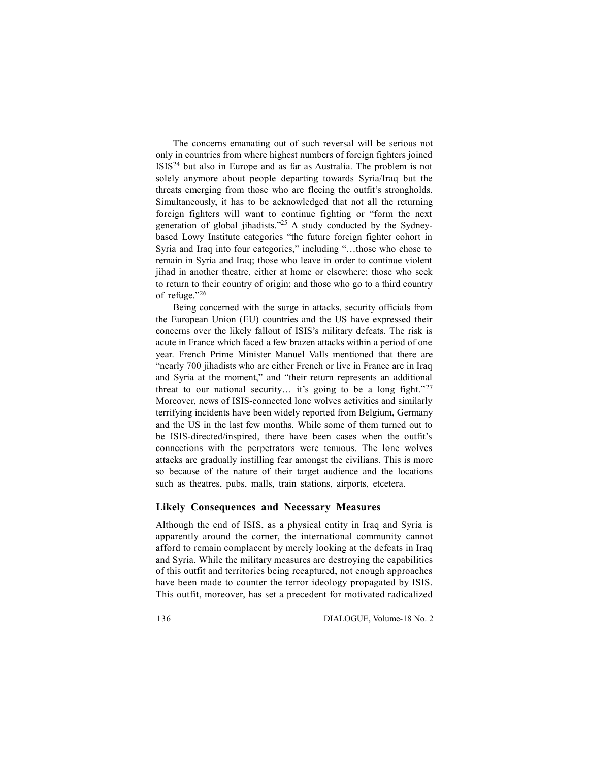The concerns emanating out of such reversal will be serious not only in countries from where highest numbers of foreign fighters joined ISIS<sup>24</sup> but also in Europe and as far as Australia. The problem is not solely anymore about people departing towards Syria/Iraq but the threats emerging from those who are fleeing the outfit's strongholds. Simultaneously, it has to be acknowledged that not all the returning foreign fighters will want to continue fighting or "form the next generation of global jihadists."<sup>25</sup> A study conducted by the Sydneybased Lowy Institute categories "the future foreign fighter cohort in Syria and Iraq into four categories," including "…those who chose to remain in Syria and Iraq; those who leave in order to continue violent jihad in another theatre, either at home or elsewhere; those who seek to return to their country of origin; and those who go to a third country of refuge."<sup>26</sup>

Being concerned with the surge in attacks, security officials from the European Union (EU) countries and the US have expressed their concerns over the likely fallout of ISIS's military defeats. The risk is acute in France which faced a few brazen attacks within a period of one year. French Prime Minister Manuel Valls mentioned that there are "nearly 700 jihadists who are either French or live in France are in Iraq and Syria at the moment," and "their return represents an additional threat to our national security... it's going to be a long fight."<sup>27</sup> Moreover, news of ISIS-connected lone wolves activities and similarly terrifying incidents have been widely reported from Belgium, Germany and the US in the last few months. While some of them turned out to be ISIS-directed/inspired, there have been cases when the outfit's connections with the perpetrators were tenuous. The lone wolves attacks are gradually instilling fear amongst the civilians. This is more so because of the nature of their target audience and the locations such as theatres, pubs, malls, train stations, airports, etcetera.

#### **Likely Consequences and Necessary Measures**

Although the end of ISIS, as a physical entity in Iraq and Syria is apparently around the corner, the international community cannot afford to remain complacent by merely looking at the defeats in Iraq and Syria. While the military measures are destroying the capabilities of this outfit and territories being recaptured, not enough approaches have been made to counter the terror ideology propagated by ISIS. This outfit, moreover, has set a precedent for motivated radicalized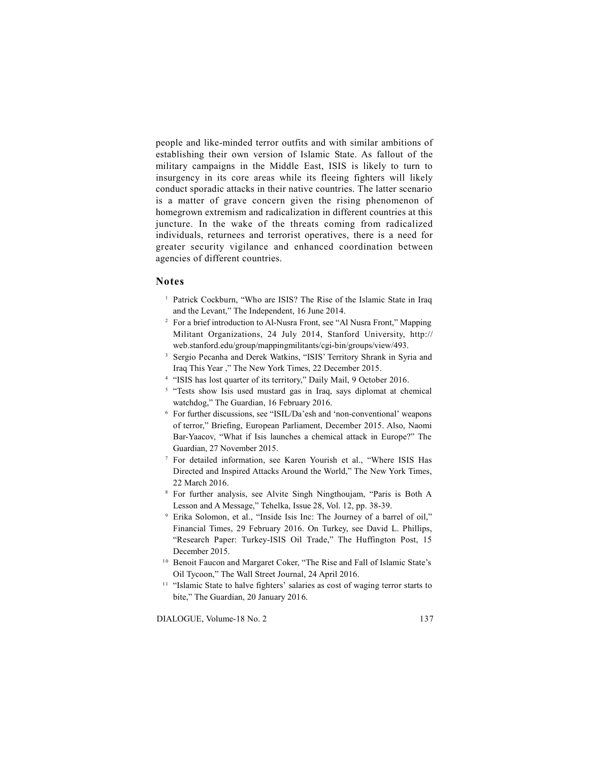people and like-minded terror outfits and with similar ambitions of establishing their own version of Islamic State. As fallout of the military campaigns in the Middle East, ISIS is likely to turn to insurgency in its core areas while its fleeing fighters will likely conduct sporadic attacks in their native countries. The latter scenario is a matter of grave concern given the rising phenomenon of homegrown extremism and radicalization in different countries at this juncture. In the wake of the threats coming from radicalized individuals, returnees and terrorist operatives, there is a need for greater security vigilance and enhanced coordination between agencies of different countries.

### **Notes**

- <sup>1</sup> Patrick Cockburn, "Who are ISIS? The Rise of the Islamic State in Iraq and the Levant," The Independent, 16 June 2014.
- <sup>2</sup> For a brief introduction to Al-Nusra Front, see "Al Nusra Front," Mapping Militant Organizations, 24 July 2014, Stanford University, http:// web.stanford.edu/group/mappingmilitants/cgi-bin/groups/view/493.
- <sup>3</sup> Sergio Pecanha and Derek Watkins, "ISIS' Territory Shrank in Syria and Iraq This Year ," The New York Times, 22 December 2015.
- <sup>4</sup> "ISIS has lost quarter of its territory," Daily Mail, 9 October 2016.
- <sup>5</sup> "Tests show Isis used mustard gas in Iraq, says diplomat at chemical watchdog," The Guardian, 16 February 2016.
- <sup>6</sup> For further discussions, see "ISIL/Da'esh and 'non-conventional' weapons of terror," Briefing, European Parliament, December 2015. Also, Naomi Bar-Yaacov, "What if Isis launches a chemical attack in Europe?" The Guardian, 27 November 2015.
- <sup>7</sup> For detailed information, see Karen Yourish et al., "Where ISIS Has Directed and Inspired Attacks Around the World," The New York Times, 22 March 2016.
- <sup>8</sup> For further analysis, see Alvite Singh Ningthoujam, "Paris is Both A Lesson and A Message," Tehelka, Issue 28, Vol. 12, pp. 38-39.
- <sup>9</sup> Erika Solomon, et al., "Inside Isis Inc: The Journey of a barrel of oil," Financial Times, 29 February 2016. On Turkey, see David L. Phillips, "Research Paper: Turkey-ISIS Oil Trade," The Huffington Post, 15
- December 2015.<br><sup>10</sup> Benoit Faucon and Margaret Coker, "The Rise and Fall of Islamic State's<br>Oil Tycoon," The Wall Street Journal, 24 April 2016.
- <sup>11</sup> "Islamic State to halve fighters' salaries as cost of waging terror starts to bite," The Guardian, 20 January 2016.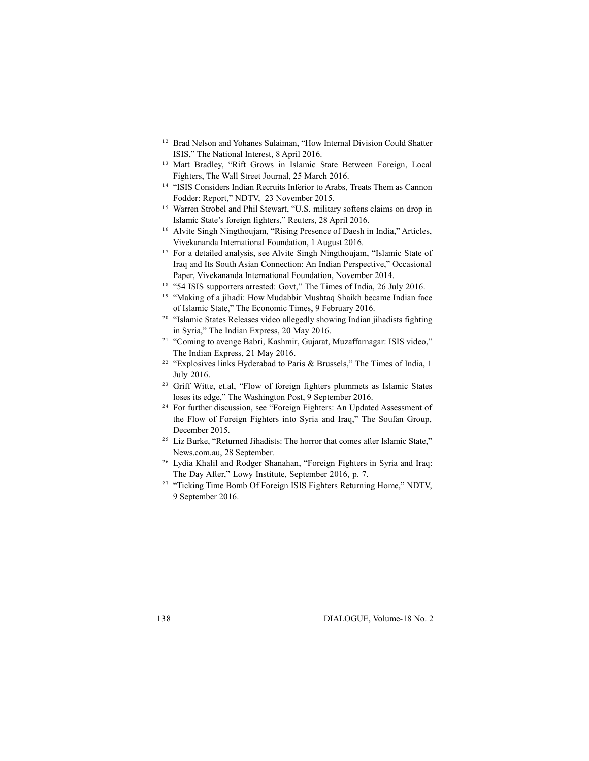- <sup>12</sup> Brad Nelson and Yohanes Sulaiman, "How Internal Division Could Shatter ISIS," The National Interest, 8 April 2016. <sup>12</sup> Brad Nelson and Yohanes Sulaiman, "How Internal Division Could Shatter<br>ISIS," The National Interest, 8 April 2016.<br><sup>13</sup> Matt Bradley, "Rift Grows in Islamic State Between Foreign, Local
- Fighters, The Wall Street Journal, 25 March 2016.<br>Fighters, The Wall Street Journal, 25 March 2016.<br><sup>14</sup> "ISIS Considers Indian Recruits Inferior to Arabs, Treats Them as Cannon
- 
- Fighters, The Wall Street Journal, 25 March 2016.<br>
<sup>14</sup> "ISIS Considers Indian Recruits Inferior to Arabs, Treats Them as Cannon<br>
Fodder: Report," NDTV, 23 November 2015.<br>
<sup>15</sup> Warren Strobel and Phil Stewart, "U.S. milita <sup>15</sup> Warren Strobel and Phil Stewart, "U.S. military softens claims on drop in Islamic State's foreign fighters," Reuters, 28 April 2016.<br><sup>16</sup> Alvite Singh Ningthoujam, "Rising Presence of Daesh in India," Articles, Viveka
- 
- <sup>17</sup> For a detailed analysis, see Alvite Singh Ningthoujam, "Islamic State of I'm a detailed analysis, see First Singh Funganoujain, Tsiame Sate of<br>Iraq and Its South Asian Connection: An Indian Perspective," Occasional<br>Paper, Vivekananda International Foundation, November 2014.<br><sup>18</sup> "Making of a ji
- 
- <sup>18</sup> "54 ISIS supporters arrested: Govt," The Times of India, 26 July 2016.<br>
<sup>19</sup> "Making of a jihadi: How Mudabbir Mushtaq Shaikh became Indian face<br>
of Islamic States," The Economic Times, 9 February 2016.<br>
<sup>20</sup> "Islami
- <sup>20</sup> "Islamic States Releases video allegedly showing Indian jihadists fighting<br>in Syria," The Indian Express, 20 May 2016.<br><sup>21</sup> "Coming to avenge Babri, Kashmir, Gujarat, Muzaffarnagar: ISIS video,"
- The Indian Express, 20 May 2016.<br>
<sup>21</sup> "Coming to avenge Babri, Kashmir, Gujarat, Muzaffarnagar: ISIS video,"<br>
<sup>22</sup> "Explosives links Hyderabad to Paris & Brussels," The Times of India, 1
- <sup>22</sup> "Explosives links Hyderabad to Paris & Brussels," The Times of India, 1<br>July 2016.<br><sup>23</sup> Griff Witte, et.al, "Flow of foreign fighters plummets as Islamic States
- 23 Griff Witte, et.al, "Flow of foreign fighters plummets as Islamic States<br>loses its edge," The Washington Post, 9 September 2016.<br><sup>24</sup> For further discussion, see "Foreign Fighters: An Updated Assessment of
- the Flow of Foreign Fighters into Syria and Iraq," The Soufan Group, <sup>24</sup> For further discussion, see "Foreign Fighters: An Updated Assessment of the Flow of Foreign Fighters into Syria and Iraq," The Soufan Group, December 2015.<br><sup>25</sup> Liz Burke, "Returned Jihadists: The horror that comes a
- December 2015.<br>
<sup>25</sup> Liz Burke, "Returned Jihadists: The horror that comes after Islamic State,"<br>
<sup>26</sup> Lydia Khalil and Rodger Shanahan, "Foreign Fighters in Syria and Iraq:
- The Day After," Lowy Institute, September 2016, p. 7.<br>
<sup>26</sup> Lydia Khalil and Rodger Shanahan, "Foreign Fighters in Syria and Iraq:<br>
<sup>27</sup> "Ticking Time Bomb Of Foreign ISIS Fighters Returning Home," NDTV,
- 9 September 2016.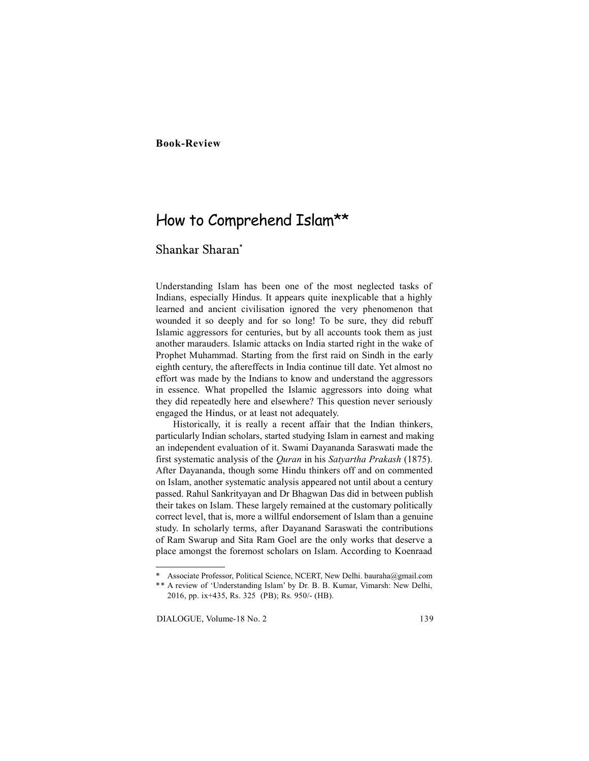# **Book-Review**

# How to Comprehend Islam\*\*

# Shankar Sharan\*

Understanding Islam has been one of the most neglected tasks of Indians, especially Hindus. It appears quite inexplicable that a highly learned and ancient civilisation ignored the very phenomenon that wounded it so deeply and for so long! To be sure, they did rebuff Islamic aggressors for centuries, but by all accounts took them as just another marauders. Islamic attacks on India started right in the wake of Prophet Muhammad. Starting from the first raid on Sindh in the early eighth century, the aftereffects in India continue till date. Yet almost no effort was made by the Indians to know and understand the aggressors in essence. What propelled the Islamic aggressors into doing what they did repeatedly here and elsewhere? This question never seriously engaged the Hindus, or at least not adequately.

Historically, it is really a recent affair that the Indian thinkers, particularly Indian scholars, started studying Islam in earnest and making an independent evaluation of it. Swami Dayananda Saraswati made the first systematic analysis of the *Quran* in his *Satyartha Prakash* (1875). After Dayananda, though some Hindu thinkers off and on commented on Islam, another systematic analysis appeared not until about a century passed. Rahul Sankrityayan and Dr Bhagwan Das did in between publish their takes on Islam. These largely remained at the customary politically correct level, that is, more a willful endorsement of Islam than a genuine study. In scholarly terms, after Dayanand Saraswati the contributions of Ram Swarup and Sita Ram Goel are the only works that deserve a place amongst the foremost scholars on Islam. According to Koenraad

<sup>\*</sup> Associate Professor, Political Science, NCERT, New Delhi. bauraha@gmail.com

<sup>\*\*</sup> A review of 'Understanding Islam' by Dr. B. B. Kumar, Vimarsh: New Delhi, 2016, pp. ix+435, Rs. 325 (PB); Rs. 950/- (HB).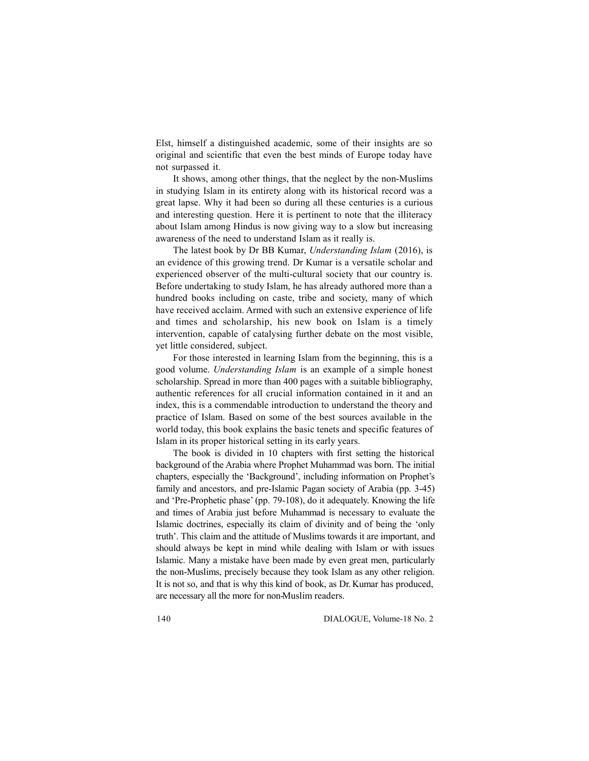Elst, himself a distinguished academic, some of their insights are so original and scientific that even the best minds of Europe today have not surpassed it.

It shows, among other things, that the neglect by the non-Muslims in studying Islam in its entirety along with its historical record was a great lapse. Why it had been so during all these centuries is a curious and interesting question. Here it is pertinent to note that the illiteracy about Islam among Hindus is now giving way to a slow but increasing awareness of the need to understand Islam as it really is.

The latest book by Dr BB Kumar, *Understanding Islam* (2016), is an evidence of this growing trend. Dr Kumar is a versatile scholar and experienced observer of the multi-cultural society that our country is. Before undertaking to study Islam, he has already authored more than a hundred books including on caste, tribe and society, many of which have received acclaim. Armed with such an extensive experience of life and times and scholarship, his new book on Islam is a timely intervention, capable of catalysing further debate on the most visible, yet little considered, subject.

For those interested in learning Islam from the beginning, this is a good volume. *Understanding Islam* is an example of a simple honest scholarship. Spread in more than 400 pages with a suitable bibliography, authentic references for all crucial information contained in it and an index, this is a commendable introduction to understand the theory and practice of Islam. Based on some of the best sources available in the world today, this book explains the basic tenets and specific features of Islam in its proper historical setting in its early years.

The book is divided in 10 chapters with first setting the historical background of the Arabia where Prophet Muhammad was born. The initial chapters, especially the 'Background', including information on Prophet's family and ancestors, and pre-Islamic Pagan society of Arabia (pp. 3-45) and 'Pre-Prophetic phase' (pp. 79-108), do it adequately. Knowing the life and times of Arabia just before Muhammad is necessary to evaluate the Islamic doctrines, especially its claim of divinity and of being the 'only truth'. This claim and the attitude of Muslims towards it are important, and should always be kept in mind while dealing with Islam or with issues Islamic. Many a mistake have been made by even great men, particularly the non-Muslims, precisely because they took Islam as any other religion. It is not so, and that is why this kind of book, as Dr. Kumar has produced, are necessary all the more for non-Muslim readers.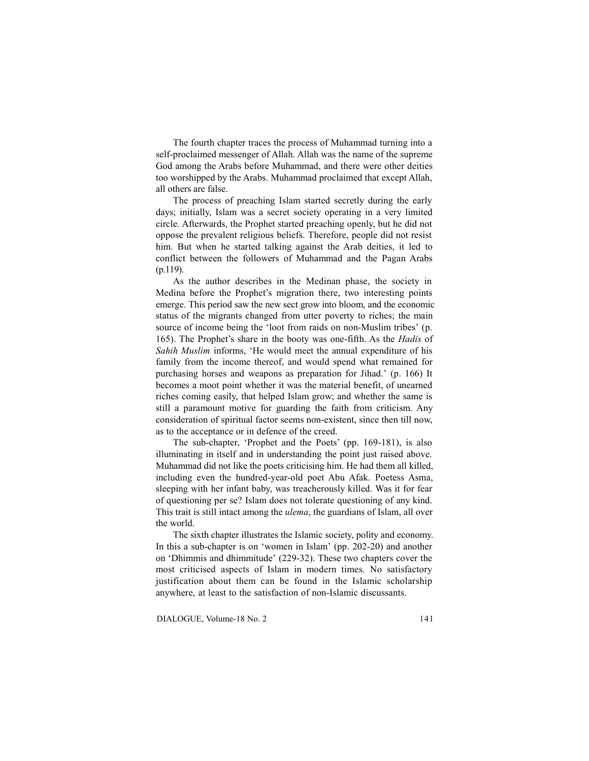The fourth chapter traces the process of Muhammad turning into a self-proclaimed messenger of Allah. Allah was the name of the supreme God among the Arabs before Muhammad, and there were other deities too worshipped by the Arabs. Muhammad proclaimed that except Allah, all others are false.

The process of preaching Islam started secretly during the early days; initially, Islam was a secret society operating in a very limited circle. Afterwards, the Prophet started preaching openly, but he did not oppose the prevalent religious beliefs. Therefore, people did not resist him. But when he started talking against the Arab deities, it led to conflict between the followers of Muhammad and the Pagan Arabs (p.119).

As the author describes in the Medinan phase, the society in Medina before the Prophet's migration there, two interesting points emerge. This period saw the new sect grow into bloom, and the economic status of the migrants changed from utter poverty to riches; the main source of income being the 'loot from raids on non-Muslim tribes' (p. 165). The Prophet's share in the booty was one-fifth. As the *Hadis* of *Sahih Muslim* informs, 'He would meet the annual expenditure of his family from the income thereof, and would spend what remained for purchasing horses and weapons as preparation for Jihad.' (p. 166) It becomes a moot point whether it was the material benefit, of unearned riches coming easily, that helped Islam grow; and whether the same is still a paramount motive for guarding the faith from criticism. Any consideration of spiritual factor seems non-existent, since then till now, as to the acceptance or in defence of the creed.

The sub-chapter, 'Prophet and the Poets' (pp. 169-181), is also illuminating in itself and in understanding the point just raised above. Muhammad did not like the poets criticising him. He had them all killed, including even the hundred-year-old poet Abu Afak. Poetess Asma, sleeping with her infant baby, was treacherously killed. Was it for fear of questioning per se? Islam does not tolerate questioning of any kind. This trait is still intact among the *ulema*, the guardians of Islam, all over the world.

The sixth chapter illustrates the Islamic society, polity and economy. In this a sub-chapter is on 'women in Islam' (pp. 202-20) and another on 'Dhimmis and dhimmitude' (229-32). These two chapters cover the most criticised aspects of Islam in modern times. No satisfactory justification about them can be found in the Islamic scholarship anywhere, at least to the satisfaction of non-Islamic discussants.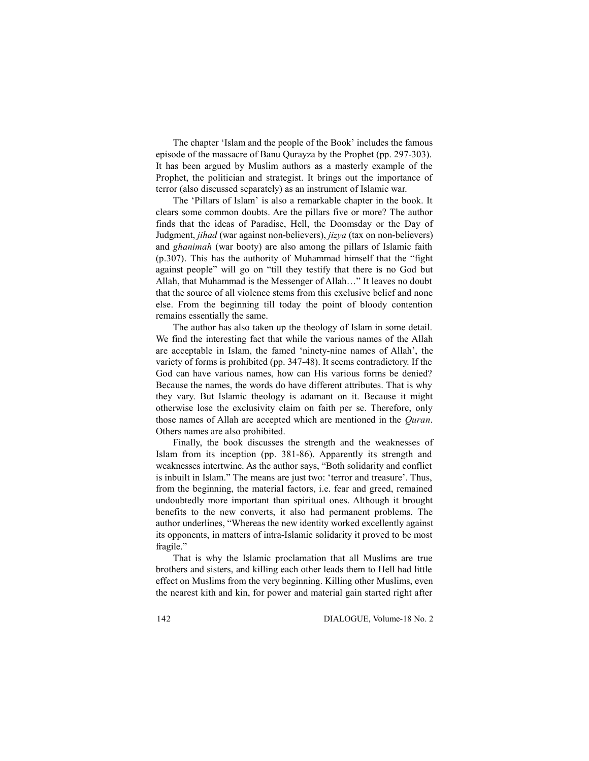The chapter 'Islam and the people of the Book' includes the famous episode of the massacre of Banu Qurayza by the Prophet (pp. 297-303). It has been argued by Muslim authors as a masterly example of the Prophet, the politician and strategist. It brings out the importance of terror (also discussed separately) as an instrument of Islamic war.

The 'Pillars of Islam' is also a remarkable chapter in the book. It clears some common doubts. Are the pillars five or more? The author finds that the ideas of Paradise, Hell, the Doomsday or the Day of Judgment, *jihad* (war against non-believers), *jizya* (tax on non-believers) and *ghanimah* (war booty) are also among the pillars of Islamic faith (p.307). This has the authority of Muhammad himself that the "fight against people" will go on "till they testify that there is no God but Allah, that Muhammad is the Messenger of Allah…" It leaves no doubt that the source of all violence stems from this exclusive belief and none else. From the beginning till today the point of bloody contention remains essentially the same.

The author has also taken up the theology of Islam in some detail. We find the interesting fact that while the various names of the Allah are acceptable in Islam, the famed 'ninety-nine names of Allah', the variety of forms is prohibited (pp. 347-48). It seems contradictory. If the God can have various names, how can His various forms be denied? Because the names, the words do have different attributes. That is why they vary. But Islamic theology is adamant on it. Because it might otherwise lose the exclusivity claim on faith per se. Therefore, only those names of Allah are accepted which are mentioned in the *Quran*. Others names are also prohibited.

Finally, the book discusses the strength and the weaknesses of Islam from its inception (pp. 381-86). Apparently its strength and weaknesses intertwine. As the author says, "Both solidarity and conflict is inbuilt in Islam." The means are just two: 'terror and treasure'. Thus, from the beginning, the material factors, i.e. fear and greed, remained undoubtedly more important than spiritual ones. Although it brought benefits to the new converts, it also had permanent problems. The author underlines, "Whereas the new identity worked excellently against its opponents, in matters of intra-Islamic solidarity it proved to be most fragile."

That is why the Islamic proclamation that all Muslims are true brothers and sisters, and killing each other leads them to Hell had little effect on Muslims from the very beginning. Killing other Muslims, even the nearest kith and kin, for power and material gain started right after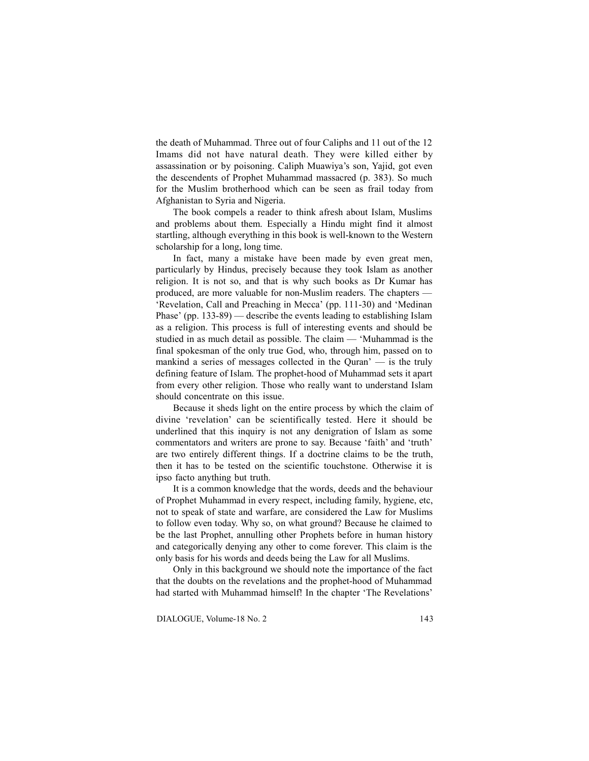the death of Muhammad. Three out of four Caliphs and 11 out of the 12 Imams did not have natural death. They were killed either by assassination or by poisoning. Caliph Muawiya's son, Yajid, got even the descendents of Prophet Muhammad massacred (p. 383). So much for the Muslim brotherhood which can be seen as frail today from Afghanistan to Syria and Nigeria.

The book compels a reader to think afresh about Islam, Muslims and problems about them. Especially a Hindu might find it almost startling, although everything in this book is well-known to the Western scholarship for a long, long time.

In fact, many a mistake have been made by even great men, particularly by Hindus, precisely because they took Islam as another religion. It is not so, and that is why such books as Dr Kumar has produced, are more valuable for non-Muslim readers. The chapters — 'Revelation, Call and Preaching in Mecca' (pp. 111-30) and 'Medinan Phase' (pp. 133-89) — describe the events leading to establishing Islam as a religion. This process is full of interesting events and should be studied in as much detail as possible. The claim — 'Muhammad is the final spokesman of the only true God, who, through him, passed on to mankind a series of messages collected in the Quran' — is the truly defining feature of Islam. The prophet-hood of Muhammad sets it apart from every other religion. Those who really want to understand Islam should concentrate on this issue.

Because it sheds light on the entire process by which the claim of divine 'revelation' can be scientifically tested. Here it should be underlined that this inquiry is not any denigration of Islam as some commentators and writers are prone to say. Because 'faith' and 'truth' are two entirely different things. If a doctrine claims to be the truth, then it has to be tested on the scientific touchstone. Otherwise it is ipso facto anything but truth.

It is a common knowledge that the words, deeds and the behaviour of Prophet Muhammad in every respect, including family, hygiene, etc, not to speak of state and warfare, are considered the Law for Muslims to follow even today. Why so, on what ground? Because he claimed to be the last Prophet, annulling other Prophets before in human history and categorically denying any other to come forever. This claim is the only basis for his words and deeds being the Law for all Muslims.

Only in this background we should note the importance of the fact that the doubts on the revelations and the prophet-hood of Muhammad had started with Muhammad himself! In the chapter 'The Revelations'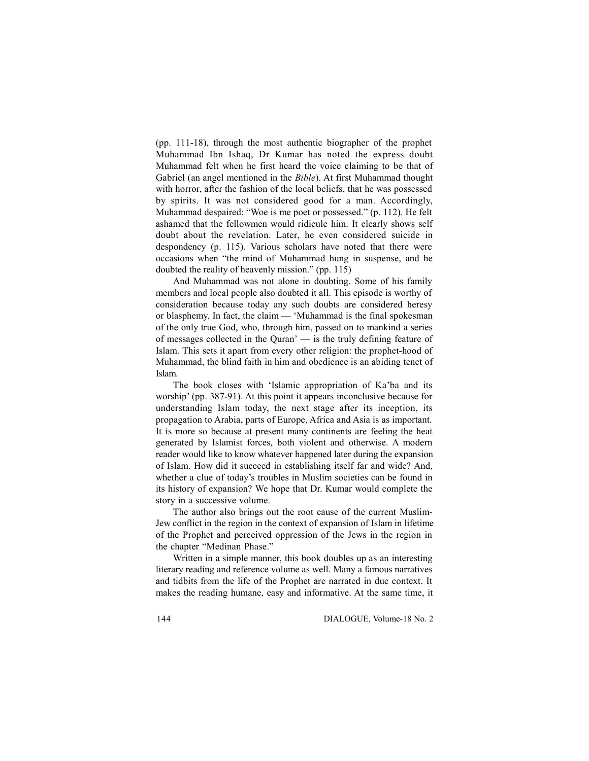(pp. 111-18), through the most authentic biographer of the prophet Muhammad Ibn Ishaq, Dr Kumar has noted the express doubt Muhammad felt when he first heard the voice claiming to be that of Gabriel (an angel mentioned in the *Bible*). At first Muhammad thought with horror, after the fashion of the local beliefs, that he was possessed by spirits. It was not considered good for a man. Accordingly, Muhammad despaired: "Woe is me poet or possessed." (p. 112). He felt ashamed that the fellowmen would ridicule him. It clearly shows self doubt about the revelation. Later, he even considered suicide in despondency (p. 115). Various scholars have noted that there were occasions when "the mind of Muhammad hung in suspense, and he doubted the reality of heavenly mission." (pp. 115)

And Muhammad was not alone in doubting. Some of his family members and local people also doubted it all. This episode is worthy of consideration because today any such doubts are considered heresy or blasphemy. In fact, the claim — 'Muhammad is the final spokesman of the only true God, who, through him, passed on to mankind a series of messages collected in the Quran' — is the truly defining feature of Islam. This sets it apart from every other religion: the prophet-hood of Muhammad, the blind faith in him and obedience is an abiding tenet of Islam.

The book closes with 'Islamic appropriation of Ka'ba and its worship' (pp. 387-91). At this point it appears inconclusive because for understanding Islam today, the next stage after its inception, its propagation to Arabia, parts of Europe, Africa and Asia is as important. It is more so because at present many continents are feeling the heat generated by Islamist forces, both violent and otherwise. A modern reader would like to know whatever happened later during the expansion of Islam. How did it succeed in establishing itself far and wide? And, whether a clue of today's troubles in Muslim societies can be found in its history of expansion? We hope that Dr. Kumar would complete the story in a successive volume.

The author also brings out the root cause of the current Muslim-Jew conflict in the region in the context of expansion of Islam in lifetime of the Prophet and perceived oppression of the Jews in the region in the chapter "Medinan Phase."

Written in a simple manner, this book doubles up as an interesting literary reading and reference volume as well. Many a famous narratives and tidbits from the life of the Prophet are narrated in due context. It makes the reading humane, easy and informative. At the same time, it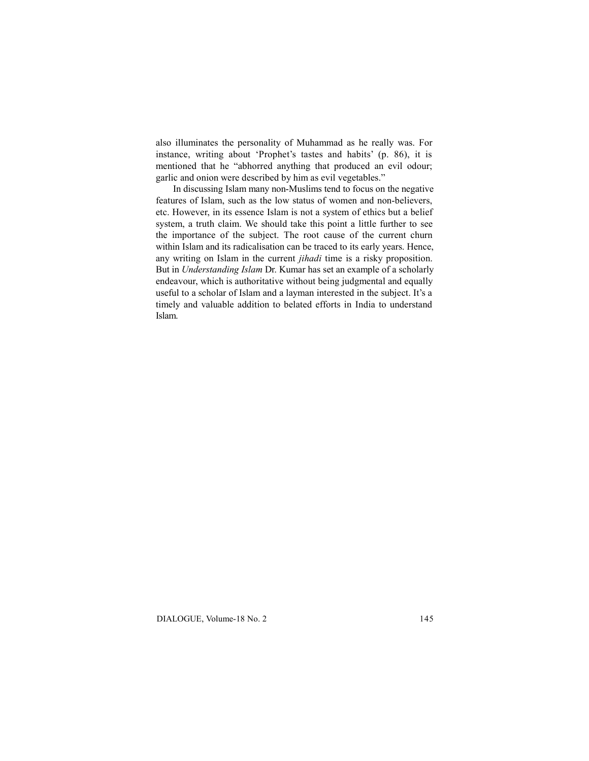also illuminates the personality of Muhammad as he really was. For instance, writing about 'Prophet's tastes and habits' (p. 86), it is mentioned that he "abhorred anything that produced an evil odour; garlic and onion were described by him as evil vegetables."

In discussing Islam many non-Muslims tend to focus on the negative features of Islam, such as the low status of women and non-believers, etc. However, in its essence Islam is not a system of ethics but a belief system, a truth claim. We should take this point a little further to see the importance of the subject. The root cause of the current churn within Islam and its radicalisation can be traced to its early years. Hence, any writing on Islam in the current *jihadi* time is a risky proposition. But in *Understanding Islam* Dr. Kumar has set an example of a scholarly endeavour, which is authoritative without being judgmental and equally useful to a scholar of Islam and a layman interested in the subject. It's a timely and valuable addition to belated efforts in India to understand Islam.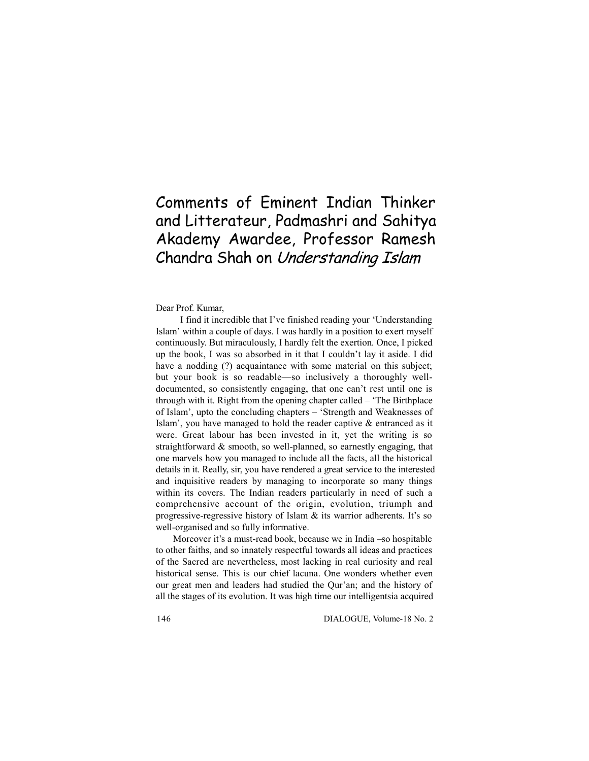# Comments of Eminent Indian Thinker and Litterateur, Padmashri and Sahitya Akademy Awardee, Professor Ramesh Chandra Shah on Understanding Islam

#### Dear Prof. Kumar,

 I find it incredible that I've finished reading your 'Understanding Islam' within a couple of days. I was hardly in a position to exert myself continuously. But miraculously, I hardly felt the exertion. Once, I picked up the book, I was so absorbed in it that I couldn't lay it aside. I did have a nodding (?) acquaintance with some material on this subject; but your book is so readable—so inclusively a thoroughly welldocumented, so consistently engaging, that one can't rest until one is through with it. Right from the opening chapter called – 'The Birthplace of Islam', upto the concluding chapters – 'Strength and Weaknesses of Islam', you have managed to hold the reader captive & entranced as it were. Great labour has been invested in it, yet the writing is so straightforward & smooth, so well-planned, so earnestly engaging, that one marvels how you managed to include all the facts, all the historical details in it. Really, sir, you have rendered a great service to the interested and inquisitive readers by managing to incorporate so many things within its covers. The Indian readers particularly in need of such a comprehensive account of the origin, evolution, triumph and progressive-regressive history of Islam & its warrior adherents. It's so well-organised and so fully informative.

Moreover it's a must-read book, because we in India –so hospitable to other faiths, and so innately respectful towards all ideas and practices of the Sacred are nevertheless, most lacking in real curiosity and real historical sense. This is our chief lacuna. One wonders whether even our great men and leaders had studied the Qur'an; and the history of all the stages of its evolution. It was high time our intelligentsia acquired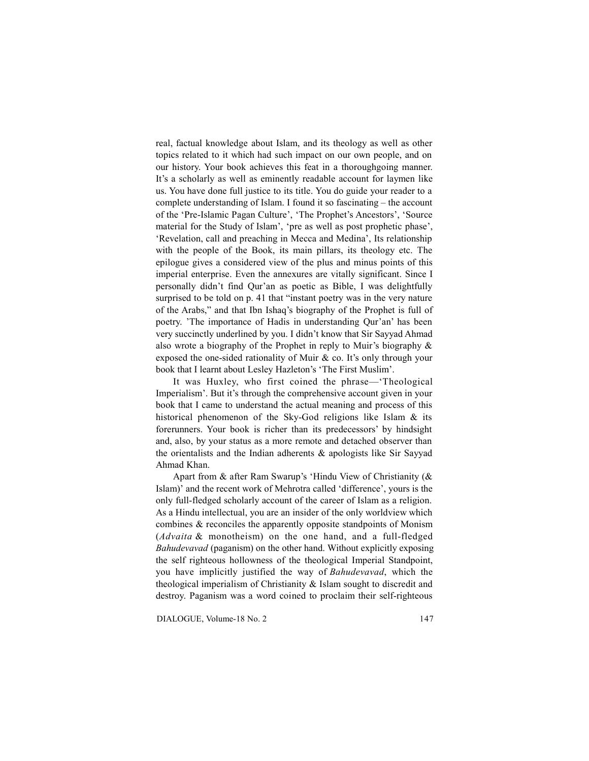real, factual knowledge about Islam, and its theology as well as other topics related to it which had such impact on our own people, and on our history. Your book achieves this feat in a thoroughgoing manner. It's a scholarly as well as eminently readable account for laymen like us. You have done full justice to its title. You do guide your reader to a complete understanding of Islam. I found it so fascinating – the account of the 'Pre-Islamic Pagan Culture', 'The Prophet's Ancestors', 'Source material for the Study of Islam', 'pre as well as post prophetic phase', 'Revelation, call and preaching in Mecca and Medina', Its relationship with the people of the Book, its main pillars, its theology etc. The epilogue gives a considered view of the plus and minus points of this imperial enterprise. Even the annexures are vitally significant. Since I personally didn't find Qur'an as poetic as Bible, I was delightfully surprised to be told on p. 41 that "instant poetry was in the very nature of the Arabs," and that Ibn Ishaq's biography of the Prophet is full of poetry. 'The importance of Hadis in understanding Qur'an' has been very succinctly underlined by you. I didn't know that Sir Sayyad Ahmad also wrote a biography of the Prophet in reply to Muir's biography & exposed the one-sided rationality of Muir & co. It's only through your book that I learnt about Lesley Hazleton's 'The First Muslim'.

It was Huxley, who first coined the phrase—'Theological Imperialism'. But it's through the comprehensive account given in your book that I came to understand the actual meaning and process of this historical phenomenon of the Sky-God religions like Islam & its forerunners. Your book is richer than its predecessors' by hindsight and, also, by your status as a more remote and detached observer than the orientalists and the Indian adherents & apologists like Sir Sayyad Ahmad Khan.

Apart from & after Ram Swarup's 'Hindu View of Christianity (& Islam)' and the recent work of Mehrotra called 'difference', yours is the only full-fledged scholarly account of the career of Islam as a religion. As a Hindu intellectual, you are an insider of the only worldview which combines & reconciles the apparently opposite standpoints of Monism (*Advaita* & monotheism) on the one hand, and a full-fledged *Bahudevavad* (paganism) on the other hand. Without explicitly exposing the self righteous hollowness of the theological Imperial Standpoint, you have implicitly justified the way of *Bahudevavad*, which the theological imperialism of Christianity & Islam sought to discredit and destroy. Paganism was a word coined to proclaim their self-righteous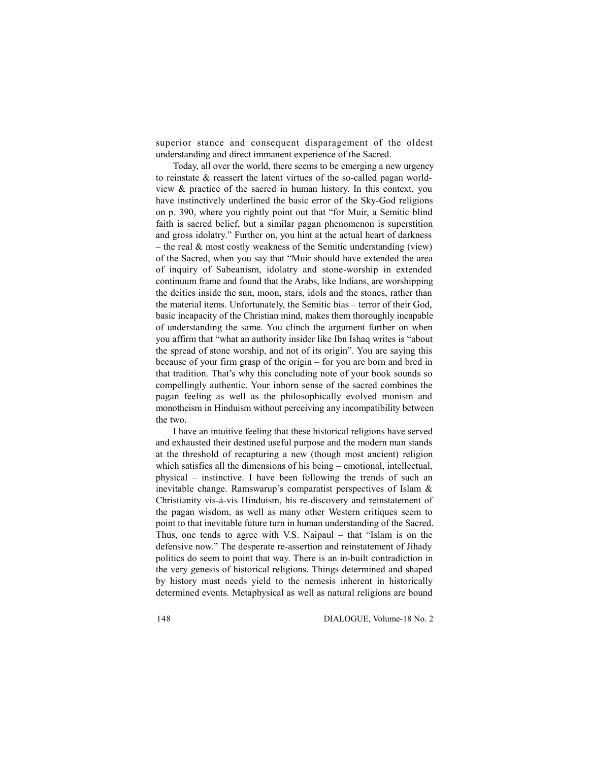superior stance and consequent disparagement of the oldest understanding and direct immanent experience of the Sacred.

Today, all over the world, there seems to be emerging a new urgency to reinstate & reassert the latent virtues of the so-called pagan worldview & practice of the sacred in human history. In this context, you have instinctively underlined the basic error of the Sky-God religions on p. 390, where you rightly point out that "for Muir, a Semitic blind faith is sacred belief, but a similar pagan phenomenon is superstition and gross idolatry." Further on, you hint at the actual heart of darkness – the real & most costly weakness of the Semitic understanding (view) of the Sacred, when you say that "Muir should have extended the area of inquiry of Sabeanism, idolatry and stone-worship in extended continuum frame and found that the Arabs, like Indians, are worshipping the deities inside the sun, moon, stars, idols and the stones, rather than the material items. Unfortunately, the Semitic bias – terror of their God, basic incapacity of the Christian mind, makes them thoroughly incapable of understanding the same. You clinch the argument further on when you affirm that "what an authority insider like Ibn Ishaq writes is "about the spread of stone worship, and not of its origin". You are saying this because of your firm grasp of the origin – for you are born and bred in that tradition. That's why this concluding note of your book sounds so compellingly authentic. Your inborn sense of the sacred combines the pagan feeling as well as the philosophically evolved monism and monotheism in Hinduism without perceiving any incompatibility between the two.

I have an intuitive feeling that these historical religions have served and exhausted their destined useful purpose and the modern man stands at the threshold of recapturing a new (though most ancient) religion which satisfies all the dimensions of his being – emotional, intellectual, physical – instinctive. I have been following the trends of such an inevitable change. Ramswarup's comparatist perspectives of Islam & Christianity vis-à-vis Hinduism, his re-discovery and reinstatement of the pagan wisdom, as well as many other Western critiques seem to point to that inevitable future turn in human understanding of the Sacred. Thus, one tends to agree with V.S. Naipaul – that "Islam is on the defensive now." The desperate re-assertion and reinstatement of Jihady politics do seem to point that way. There is an in-built contradiction in the very genesis of historical religions. Things determined and shaped by history must needs yield to the nemesis inherent in historically determined events. Metaphysical as well as natural religions are bound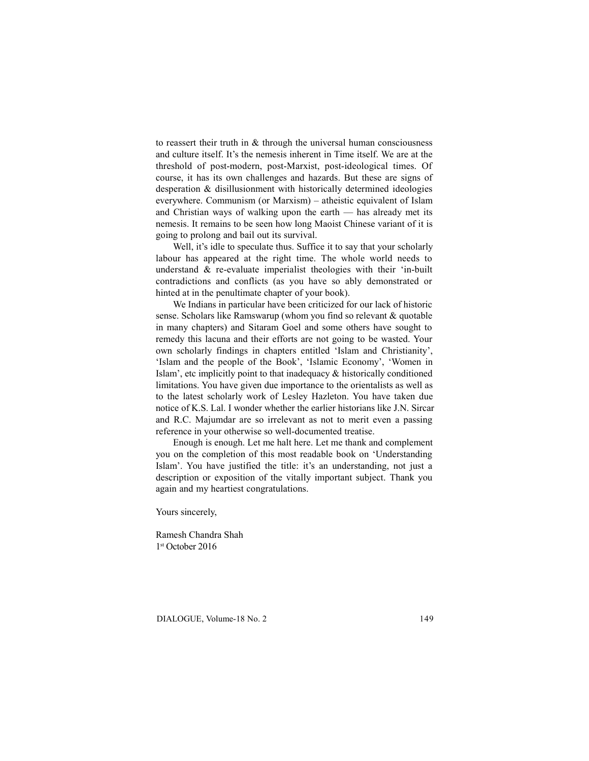to reassert their truth in  $&$  through the universal human consciousness and culture itself. It's the nemesis inherent in Time itself. We are at the threshold of post-modern, post-Marxist, post-ideological times. Of course, it has its own challenges and hazards. But these are signs of desperation & disillusionment with historically determined ideologies everywhere. Communism (or Marxism) – atheistic equivalent of Islam and Christian ways of walking upon the earth — has already met its nemesis. It remains to be seen how long Maoist Chinese variant of it is going to prolong and bail out its survival.

Well, it's idle to speculate thus. Suffice it to say that your scholarly labour has appeared at the right time. The whole world needs to understand & re-evaluate imperialist theologies with their 'in-built contradictions and conflicts (as you have so ably demonstrated or hinted at in the penultimate chapter of your book).

We Indians in particular have been criticized for our lack of historic sense. Scholars like Ramswarup (whom you find so relevant & quotable in many chapters) and Sitaram Goel and some others have sought to remedy this lacuna and their efforts are not going to be wasted. Your own scholarly findings in chapters entitled 'Islam and Christianity', 'Islam and the people of the Book', 'Islamic Economy', 'Women in Islam', etc implicitly point to that inadequacy & historically conditioned limitations. You have given due importance to the orientalists as well as to the latest scholarly work of Lesley Hazleton. You have taken due notice of K.S. Lal. I wonder whether the earlier historians like J.N. Sircar and R.C. Majumdar are so irrelevant as not to merit even a passing reference in your otherwise so well-documented treatise.

Enough is enough. Let me halt here. Let me thank and complement you on the completion of this most readable book on 'Understanding Islam'. You have justified the title: it's an understanding, not just a description or exposition of the vitally important subject. Thank you again and my heartiest congratulations.

Yours sincerely,

Ramesh Chandra Shah 1 st October 2016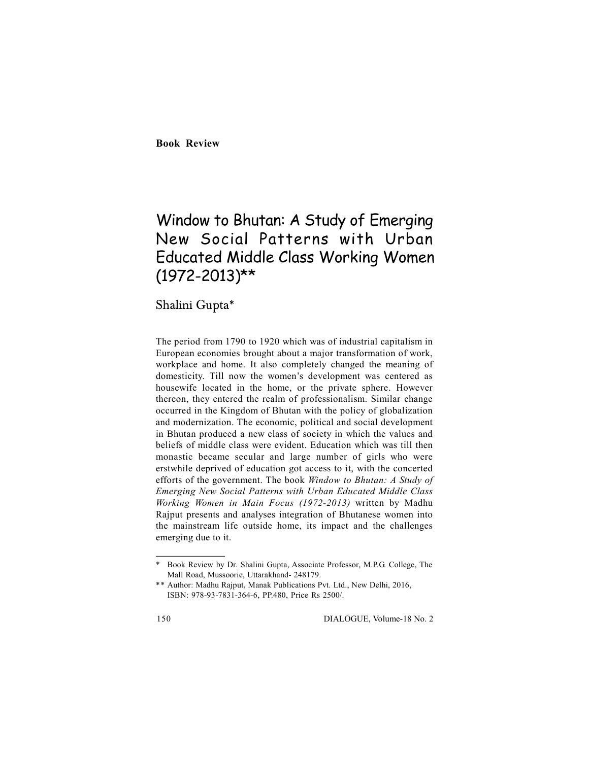**Book Review**

# Window to Bhutan: A Study of Emerging New Social Patterns with Urban Educated Middle Class Working Women (1972-2013)\*\*

Shalini Gupta\*

The period from 1790 to 1920 which was of industrial capitalism in European economies brought about a major transformation of work, workplace and home. It also completely changed the meaning of domesticity. Till now the women's development was centered as housewife located in the home, or the private sphere. However thereon, they entered the realm of professionalism. Similar change occurred in the Kingdom of Bhutan with the policy of globalization and modernization. The economic, political and social development in Bhutan produced a new class of society in which the values and beliefs of middle class were evident. Education which was till then monastic became secular and large number of girls who were erstwhile deprived of education got access to it, with the concerted efforts of the government. The book *Window to Bhutan: A Study of Emerging New Social Patterns with Urban Educated Middle Class Working Women in Main Focus (1972-2013)* written by Madhu Rajput presents and analyses integration of Bhutanese women into the mainstream life outside home, its impact and the challenges emerging due to it.

<sup>\*</sup> Book Review by Dr. Shalini Gupta, Associate Professor, M.P.G. College, The Mall Road, Mussoorie, Uttarakhand- 248179.

<sup>\*\*</sup> Author: Madhu Rajput, Manak Publications Pvt. Ltd., New Delhi, 2016, ISBN: 978-93-7831-364-6, PP.480, Price Rs 2500/.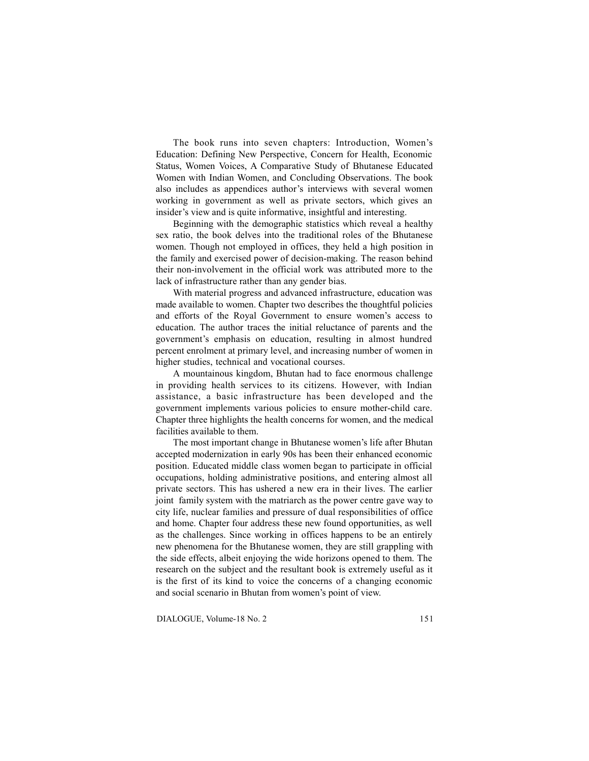The book runs into seven chapters: Introduction, Women's Education: Defining New Perspective, Concern for Health, Economic Status, Women Voices, A Comparative Study of Bhutanese Educated Women with Indian Women, and Concluding Observations. The book also includes as appendices author's interviews with several women working in government as well as private sectors, which gives an insider's view and is quite informative, insightful and interesting.

Beginning with the demographic statistics which reveal a healthy sex ratio, the book delves into the traditional roles of the Bhutanese women. Though not employed in offices, they held a high position in the family and exercised power of decision-making. The reason behind their non-involvement in the official work was attributed more to the lack of infrastructure rather than any gender bias.

With material progress and advanced infrastructure, education was made available to women. Chapter two describes the thoughtful policies and efforts of the Royal Government to ensure women's access to education. The author traces the initial reluctance of parents and the government's emphasis on education, resulting in almost hundred percent enrolment at primary level, and increasing number of women in higher studies, technical and vocational courses.

A mountainous kingdom, Bhutan had to face enormous challenge in providing health services to its citizens. However, with Indian assistance, a basic infrastructure has been developed and the government implements various policies to ensure mother-child care. Chapter three highlights the health concerns for women, and the medical facilities available to them.

The most important change in Bhutanese women's life after Bhutan accepted modernization in early 90s has been their enhanced economic position. Educated middle class women began to participate in official occupations, holding administrative positions, and entering almost all private sectors. This has ushered a new era in their lives. The earlier joint family system with the matriarch as the power centre gave way to city life, nuclear families and pressure of dual responsibilities of office and home. Chapter four address these new found opportunities, as well as the challenges. Since working in offices happens to be an entirely new phenomena for the Bhutanese women, they are still grappling with the side effects, albeit enjoying the wide horizons opened to them. The research on the subject and the resultant book is extremely useful as it is the first of its kind to voice the concerns of a changing economic and social scenario in Bhutan from women's point of view.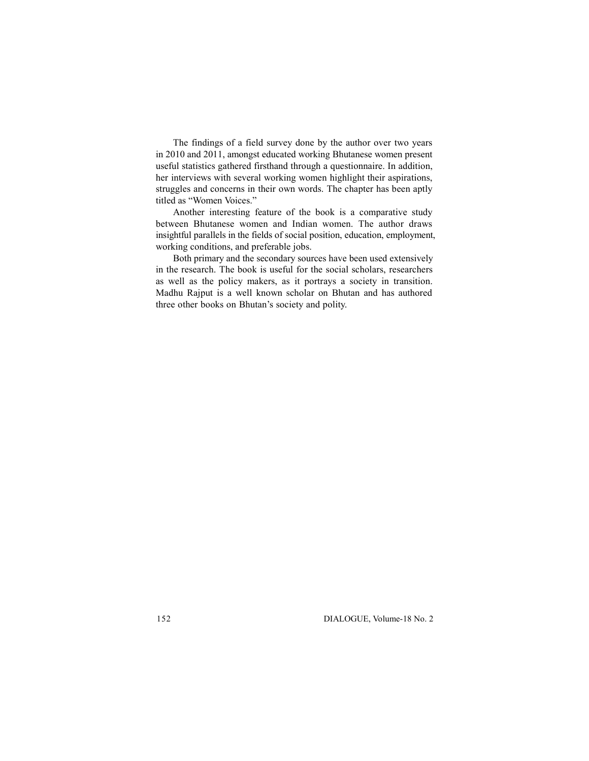The findings of a field survey done by the author over two years in 2010 and 2011, amongst educated working Bhutanese women present useful statistics gathered firsthand through a questionnaire. In addition, her interviews with several working women highlight their aspirations, struggles and concerns in their own words. The chapter has been aptly titled as "Women Voices."

Another interesting feature of the book is a comparative study between Bhutanese women and Indian women. The author draws insightful parallels in the fields of social position, education, employment, working conditions, and preferable jobs.

Both primary and the secondary sources have been used extensively in the research. The book is useful for the social scholars, researchers as well as the policy makers, as it portrays a society in transition. Madhu Rajput is a well known scholar on Bhutan and has authored three other books on Bhutan's society and polity.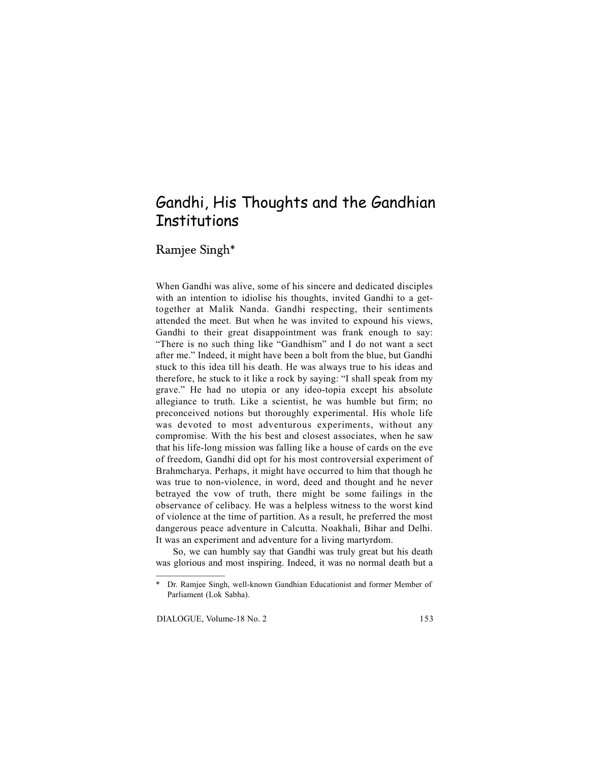## Gandhi, His Thoughts and the Gandhian **Institutions**

Ramjee Singh\*

When Gandhi was alive, some of his sincere and dedicated disciples with an intention to idiolise his thoughts, invited Gandhi to a gettogether at Malik Nanda. Gandhi respecting, their sentiments attended the meet. But when he was invited to expound his views, Gandhi to their great disappointment was frank enough to say: "There is no such thing like "Gandhism" and I do not want a sect after me." Indeed, it might have been a bolt from the blue, but Gandhi stuck to this idea till his death. He was always true to his ideas and therefore, he stuck to it like a rock by saying: "I shall speak from my grave." He had no utopia or any ideo-topia except his absolute allegiance to truth. Like a scientist, he was humble but firm; no preconceived notions but thoroughly experimental. His whole life was devoted to most adventurous experiments, without any compromise. With the his best and closest associates, when he saw that his life-long mission was falling like a house of cards on the eve of freedom, Gandhi did opt for his most controversial experiment of Brahmcharya. Perhaps, it might have occurred to him that though he was true to non-violence, in word, deed and thought and he never betrayed the vow of truth, there might be some failings in the observance of celibacy. He was a helpless witness to the worst kind of violence at the time of partition. As a result, he preferred the most dangerous peace adventure in Calcutta. Noakhali, Bihar and Delhi. It was an experiment and adventure for a living martyrdom.

So, we can humbly say that Gandhi was truly great but his death was glorious and most inspiring. Indeed, it was no normal death but a

Dr. Ramjee Singh, well-known Gandhian Educationist and former Member of Parliament (Lok Sabha).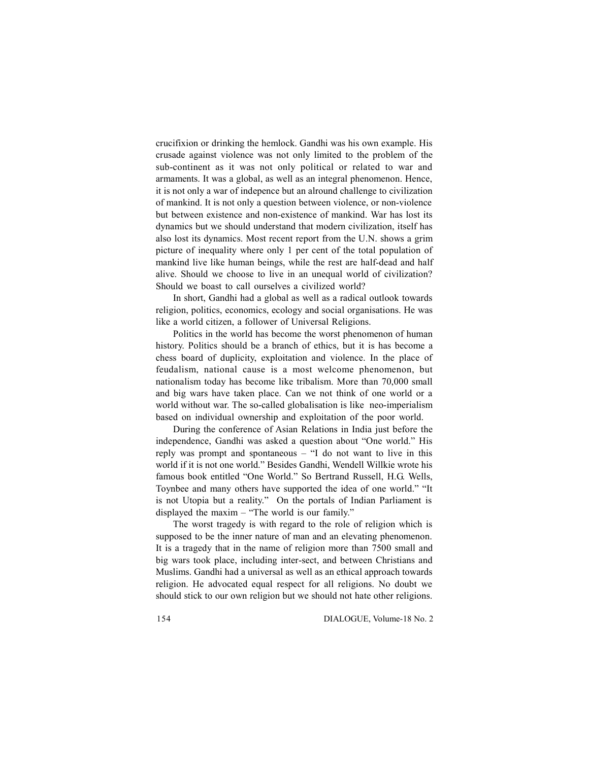crucifixion or drinking the hemlock. Gandhi was his own example. His crusade against violence was not only limited to the problem of the sub-continent as it was not only political or related to war and armaments. It was a global, as well as an integral phenomenon. Hence, it is not only a war of indepence but an alround challenge to civilization of mankind. It is not only a question between violence, or non-violence but between existence and non-existence of mankind. War has lost its dynamics but we should understand that modern civilization, itself has also lost its dynamics. Most recent report from the U.N. shows a grim picture of inequality where only 1 per cent of the total population of mankind live like human beings, while the rest are half-dead and half alive. Should we choose to live in an unequal world of civilization? Should we boast to call ourselves a civilized world?

In short, Gandhi had a global as well as a radical outlook towards religion, politics, economics, ecology and social organisations. He was like a world citizen, a follower of Universal Religions.

Politics in the world has become the worst phenomenon of human history. Politics should be a branch of ethics, but it is has become a chess board of duplicity, exploitation and violence. In the place of feudalism, national cause is a most welcome phenomenon, but nationalism today has become like tribalism. More than 70,000 small and big wars have taken place. Can we not think of one world or a world without war. The so-called globalisation is like neo-imperialism based on individual ownership and exploitation of the poor world.

During the conference of Asian Relations in India just before the independence, Gandhi was asked a question about "One world." His reply was prompt and spontaneous – "I do not want to live in this world if it is not one world." Besides Gandhi, Wendell Willkie wrote his famous book entitled "One World." So Bertrand Russell, H.G. Wells, Toynbee and many others have supported the idea of one world." "It is not Utopia but a reality." On the portals of Indian Parliament is displayed the maxim – "The world is our family."

The worst tragedy is with regard to the role of religion which is supposed to be the inner nature of man and an elevating phenomenon. It is a tragedy that in the name of religion more than 7500 small and big wars took place, including inter-sect, and between Christians and Muslims. Gandhi had a universal as well as an ethical approach towards religion. He advocated equal respect for all religions. No doubt we should stick to our own religion but we should not hate other religions.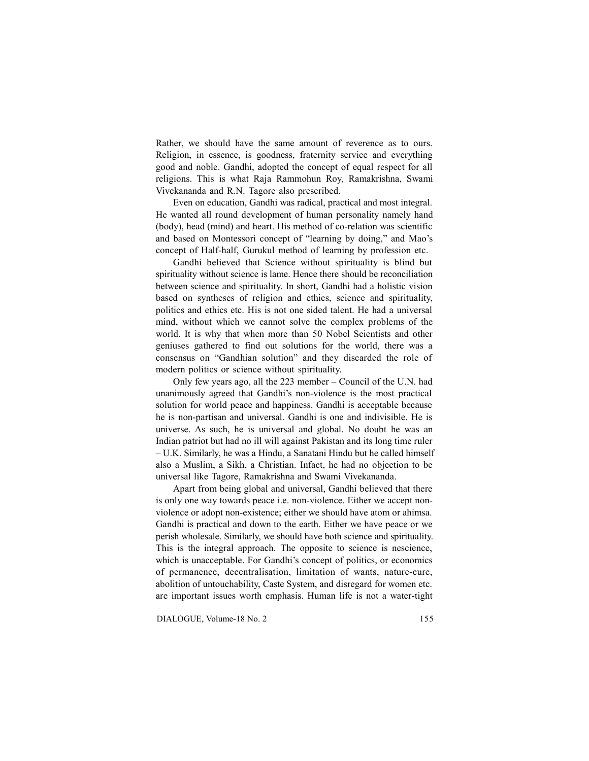Rather, we should have the same amount of reverence as to ours. Religion, in essence, is goodness, fraternity service and everything good and noble. Gandhi, adopted the concept of equal respect for all religions. This is what Raja Rammohun Roy, Ramakrishna, Swami Vivekananda and R.N. Tagore also prescribed.

Even on education, Gandhi was radical, practical and most integral. He wanted all round development of human personality namely hand (body), head (mind) and heart. His method of co-relation was scientific and based on Montessori concept of "learning by doing," and Mao's concept of Half-half, Gurukul method of learning by profession etc.

Gandhi believed that Science without spirituality is blind but spirituality without science is lame. Hence there should be reconciliation between science and spirituality. In short, Gandhi had a holistic vision based on syntheses of religion and ethics, science and spirituality, politics and ethics etc. His is not one sided talent. He had a universal mind, without which we cannot solve the complex problems of the world. It is why that when more than 50 Nobel Scientists and other geniuses gathered to find out solutions for the world, there was a consensus on "Gandhian solution" and they discarded the role of modern politics or science without spirituality.

Only few years ago, all the 223 member – Council of the U.N. had unanimously agreed that Gandhi's non-violence is the most practical solution for world peace and happiness. Gandhi is acceptable because he is non-partisan and universal. Gandhi is one and indivisible. He is universe. As such, he is universal and global. No doubt he was an Indian patriot but had no ill will against Pakistan and its long time ruler – U.K. Similarly, he was a Hindu, a Sanatani Hindu but he called himself also a Muslim, a Sikh, a Christian. Infact, he had no objection to be universal like Tagore, Ramakrishna and Swami Vivekananda.

Apart from being global and universal, Gandhi believed that there is only one way towards peace i.e. non-violence. Either we accept nonviolence or adopt non-existence; either we should have atom or ahimsa. Gandhi is practical and down to the earth. Either we have peace or we perish wholesale. Similarly, we should have both science and spirituality. This is the integral approach. The opposite to science is nescience, which is unacceptable. For Gandhi's concept of politics, or economics of permanence, decentralisation, limitation of wants, nature-cure, abolition of untouchability, Caste System, and disregard for women etc. are important issues worth emphasis. Human life is not a water-tight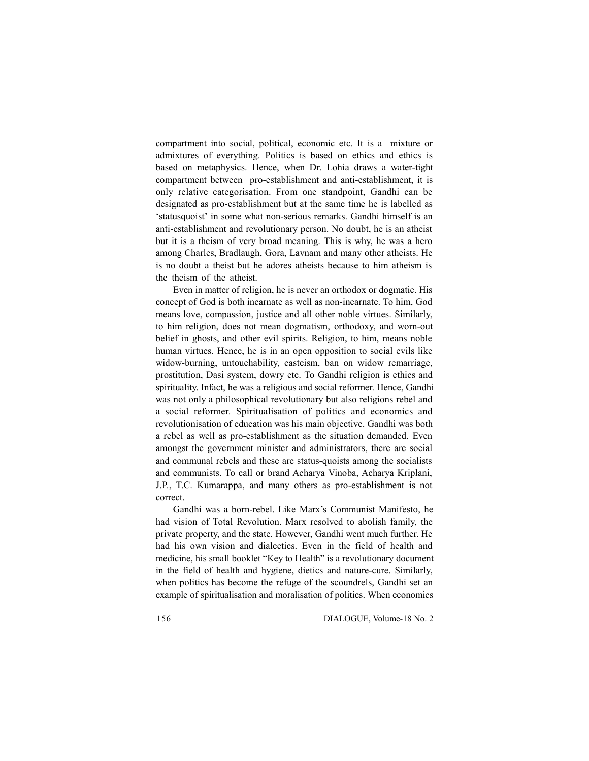compartment into social, political, economic etc. It is a mixture or admixtures of everything. Politics is based on ethics and ethics is based on metaphysics. Hence, when Dr. Lohia draws a water-tight compartment between pro-establishment and anti-establishment, it is only relative categorisation. From one standpoint, Gandhi can be designated as pro-establishment but at the same time he is labelled as 'statusquoist' in some what non-serious remarks. Gandhi himself is an anti-establishment and revolutionary person. No doubt, he is an atheist but it is a theism of very broad meaning. This is why, he was a hero among Charles, Bradlaugh, Gora, Lavnam and many other atheists. He is no doubt a theist but he adores atheists because to him atheism is the theism of the atheist.

Even in matter of religion, he is never an orthodox or dogmatic. His concept of God is both incarnate as well as non-incarnate. To him, God means love, compassion, justice and all other noble virtues. Similarly, to him religion, does not mean dogmatism, orthodoxy, and worn-out belief in ghosts, and other evil spirits. Religion, to him, means noble human virtues. Hence, he is in an open opposition to social evils like widow-burning, untouchability, casteism, ban on widow remarriage, prostitution, Dasi system, dowry etc. To Gandhi religion is ethics and spirituality. Infact, he was a religious and social reformer. Hence, Gandhi was not only a philosophical revolutionary but also religions rebel and a social reformer. Spiritualisation of politics and economics and revolutionisation of education was his main objective. Gandhi was both a rebel as well as pro-establishment as the situation demanded. Even amongst the government minister and administrators, there are social and communal rebels and these are status-quoists among the socialists and communists. To call or brand Acharya Vinoba, Acharya Kriplani, J.P., T.C. Kumarappa, and many others as pro-establishment is not correct.

Gandhi was a born-rebel. Like Marx's Communist Manifesto, he had vision of Total Revolution. Marx resolved to abolish family, the private property, and the state. However, Gandhi went much further. He had his own vision and dialectics. Even in the field of health and medicine, his small booklet "Key to Health" is a revolutionary document in the field of health and hygiene, dietics and nature-cure. Similarly, when politics has become the refuge of the scoundrels, Gandhi set an example of spiritualisation and moralisation of politics. When economics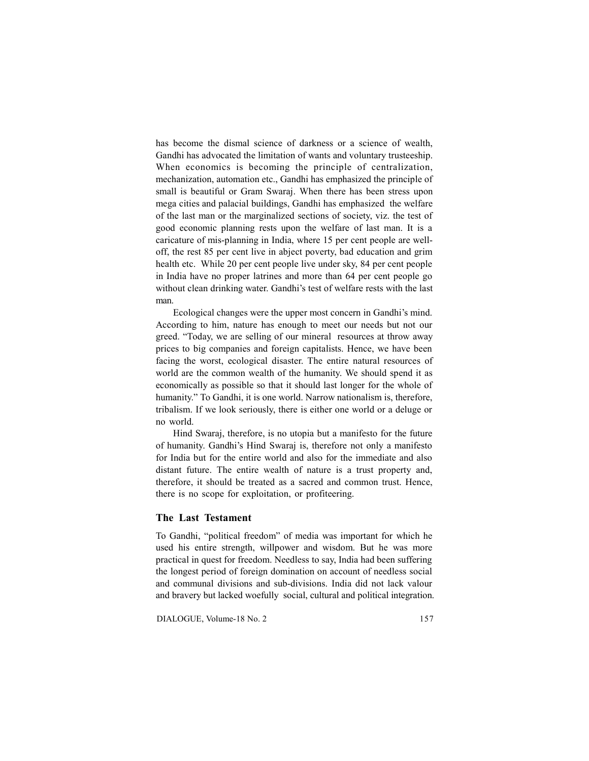has become the dismal science of darkness or a science of wealth, Gandhi has advocated the limitation of wants and voluntary trusteeship. When economics is becoming the principle of centralization, mechanization, automation etc., Gandhi has emphasized the principle of small is beautiful or Gram Swaraj. When there has been stress upon mega cities and palacial buildings, Gandhi has emphasized the welfare of the last man or the marginalized sections of society, viz. the test of good economic planning rests upon the welfare of last man. It is a caricature of mis-planning in India, where 15 per cent people are welloff, the rest 85 per cent live in abject poverty, bad education and grim health etc. While 20 per cent people live under sky, 84 per cent people in India have no proper latrines and more than 64 per cent people go without clean drinking water. Gandhi's test of welfare rests with the last man.

Ecological changes were the upper most concern in Gandhi's mind. According to him, nature has enough to meet our needs but not our greed. "Today, we are selling of our mineral resources at throw away prices to big companies and foreign capitalists. Hence, we have been facing the worst, ecological disaster. The entire natural resources of world are the common wealth of the humanity. We should spend it as economically as possible so that it should last longer for the whole of humanity." To Gandhi, it is one world. Narrow nationalism is, therefore, tribalism. If we look seriously, there is either one world or a deluge or no world.

Hind Swaraj, therefore, is no utopia but a manifesto for the future of humanity. Gandhi's Hind Swaraj is, therefore not only a manifesto for India but for the entire world and also for the immediate and also distant future. The entire wealth of nature is a trust property and, therefore, it should be treated as a sacred and common trust. Hence, there is no scope for exploitation, or profiteering.

## **The Last Testament**

To Gandhi, "political freedom" of media was important for which he used his entire strength, willpower and wisdom. But he was more practical in quest for freedom. Needless to say, India had been suffering the longest period of foreign domination on account of needless social and communal divisions and sub-divisions. India did not lack valour and bravery but lacked woefully social, cultural and political integration.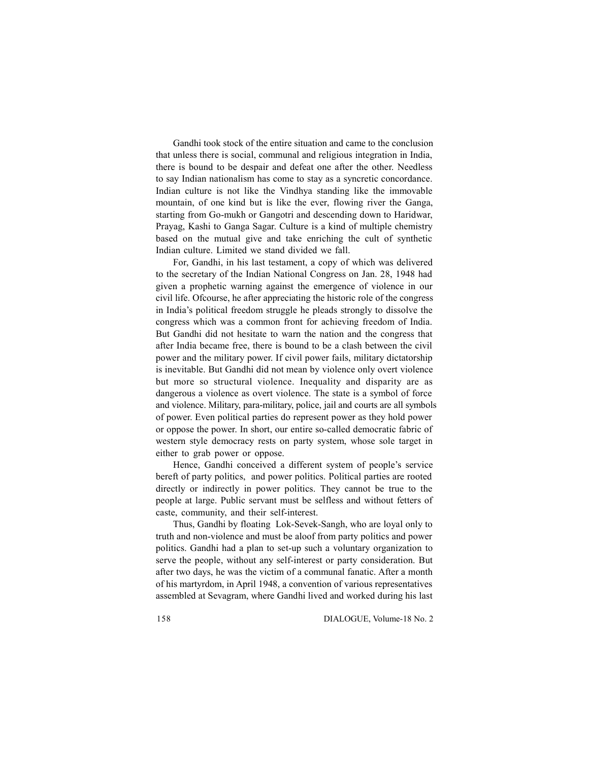Gandhi took stock of the entire situation and came to the conclusion that unless there is social, communal and religious integration in India, there is bound to be despair and defeat one after the other. Needless to say Indian nationalism has come to stay as a syncretic concordance. Indian culture is not like the Vindhya standing like the immovable mountain, of one kind but is like the ever, flowing river the Ganga, starting from Go-mukh or Gangotri and descending down to Haridwar, Prayag, Kashi to Ganga Sagar. Culture is a kind of multiple chemistry based on the mutual give and take enriching the cult of synthetic Indian culture. Limited we stand divided we fall.

For, Gandhi, in his last testament, a copy of which was delivered to the secretary of the Indian National Congress on Jan. 28, 1948 had given a prophetic warning against the emergence of violence in our civil life. Ofcourse, he after appreciating the historic role of the congress in India's political freedom struggle he pleads strongly to dissolve the congress which was a common front for achieving freedom of India. But Gandhi did not hesitate to warn the nation and the congress that after India became free, there is bound to be a clash between the civil power and the military power. If civil power fails, military dictatorship is inevitable. But Gandhi did not mean by violence only overt violence but more so structural violence. Inequality and disparity are as dangerous a violence as overt violence. The state is a symbol of force and violence. Military, para-military, police, jail and courts are all symbols of power. Even political parties do represent power as they hold power or oppose the power. In short, our entire so-called democratic fabric of western style democracy rests on party system, whose sole target in either to grab power or oppose.

Hence, Gandhi conceived a different system of people's service bereft of party politics, and power politics. Political parties are rooted directly or indirectly in power politics. They cannot be true to the people at large. Public servant must be selfless and without fetters of caste, community, and their self-interest.

Thus, Gandhi by floating Lok-Sevek-Sangh, who are loyal only to truth and non-violence and must be aloof from party politics and power politics. Gandhi had a plan to set-up such a voluntary organization to serve the people, without any self-interest or party consideration. But after two days, he was the victim of a communal fanatic. After a month of his martyrdom, in April 1948, a convention of various representatives assembled at Sevagram, where Gandhi lived and worked during his last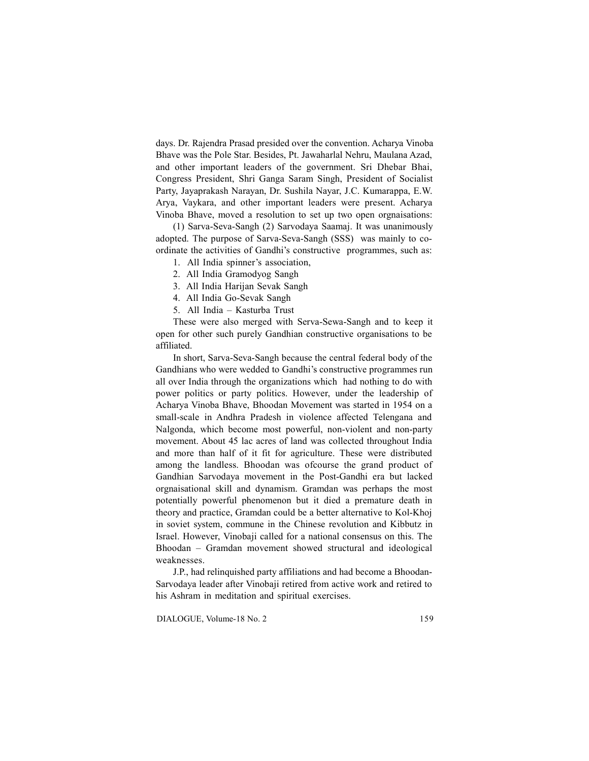days. Dr. Rajendra Prasad presided over the convention. Acharya Vinoba Bhave was the Pole Star. Besides, Pt. Jawaharlal Nehru, Maulana Azad, and other important leaders of the government. Sri Dhebar Bhai, Congress President, Shri Ganga Saram Singh, President of Socialist Party, Jayaprakash Narayan, Dr. Sushila Nayar, J.C. Kumarappa, E.W. Arya, Vaykara, and other important leaders were present. Acharya Vinoba Bhave, moved a resolution to set up two open orgnaisations:

(1) Sarva-Seva-Sangh (2) Sarvodaya Saamaj. It was unanimously adopted. The purpose of Sarva-Seva-Sangh (SSS) was mainly to coordinate the activities of Gandhi's constructive programmes, such as:

- 1. All India spinner's association,
- 2. All India Gramodyog Sangh
- 3. All India Harijan Sevak Sangh
- 4. All India Go-Sevak Sangh
- 5. All India Kasturba Trust

These were also merged with Serva-Sewa-Sangh and to keep it open for other such purely Gandhian constructive organisations to be affiliated.

In short, Sarva-Seva-Sangh because the central federal body of the Gandhians who were wedded to Gandhi's constructive programmes run all over India through the organizations which had nothing to do with power politics or party politics. However, under the leadership of Acharya Vinoba Bhave, Bhoodan Movement was started in 1954 on a small-scale in Andhra Pradesh in violence affected Telengana and Nalgonda, which become most powerful, non-violent and non-party movement. About 45 lac acres of land was collected throughout India and more than half of it fit for agriculture. These were distributed among the landless. Bhoodan was ofcourse the grand product of Gandhian Sarvodaya movement in the Post-Gandhi era but lacked orgnaisational skill and dynamism. Gramdan was perhaps the most potentially powerful phenomenon but it died a premature death in theory and practice, Gramdan could be a better alternative to Kol-Khoj in soviet system, commune in the Chinese revolution and Kibbutz in Israel. However, Vinobaji called for a national consensus on this. The Bhoodan – Gramdan movement showed structural and ideological weaknesses.

J.P., had relinquished party affiliations and had become a Bhoodan-Sarvodaya leader after Vinobaji retired from active work and retired to his Ashram in meditation and spiritual exercises.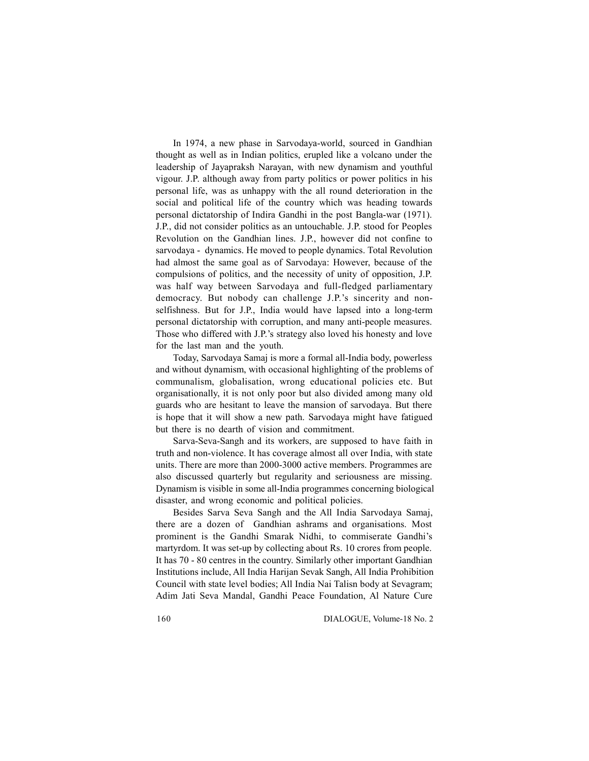In 1974, a new phase in Sarvodaya-world, sourced in Gandhian thought as well as in Indian politics, erupled like a volcano under the leadership of Jayapraksh Narayan, with new dynamism and youthful vigour. J.P. although away from party politics or power politics in his personal life, was as unhappy with the all round deterioration in the social and political life of the country which was heading towards personal dictatorship of Indira Gandhi in the post Bangla-war (1971). J.P., did not consider politics as an untouchable. J.P. stood for Peoples Revolution on the Gandhian lines. J.P., however did not confine to sarvodaya - dynamics. He moved to people dynamics. Total Revolution had almost the same goal as of Sarvodaya: However, because of the compulsions of politics, and the necessity of unity of opposition, J.P. was half way between Sarvodaya and full-fledged parliamentary democracy. But nobody can challenge J.P.'s sincerity and nonselfishness. But for J.P., India would have lapsed into a long-term personal dictatorship with corruption, and many anti-people measures. Those who differed with J.P.'s strategy also loved his honesty and love for the last man and the youth.

Today, Sarvodaya Samaj is more a formal all-India body, powerless and without dynamism, with occasional highlighting of the problems of communalism, globalisation, wrong educational policies etc. But organisationally, it is not only poor but also divided among many old guards who are hesitant to leave the mansion of sarvodaya. But there is hope that it will show a new path. Sarvodaya might have fatigued but there is no dearth of vision and commitment.

Sarva-Seva-Sangh and its workers, are supposed to have faith in truth and non-violence. It has coverage almost all over India, with state units. There are more than 2000-3000 active members. Programmes are also discussed quarterly but regularity and seriousness are missing. Dynamism is visible in some all-India programmes concerning biological disaster, and wrong economic and political policies.

Besides Sarva Seva Sangh and the All India Sarvodaya Samaj, there are a dozen of Gandhian ashrams and organisations. Most prominent is the Gandhi Smarak Nidhi, to commiserate Gandhi's martyrdom. It was set-up by collecting about Rs. 10 crores from people. It has 70 - 80 centres in the country. Similarly other important Gandhian Institutions include, All India Harijan Sevak Sangh, All India Prohibition Council with state level bodies; All India Nai Talisn body at Sevagram; Adim Jati Seva Mandal, Gandhi Peace Foundation, Al Nature Cure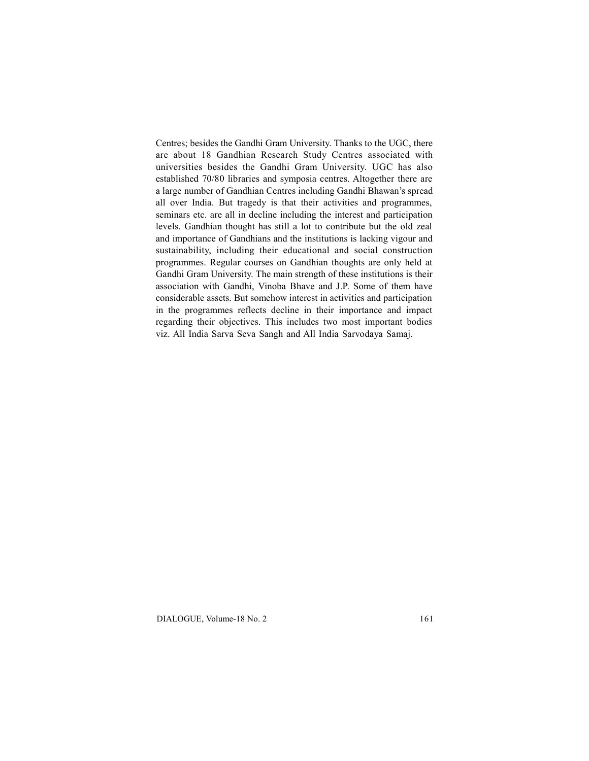Centres; besides the Gandhi Gram University. Thanks to the UGC, there are about 18 Gandhian Research Study Centres associated with universities besides the Gandhi Gram University. UGC has also established 70/80 libraries and symposia centres. Altogether there are a large number of Gandhian Centres including Gandhi Bhawan's spread all over India. But tragedy is that their activities and programmes, seminars etc. are all in decline including the interest and participation levels. Gandhian thought has still a lot to contribute but the old zeal and importance of Gandhians and the institutions is lacking vigour and sustainability, including their educational and social construction programmes. Regular courses on Gandhian thoughts are only held at Gandhi Gram University. The main strength of these institutions is their association with Gandhi, Vinoba Bhave and J.P. Some of them have considerable assets. But somehow interest in activities and participation in the programmes reflects decline in their importance and impact regarding their objectives. This includes two most important bodies viz. All India Sarva Seva Sangh and All India Sarvodaya Samaj.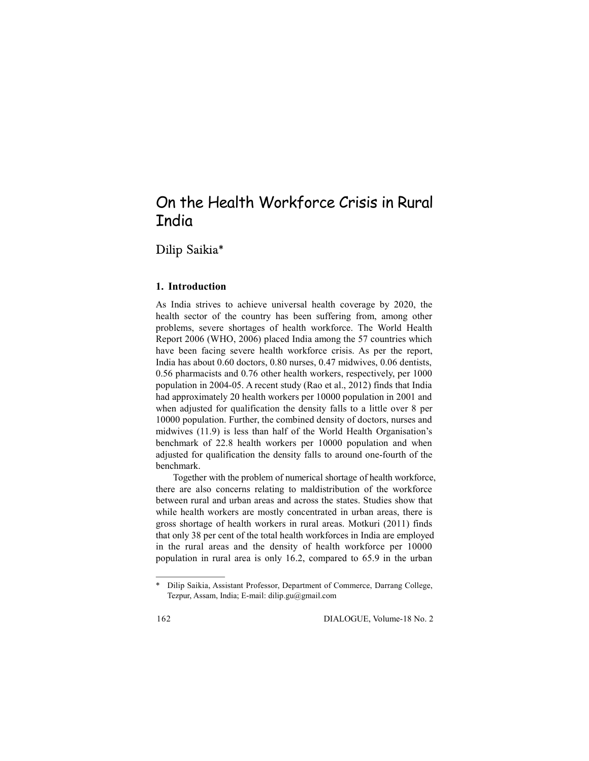## On the Health Workforce Crisis in Rural India

Dilip Saikia\*

## **1. Introduction**

As India strives to achieve universal health coverage by 2020, the health sector of the country has been suffering from, among other problems, severe shortages of health workforce. The World Health Report 2006 (WHO, 2006) placed India among the 57 countries which have been facing severe health workforce crisis. As per the report, India has about 0.60 doctors, 0.80 nurses, 0.47 midwives, 0.06 dentists, 0.56 pharmacists and 0.76 other health workers, respectively, per 1000 population in 2004-05. A recent study (Rao et al., 2012) finds that India had approximately 20 health workers per 10000 population in 2001 and when adjusted for qualification the density falls to a little over 8 per 10000 population. Further, the combined density of doctors, nurses and midwives (11.9) is less than half of the World Health Organisation's benchmark of 22.8 health workers per 10000 population and when adjusted for qualification the density falls to around one-fourth of the benchmark.

Together with the problem of numerical shortage of health workforce, there are also concerns relating to maldistribution of the workforce between rural and urban areas and across the states. Studies show that while health workers are mostly concentrated in urban areas, there is gross shortage of health workers in rural areas. Motkuri (2011) finds that only 38 per cent of the total health workforces in India are employed in the rural areas and the density of health workforce per 10000 population in rural area is only 16.2, compared to 65.9 in the urban

<sup>\*</sup> Dilip Saikia, Assistant Professor, Department of Commerce, Darrang College, Tezpur, Assam, India; E-mail: dilip.gu@gmail.com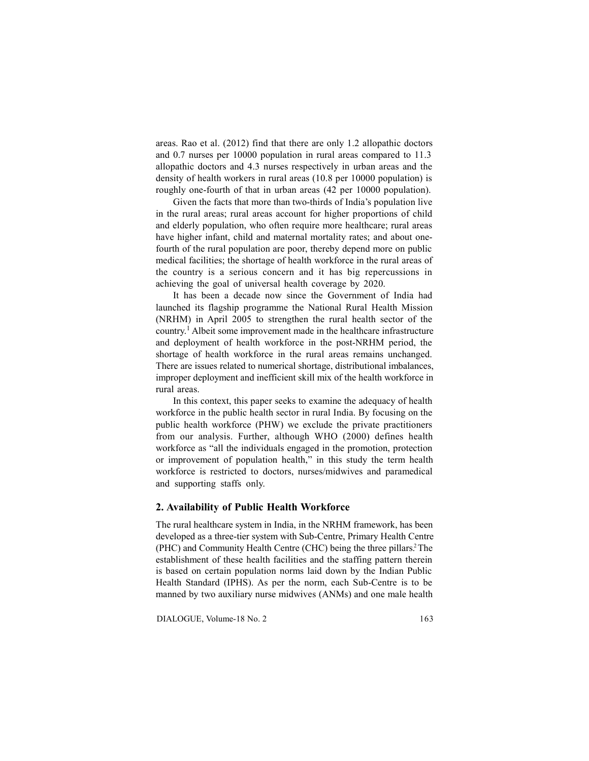areas. Rao et al. (2012) find that there are only 1.2 allopathic doctors and 0.7 nurses per 10000 population in rural areas compared to 11.3 allopathic doctors and 4.3 nurses respectively in urban areas and the density of health workers in rural areas (10.8 per 10000 population) is roughly one-fourth of that in urban areas (42 per 10000 population).

Given the facts that more than two-thirds of India's population live in the rural areas; rural areas account for higher proportions of child and elderly population, who often require more healthcare; rural areas have higher infant, child and maternal mortality rates; and about onefourth of the rural population are poor, thereby depend more on public medical facilities; the shortage of health workforce in the rural areas of the country is a serious concern and it has big repercussions in achieving the goal of universal health coverage by 2020.

It has been a decade now since the Government of India had launched its flagship programme the National Rural Health Mission (NRHM) in April 2005 to strengthen the rural health sector of the country.<sup>1</sup> Albeit some improvement made in the healthcare infrastructure and deployment of health workforce in the post-NRHM period, the shortage of health workforce in the rural areas remains unchanged. There are issues related to numerical shortage, distributional imbalances, improper deployment and inefficient skill mix of the health workforce in rural areas.

In this context, this paper seeks to examine the adequacy of health workforce in the public health sector in rural India. By focusing on the public health workforce (PHW) we exclude the private practitioners from our analysis. Further, although WHO (2000) defines health workforce as "all the individuals engaged in the promotion, protection or improvement of population health," in this study the term health workforce is restricted to doctors, nurses/midwives and paramedical and supporting staffs only.

#### **2. Availability of Public Health Workforce**

The rural healthcare system in India, in the NRHM framework, has been developed as a three-tier system with Sub-Centre, Primary Health Centre (PHC) and Community Health Centre (CHC) being the three pillars.<sup>2</sup>The establishment of these health facilities and the staffing pattern therein is based on certain population norms laid down by the Indian Public Health Standard (IPHS). As per the norm, each Sub-Centre is to be manned by two auxiliary nurse midwives (ANMs) and one male health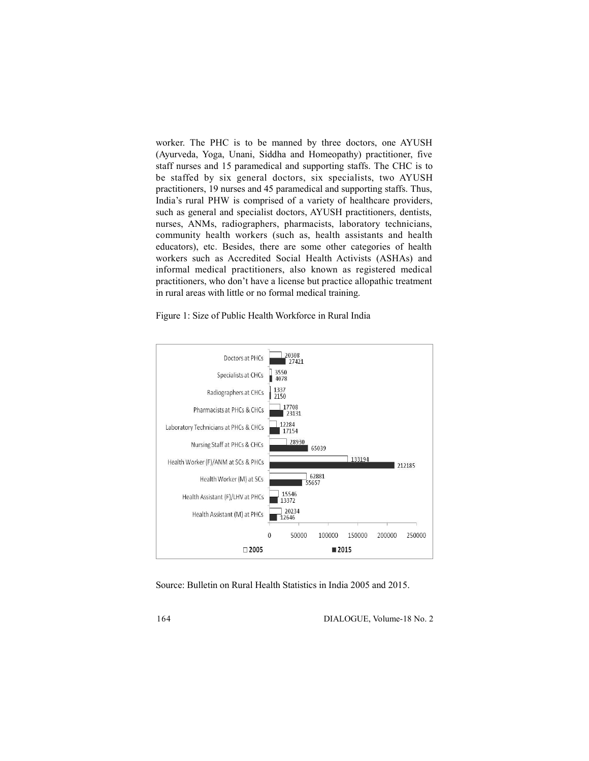worker. The PHC is to be manned by three doctors, one AYUSH (Ayurveda, Yoga, Unani, Siddha and Homeopathy) practitioner, five staff nurses and 15 paramedical and supporting staffs. The CHC is to be staffed by six general doctors, six specialists, two AYUSH practitioners, 19 nurses and 45 paramedical and supporting staffs. Thus, India's rural PHW is comprised of a variety of healthcare providers, such as general and specialist doctors, AYUSH practitioners, dentists, nurses, ANMs, radiographers, pharmacists, laboratory technicians, community health workers (such as, health assistants and health educators), etc. Besides, there are some other categories of health workers such as Accredited Social Health Activists (ASHAs) and informal medical practitioners, also known as registered medical practitioners, who don't have a license but practice allopathic treatment in rural areas with little or no formal medical training.

Figure 1: Size of Public Health Workforce in Rural India



Source: Bulletin on Rural Health Statistics in India 2005 and 2015.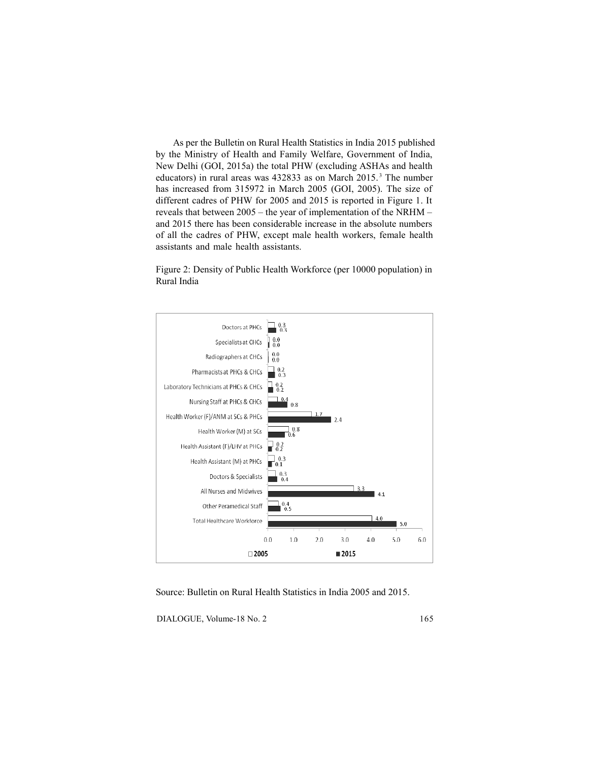As per the Bulletin on Rural Health Statistics in India 2015 published by the Ministry of Health and Family Welfare, Government of India, New Delhi (GOI, 2015a) the total PHW (excluding ASHAs and health educators) in rural areas was 432833 as on March 2015.<sup>3</sup> The number has increased from 315972 in March 2005 (GOI, 2005). The size of different cadres of PHW for 2005 and 2015 is reported in Figure 1. It reveals that between 2005 – the year of implementation of the NRHM – and 2015 there has been considerable increase in the absolute numbers of all the cadres of PHW, except male health workers, female health assistants and male health assistants.

Figure 2: Density of Public Health Workforce (per 10000 population) in Rural India



Source: Bulletin on Rural Health Statistics in India 2005 and 2015.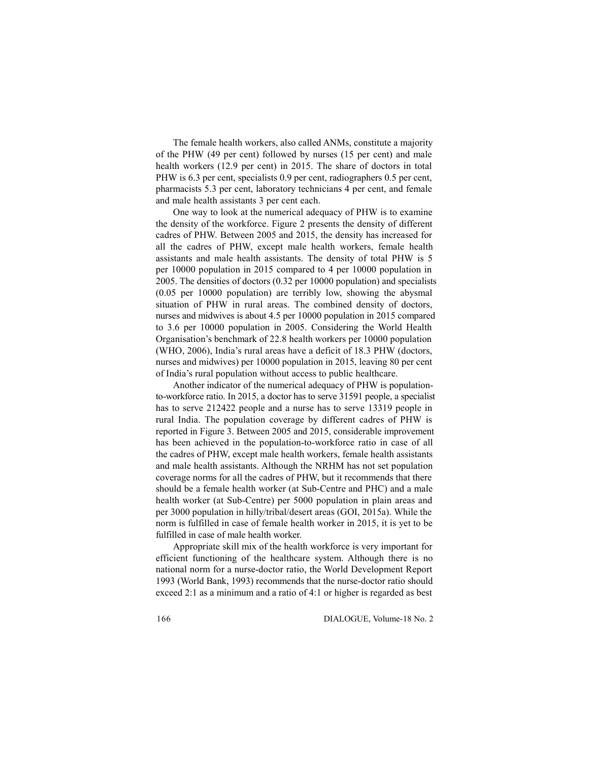The female health workers, also called ANMs, constitute a majority of the PHW (49 per cent) followed by nurses (15 per cent) and male health workers (12.9 per cent) in 2015. The share of doctors in total PHW is 6.3 per cent, specialists 0.9 per cent, radiographers 0.5 per cent, pharmacists 5.3 per cent, laboratory technicians 4 per cent, and female and male health assistants 3 per cent each.

One way to look at the numerical adequacy of PHW is to examine the density of the workforce. Figure 2 presents the density of different cadres of PHW. Between 2005 and 2015, the density has increased for all the cadres of PHW, except male health workers, female health assistants and male health assistants. The density of total PHW is 5 per 10000 population in 2015 compared to 4 per 10000 population in 2005. The densities of doctors (0.32 per 10000 population) and specialists (0.05 per 10000 population) are terribly low, showing the abysmal situation of PHW in rural areas. The combined density of doctors, nurses and midwives is about 4.5 per 10000 population in 2015 compared to 3.6 per 10000 population in 2005. Considering the World Health Organisation's benchmark of 22.8 health workers per 10000 population (WHO, 2006), India's rural areas have a deficit of 18.3 PHW (doctors, nurses and midwives) per 10000 population in 2015, leaving 80 per cent of India's rural population without access to public healthcare.

Another indicator of the numerical adequacy of PHW is populationto-workforce ratio. In 2015, a doctor has to serve 31591 people, a specialist has to serve 212422 people and a nurse has to serve 13319 people in rural India. The population coverage by different cadres of PHW is reported in Figure 3. Between 2005 and 2015, considerable improvement has been achieved in the population-to-workforce ratio in case of all the cadres of PHW, except male health workers, female health assistants and male health assistants. Although the NRHM has not set population coverage norms for all the cadres of PHW, but it recommends that there should be a female health worker (at Sub-Centre and PHC) and a male health worker (at Sub-Centre) per 5000 population in plain areas and per 3000 population in hilly/tribal/desert areas (GOI, 2015a). While the norm is fulfilled in case of female health worker in 2015, it is yet to be fulfilled in case of male health worker.

Appropriate skill mix of the health workforce is very important for efficient functioning of the healthcare system. Although there is no national norm for a nurse-doctor ratio, the World Development Report 1993 (World Bank, 1993) recommends that the nurse-doctor ratio should exceed 2:1 as a minimum and a ratio of 4:1 or higher is regarded as best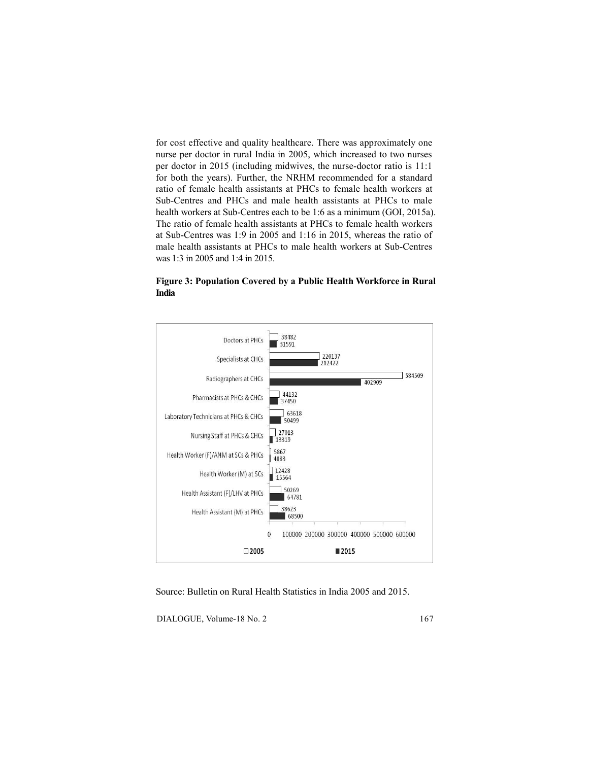for cost effective and quality healthcare. There was approximately one nurse per doctor in rural India in 2005, which increased to two nurses per doctor in 2015 (including midwives, the nurse-doctor ratio is 11:1 for both the years). Further, the NRHM recommended for a standard ratio of female health assistants at PHCs to female health workers at Sub-Centres and PHCs and male health assistants at PHCs to male health workers at Sub-Centres each to be 1:6 as a minimum (GOI, 2015a). The ratio of female health assistants at PHCs to female health workers at Sub-Centres was 1:9 in 2005 and 1:16 in 2015, whereas the ratio of male health assistants at PHCs to male health workers at Sub-Centres was 1:3 in 2005 and 1:4 in 2015.

**Figure 3: Population Covered by a Public Health Workforce in Rural India**



Source: Bulletin on Rural Health Statistics in India 2005 and 2015.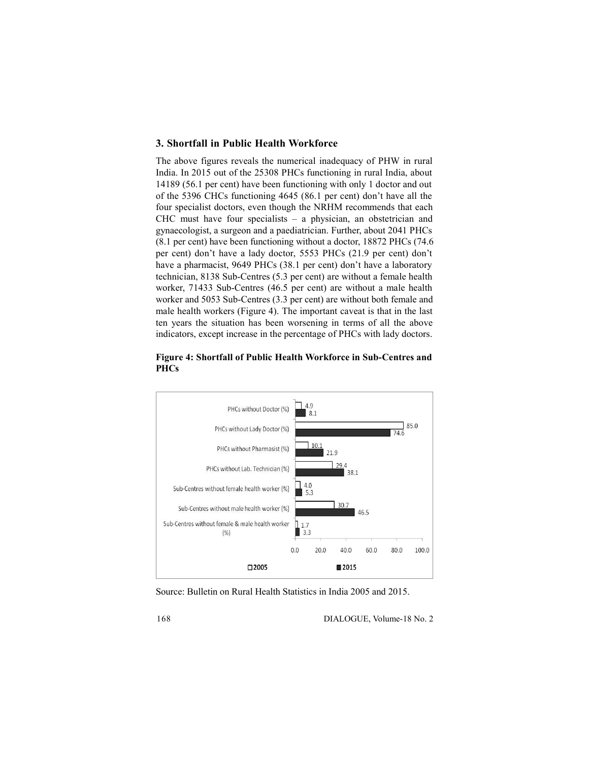## **3. Shortfall in Public Health Workforce**

The above figures reveals the numerical inadequacy of PHW in rural India. In 2015 out of the 25308 PHCs functioning in rural India, about 14189 (56.1 per cent) have been functioning with only 1 doctor and out of the 5396 CHCs functioning 4645 (86.1 per cent) don't have all the four specialist doctors, even though the NRHM recommends that each CHC must have four specialists – a physician, an obstetrician and gynaecologist, a surgeon and a paediatrician. Further, about 2041 PHCs (8.1 per cent) have been functioning without a doctor, 18872 PHCs (74.6 per cent) don't have a lady doctor, 5553 PHCs (21.9 per cent) don't have a pharmacist, 9649 PHCs (38.1 per cent) don't have a laboratory technician, 8138 Sub-Centres (5.3 per cent) are without a female health worker, 71433 Sub-Centres (46.5 per cent) are without a male health worker and 5053 Sub-Centres (3.3 per cent) are without both female and male health workers (Figure 4). The important caveat is that in the last ten years the situation has been worsening in terms of all the above indicators, except increase in the percentage of PHCs with lady doctors.

## **Figure 4: Shortfall of Public Health Workforce in Sub-Centres and PHCs**



Source: Bulletin on Rural Health Statistics in India 2005 and 2015.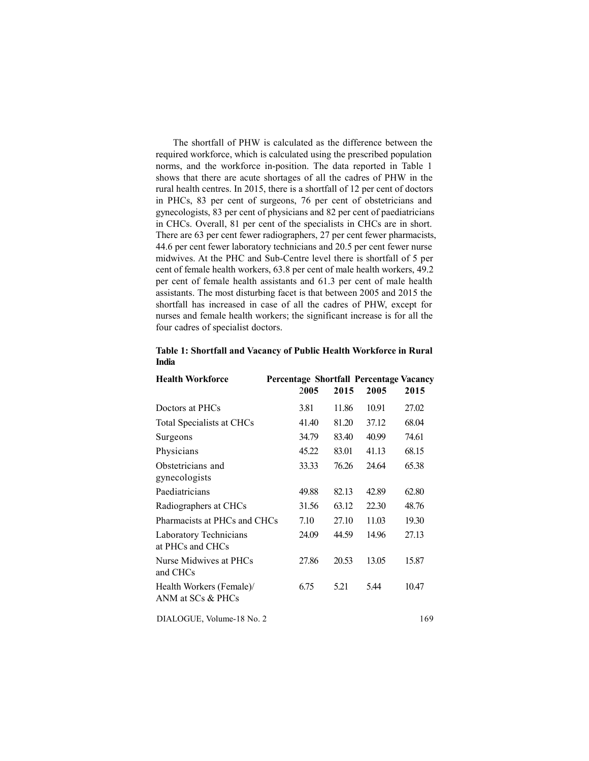The shortfall of PHW is calculated as the difference between the required workforce, which is calculated using the prescribed population norms, and the workforce in-position. The data reported in Table 1 shows that there are acute shortages of all the cadres of PHW in the rural health centres. In 2015, there is a shortfall of 12 per cent of doctors in PHCs, 83 per cent of surgeons, 76 per cent of obstetricians and gynecologists, 83 per cent of physicians and 82 per cent of paediatricians in CHCs. Overall, 81 per cent of the specialists in CHCs are in short. There are 63 per cent fewer radiographers, 27 per cent fewer pharmacists, 44.6 per cent fewer laboratory technicians and 20.5 per cent fewer nurse midwives. At the PHC and Sub-Centre level there is shortfall of 5 per cent of female health workers, 63.8 per cent of male health workers, 49.2 per cent of female health assistants and 61.3 per cent of male health assistants. The most disturbing facet is that between 2005 and 2015 the shortfall has increased in case of all the cadres of PHW, except for nurses and female health workers; the significant increase is for all the four cadres of specialist doctors.

| <b>Health Workforce</b>                       | Percentage Shortfall Percentage Vacancy |       |       |       |
|-----------------------------------------------|-----------------------------------------|-------|-------|-------|
|                                               | 2005                                    | 2015  | 2005  | 2015  |
| Doctors at PHCs                               | 3.81                                    | 11.86 | 10.91 | 27.02 |
| Total Specialists at CHCs                     | 41.40                                   | 81.20 | 37.12 | 68.04 |
| Surgeons                                      | 34.79                                   | 83.40 | 40.99 | 74.61 |
| Physicians                                    | 45.22                                   | 83.01 | 41.13 | 68.15 |
| Obstetricians and<br>gynecologists            | 33.33                                   | 76.26 | 24.64 | 65.38 |
| Paediatricians                                | 49.88                                   | 82.13 | 42.89 | 62.80 |
| Radiographers at CHCs                         | 31.56                                   | 63.12 | 22.30 | 48.76 |
| Pharmacists at PHCs and CHCs                  | 7.10                                    | 27.10 | 11.03 | 19.30 |
| Laboratory Technicians<br>at PHCs and CHCs    | 24.09                                   | 44.59 | 14.96 | 27.13 |
| Nurse Midwives at PHCs<br>and CHCs            | 27.86                                   | 20.53 | 13.05 | 15.87 |
| Health Workers (Female)/<br>ANM at SCs & PHCs | 6.75                                    | 5.21  | 5.44  | 10.47 |
|                                               |                                         |       |       |       |

#### **Table 1: Shortfall and Vacancy of Public Health Workforce in Rural India**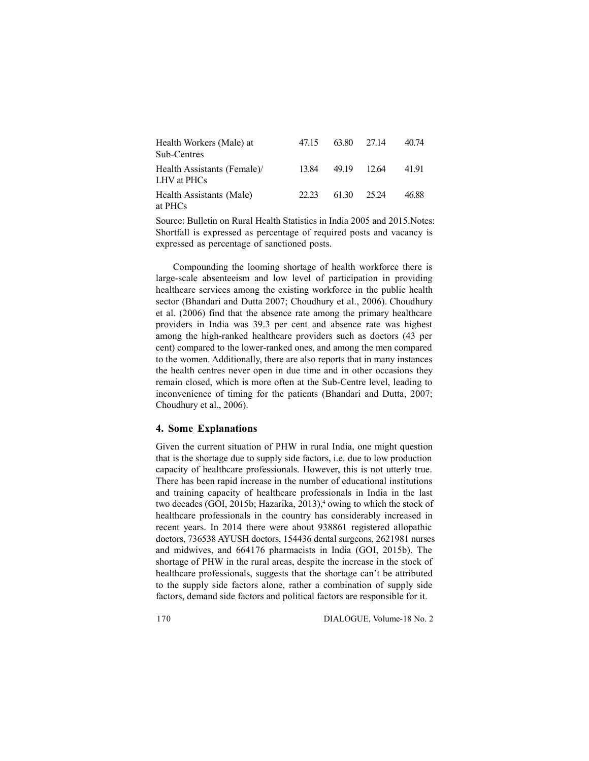| Health Workers (Male) at<br>Sub-Centres    | 47.15 | 63.80 | 27.14   | 40.74 |
|--------------------------------------------|-------|-------|---------|-------|
| Health Assistants (Female)/<br>LHV at PHCs | 13.84 | 49.19 | - 12.64 | 4191  |
| Health Assistants (Male)<br>at PHCs        | 22.23 | 61.30 | 25.24   | 46.88 |

Source: Bulletin on Rural Health Statistics in India 2005 and 2015.Notes: Shortfall is expressed as percentage of required posts and vacancy is expressed as percentage of sanctioned posts.

Compounding the looming shortage of health workforce there is large-scale absenteeism and low level of participation in providing healthcare services among the existing workforce in the public health sector (Bhandari and Dutta 2007; Choudhury et al., 2006). Choudhury et al. (2006) find that the absence rate among the primary healthcare providers in India was 39.3 per cent and absence rate was highest among the high-ranked healthcare providers such as doctors (43 per cent) compared to the lower-ranked ones, and among the men compared to the women. Additionally, there are also reports that in many instances the health centres never open in due time and in other occasions they remain closed, which is more often at the Sub-Centre level, leading to inconvenience of timing for the patients (Bhandari and Dutta, 2007; Choudhury et al., 2006).

#### **4. Some Explanations**

Given the current situation of PHW in rural India, one might question that is the shortage due to supply side factors, i.e. due to low production capacity of healthcare professionals. However, this is not utterly true. There has been rapid increase in the number of educational institutions and training capacity of healthcare professionals in India in the last two decades (GOI, 2015b; Hazarika, 2013),<sup>4</sup> owing to which the stock of healthcare professionals in the country has considerably increased in recent years. In 2014 there were about 938861 registered allopathic doctors, 736538 AYUSH doctors, 154436 dental surgeons, 2621981 nurses and midwives, and 664176 pharmacists in India (GOI, 2015b). The shortage of PHW in the rural areas, despite the increase in the stock of healthcare professionals, suggests that the shortage can't be attributed to the supply side factors alone, rather a combination of supply side factors, demand side factors and political factors are responsible for it.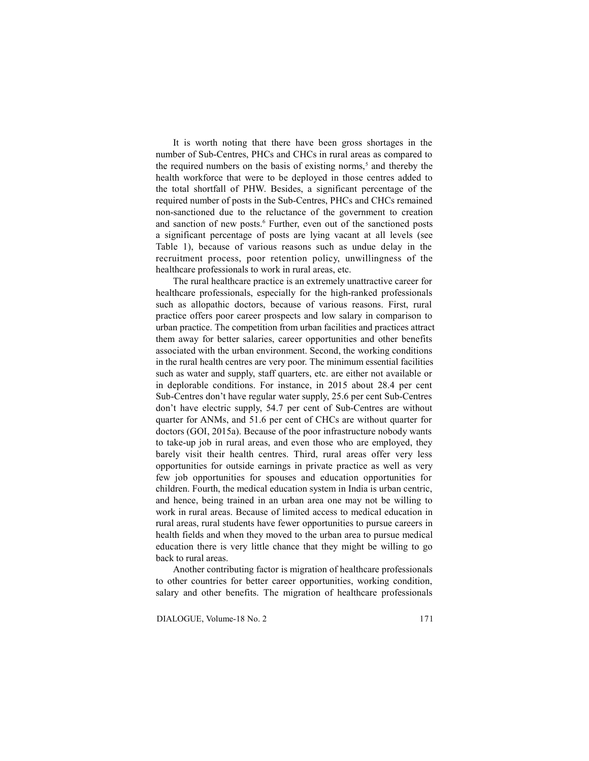It is worth noting that there have been gross shortages in the number of Sub-Centres, PHCs and CHCs in rural areas as compared to the required numbers on the basis of existing norms,<sup>5</sup> and thereby the health workforce that were to be deployed in those centres added to the total shortfall of PHW. Besides, a significant percentage of the required number of posts in the Sub-Centres, PHCs and CHCs remained non-sanctioned due to the reluctance of the government to creation and sanction of new posts.<sup>6</sup> Further, even out of the sanctioned posts a significant percentage of posts are lying vacant at all levels (see Table 1), because of various reasons such as undue delay in the recruitment process, poor retention policy, unwillingness of the healthcare professionals to work in rural areas, etc.

The rural healthcare practice is an extremely unattractive career for healthcare professionals, especially for the high-ranked professionals such as allopathic doctors, because of various reasons. First, rural practice offers poor career prospects and low salary in comparison to urban practice. The competition from urban facilities and practices attract them away for better salaries, career opportunities and other benefits associated with the urban environment. Second, the working conditions in the rural health centres are very poor. The minimum essential facilities such as water and supply, staff quarters, etc. are either not available or in deplorable conditions. For instance, in 2015 about 28.4 per cent Sub-Centres don't have regular water supply, 25.6 per cent Sub-Centres don't have electric supply, 54.7 per cent of Sub-Centres are without quarter for ANMs, and 51.6 per cent of CHCs are without quarter for doctors (GOI, 2015a). Because of the poor infrastructure nobody wants to take-up job in rural areas, and even those who are employed, they barely visit their health centres. Third, rural areas offer very less opportunities for outside earnings in private practice as well as very few job opportunities for spouses and education opportunities for children. Fourth, the medical education system in India is urban centric, and hence, being trained in an urban area one may not be willing to work in rural areas. Because of limited access to medical education in rural areas, rural students have fewer opportunities to pursue careers in health fields and when they moved to the urban area to pursue medical education there is very little chance that they might be willing to go back to rural areas.

Another contributing factor is migration of healthcare professionals to other countries for better career opportunities, working condition, salary and other benefits. The migration of healthcare professionals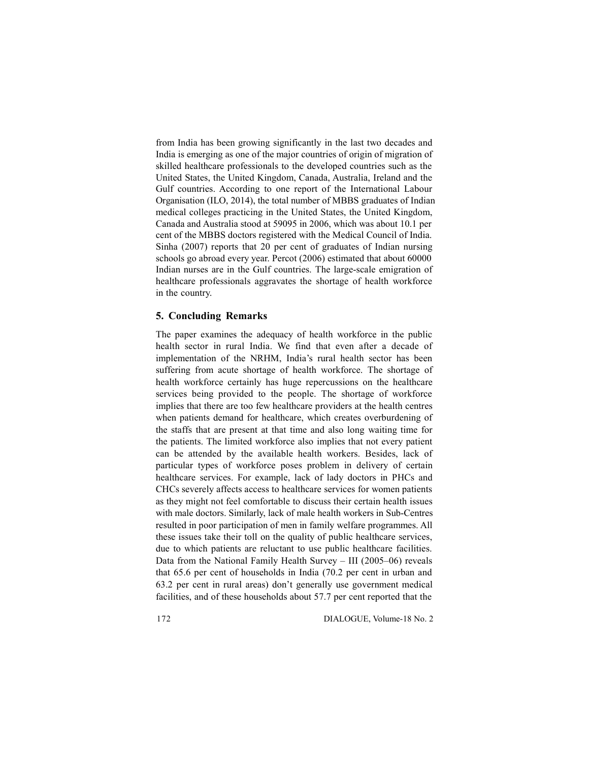from India has been growing significantly in the last two decades and India is emerging as one of the major countries of origin of migration of skilled healthcare professionals to the developed countries such as the United States, the United Kingdom, Canada, Australia, Ireland and the Gulf countries. According to one report of the International Labour Organisation (ILO, 2014), the total number of MBBS graduates of Indian medical colleges practicing in the United States, the United Kingdom, Canada and Australia stood at 59095 in 2006, which was about 10.1 per cent of the MBBS doctors registered with the Medical Council of India. Sinha (2007) reports that 20 per cent of graduates of Indian nursing schools go abroad every year. Percot (2006) estimated that about 60000 Indian nurses are in the Gulf countries. The large-scale emigration of healthcare professionals aggravates the shortage of health workforce in the country.

## **5. Concluding Remarks**

The paper examines the adequacy of health workforce in the public health sector in rural India. We find that even after a decade of implementation of the NRHM, India's rural health sector has been suffering from acute shortage of health workforce. The shortage of health workforce certainly has huge repercussions on the healthcare services being provided to the people. The shortage of workforce implies that there are too few healthcare providers at the health centres when patients demand for healthcare, which creates overburdening of the staffs that are present at that time and also long waiting time for the patients. The limited workforce also implies that not every patient can be attended by the available health workers. Besides, lack of particular types of workforce poses problem in delivery of certain healthcare services. For example, lack of lady doctors in PHCs and CHCs severely affects access to healthcare services for women patients as they might not feel comfortable to discuss their certain health issues with male doctors. Similarly, lack of male health workers in Sub-Centres resulted in poor participation of men in family welfare programmes. All these issues take their toll on the quality of public healthcare services, due to which patients are reluctant to use public healthcare facilities. Data from the National Family Health Survey – III (2005–06) reveals that 65.6 per cent of households in India (70.2 per cent in urban and 63.2 per cent in rural areas) don't generally use government medical facilities, and of these households about 57.7 per cent reported that the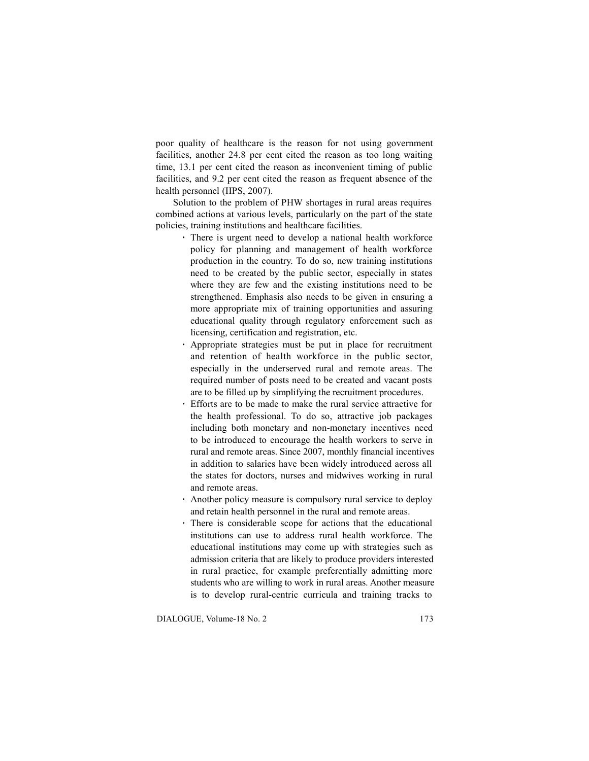poor quality of healthcare is the reason for not using government facilities, another 24.8 per cent cited the reason as too long waiting time, 13.1 per cent cited the reason as inconvenient timing of public facilities, and 9.2 per cent cited the reason as frequent absence of the health personnel (IIPS, 2007).

Solution to the problem of PHW shortages in rural areas requires combined actions at various levels, particularly on the part of the state policies, training institutions and healthcare facilities.

- **·** There is urgent need to develop a national health workforce policy for planning and management of health workforce production in the country. To do so, new training institutions need to be created by the public sector, especially in states where they are few and the existing institutions need to be strengthened. Emphasis also needs to be given in ensuring a more appropriate mix of training opportunities and assuring educational quality through regulatory enforcement such as licensing, certification and registration, etc.
- **·** Appropriate strategies must be put in place for recruitment and retention of health workforce in the public sector, especially in the underserved rural and remote areas. The required number of posts need to be created and vacant posts are to be filled up by simplifying the recruitment procedures.
- **·** Efforts are to be made to make the rural service attractive for the health professional. To do so, attractive job packages including both monetary and non-monetary incentives need to be introduced to encourage the health workers to serve in rural and remote areas. Since 2007, monthly financial incentives in addition to salaries have been widely introduced across all the states for doctors, nurses and midwives working in rural and remote areas.
- **·** Another policy measure is compulsory rural service to deploy and retain health personnel in the rural and remote areas.
- **·** There is considerable scope for actions that the educational institutions can use to address rural health workforce. The educational institutions may come up with strategies such as admission criteria that are likely to produce providers interested in rural practice, for example preferentially admitting more students who are willing to work in rural areas. Another measure is to develop rural-centric curricula and training tracks to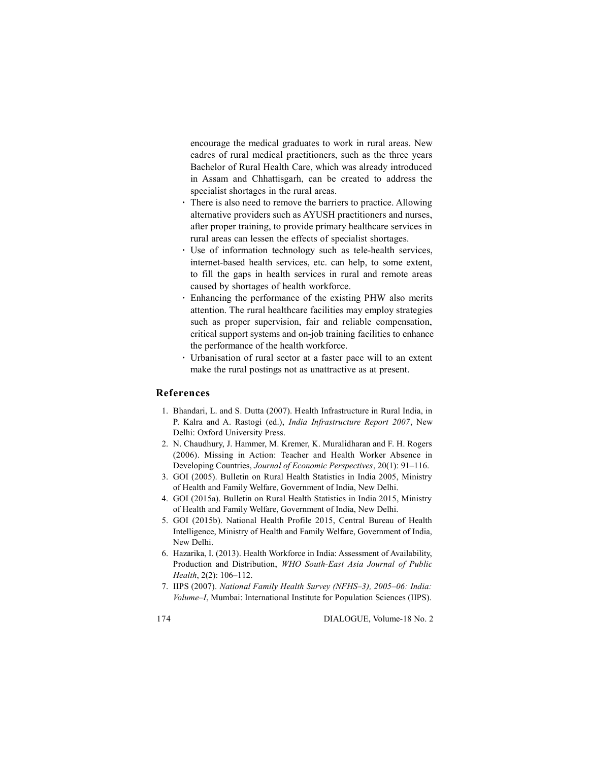encourage the medical graduates to work in rural areas. New cadres of rural medical practitioners, such as the three years Bachelor of Rural Health Care, which was already introduced in Assam and Chhattisgarh, can be created to address the specialist shortages in the rural areas.

- **·** There is also need to remove the barriers to practice. Allowing alternative providers such as AYUSH practitioners and nurses, after proper training, to provide primary healthcare services in rural areas can lessen the effects of specialist shortages.
- **·** Use of information technology such as tele-health services, internet-based health services, etc. can help, to some extent, to fill the gaps in health services in rural and remote areas caused by shortages of health workforce.
- **·** Enhancing the performance of the existing PHW also merits attention. The rural healthcare facilities may employ strategies such as proper supervision, fair and reliable compensation, critical support systems and on-job training facilities to enhance the performance of the health workforce.
- **·** Urbanisation of rural sector at a faster pace will to an extent make the rural postings not as unattractive as at present.

## **References**

- 1. Bhandari, L. and S. Dutta (2007). Health Infrastructure in Rural India, in P. Kalra and A. Rastogi (ed.), *India Infrastructure Report 2007*, New Delhi: Oxford University Press.
- 2. N. Chaudhury, J. Hammer, M. Kremer, K. Muralidharan and F. H. Rogers (2006). Missing in Action: Teacher and Health Worker Absence in Developing Countries, *Journal of Economic Perspectives*, 20(1): 91–116.
- 3. GOI (2005). Bulletin on Rural Health Statistics in India 2005, Ministry of Health and Family Welfare, Government of India, New Delhi.
- 4. GOI (2015a). Bulletin on Rural Health Statistics in India 2015, Ministry of Health and Family Welfare, Government of India, New Delhi.
- 5. GOI (2015b). National Health Profile 2015, Central Bureau of Health Intelligence, Ministry of Health and Family Welfare, Government of India, New Delhi.
- 6. Hazarika, I. (2013). Health Workforce in India: Assessment of Availability, Production and Distribution, *WHO South-East Asia Journal of Public Health*, 2(2): 106–112.
- 7. IIPS (2007). *National Family Health Survey (NFHS–3), 2005–06: India: Volume–I*, Mumbai: International Institute for Population Sciences (IIPS).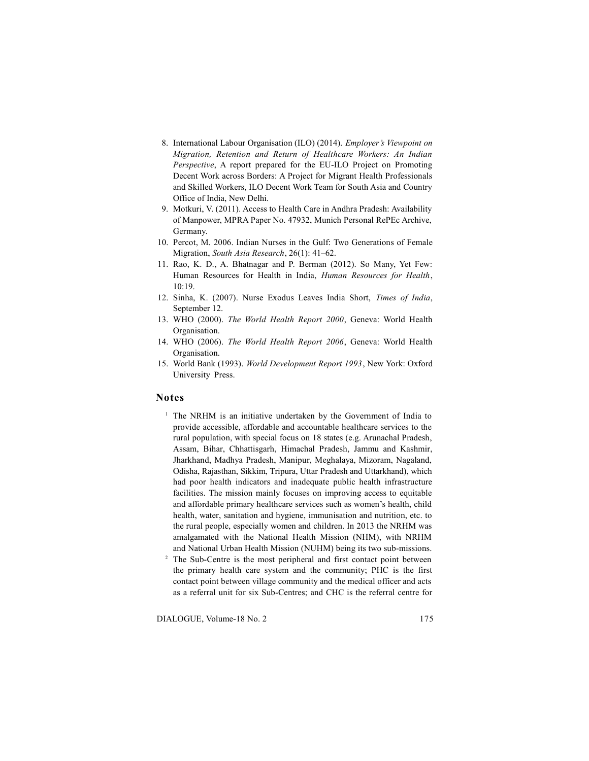- 8. International Labour Organisation (ILO) (2014). *Employer's Viewpoint on Migration, Retention and Return of Healthcare Workers: An Indian Perspective*, A report prepared for the EU-ILO Project on Promoting Decent Work across Borders: A Project for Migrant Health Professionals and Skilled Workers, ILO Decent Work Team for South Asia and Country Office of India, New Delhi.
- 9. Motkuri, V. (2011). Access to Health Care in Andhra Pradesh: Availability of Manpower, MPRA Paper No. 47932, Munich Personal RePEc Archive, Germany.
- 10. Percot, M. 2006. Indian Nurses in the Gulf: Two Generations of Female Migration, *South Asia Research*, 26(1): 41–62.
- 11. Rao, K. D., A. Bhatnagar and P. Berman (2012). So Many, Yet Few: Human Resources for Health in India, *Human Resources for Health*, 10:19.
- 12. Sinha, K. (2007). Nurse Exodus Leaves India Short, *Times of India*, September 12.
- 13. WHO (2000). *The World Health Report 2000*, Geneva: World Health Organisation.
- 14. WHO (2006). *The World Health Report 2006*, Geneva: World Health Organisation.
- 15. World Bank (1993). *World Development Report 1993*, New York: Oxford University Press.

#### **Notes**

- <sup>1</sup> The NRHM is an initiative undertaken by the Government of India to provide accessible, affordable and accountable healthcare services to the rural population, with special focus on 18 states (e.g. Arunachal Pradesh, Assam, Bihar, Chhattisgarh, Himachal Pradesh, Jammu and Kashmir, Jharkhand, Madhya Pradesh, Manipur, Meghalaya, Mizoram, Nagaland, Odisha, Rajasthan, Sikkim, Tripura, Uttar Pradesh and Uttarkhand), which had poor health indicators and inadequate public health infrastructure facilities. The mission mainly focuses on improving access to equitable and affordable primary healthcare services such as women's health, child health, water, sanitation and hygiene, immunisation and nutrition, etc. to the rural people, especially women and children. In 2013 the NRHM was amalgamated with the National Health Mission (NHM), with NRHM and National Urban Health Mission (NUHM) being its two sub-missions.
- <sup>2</sup> The Sub-Centre is the most peripheral and first contact point between the primary health care system and the community; PHC is the first contact point between village community and the medical officer and acts as a referral unit for six Sub-Centres; and CHC is the referral centre for